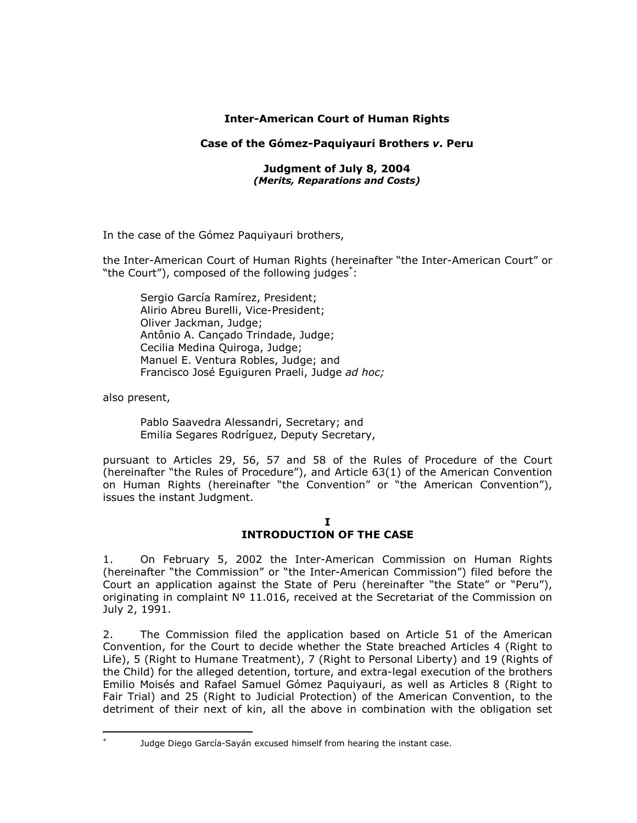# Inter-American Court of Human Rights

# Case of the Gómez-Paquiyauri Brothers v. Peru

#### Judgment of July 8, 2004 (Merits, Reparations and Costs)

In the case of the Gómez Paquiyauri brothers,

the Inter-American Court of Human Rights (hereinafter "the Inter-American Court" or "the Court"), composed of the following judges\* :

Sergio García Ramírez, President; Alirio Abreu Burelli, Vice-President; Oliver Jackman, Judge; Antônio A. Cançado Trindade, Judge; Cecilia Medina Quiroga, Judge; Manuel E. Ventura Robles, Judge; and Francisco José Eguiguren Praeli, Judge ad hoc;

also present,

 \* Pablo Saavedra Alessandri, Secretary; and Emilia Segares Rodríguez, Deputy Secretary,

pursuant to Articles 29, 56, 57 and 58 of the Rules of Procedure of the Court (hereinafter "the Rules of Procedure"), and Article 63(1) of the American Convention on Human Rights (hereinafter "the Convention" or "the American Convention"), issues the instant Judgment.

## I INTRODUCTION OF THE CASE

1. On February 5, 2002 the Inter-American Commission on Human Rights (hereinafter "the Commission" or "the Inter-American Commission") filed before the Court an application against the State of Peru (hereinafter "the State" or "Peru"), originating in complaint  $N^{\circ}$  11.016, received at the Secretariat of the Commission on July 2, 1991.

2. The Commission filed the application based on Article 51 of the American Convention, for the Court to decide whether the State breached Articles 4 (Right to Life), 5 (Right to Humane Treatment), 7 (Right to Personal Liberty) and 19 (Rights of the Child) for the alleged detention, torture, and extra-legal execution of the brothers Emilio Moisés and Rafael Samuel Gómez Paquiyauri, as well as Articles 8 (Right to Fair Trial) and 25 (Right to Judicial Protection) of the American Convention, to the detriment of their next of kin, all the above in combination with the obligation set

Judge Diego García-Sayán excused himself from hearing the instant case.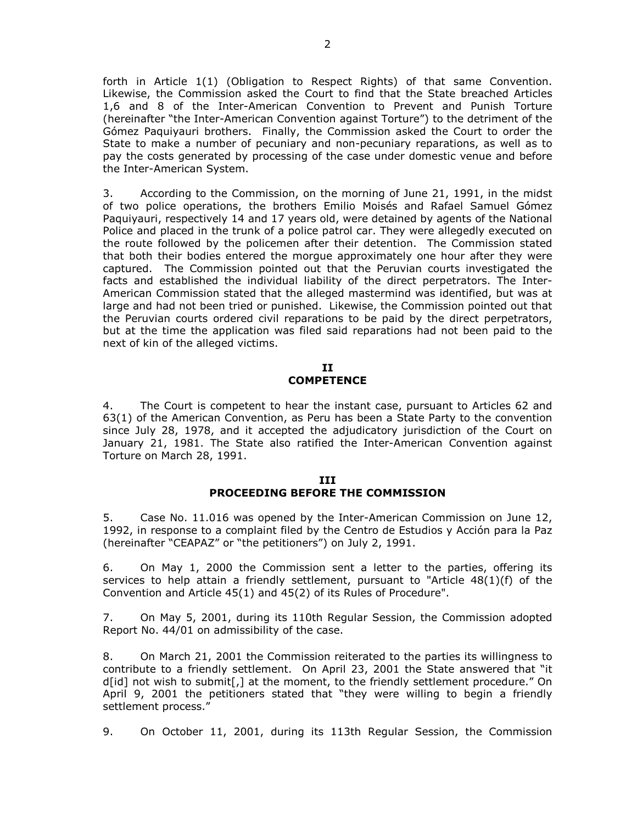forth in Article 1(1) (Obligation to Respect Rights) of that same Convention. Likewise, the Commission asked the Court to find that the State breached Articles 1,6 and 8 of the Inter-American Convention to Prevent and Punish Torture (hereinafter "the Inter-American Convention against Torture") to the detriment of the Gómez Paquiyauri brothers. Finally, the Commission asked the Court to order the State to make a number of pecuniary and non-pecuniary reparations, as well as to pay the costs generated by processing of the case under domestic venue and before the Inter-American System.

3. According to the Commission, on the morning of June 21, 1991, in the midst of two police operations, the brothers Emilio Moisés and Rafael Samuel Gómez Paquiyauri, respectively 14 and 17 years old, were detained by agents of the National Police and placed in the trunk of a police patrol car. They were allegedly executed on the route followed by the policemen after their detention. The Commission stated that both their bodies entered the morgue approximately one hour after they were captured. The Commission pointed out that the Peruvian courts investigated the facts and established the individual liability of the direct perpetrators. The Inter-American Commission stated that the alleged mastermind was identified, but was at large and had not been tried or punished. Likewise, the Commission pointed out that the Peruvian courts ordered civil reparations to be paid by the direct perpetrators, but at the time the application was filed said reparations had not been paid to the next of kin of the alleged victims.

## II **COMPETENCE**

4. The Court is competent to hear the instant case, pursuant to Articles 62 and 63(1) of the American Convention, as Peru has been a State Party to the convention since July 28, 1978, and it accepted the adjudicatory jurisdiction of the Court on January 21, 1981. The State also ratified the Inter-American Convention against Torture on March 28, 1991.

## III PROCEEDING BEFORE THE COMMISSION

5. Case No. 11.016 was opened by the Inter-American Commission on June 12, 1992, in response to a complaint filed by the Centro de Estudios y Acción para la Paz (hereinafter "CEAPAZ" or "the petitioners") on July 2, 1991.

6. On May 1, 2000 the Commission sent a letter to the parties, offering its services to help attain a friendly settlement, pursuant to "Article 48(1)(f) of the Convention and Article 45(1) and 45(2) of its Rules of Procedure".

7. On May 5, 2001, during its 110th Regular Session, the Commission adopted Report No. 44/01 on admissibility of the case.

8. On March 21, 2001 the Commission reiterated to the parties its willingness to contribute to a friendly settlement. On April 23, 2001 the State answered that "it d[id] not wish to submit[,] at the moment, to the friendly settlement procedure." On April 9, 2001 the petitioners stated that "they were willing to begin a friendly settlement process."

9. On October 11, 2001, during its 113th Regular Session, the Commission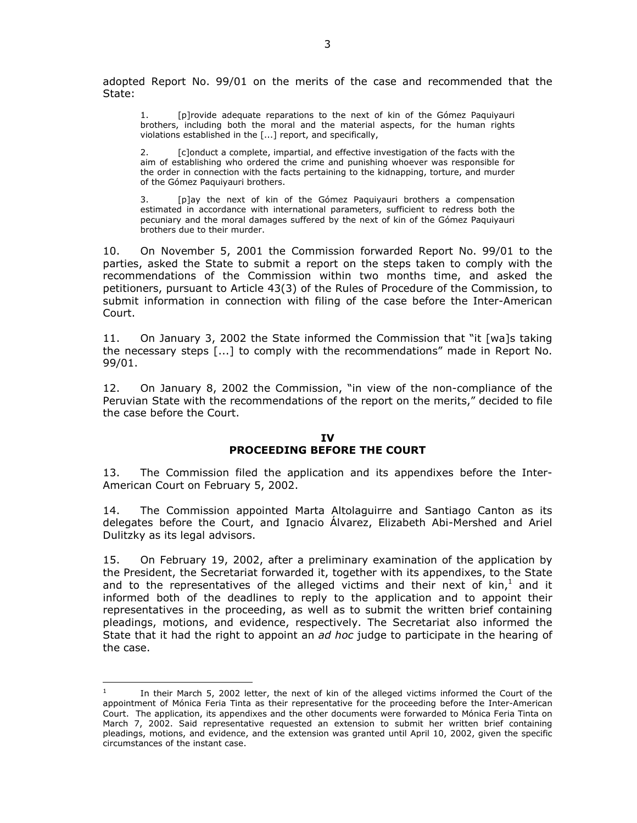adopted Report No. 99/01 on the merits of the case and recommended that the State:

1. [p]rovide adequate reparations to the next of kin of the Gómez Paquiyauri brothers, including both the moral and the material aspects, for the human rights violations established in the [...] report, and specifically,

2. [c]onduct a complete, impartial, and effective investigation of the facts with the aim of establishing who ordered the crime and punishing whoever was responsible for the order in connection with the facts pertaining to the kidnapping, torture, and murder of the Gómez Paquiyauri brothers.

3. [p]ay the next of kin of the Gómez Paquiyauri brothers a compensation estimated in accordance with international parameters, sufficient to redress both the pecuniary and the moral damages suffered by the next of kin of the Gómez Paquiyauri brothers due to their murder.

10. On November 5, 2001 the Commission forwarded Report No. 99/01 to the parties, asked the State to submit a report on the steps taken to comply with the recommendations of the Commission within two months time, and asked the petitioners, pursuant to Article 43(3) of the Rules of Procedure of the Commission, to submit information in connection with filing of the case before the Inter-American Court.

11. On January 3, 2002 the State informed the Commission that "it [wa]s taking the necessary steps [...] to comply with the recommendations" made in Report No. 99/01.

12. On January 8, 2002 the Commission, "in view of the non-compliance of the Peruvian State with the recommendations of the report on the merits," decided to file the case before the Court.

## IV PROCEEDING BEFORE THE COURT

13. The Commission filed the application and its appendixes before the Inter-American Court on February 5, 2002.

14. The Commission appointed Marta Altolaguirre and Santiago Canton as its delegates before the Court, and Ignacio Álvarez, Elizabeth Abi-Mershed and Ariel Dulitzky as its legal advisors.

15. On February 19, 2002, after a preliminary examination of the application by the President, the Secretariat forwarded it, together with its appendixes, to the State and to the representatives of the alleged victims and their next of  $\text{kin}^1$  and it informed both of the deadlines to reply to the application and to appoint their representatives in the proceeding, as well as to submit the written brief containing pleadings, motions, and evidence, respectively. The Secretariat also informed the State that it had the right to appoint an *ad hoc* judge to participate in the hearing of the case.

<sup>1</sup> In their March 5, 2002 letter, the next of kin of the alleged victims informed the Court of the appointment of Mónica Feria Tinta as their representative for the proceeding before the Inter-American Court. The application, its appendixes and the other documents were forwarded to Mónica Feria Tinta on March 7, 2002. Said representative requested an extension to submit her written brief containing pleadings, motions, and evidence, and the extension was granted until April 10, 2002, given the specific circumstances of the instant case.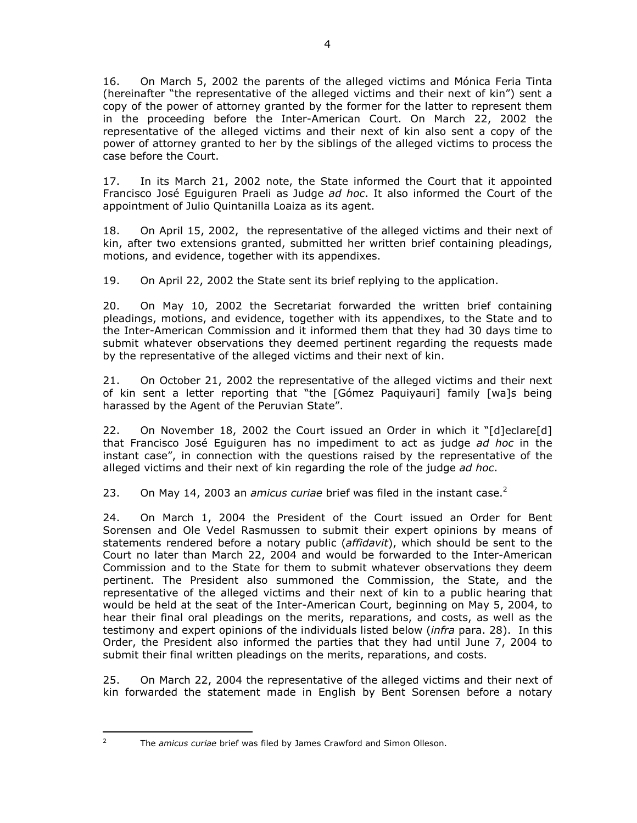16. On March 5, 2002 the parents of the alleged victims and Mónica Feria Tinta (hereinafter "the representative of the alleged victims and their next of kin") sent a copy of the power of attorney granted by the former for the latter to represent them in the proceeding before the Inter-American Court. On March 22, 2002 the representative of the alleged victims and their next of kin also sent a copy of the power of attorney granted to her by the siblings of the alleged victims to process the case before the Court.

17. In its March 21, 2002 note, the State informed the Court that it appointed Francisco José Eguiguren Praeli as Judge ad hoc. It also informed the Court of the appointment of Julio Quintanilla Loaiza as its agent.

18. On April 15, 2002, the representative of the alleged victims and their next of kin, after two extensions granted, submitted her written brief containing pleadings, motions, and evidence, together with its appendixes.

19. On April 22, 2002 the State sent its brief replying to the application.

20. On May 10, 2002 the Secretariat forwarded the written brief containing pleadings, motions, and evidence, together with its appendixes, to the State and to the Inter-American Commission and it informed them that they had 30 days time to submit whatever observations they deemed pertinent regarding the requests made by the representative of the alleged victims and their next of kin.

21. On October 21, 2002 the representative of the alleged victims and their next of kin sent a letter reporting that "the [Gómez Paquiyauri] family [wa]s being harassed by the Agent of the Peruvian State".

22. On November 18, 2002 the Court issued an Order in which it "[d]eclare[d] that Francisco José Equiguren has no impediment to act as judge ad hoc in the instant case", in connection with the questions raised by the representative of the alleged victims and their next of kin regarding the role of the judge ad hoc.

23. On May 14, 2003 an *amicus curiae* brief was filed in the instant case.<sup>2</sup>

24. On March 1, 2004 the President of the Court issued an Order for Bent Sorensen and Ole Vedel Rasmussen to submit their expert opinions by means of statements rendered before a notary public (affidavit), which should be sent to the Court no later than March 22, 2004 and would be forwarded to the Inter-American Commission and to the State for them to submit whatever observations they deem pertinent. The President also summoned the Commission, the State, and the representative of the alleged victims and their next of kin to a public hearing that would be held at the seat of the Inter-American Court, beginning on May 5, 2004, to hear their final oral pleadings on the merits, reparations, and costs, as well as the testimony and expert opinions of the individuals listed below (infra para. 28). In this Order, the President also informed the parties that they had until June 7, 2004 to submit their final written pleadings on the merits, reparations, and costs.

25. On March 22, 2004 the representative of the alleged victims and their next of kin forwarded the statement made in English by Bent Sorensen before a notary

The amicus curiae brief was filed by James Crawford and Simon Olleson.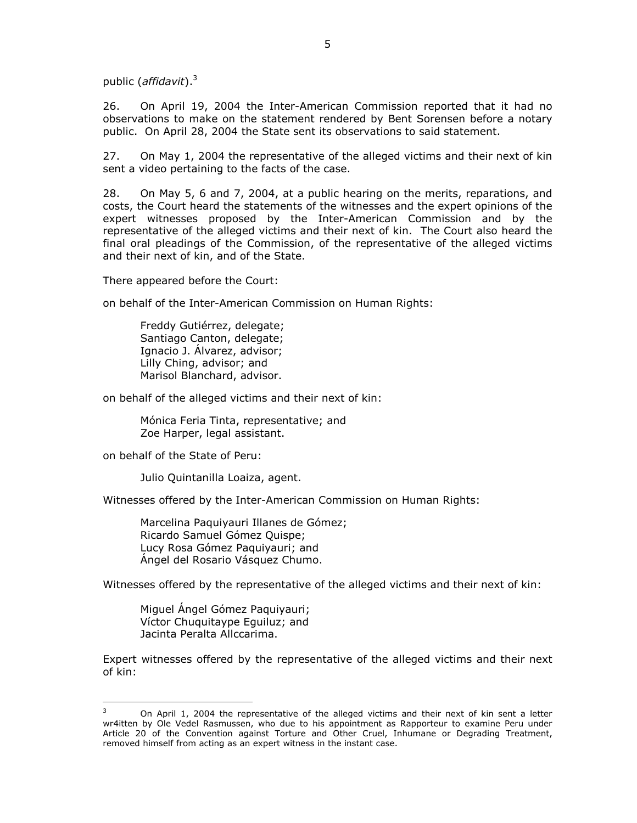public (affidavit).<sup>3</sup>

26. On April 19, 2004 the Inter-American Commission reported that it had no observations to make on the statement rendered by Bent Sorensen before a notary public. On April 28, 2004 the State sent its observations to said statement.

27. On May 1, 2004 the representative of the alleged victims and their next of kin sent a video pertaining to the facts of the case.

28. On May 5, 6 and 7, 2004, at a public hearing on the merits, reparations, and costs, the Court heard the statements of the witnesses and the expert opinions of the expert witnesses proposed by the Inter-American Commission and by the representative of the alleged victims and their next of kin. The Court also heard the final oral pleadings of the Commission, of the representative of the alleged victims and their next of kin, and of the State.

There appeared before the Court:

on behalf of the Inter-American Commission on Human Rights:

Freddy Gutiérrez, delegate; Santiago Canton, delegate; Ignacio J. Álvarez, advisor; Lilly Ching, advisor; and Marisol Blanchard, advisor.

on behalf of the alleged victims and their next of kin:

Mónica Feria Tinta, representative; and Zoe Harper, legal assistant.

on behalf of the State of Peru:

l,

Julio Quintanilla Loaiza, agent.

Witnesses offered by the Inter-American Commission on Human Rights:

Marcelina Paquiyauri Illanes de Gómez; Ricardo Samuel Gómez Quispe; Lucy Rosa Gómez Paquiyauri; and Ángel del Rosario Vásquez Chumo.

Witnesses offered by the representative of the alleged victims and their next of kin:

Miguel Ángel Gómez Paquiyauri; Víctor Chuquitaype Eguiluz; and Jacinta Peralta Allccarima.

Expert witnesses offered by the representative of the alleged victims and their next of kin:

<sup>3</sup> On April 1, 2004 the representative of the alleged victims and their next of kin sent a letter wr4itten by Ole Vedel Rasmussen, who due to his appointment as Rapporteur to examine Peru under Article 20 of the Convention against Torture and Other Cruel, Inhumane or Degrading Treatment, removed himself from acting as an expert witness in the instant case.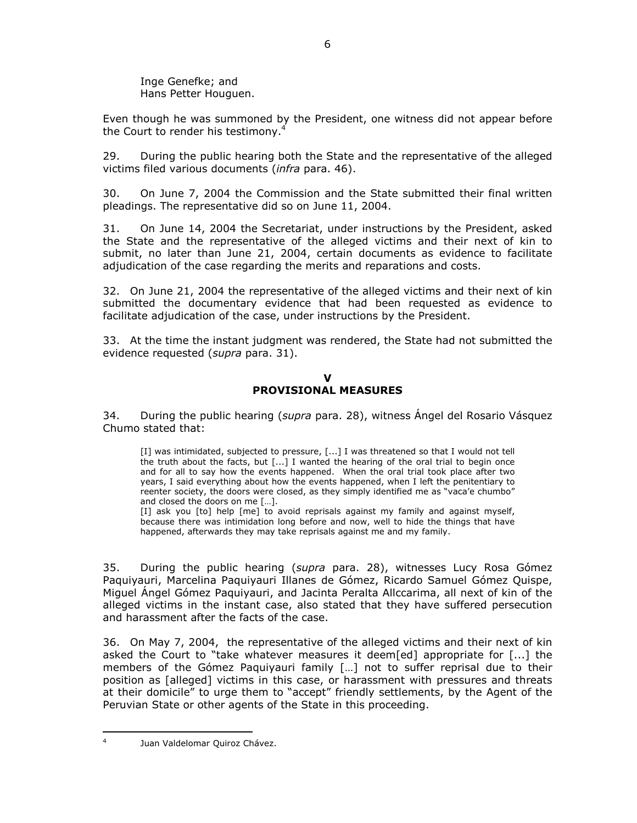Inge Genefke; and Hans Petter Houguen.

Even though he was summoned by the President, one witness did not appear before the Court to render his testimony.<sup>4</sup>

29. During the public hearing both the State and the representative of the alleged victims filed various documents (infra para. 46).

30. On June 7, 2004 the Commission and the State submitted their final written pleadings. The representative did so on June 11, 2004.

31. On June 14, 2004 the Secretariat, under instructions by the President, asked the State and the representative of the alleged victims and their next of kin to submit, no later than June 21, 2004, certain documents as evidence to facilitate adjudication of the case regarding the merits and reparations and costs.

32. On June 21, 2004 the representative of the alleged victims and their next of kin submitted the documentary evidence that had been requested as evidence to facilitate adjudication of the case, under instructions by the President.

33. At the time the instant judgment was rendered, the State had not submitted the evidence requested (supra para. 31).

V PROVISIONAL MEASURES

34. During the public hearing (supra para. 28), witness Angel del Rosario Vásquez Chumo stated that:

[I] was intimidated, subjected to pressure, [...] I was threatened so that I would not tell the truth about the facts, but [...] I wanted the hearing of the oral trial to begin once and for all to say how the events happened. When the oral trial took place after two years, I said everything about how the events happened, when I left the penitentiary to reenter society, the doors were closed, as they simply identified me as "vaca'e chumbo" and closed the doors on me […].

[I] ask you [to] help [me] to avoid reprisals against my family and against myself, because there was intimidation long before and now, well to hide the things that have happened, afterwards they may take reprisals against me and my family.

35. During the public hearing (supra para. 28), witnesses Lucy Rosa Gómez Paquiyauri, Marcelina Paquiyauri Illanes de Gómez, Ricardo Samuel Gómez Quispe, Miguel Ángel Gómez Paquiyauri, and Jacinta Peralta Allccarima, all next of kin of the alleged victims in the instant case, also stated that they have suffered persecution and harassment after the facts of the case.

36. On May 7, 2004, the representative of the alleged victims and their next of kin asked the Court to "take whatever measures it deem[ed] appropriate for [...] the members of the Gómez Paquiyauri family […] not to suffer reprisal due to their position as [alleged] victims in this case, or harassment with pressures and threats at their domicile" to urge them to "accept" friendly settlements, by the Agent of the Peruvian State or other agents of the State in this proceeding.

Juan Valdelomar Quiroz Chávez.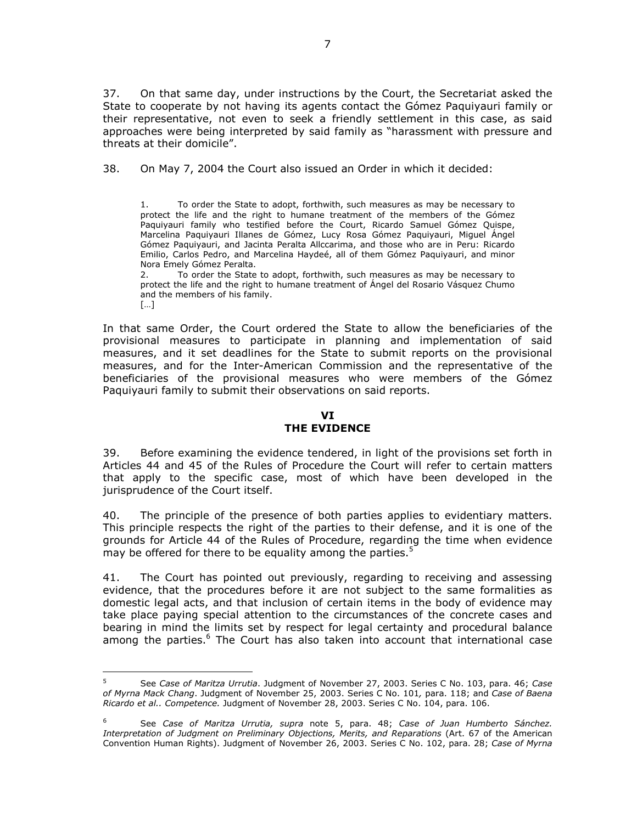37. On that same day, under instructions by the Court, the Secretariat asked the State to cooperate by not having its agents contact the Gómez Paquiyauri family or their representative, not even to seek a friendly settlement in this case, as said approaches were being interpreted by said family as "harassment with pressure and threats at their domicile".

38. On May 7, 2004 the Court also issued an Order in which it decided:

1. To order the State to adopt, forthwith, such measures as may be necessary to protect the life and the right to humane treatment of the members of the Gómez Paquiyauri family who testified before the Court, Ricardo Samuel Gómez Quispe, Marcelina Paquiyauri Illanes de Gómez, Lucy Rosa Gómez Paquiyauri, Miguel Ángel Gómez Paquiyauri, and Jacinta Peralta Allccarima, and those who are in Peru: Ricardo Emilio, Carlos Pedro, and Marcelina Haydeé, all of them Gómez Paquiyauri, and minor Nora Emely Gómez Peralta.

2. To order the State to adopt, forthwith, such measures as may be necessary to protect the life and the right to humane treatment of Ángel del Rosario Vásquez Chumo and the members of his family. […]

In that same Order, the Court ordered the State to allow the beneficiaries of the provisional measures to participate in planning and implementation of said measures, and it set deadlines for the State to submit reports on the provisional measures, and for the Inter-American Commission and the representative of the beneficiaries of the provisional measures who were members of the Gómez Paquiyauri family to submit their observations on said reports.

# VI THE EVIDENCE

39. Before examining the evidence tendered, in light of the provisions set forth in Articles 44 and 45 of the Rules of Procedure the Court will refer to certain matters that apply to the specific case, most of which have been developed in the jurisprudence of the Court itself.

40. The principle of the presence of both parties applies to evidentiary matters. This principle respects the right of the parties to their defense, and it is one of the grounds for Article 44 of the Rules of Procedure, regarding the time when evidence may be offered for there to be equality among the parties.<sup>5</sup>

41. The Court has pointed out previously, regarding to receiving and assessing evidence, that the procedures before it are not subject to the same formalities as domestic legal acts, and that inclusion of certain items in the body of evidence may take place paying special attention to the circumstances of the concrete cases and bearing in mind the limits set by respect for legal certainty and procedural balance among the parties.<sup>6</sup> The Court has also taken into account that international case

<sup>5</sup> See Case of Maritza Urrutia. Judgment of November 27, 2003. Series C No. 103, para. 46; Case of Myrna Mack Chang. Judgment of November 25, 2003. Series C No. 101, para. 118; and Case of Baena Ricardo et al.. Competence. Judgment of November 28, 2003. Series C No. 104, para. 106.

<sup>6</sup> See Case of Maritza Urrutia, supra note 5, para. 48; Case of Juan Humberto Sánchez. Interpretation of Judgment on Preliminary Objections, Merits, and Reparations (Art. 67 of the American Convention Human Rights). Judgment of November 26, 2003. Series C No. 102, para. 28; Case of Myrna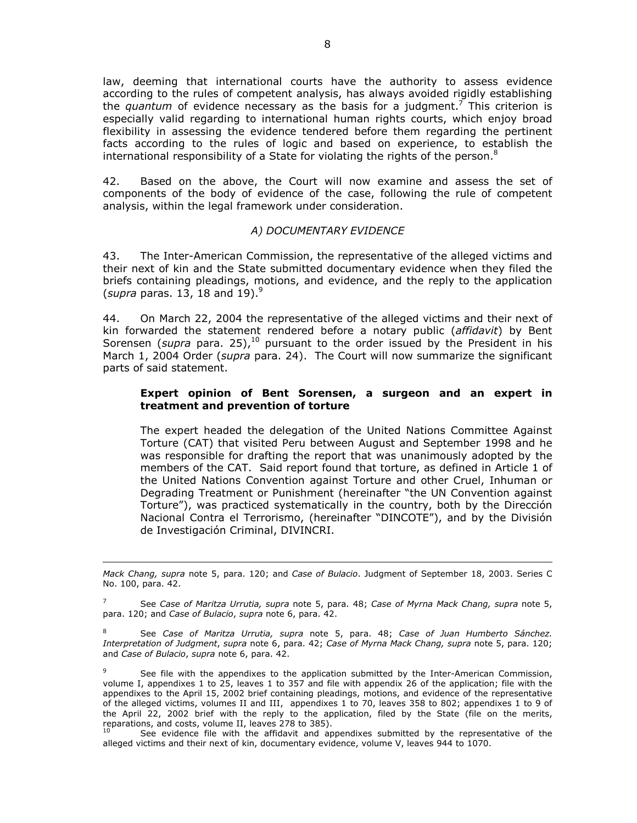law, deeming that international courts have the authority to assess evidence according to the rules of competent analysis, has always avoided rigidly establishing the quantum of evidence necessary as the basis for a judgment.<sup>7</sup> This criterion is especially valid regarding to international human rights courts, which enjoy broad flexibility in assessing the evidence tendered before them regarding the pertinent facts according to the rules of logic and based on experience, to establish the international responsibility of a State for violating the rights of the person. $8$ 

42. Based on the above, the Court will now examine and assess the set of components of the body of evidence of the case, following the rule of competent analysis, within the legal framework under consideration.

#### A) DOCUMENTARY EVIDENCE

43. The Inter-American Commission, the representative of the alleged victims and their next of kin and the State submitted documentary evidence when they filed the briefs containing pleadings, motions, and evidence, and the reply to the application (supra paras. 13, 18 and 19). $9$ 

44. On March 22, 2004 the representative of the alleged victims and their next of kin forwarded the statement rendered before a notary public (affidavit) by Bent Sorensen (supra para. 25),<sup>10</sup> pursuant to the order issued by the President in his March 1, 2004 Order (supra para. 24). The Court will now summarize the significant parts of said statement.

### Expert opinion of Bent Sorensen, a surgeon and an expert in treatment and prevention of torture

The expert headed the delegation of the United Nations Committee Against Torture (CAT) that visited Peru between August and September 1998 and he was responsible for drafting the report that was unanimously adopted by the members of the CAT. Said report found that torture, as defined in Article 1 of the United Nations Convention against Torture and other Cruel, Inhuman or Degrading Treatment or Punishment (hereinafter "the UN Convention against Torture"), was practiced systematically in the country, both by the Dirección Nacional Contra el Terrorismo, (hereinafter "DINCOTE"), and by the División de Investigación Criminal, DIVINCRI.

Mack Chang, supra note 5, para. 120; and Case of Bulacio. Judgment of September 18, 2003. Series C No. 100, para. 42.

<sup>7</sup> See Case of Maritza Urrutia, supra note 5, para. 48; Case of Myrna Mack Chang, supra note 5, para. 120; and Case of Bulacio, supra note 6, para. 42.

<sup>8</sup> See Case of Maritza Urrutia, supra note 5, para. 48; Case of Juan Humberto Sánchez. Interpretation of Judgment, supra note 6, para. 42; Case of Myrna Mack Chang, supra note 5, para. 120; and Case of Bulacio, supra note 6, para. 42.

<sup>9</sup> See file with the appendixes to the application submitted by the Inter-American Commission, volume I, appendixes 1 to 25, leaves 1 to 357 and file with appendix 26 of the application; file with the appendixes to the April 15, 2002 brief containing pleadings, motions, and evidence of the representative of the alleged victims, volumes II and III, appendixes 1 to 70, leaves 358 to 802; appendixes 1 to 9 of the April 22, 2002 brief with the reply to the application, filed by the State (file on the merits, reparations, and costs, volume II, leaves 278 to 385).

See evidence file with the affidavit and appendixes submitted by the representative of the alleged victims and their next of kin, documentary evidence, volume V, leaves 944 to 1070.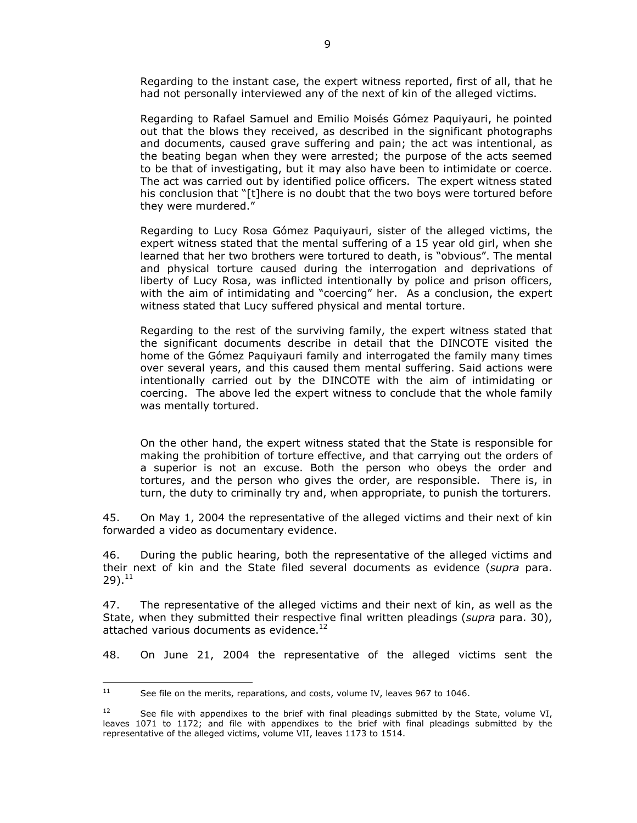Regarding to the instant case, the expert witness reported, first of all, that he had not personally interviewed any of the next of kin of the alleged victims.

Regarding to Rafael Samuel and Emilio Moisés Gómez Paquiyauri, he pointed out that the blows they received, as described in the significant photographs and documents, caused grave suffering and pain; the act was intentional, as the beating began when they were arrested; the purpose of the acts seemed to be that of investigating, but it may also have been to intimidate or coerce. The act was carried out by identified police officers. The expert witness stated his conclusion that "[t]here is no doubt that the two boys were tortured before they were murdered."

Regarding to Lucy Rosa Gómez Paquiyauri, sister of the alleged victims, the expert witness stated that the mental suffering of a 15 year old girl, when she learned that her two brothers were tortured to death, is "obvious". The mental and physical torture caused during the interrogation and deprivations of liberty of Lucy Rosa, was inflicted intentionally by police and prison officers, with the aim of intimidating and "coercing" her. As a conclusion, the expert witness stated that Lucy suffered physical and mental torture.

Regarding to the rest of the surviving family, the expert witness stated that the significant documents describe in detail that the DINCOTE visited the home of the Gómez Paquiyauri family and interrogated the family many times over several years, and this caused them mental suffering. Said actions were intentionally carried out by the DINCOTE with the aim of intimidating or coercing. The above led the expert witness to conclude that the whole family was mentally tortured.

On the other hand, the expert witness stated that the State is responsible for making the prohibition of torture effective, and that carrying out the orders of a superior is not an excuse. Both the person who obeys the order and tortures, and the person who gives the order, are responsible. There is, in turn, the duty to criminally try and, when appropriate, to punish the torturers.

45. On May 1, 2004 the representative of the alleged victims and their next of kin forwarded a video as documentary evidence.

46. During the public hearing, both the representative of the alleged victims and their next of kin and the State filed several documents as evidence (supra para.  $29$ ).<sup>11</sup>

47. The representative of the alleged victims and their next of kin, as well as the State, when they submitted their respective final written pleadings (supra para. 30), attached various documents as evidence. $12$ 

48. On June 21, 2004 the representative of the alleged victims sent the

<sup>&</sup>lt;sup>11</sup> See file on the merits, reparations, and costs, volume IV, leaves 967 to 1046.

<sup>&</sup>lt;sup>12</sup> See file with appendixes to the brief with final pleadings submitted by the State, volume VI, leaves 1071 to 1172; and file with appendixes to the brief with final pleadings submitted by the representative of the alleged victims, volume VII, leaves 1173 to 1514.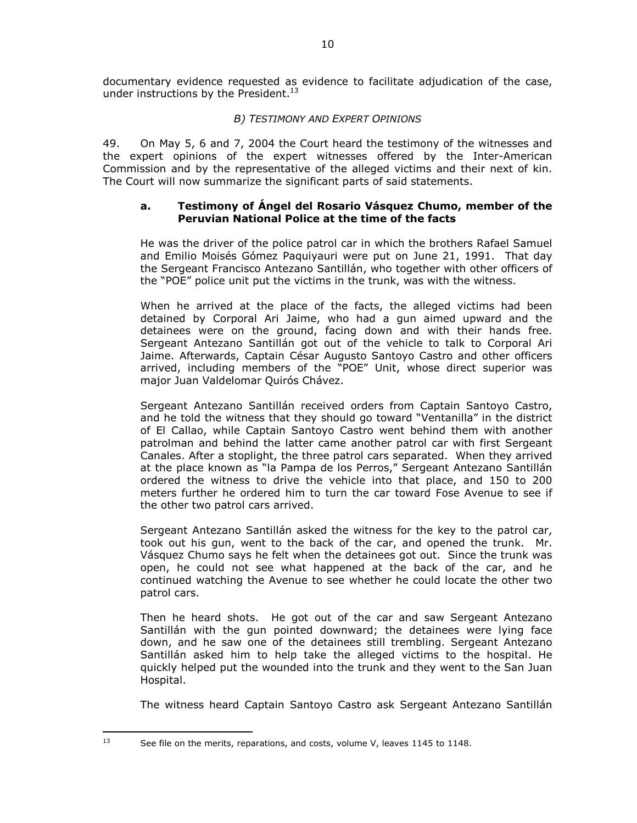documentary evidence requested as evidence to facilitate adjudication of the case, under instructions by the President. $^{13}$ 

# B) TESTIMONY AND EXPERT OPINIONS

49. On May 5, 6 and 7, 2004 the Court heard the testimony of the witnesses and the expert opinions of the expert witnesses offered by the Inter-American Commission and by the representative of the alleged victims and their next of kin. The Court will now summarize the significant parts of said statements.

# a. Testimony of Ángel del Rosario Vásquez Chumo, member of the Peruvian National Police at the time of the facts

He was the driver of the police patrol car in which the brothers Rafael Samuel and Emilio Moisés Gómez Paquiyauri were put on June 21, 1991. That day the Sergeant Francisco Antezano Santillán, who together with other officers of the "POE" police unit put the victims in the trunk, was with the witness.

When he arrived at the place of the facts, the alleged victims had been detained by Corporal Ari Jaime, who had a gun aimed upward and the detainees were on the ground, facing down and with their hands free. Sergeant Antezano Santillán got out of the vehicle to talk to Corporal Ari Jaime. Afterwards, Captain César Augusto Santoyo Castro and other officers arrived, including members of the "POE" Unit, whose direct superior was major Juan Valdelomar Quirós Chávez.

Sergeant Antezano Santillán received orders from Captain Santoyo Castro, and he told the witness that they should go toward "Ventanilla" in the district of El Callao, while Captain Santoyo Castro went behind them with another patrolman and behind the latter came another patrol car with first Sergeant Canales. After a stoplight, the three patrol cars separated. When they arrived at the place known as "la Pampa de los Perros," Sergeant Antezano Santillán ordered the witness to drive the vehicle into that place, and 150 to 200 meters further he ordered him to turn the car toward Fose Avenue to see if the other two patrol cars arrived.

Sergeant Antezano Santillán asked the witness for the key to the patrol car, took out his gun, went to the back of the car, and opened the trunk. Mr. Vásquez Chumo says he felt when the detainees got out. Since the trunk was open, he could not see what happened at the back of the car, and he continued watching the Avenue to see whether he could locate the other two patrol cars.

Then he heard shots. He got out of the car and saw Sergeant Antezano Santillán with the gun pointed downward; the detainees were lying face down, and he saw one of the detainees still trembling. Sergeant Antezano Santillán asked him to help take the alleged victims to the hospital. He quickly helped put the wounded into the trunk and they went to the San Juan Hospital.

The witness heard Captain Santoyo Castro ask Sergeant Antezano Santillán

<sup>&</sup>lt;sup>13</sup> See file on the merits, reparations, and costs, volume V, leaves 1145 to 1148.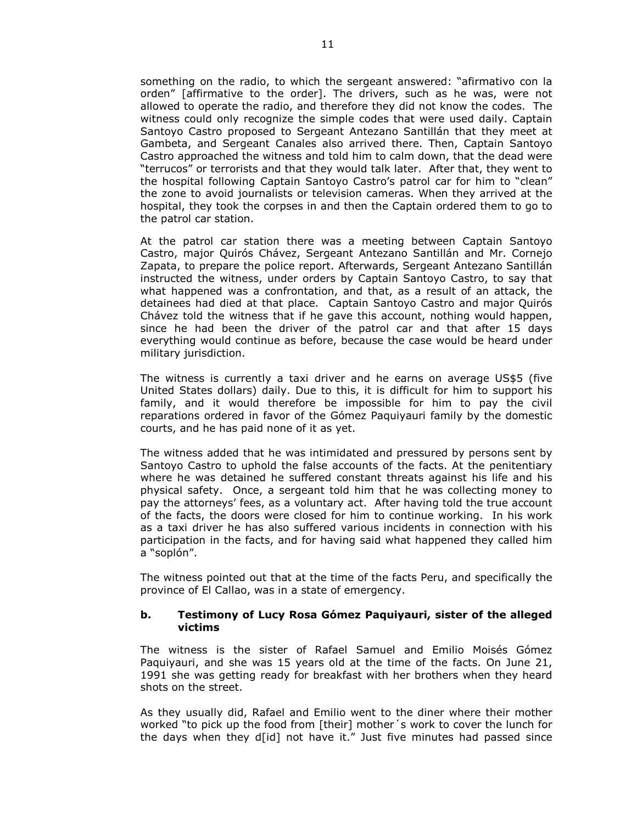something on the radio, to which the sergeant answered: "afirmativo con la orden" [affirmative to the order]. The drivers, such as he was, were not allowed to operate the radio, and therefore they did not know the codes. The witness could only recognize the simple codes that were used daily. Captain Santoyo Castro proposed to Sergeant Antezano Santillán that they meet at Gambeta, and Sergeant Canales also arrived there. Then, Captain Santoyo Castro approached the witness and told him to calm down, that the dead were "terrucos" or terrorists and that they would talk later. After that, they went to the hospital following Captain Santoyo Castro's patrol car for him to "clean" the zone to avoid journalists or television cameras. When they arrived at the hospital, they took the corpses in and then the Captain ordered them to go to the patrol car station.

At the patrol car station there was a meeting between Captain Santoyo Castro, major Quirós Chávez, Sergeant Antezano Santillán and Mr. Cornejo Zapata, to prepare the police report. Afterwards, Sergeant Antezano Santillán instructed the witness, under orders by Captain Santoyo Castro, to say that what happened was a confrontation, and that, as a result of an attack, the detainees had died at that place. Captain Santoyo Castro and major Quirós Chávez told the witness that if he gave this account, nothing would happen, since he had been the driver of the patrol car and that after 15 days everything would continue as before, because the case would be heard under military jurisdiction.

The witness is currently a taxi driver and he earns on average US\$5 (five United States dollars) daily. Due to this, it is difficult for him to support his family, and it would therefore be impossible for him to pay the civil reparations ordered in favor of the Gómez Paquiyauri family by the domestic courts, and he has paid none of it as yet.

The witness added that he was intimidated and pressured by persons sent by Santoyo Castro to uphold the false accounts of the facts. At the penitentiary where he was detained he suffered constant threats against his life and his physical safety. Once, a sergeant told him that he was collecting money to pay the attorneys' fees, as a voluntary act. After having told the true account of the facts, the doors were closed for him to continue working. In his work as a taxi driver he has also suffered various incidents in connection with his participation in the facts, and for having said what happened they called him a "soplón".

The witness pointed out that at the time of the facts Peru, and specifically the province of El Callao, was in a state of emergency.

## b. Testimony of Lucy Rosa Gómez Paquiyauri, sister of the alleged victims

The witness is the sister of Rafael Samuel and Emilio Moisés Gómez Paquiyauri, and she was 15 years old at the time of the facts. On June 21, 1991 she was getting ready for breakfast with her brothers when they heard shots on the street.

As they usually did, Rafael and Emilio went to the diner where their mother worked "to pick up the food from [their] mother´s work to cover the lunch for the days when they d[id] not have it." Just five minutes had passed since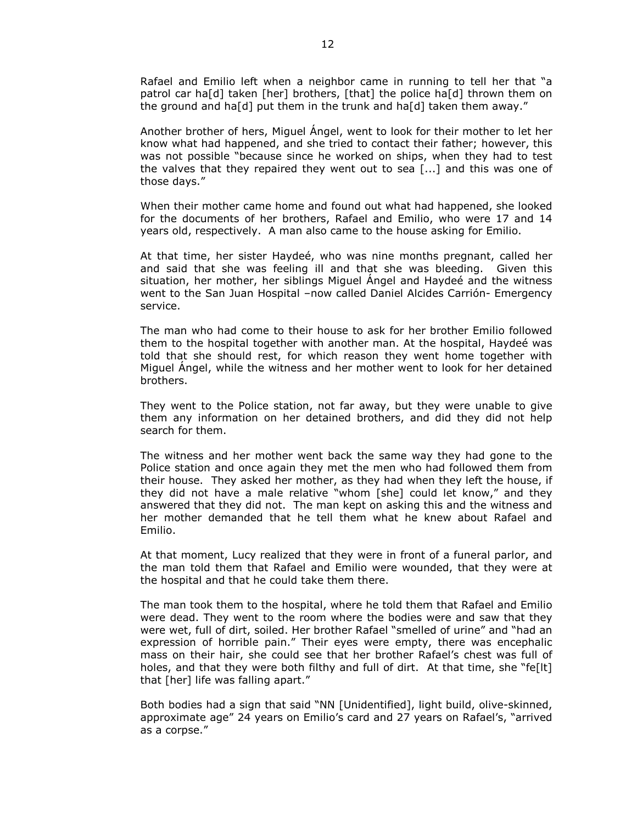Rafael and Emilio left when a neighbor came in running to tell her that "a patrol car ha[d] taken [her] brothers, [that] the police ha[d] thrown them on the ground and ha[d] put them in the trunk and ha[d] taken them away."

Another brother of hers, Miguel Ángel, went to look for their mother to let her know what had happened, and she tried to contact their father; however, this was not possible "because since he worked on ships, when they had to test the valves that they repaired they went out to sea [...] and this was one of those days."

When their mother came home and found out what had happened, she looked for the documents of her brothers, Rafael and Emilio, who were 17 and 14 years old, respectively. A man also came to the house asking for Emilio.

At that time, her sister Haydeé, who was nine months pregnant, called her and said that she was feeling ill and that she was bleeding. Given this situation, her mother, her siblings Miguel Ángel and Haydeé and the witness went to the San Juan Hospital –now called Daniel Alcides Carrión- Emergency service.

The man who had come to their house to ask for her brother Emilio followed them to the hospital together with another man. At the hospital, Haydeé was told that she should rest, for which reason they went home together with Miguel Ángel, while the witness and her mother went to look for her detained brothers.

They went to the Police station, not far away, but they were unable to give them any information on her detained brothers, and did they did not help search for them.

The witness and her mother went back the same way they had gone to the Police station and once again they met the men who had followed them from their house. They asked her mother, as they had when they left the house, if they did not have a male relative "whom [she] could let know," and they answered that they did not. The man kept on asking this and the witness and her mother demanded that he tell them what he knew about Rafael and Emilio.

At that moment, Lucy realized that they were in front of a funeral parlor, and the man told them that Rafael and Emilio were wounded, that they were at the hospital and that he could take them there.

The man took them to the hospital, where he told them that Rafael and Emilio were dead. They went to the room where the bodies were and saw that they were wet, full of dirt, soiled. Her brother Rafael "smelled of urine" and "had an expression of horrible pain." Their eyes were empty, there was encephalic mass on their hair, she could see that her brother Rafael's chest was full of holes, and that they were both filthy and full of dirt. At that time, she "fellt] that [her] life was falling apart."

Both bodies had a sign that said "NN [Unidentified], light build, olive-skinned, approximate age" 24 years on Emilio's card and 27 years on Rafael's, "arrived as a corpse."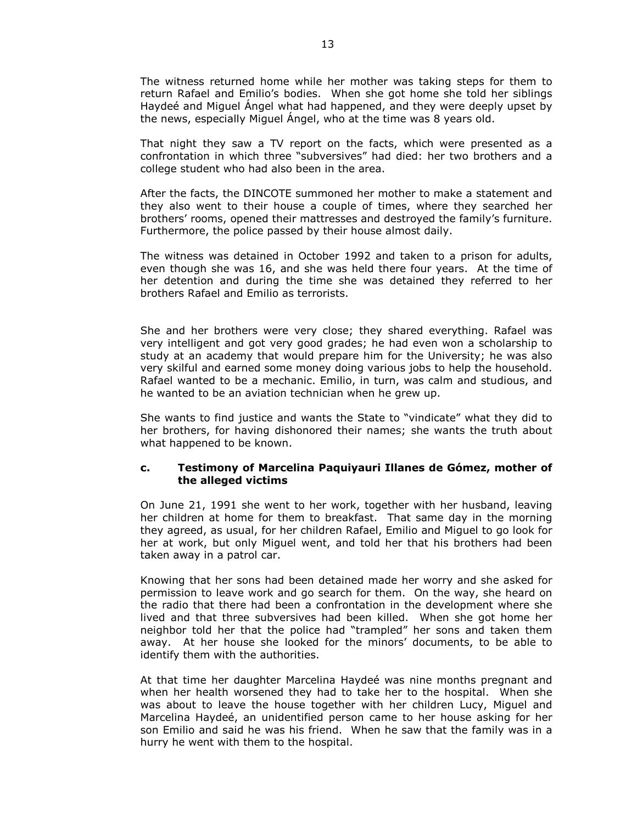The witness returned home while her mother was taking steps for them to return Rafael and Emilio's bodies. When she got home she told her siblings Haydeé and Miguel Ángel what had happened, and they were deeply upset by the news, especially Miguel Ángel, who at the time was 8 years old.

That night they saw a TV report on the facts, which were presented as a confrontation in which three "subversives" had died: her two brothers and a college student who had also been in the area.

After the facts, the DINCOTE summoned her mother to make a statement and they also went to their house a couple of times, where they searched her brothers' rooms, opened their mattresses and destroyed the family's furniture. Furthermore, the police passed by their house almost daily.

The witness was detained in October 1992 and taken to a prison for adults, even though she was 16, and she was held there four years. At the time of her detention and during the time she was detained they referred to her brothers Rafael and Emilio as terrorists.

She and her brothers were very close; they shared everything. Rafael was very intelligent and got very good grades; he had even won a scholarship to study at an academy that would prepare him for the University; he was also very skilful and earned some money doing various jobs to help the household. Rafael wanted to be a mechanic. Emilio, in turn, was calm and studious, and he wanted to be an aviation technician when he grew up.

She wants to find justice and wants the State to "vindicate" what they did to her brothers, for having dishonored their names; she wants the truth about what happened to be known.

## c. Testimony of Marcelina Paquiyauri Illanes de Gómez, mother of the alleged victims

On June 21, 1991 she went to her work, together with her husband, leaving her children at home for them to breakfast. That same day in the morning they agreed, as usual, for her children Rafael, Emilio and Miguel to go look for her at work, but only Miguel went, and told her that his brothers had been taken away in a patrol car.

Knowing that her sons had been detained made her worry and she asked for permission to leave work and go search for them. On the way, she heard on the radio that there had been a confrontation in the development where she lived and that three subversives had been killed. When she got home her neighbor told her that the police had "trampled" her sons and taken them away. At her house she looked for the minors' documents, to be able to identify them with the authorities.

At that time her daughter Marcelina Haydeé was nine months pregnant and when her health worsened they had to take her to the hospital. When she was about to leave the house together with her children Lucy, Miguel and Marcelina Haydeé, an unidentified person came to her house asking for her son Emilio and said he was his friend. When he saw that the family was in a hurry he went with them to the hospital.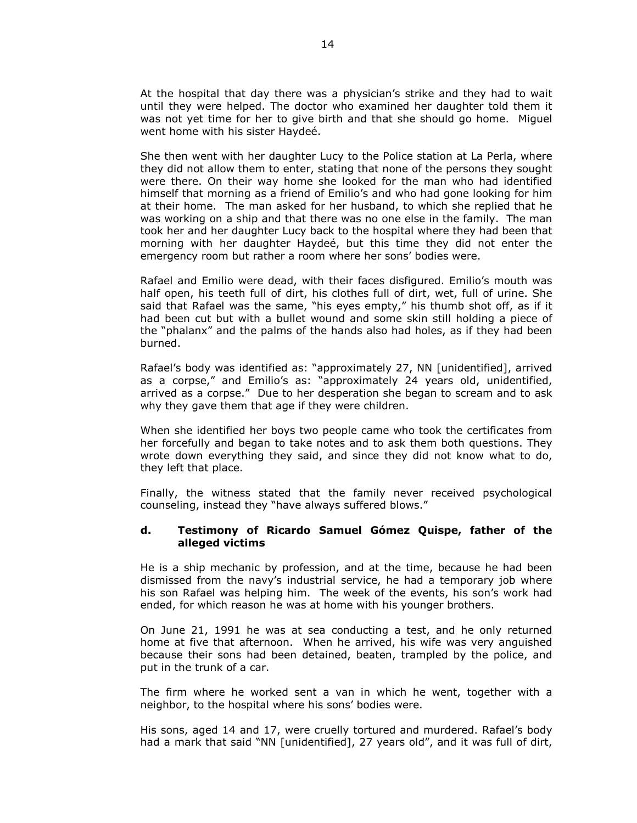At the hospital that day there was a physician's strike and they had to wait until they were helped. The doctor who examined her daughter told them it was not yet time for her to give birth and that she should go home. Miguel went home with his sister Haydeé.

She then went with her daughter Lucy to the Police station at La Perla, where they did not allow them to enter, stating that none of the persons they sought were there. On their way home she looked for the man who had identified himself that morning as a friend of Emilio's and who had gone looking for him at their home. The man asked for her husband, to which she replied that he was working on a ship and that there was no one else in the family. The man took her and her daughter Lucy back to the hospital where they had been that morning with her daughter Haydeé, but this time they did not enter the emergency room but rather a room where her sons' bodies were.

Rafael and Emilio were dead, with their faces disfigured. Emilio's mouth was half open, his teeth full of dirt, his clothes full of dirt, wet, full of urine. She said that Rafael was the same, "his eyes empty," his thumb shot off, as if it had been cut but with a bullet wound and some skin still holding a piece of the "phalanx" and the palms of the hands also had holes, as if they had been burned.

Rafael's body was identified as: "approximately 27, NN [unidentified], arrived as a corpse," and Emilio's as: "approximately 24 years old, unidentified, arrived as a corpse." Due to her desperation she began to scream and to ask why they gave them that age if they were children.

When she identified her boys two people came who took the certificates from her forcefully and began to take notes and to ask them both questions. They wrote down everything they said, and since they did not know what to do, they left that place.

Finally, the witness stated that the family never received psychological counseling, instead they "have always suffered blows."

#### d. Testimony of Ricardo Samuel Gómez Quispe, father of the alleged victims

He is a ship mechanic by profession, and at the time, because he had been dismissed from the navy's industrial service, he had a temporary job where his son Rafael was helping him. The week of the events, his son's work had ended, for which reason he was at home with his younger brothers.

On June 21, 1991 he was at sea conducting a test, and he only returned home at five that afternoon. When he arrived, his wife was very anguished because their sons had been detained, beaten, trampled by the police, and put in the trunk of a car.

The firm where he worked sent a van in which he went, together with a neighbor, to the hospital where his sons' bodies were.

His sons, aged 14 and 17, were cruelly tortured and murdered. Rafael's body had a mark that said "NN [unidentified], 27 years old", and it was full of dirt,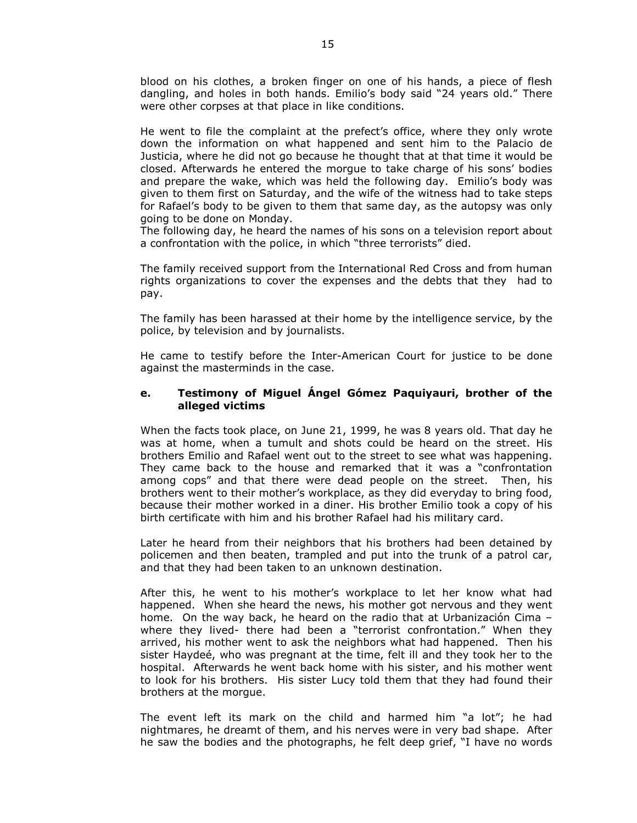blood on his clothes, a broken finger on one of his hands, a piece of flesh dangling, and holes in both hands. Emilio's body said "24 years old." There were other corpses at that place in like conditions.

He went to file the complaint at the prefect's office, where they only wrote down the information on what happened and sent him to the Palacio de Justicia, where he did not go because he thought that at that time it would be closed. Afterwards he entered the morgue to take charge of his sons' bodies and prepare the wake, which was held the following day. Emilio's body was given to them first on Saturday, and the wife of the witness had to take steps for Rafael's body to be given to them that same day, as the autopsy was only going to be done on Monday.

The following day, he heard the names of his sons on a television report about a confrontation with the police, in which "three terrorists" died.

The family received support from the International Red Cross and from human rights organizations to cover the expenses and the debts that they had to pay.

The family has been harassed at their home by the intelligence service, by the police, by television and by journalists.

He came to testify before the Inter-American Court for justice to be done against the masterminds in the case.

## e. Testimony of Miguel Ángel Gómez Paquiyauri, brother of the alleged victims

When the facts took place, on June 21, 1999, he was 8 years old. That day he was at home, when a tumult and shots could be heard on the street. His brothers Emilio and Rafael went out to the street to see what was happening. They came back to the house and remarked that it was a "confrontation among cops" and that there were dead people on the street. Then, his brothers went to their mother's workplace, as they did everyday to bring food, because their mother worked in a diner. His brother Emilio took a copy of his birth certificate with him and his brother Rafael had his military card.

Later he heard from their neighbors that his brothers had been detained by policemen and then beaten, trampled and put into the trunk of a patrol car, and that they had been taken to an unknown destination.

After this, he went to his mother's workplace to let her know what had happened. When she heard the news, his mother got nervous and they went home. On the way back, he heard on the radio that at Urbanización Cima – where they lived- there had been a "terrorist confrontation." When they arrived, his mother went to ask the neighbors what had happened. Then his sister Haydeé, who was pregnant at the time, felt ill and they took her to the hospital. Afterwards he went back home with his sister, and his mother went to look for his brothers. His sister Lucy told them that they had found their brothers at the morgue.

The event left its mark on the child and harmed him "a lot"; he had nightmares, he dreamt of them, and his nerves were in very bad shape. After he saw the bodies and the photographs, he felt deep grief, "I have no words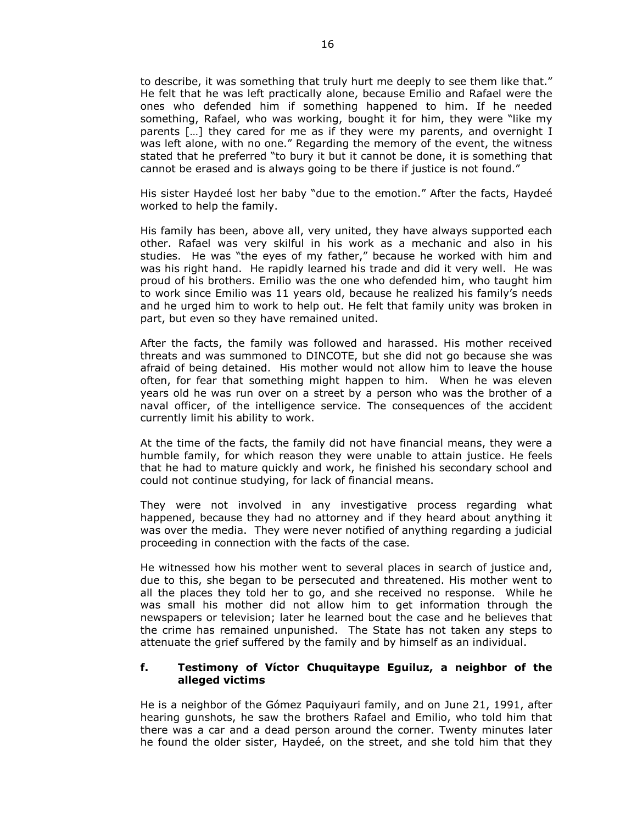to describe, it was something that truly hurt me deeply to see them like that." He felt that he was left practically alone, because Emilio and Rafael were the ones who defended him if something happened to him. If he needed something, Rafael, who was working, bought it for him, they were "like my parents […] they cared for me as if they were my parents, and overnight I was left alone, with no one." Regarding the memory of the event, the witness stated that he preferred "to bury it but it cannot be done, it is something that cannot be erased and is always going to be there if justice is not found."

His sister Haydeé lost her baby "due to the emotion." After the facts, Haydeé worked to help the family.

His family has been, above all, very united, they have always supported each other. Rafael was very skilful in his work as a mechanic and also in his studies. He was "the eyes of my father," because he worked with him and was his right hand. He rapidly learned his trade and did it very well. He was proud of his brothers. Emilio was the one who defended him, who taught him to work since Emilio was 11 years old, because he realized his family's needs and he urged him to work to help out. He felt that family unity was broken in part, but even so they have remained united.

After the facts, the family was followed and harassed. His mother received threats and was summoned to DINCOTE, but she did not go because she was afraid of being detained. His mother would not allow him to leave the house often, for fear that something might happen to him. When he was eleven years old he was run over on a street by a person who was the brother of a naval officer, of the intelligence service. The consequences of the accident currently limit his ability to work.

At the time of the facts, the family did not have financial means, they were a humble family, for which reason they were unable to attain justice. He feels that he had to mature quickly and work, he finished his secondary school and could not continue studying, for lack of financial means.

They were not involved in any investigative process regarding what happened, because they had no attorney and if they heard about anything it was over the media. They were never notified of anything regarding a judicial proceeding in connection with the facts of the case.

He witnessed how his mother went to several places in search of justice and, due to this, she began to be persecuted and threatened. His mother went to all the places they told her to go, and she received no response. While he was small his mother did not allow him to get information through the newspapers or television; later he learned bout the case and he believes that the crime has remained unpunished. The State has not taken any steps to attenuate the grief suffered by the family and by himself as an individual.

## f. Testimony of Víctor Chuquitaype Eguiluz, a neighbor of the alleged victims

He is a neighbor of the Gómez Paquiyauri family, and on June 21, 1991, after hearing gunshots, he saw the brothers Rafael and Emilio, who told him that there was a car and a dead person around the corner. Twenty minutes later he found the older sister, Haydeé, on the street, and she told him that they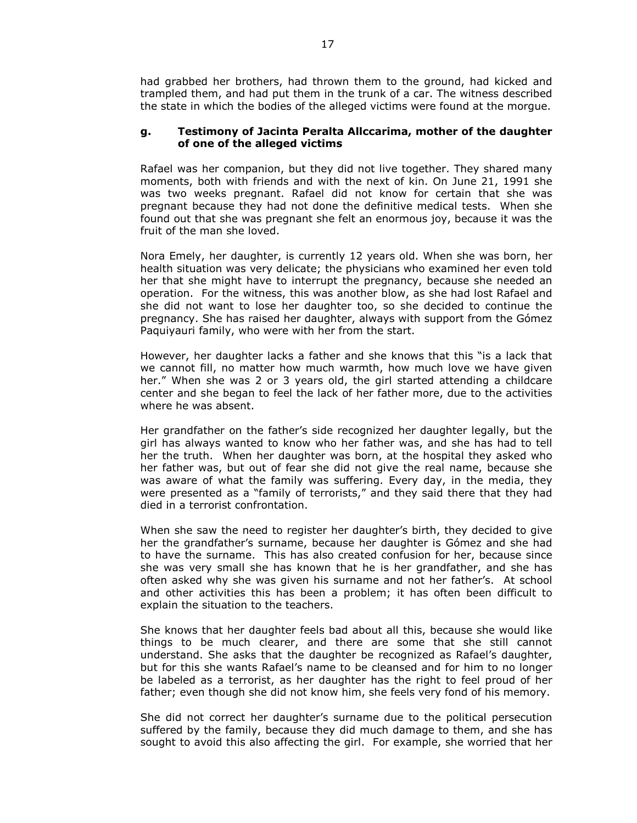had grabbed her brothers, had thrown them to the ground, had kicked and trampled them, and had put them in the trunk of a car. The witness described the state in which the bodies of the alleged victims were found at the morgue.

# g. Testimony of Jacinta Peralta Allccarima, mother of the daughter of one of the alleged victims

Rafael was her companion, but they did not live together. They shared many moments, both with friends and with the next of kin. On June 21, 1991 she was two weeks pregnant. Rafael did not know for certain that she was pregnant because they had not done the definitive medical tests. When she found out that she was pregnant she felt an enormous joy, because it was the fruit of the man she loved.

Nora Emely, her daughter, is currently 12 years old. When she was born, her health situation was very delicate; the physicians who examined her even told her that she might have to interrupt the pregnancy, because she needed an operation. For the witness, this was another blow, as she had lost Rafael and she did not want to lose her daughter too, so she decided to continue the pregnancy. She has raised her daughter, always with support from the Gómez Paquiyauri family, who were with her from the start.

However, her daughter lacks a father and she knows that this "is a lack that we cannot fill, no matter how much warmth, how much love we have given her." When she was 2 or 3 years old, the girl started attending a childcare center and she began to feel the lack of her father more, due to the activities where he was absent.

Her grandfather on the father's side recognized her daughter legally, but the girl has always wanted to know who her father was, and she has had to tell her the truth. When her daughter was born, at the hospital they asked who her father was, but out of fear she did not give the real name, because she was aware of what the family was suffering. Every day, in the media, they were presented as a "family of terrorists," and they said there that they had died in a terrorist confrontation.

When she saw the need to register her daughter's birth, they decided to give her the grandfather's surname, because her daughter is Gómez and she had to have the surname. This has also created confusion for her, because since she was very small she has known that he is her grandfather, and she has often asked why she was given his surname and not her father's. At school and other activities this has been a problem; it has often been difficult to explain the situation to the teachers.

She knows that her daughter feels bad about all this, because she would like things to be much clearer, and there are some that she still cannot understand. She asks that the daughter be recognized as Rafael's daughter, but for this she wants Rafael's name to be cleansed and for him to no longer be labeled as a terrorist, as her daughter has the right to feel proud of her father; even though she did not know him, she feels very fond of his memory.

She did not correct her daughter's surname due to the political persecution suffered by the family, because they did much damage to them, and she has sought to avoid this also affecting the girl. For example, she worried that her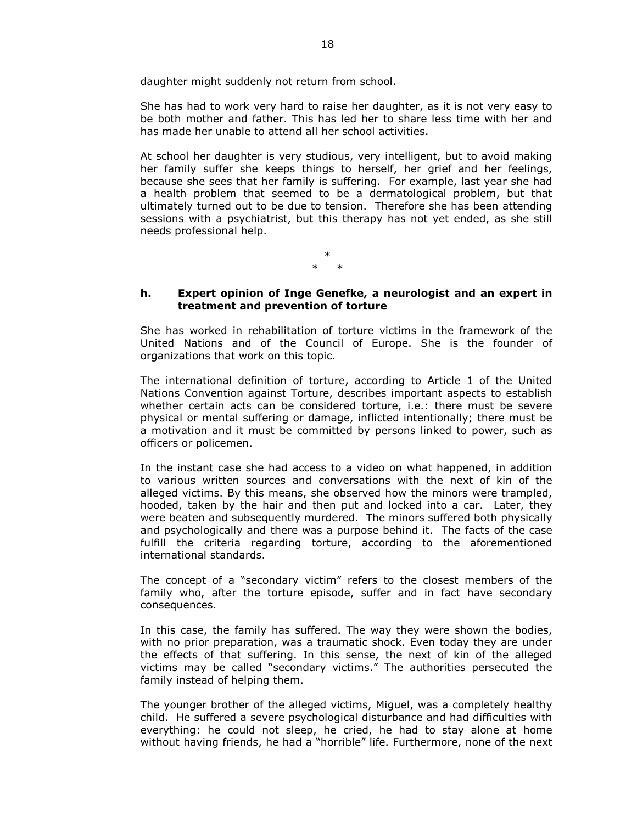daughter might suddenly not return from school.

She has had to work very hard to raise her daughter, as it is not very easy to be both mother and father. This has led her to share less time with her and has made her unable to attend all her school activities.

At school her daughter is very studious, very intelligent, but to avoid making her family suffer she keeps things to herself, her grief and her feelings, because she sees that her family is suffering. For example, last year she had a health problem that seemed to be a dermatological problem, but that ultimately turned out to be due to tension. Therefore she has been attending sessions with a psychiatrist, but this therapy has not yet ended, as she still needs professional help.

> \* \* \*

#### h. Expert opinion of Inge Genefke, a neurologist and an expert in treatment and prevention of torture

She has worked in rehabilitation of torture victims in the framework of the United Nations and of the Council of Europe. She is the founder of organizations that work on this topic.

The international definition of torture, according to Article 1 of the United Nations Convention against Torture, describes important aspects to establish whether certain acts can be considered torture, i.e.: there must be severe physical or mental suffering or damage, inflicted intentionally; there must be a motivation and it must be committed by persons linked to power, such as officers or policemen.

In the instant case she had access to a video on what happened, in addition to various written sources and conversations with the next of kin of the alleged victims. By this means, she observed how the minors were trampled, hooded, taken by the hair and then put and locked into a car. Later, they were beaten and subsequently murdered. The minors suffered both physically and psychologically and there was a purpose behind it. The facts of the case fulfill the criteria regarding torture, according to the aforementioned international standards.

The concept of a "secondary victim" refers to the closest members of the family who, after the torture episode, suffer and in fact have secondary consequences.

In this case, the family has suffered. The way they were shown the bodies, with no prior preparation, was a traumatic shock. Even today they are under the effects of that suffering. In this sense, the next of kin of the alleged victims may be called "secondary victims." The authorities persecuted the family instead of helping them.

The younger brother of the alleged victims, Miguel, was a completely healthy child. He suffered a severe psychological disturbance and had difficulties with everything: he could not sleep, he cried, he had to stay alone at home without having friends, he had a "horrible" life. Furthermore, none of the next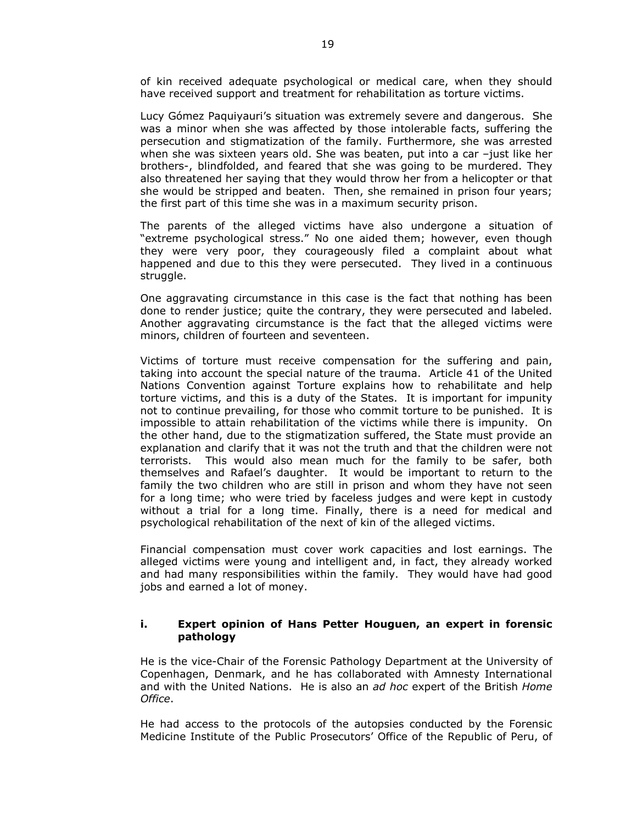of kin received adequate psychological or medical care, when they should have received support and treatment for rehabilitation as torture victims.

Lucy Gómez Paquiyauri's situation was extremely severe and dangerous. She was a minor when she was affected by those intolerable facts, suffering the persecution and stigmatization of the family. Furthermore, she was arrested when she was sixteen years old. She was beaten, put into a car –just like her brothers-, blindfolded, and feared that she was going to be murdered. They also threatened her saying that they would throw her from a helicopter or that she would be stripped and beaten. Then, she remained in prison four years; the first part of this time she was in a maximum security prison.

The parents of the alleged victims have also undergone a situation of "extreme psychological stress." No one aided them; however, even though they were very poor, they courageously filed a complaint about what happened and due to this they were persecuted. They lived in a continuous struggle.

One aggravating circumstance in this case is the fact that nothing has been done to render justice; quite the contrary, they were persecuted and labeled. Another aggravating circumstance is the fact that the alleged victims were minors, children of fourteen and seventeen.

Victims of torture must receive compensation for the suffering and pain, taking into account the special nature of the trauma. Article 41 of the United Nations Convention against Torture explains how to rehabilitate and help torture victims, and this is a duty of the States. It is important for impunity not to continue prevailing, for those who commit torture to be punished. It is impossible to attain rehabilitation of the victims while there is impunity. On the other hand, due to the stigmatization suffered, the State must provide an explanation and clarify that it was not the truth and that the children were not terrorists. This would also mean much for the family to be safer, both themselves and Rafael's daughter. It would be important to return to the family the two children who are still in prison and whom they have not seen for a long time; who were tried by faceless judges and were kept in custody without a trial for a long time. Finally, there is a need for medical and psychological rehabilitation of the next of kin of the alleged victims.

Financial compensation must cover work capacities and lost earnings. The alleged victims were young and intelligent and, in fact, they already worked and had many responsibilities within the family. They would have had good jobs and earned a lot of money.

## i. Expert opinion of Hans Petter Houguen, an expert in forensic pathology

He is the vice-Chair of the Forensic Pathology Department at the University of Copenhagen, Denmark, and he has collaborated with Amnesty International and with the United Nations. He is also an ad hoc expert of the British Home Office.

He had access to the protocols of the autopsies conducted by the Forensic Medicine Institute of the Public Prosecutors' Office of the Republic of Peru, of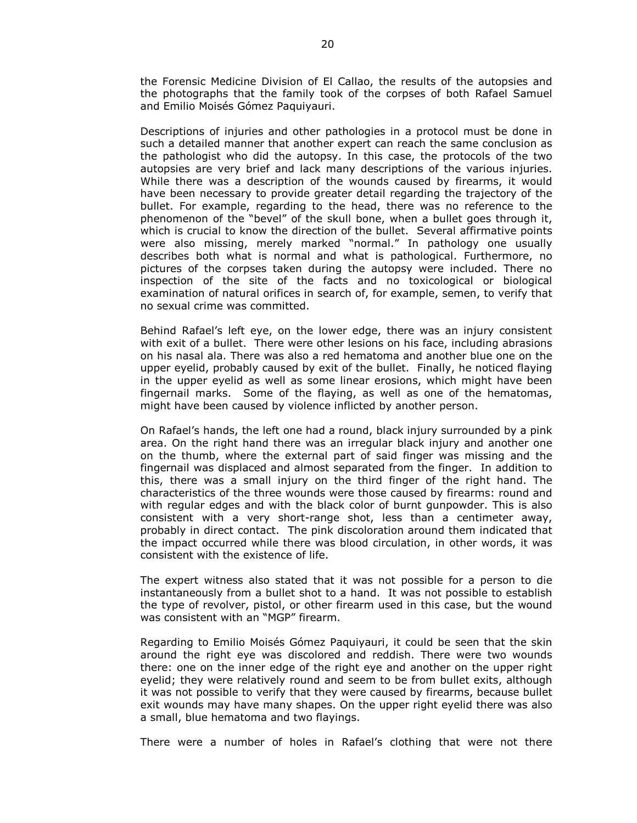the Forensic Medicine Division of El Callao, the results of the autopsies and the photographs that the family took of the corpses of both Rafael Samuel and Emilio Moisés Gómez Paquiyauri.

Descriptions of injuries and other pathologies in a protocol must be done in such a detailed manner that another expert can reach the same conclusion as the pathologist who did the autopsy. In this case, the protocols of the two autopsies are very brief and lack many descriptions of the various injuries. While there was a description of the wounds caused by firearms, it would have been necessary to provide greater detail regarding the trajectory of the bullet. For example, regarding to the head, there was no reference to the phenomenon of the "bevel" of the skull bone, when a bullet goes through it, which is crucial to know the direction of the bullet. Several affirmative points were also missing, merely marked "normal." In pathology one usually describes both what is normal and what is pathological. Furthermore, no pictures of the corpses taken during the autopsy were included. There no inspection of the site of the facts and no toxicological or biological examination of natural orifices in search of, for example, semen, to verify that no sexual crime was committed.

Behind Rafael's left eye, on the lower edge, there was an injury consistent with exit of a bullet. There were other lesions on his face, including abrasions on his nasal ala. There was also a red hematoma and another blue one on the upper eyelid, probably caused by exit of the bullet. Finally, he noticed flaying in the upper eyelid as well as some linear erosions, which might have been fingernail marks. Some of the flaying, as well as one of the hematomas, might have been caused by violence inflicted by another person.

On Rafael's hands, the left one had a round, black injury surrounded by a pink area. On the right hand there was an irregular black injury and another one on the thumb, where the external part of said finger was missing and the fingernail was displaced and almost separated from the finger. In addition to this, there was a small injury on the third finger of the right hand. The characteristics of the three wounds were those caused by firearms: round and with regular edges and with the black color of burnt gunpowder. This is also consistent with a very short-range shot, less than a centimeter away, probably in direct contact. The pink discoloration around them indicated that the impact occurred while there was blood circulation, in other words, it was consistent with the existence of life.

The expert witness also stated that it was not possible for a person to die instantaneously from a bullet shot to a hand. It was not possible to establish the type of revolver, pistol, or other firearm used in this case, but the wound was consistent with an "MGP" firearm.

Regarding to Emilio Moisés Gómez Paquiyauri, it could be seen that the skin around the right eye was discolored and reddish. There were two wounds there: one on the inner edge of the right eye and another on the upper right eyelid; they were relatively round and seem to be from bullet exits, although it was not possible to verify that they were caused by firearms, because bullet exit wounds may have many shapes. On the upper right eyelid there was also a small, blue hematoma and two flayings.

There were a number of holes in Rafael's clothing that were not there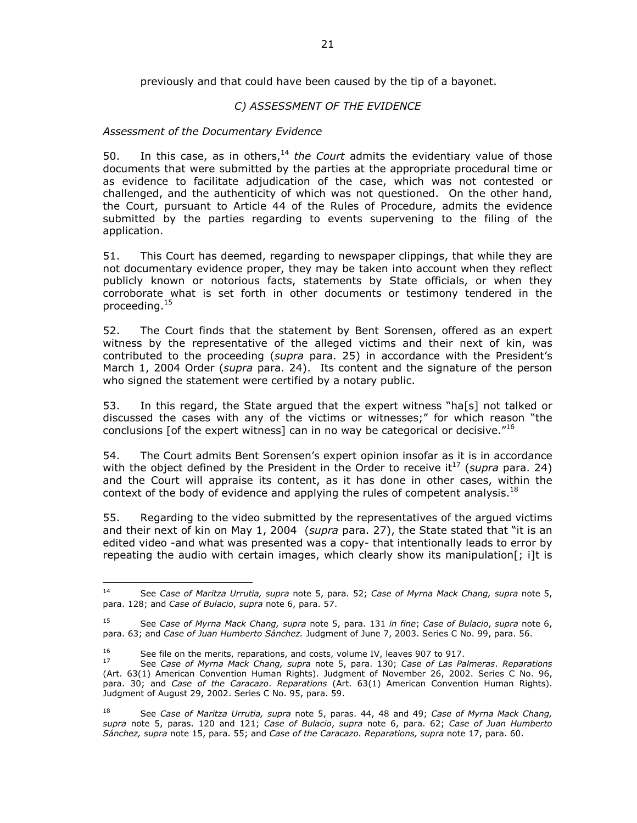previously and that could have been caused by the tip of a bayonet.

# C) ASSESSMENT OF THE EVIDENCE

# Assessment of the Documentary Evidence

50. In this case, as in others,<sup>14</sup> the Court admits the evidentiary value of those documents that were submitted by the parties at the appropriate procedural time or as evidence to facilitate adjudication of the case, which was not contested or challenged, and the authenticity of which was not questioned. On the other hand, the Court, pursuant to Article 44 of the Rules of Procedure, admits the evidence submitted by the parties regarding to events supervening to the filing of the application.

51. This Court has deemed, regarding to newspaper clippings, that while they are not documentary evidence proper, they may be taken into account when they reflect publicly known or notorious facts, statements by State officials, or when they corroborate what is set forth in other documents or testimony tendered in the proceeding.<sup>15</sup>

52. The Court finds that the statement by Bent Sorensen, offered as an expert witness by the representative of the alleged victims and their next of kin, was contributed to the proceeding (supra para. 25) in accordance with the President's March 1, 2004 Order (supra para. 24). Its content and the signature of the person who signed the statement were certified by a notary public.

53. In this regard, the State argued that the expert witness "ha[s] not talked or discussed the cases with any of the victims or witnesses;" for which reason "the conclusions [of the expert witness] can in no way be categorical or decisive."<sup>16</sup>

54. The Court admits Bent Sorensen's expert opinion insofar as it is in accordance with the object defined by the President in the Order to receive it<sup>17</sup> (supra para. 24) and the Court will appraise its content, as it has done in other cases, within the context of the body of evidence and applying the rules of competent analysis.<sup>18</sup>

55. Regarding to the video submitted by the representatives of the argued victims and their next of kin on May 1, 2004 (supra para. 27), the State stated that "it is an edited video -and what was presented was a copy- that intentionally leads to error by repeating the audio with certain images, which clearly show its manipulation[; i]t is

<sup>&</sup>lt;sup>14</sup> See Case of Maritza Urrutia, supra note 5, para. 52; Case of Myrna Mack Chang, supra note 5, para. 128; and Case of Bulacio, supra note 6, para. 57.

<sup>&</sup>lt;sup>15</sup> See Case of Myrna Mack Chang, supra note 5, para. 131 in fine; Case of Bulacio, supra note 6, para. 63; and Case of Juan Humberto Sánchez. Judgment of June 7, 2003. Series C No. 99, para. 56.

<sup>&</sup>lt;sup>16</sup> See file on the merits, reparations, and costs, volume IV, leaves 907 to 917.

 $17$  See Case of Myrna Mack Chang, supra note 5, para. 130; Case of Las Palmeras. Reparations (Art. 63(1) American Convention Human Rights). Judgment of November 26, 2002. Series C No. 96, para. 30; and Case of the Caracazo. Reparations (Art. 63(1) American Convention Human Rights). Judgment of August 29, 2002. Series C No. 95, para. 59.

<sup>&</sup>lt;sup>18</sup> See Case of Maritza Urrutia, supra note 5, paras. 44, 48 and 49; Case of Myrna Mack Chang, supra note 5, paras. 120 and 121; Case of Bulacio, supra note 6, para. 62; Case of Juan Humberto Sánchez, supra note 15, para. 55; and Case of the Caracazo. Reparations, supra note 17, para. 60.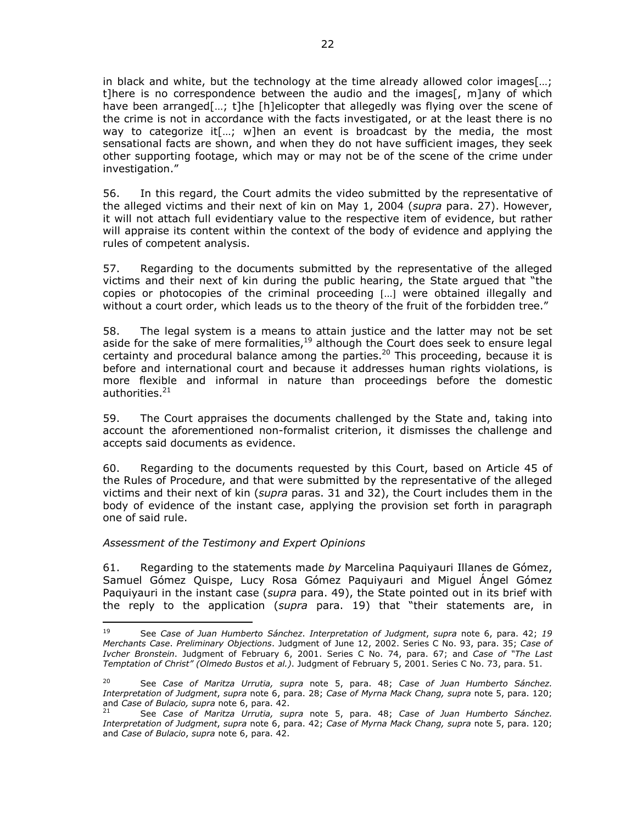in black and white, but the technology at the time already allowed color images[…; t]here is no correspondence between the audio and the images[, m]any of which have been arranged[...; t]he [h]elicopter that allegedly was flying over the scene of the crime is not in accordance with the facts investigated, or at the least there is no way to categorize it[...; w]hen an event is broadcast by the media, the most sensational facts are shown, and when they do not have sufficient images, they seek other supporting footage, which may or may not be of the scene of the crime under investigation."

56. In this regard, the Court admits the video submitted by the representative of the alleged victims and their next of kin on May 1, 2004 (supra para. 27). However, it will not attach full evidentiary value to the respective item of evidence, but rather will appraise its content within the context of the body of evidence and applying the rules of competent analysis.

57. Regarding to the documents submitted by the representative of the alleged victims and their next of kin during the public hearing, the State argued that "the copies or photocopies of the criminal proceeding […] were obtained illegally and without a court order, which leads us to the theory of the fruit of the forbidden tree."

58. The legal system is a means to attain justice and the latter may not be set aside for the sake of mere formalities, $19$  although the Court does seek to ensure legal certainty and procedural balance among the parties.<sup>20</sup> This proceeding, because it is before and international court and because it addresses human rights violations, is more flexible and informal in nature than proceedings before the domestic authorities. $21$ 

59. The Court appraises the documents challenged by the State and, taking into account the aforementioned non-formalist criterion, it dismisses the challenge and accepts said documents as evidence.

60. Regarding to the documents requested by this Court, based on Article 45 of the Rules of Procedure, and that were submitted by the representative of the alleged victims and their next of kin (supra paras. 31 and 32), the Court includes them in the body of evidence of the instant case, applying the provision set forth in paragraph one of said rule.

# Assessment of the Testimony and Expert Opinions

61. Regarding to the statements made by Marcelina Paquiyauri Illanes de Gómez, Samuel Gómez Quispe, Lucy Rosa Gómez Paquiyauri and Miguel Ángel Gómez Paquiyauri in the instant case (supra para. 49), the State pointed out in its brief with the reply to the application (supra para. 19) that "their statements are, in

<sup>&</sup>lt;sup>19</sup> See Case of Juan Humberto Sánchez. Interpretation of Judgment, supra note 6, para. 42; 19 Merchants Case. Preliminary Objections. Judgment of June 12, 2002. Series C No. 93, para. 35; Case of Ivcher Bronstein. Judgment of February 6, 2001. Series C No. 74, para. 67; and Case of "The Last Temptation of Christ" (Olmedo Bustos et al.). Judgment of February 5, 2001. Series C No. 73, para. 51.

See Case of Maritza Urrutia, supra note 5, para. 48; Case of Juan Humberto Sánchez. Interpretation of Judgment, supra note 6, para. 28; Case of Myrna Mack Chang, supra note 5, para. 120; and Case of Bulacio, supra note 6, para. 42.

See Case of Maritza Urrutia, supra note 5, para. 48; Case of Juan Humberto Sánchez. Interpretation of Judgment, supra note 6, para. 42; Case of Myrna Mack Chang, supra note 5, para. 120; and Case of Bulacio, supra note 6, para. 42.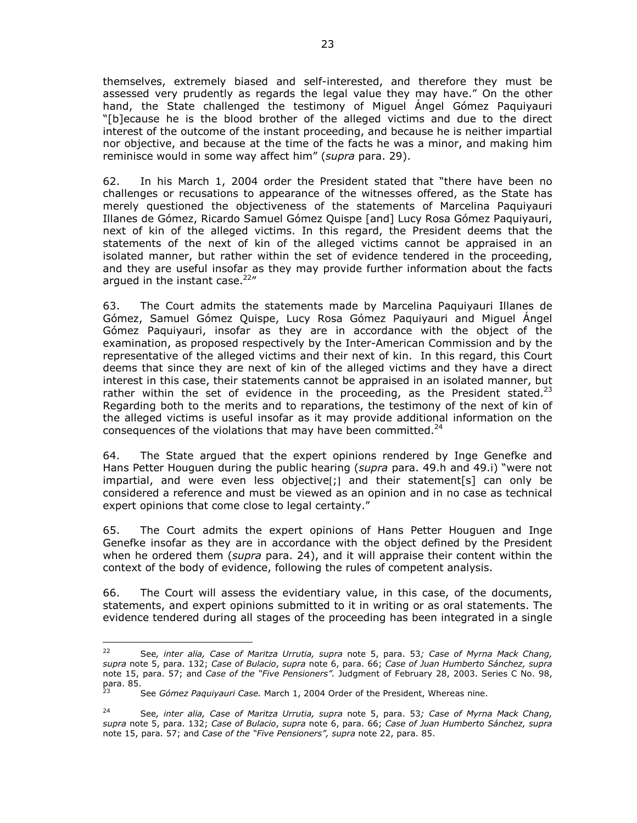themselves, extremely biased and self-interested, and therefore they must be assessed very prudently as regards the legal value they may have." On the other hand, the State challenged the testimony of Miguel Ángel Gómez Paquiyauri "[b]ecause he is the blood brother of the alleged victims and due to the direct interest of the outcome of the instant proceeding, and because he is neither impartial nor objective, and because at the time of the facts he was a minor, and making him reminisce would in some way affect him" (supra para. 29).

62. In his March 1, 2004 order the President stated that "there have been no challenges or recusations to appearance of the witnesses offered, as the State has merely questioned the objectiveness of the statements of Marcelina Paquiyauri Illanes de Gómez, Ricardo Samuel Gómez Quispe [and] Lucy Rosa Gómez Paquiyauri, next of kin of the alleged victims. In this regard, the President deems that the statements of the next of kin of the alleged victims cannot be appraised in an isolated manner, but rather within the set of evidence tendered in the proceeding, and they are useful insofar as they may provide further information about the facts argued in the instant case. $22''$ 

63. The Court admits the statements made by Marcelina Paquiyauri Illanes de Gómez, Samuel Gómez Quispe, Lucy Rosa Gómez Paquiyauri and Miguel Ángel Gómez Paquiyauri, insofar as they are in accordance with the object of the examination, as proposed respectively by the Inter-American Commission and by the representative of the alleged victims and their next of kin. In this regard, this Court deems that since they are next of kin of the alleged victims and they have a direct interest in this case, their statements cannot be appraised in an isolated manner, but rather within the set of evidence in the proceeding, as the President stated.<sup>23</sup> Regarding both to the merits and to reparations, the testimony of the next of kin of the alleged victims is useful insofar as it may provide additional information on the consequences of the violations that may have been committed.<sup>24</sup>

64. The State argued that the expert opinions rendered by Inge Genefke and Hans Petter Houguen during the public hearing (supra para. 49.h and 49.i) "were not impartial, and were even less objective[;] and their statement[s] can only be considered a reference and must be viewed as an opinion and in no case as technical expert opinions that come close to legal certainty."

65. The Court admits the expert opinions of Hans Petter Houguen and Inge Genefke insofar as they are in accordance with the object defined by the President when he ordered them (supra para. 24), and it will appraise their content within the context of the body of evidence, following the rules of competent analysis.

66. The Court will assess the evidentiary value, in this case, of the documents, statements, and expert opinions submitted to it in writing or as oral statements. The evidence tendered during all stages of the proceeding has been integrated in a single

<sup>&</sup>lt;sup>22</sup> See, inter alia, Case of Maritza Urrutia, supra note 5, para. 53; Case of Myrna Mack Chang, supra note 5, para. 132; Case of Bulacio, supra note 6, para. 66; Case of Juan Humberto Sánchez, supra note 15, para. 57; and Case of the "Five Pensioners". Judgment of February 28, 2003. Series C No. 98, para. 85.

See Gómez Paquiyauri Case. March 1, 2004 Order of the President, Whereas nine.

<sup>&</sup>lt;sup>24</sup> See, inter alia, Case of Maritza Urrutia, supra note 5, para. 53; Case of Myrna Mack Chang, supra note 5, para. 132; Case of Bulacio, supra note 6, para. 66; Case of Juan Humberto Sánchez, supra note 15, para. 57; and Case of the "Five Pensioners", supra note 22, para. 85.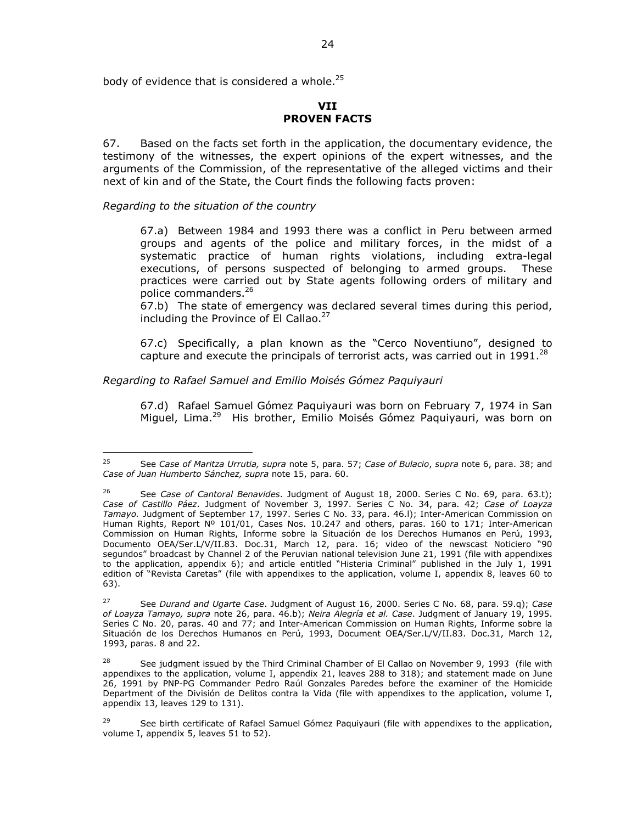body of evidence that is considered a whole.<sup>25</sup>

#### VII PROVEN FACTS

67. Based on the facts set forth in the application, the documentary evidence, the testimony of the witnesses, the expert opinions of the expert witnesses, and the arguments of the Commission, of the representative of the alleged victims and their next of kin and of the State, the Court finds the following facts proven:

Regarding to the situation of the country

l,

67.a) Between 1984 and 1993 there was a conflict in Peru between armed groups and agents of the police and military forces, in the midst of a systematic practice of human rights violations, including extra-legal executions, of persons suspected of belonging to armed groups. These practices were carried out by State agents following orders of military and police commanders.<sup>26</sup>

67.b) The state of emergency was declared several times during this period, including the Province of El Callao. $^{27}$ 

67.c) Specifically, a plan known as the "Cerco Noventiuno", designed to capture and execute the principals of terrorist acts, was carried out in 1991.<sup>28</sup>

Regarding to Rafael Samuel and Emilio Moisés Gómez Paquiyauri

67.d) Rafael Samuel Gómez Paquiyauri was born on February 7, 1974 in San Miguel, Lima.<sup>29</sup> His brother, Emilio Moisés Gómez Paguiyauri, was born on

<sup>&</sup>lt;sup>25</sup> See Case of Maritza Urrutia, supra note 5, para. 57; Case of Bulacio, supra note 6, para. 38; and Case of Juan Humberto Sánchez, supra note 15, para. 60.

See Case of Cantoral Benavides. Judgment of August 18, 2000. Series C No. 69, para. 63.t); Case of Castillo Páez. Judgment of November 3, 1997. Series C No. 34, para. 42; Case of Loayza Tamayo. Judgment of September 17, 1997. Series C No. 33, para. 46.l); Inter-American Commission on Human Rights, Report Nº 101/01, Cases Nos. 10.247 and others, paras. 160 to 171; Inter-American Commission on Human Rights, Informe sobre la Situación de los Derechos Humanos en Perú, 1993, Documento OEA/Ser.L/V/II.83. Doc.31, March 12, para. 16; video of the newscast Noticiero "90 segundos" broadcast by Channel 2 of the Peruvian national television June 21, 1991 (file with appendixes to the application, appendix 6); and article entitled "Histeria Criminal" published in the July 1, 1991 edition of "Revista Caretas" (file with appendixes to the application, volume I, appendix 8, leaves 60 to 63).

<sup>&</sup>lt;sup>27</sup> See Durand and Ugarte Case. Judgment of August 16, 2000. Series C No. 68, para. 59.q); Case of Loayza Tamayo, supra note 26, para. 46.b); Neira Alegría et al. Case. Judgment of January 19, 1995. Series C No. 20, paras. 40 and 77; and Inter-American Commission on Human Rights, Informe sobre la Situación de los Derechos Humanos en Perú, 1993, Document OEA/Ser.L/V/II.83. Doc.31, March 12, 1993, paras. 8 and 22.

<sup>&</sup>lt;sup>28</sup> See judgment issued by the Third Criminal Chamber of El Callao on November 9, 1993 (file with appendixes to the application, volume I, appendix 21, leaves 288 to 318); and statement made on June 26, 1991 by PNP-PG Commander Pedro Raúl Gonzales Paredes before the examiner of the Homicide Department of the División de Delitos contra la Vida (file with appendixes to the application, volume I, appendix 13, leaves 129 to 131).

<sup>&</sup>lt;sup>29</sup> See birth certificate of Rafael Samuel Gómez Paquiyauri (file with appendixes to the application, volume I, appendix 5, leaves 51 to 52).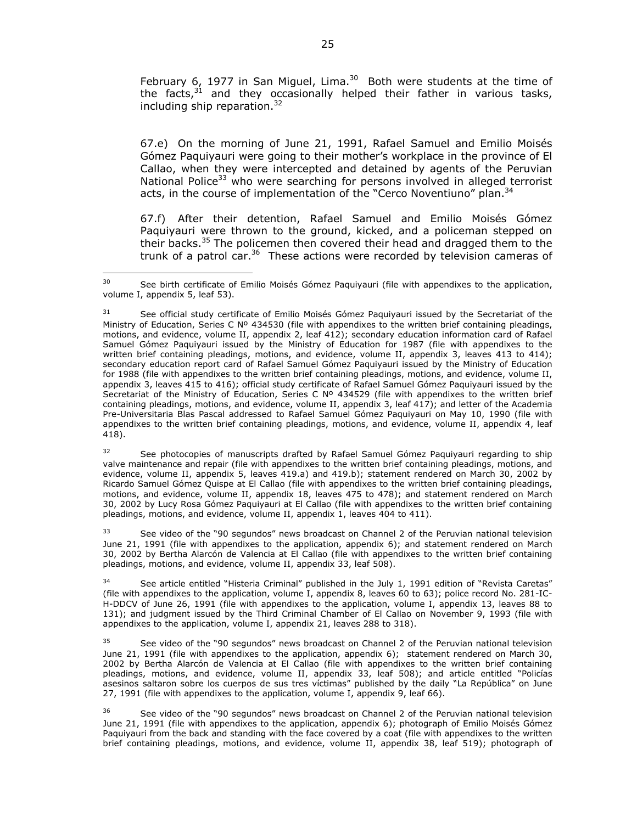February 6, 1977 in San Miguel, Lima. $30$  Both were students at the time of the facts,  $31$  and they occasionally helped their father in various tasks, including ship reparation.<sup>32</sup>

67.e) On the morning of June 21, 1991, Rafael Samuel and Emilio Moisés Gómez Paquiyauri were going to their mother's workplace in the province of El Callao, when they were intercepted and detained by agents of the Peruvian National Police<sup>33</sup> who were searching for persons involved in alleged terrorist acts, in the course of implementation of the "Cerco Noventiuno" plan.<sup>34</sup>

67.f) After their detention, Rafael Samuel and Emilio Moisés Gómez Paquiyauri were thrown to the ground, kicked, and a policeman stepped on their backs.<sup>35</sup> The policemen then covered their head and dragged them to the trunk of a patrol car.<sup>36</sup> These actions were recorded by television cameras of

<sup>32</sup> See photocopies of manuscripts drafted by Rafael Samuel Gómez Paquiyauri regarding to ship valve maintenance and repair (file with appendixes to the written brief containing pleadings, motions, and evidence, volume II, appendix 5, leaves 419.a) and 419.b); statement rendered on March 30, 2002 by Ricardo Samuel Gómez Quispe at El Callao (file with appendixes to the written brief containing pleadings, motions, and evidence, volume II, appendix 18, leaves 475 to 478); and statement rendered on March 30, 2002 by Lucy Rosa Gómez Paquiyauri at El Callao (file with appendixes to the written brief containing pleadings, motions, and evidence, volume II, appendix 1, leaves 404 to 411).

<sup>33</sup> See video of the "90 segundos" news broadcast on Channel 2 of the Peruvian national television June 21, 1991 (file with appendixes to the application, appendix 6); and statement rendered on March 30, 2002 by Bertha Alarcón de Valencia at El Callao (file with appendixes to the written brief containing pleadings, motions, and evidence, volume II, appendix 33, leaf 508).

See article entitled "Histeria Criminal" published in the July 1, 1991 edition of "Revista Caretas" (file with appendixes to the application, volume I, appendix 8, leaves 60 to 63); police record No. 281-IC-H-DDCV of June 26, 1991 (file with appendixes to the application, volume I, appendix 13, leaves 88 to 131); and judgment issued by the Third Criminal Chamber of El Callao on November 9, 1993 (file with appendixes to the application, volume I, appendix 21, leaves 288 to 318).

<sup>35</sup> See video of the "90 segundos" news broadcast on Channel 2 of the Peruvian national television June 21, 1991 (file with appendixes to the application, appendix 6); statement rendered on March 30, 2002 by Bertha Alarcón de Valencia at El Callao (file with appendixes to the written brief containing pleadings, motions, and evidence, volume II, appendix 33, leaf 508); and article entitled "Policías asesinos saltaron sobre los cuerpos de sus tres víctimas" published by the daily "La República" on June 27, 1991 (file with appendixes to the application, volume I, appendix 9, leaf 66).

See video of the "90 segundos" news broadcast on Channel 2 of the Peruvian national television June 21, 1991 (file with appendixes to the application, appendix 6); photograph of Emilio Moisés Gómez Paquiyauri from the back and standing with the face covered by a coat (file with appendixes to the written brief containing pleadings, motions, and evidence, volume II, appendix 38, leaf 519); photograph of

<sup>&</sup>lt;sup>30</sup> See birth certificate of Emilio Moisés Gómez Paquiyauri (file with appendixes to the application, volume I, appendix 5, leaf 53).

<sup>&</sup>lt;sup>31</sup> See official study certificate of Emilio Moisés Gómez Paquiyauri issued by the Secretariat of the Ministry of Education, Series C Nº 434530 (file with appendixes to the written brief containing pleadings, motions, and evidence, volume II, appendix 2, leaf 412); secondary education information card of Rafael Samuel Gómez Paquiyauri issued by the Ministry of Education for 1987 (file with appendixes to the written brief containing pleadings, motions, and evidence, volume II, appendix 3, leaves 413 to 414); secondary education report card of Rafael Samuel Gómez Paquiyauri issued by the Ministry of Education for 1988 (file with appendixes to the written brief containing pleadings, motions, and evidence, volume II, appendix 3, leaves 415 to 416); official study certificate of Rafael Samuel Gómez Paquiyauri issued by the Secretariat of the Ministry of Education, Series C Nº 434529 (file with appendixes to the written brief containing pleadings, motions, and evidence, volume II, appendix 3, leaf 417); and letter of the Academia Pre-Universitaria Blas Pascal addressed to Rafael Samuel Gómez Paquiyauri on May 10, 1990 (file with appendixes to the written brief containing pleadings, motions, and evidence, volume II, appendix 4, leaf 418).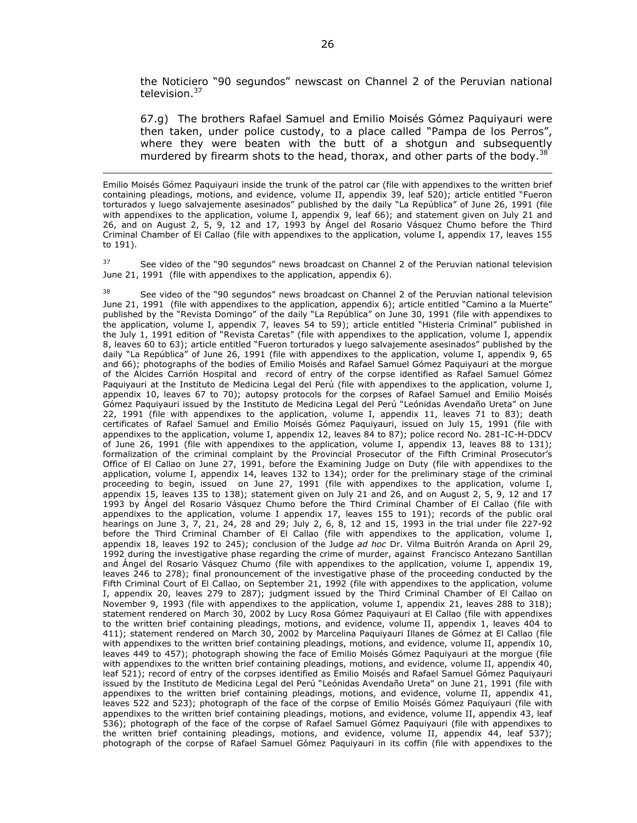the Noticiero "90 segundos" newscast on Channel 2 of the Peruvian national television.<sup>37</sup>

67.g) The brothers Rafael Samuel and Emilio Moisés Gómez Paquiyauri were then taken, under police custody, to a place called "Pampa de los Perros", where they were beaten with the butt of a shotgun and subsequently murdered by firearm shots to the head, thorax, and other parts of the body.<sup>38</sup>

<sup>37</sup> See video of the "90 segundos" news broadcast on Channel 2 of the Peruvian national television June 21, 1991 (file with appendixes to the application, appendix 6).

<sup>38</sup> See video of the "90 segundos" news broadcast on Channel 2 of the Peruvian national television June 21, 1991 (file with appendixes to the application, appendix 6); article entitled "Camino a la Muerte" published by the "Revista Domingo" of the daily "La República" on June 30, 1991 (file with appendixes to the application, volume I, appendix 7, leaves 54 to 59); article entitled "Histeria Criminal" published in the July 1, 1991 edition of "Revista Caretas" (file with appendixes to the application, volume I, appendix 8, leaves 60 to 63); article entitled "Fueron torturados y luego salvajemente asesinados" published by the daily "La República" of June 26, 1991 (file with appendixes to the application, volume I, appendix 9, 65 and 66); photographs of the bodies of Emilio Moisés and Rafael Samuel Gómez Paquiyauri at the morgue of the Alcides Carrión Hospital and record of entry of the corpse identified as Rafael Samuel Gómez Paquiyauri at the Instituto de Medicina Legal del Perú (file with appendixes to the application, volume I, appendix 10, leaves 67 to 70); autopsy protocols for the corpses of Rafael Samuel and Emilio Moisés Gómez Paquiyauri issued by the Instituto de Medicina Legal del Perú "Leónidas Avendaño Ureta" on June 22, 1991 (file with appendixes to the application, volume I, appendix 11, leaves 71 to 83); death certificates of Rafael Samuel and Emilio Moisés Gómez Paquiyauri, issued on July 15, 1991 (file with appendixes to the application, volume I, appendix 12, leaves 84 to 87); police record No. 281-IC-H-DDCV of June 26, 1991 (file with appendixes to the application, volume I, appendix 13, leaves 88 to 131); formalization of the criminal complaint by the Provincial Prosecutor of the Fifth Criminal Prosecutor's Office of El Callao on June 27, 1991, before the Examining Judge on Duty (file with appendixes to the application, volume I, appendix 14, leaves 132 to 134); order for the preliminary stage of the criminal proceeding to begin, issued on June 27, 1991 (file with appendixes to the application, volume I, appendix 15, leaves 135 to 138); statement given on July 21 and 26, and on August 2, 5, 9, 12 and 17 1993 by Ángel del Rosario Vásquez Chumo before the Third Criminal Chamber of El Callao (file with appendixes to the application, volume I appendix 17, leaves 155 to 191); records of the public oral hearings on June 3, 7, 21, 24, 28 and 29; July 2, 6, 8, 12 and 15, 1993 in the trial under file 227-92 before the Third Criminal Chamber of El Callao (file with appendixes to the application, volume I, appendix 18, leaves 192 to 245); conclusion of the Judge ad hoc Dr. Vilma Buitrón Aranda on April 29, 1992 during the investigative phase regarding the crime of murder, against Francisco Antezano Santillan and Ángel del Rosario Vásquez Chumo (file with appendixes to the application, volume I, appendix 19, leaves 246 to 278); final pronouncement of the investigative phase of the proceeding conducted by the Fifth Criminal Court of El Callao, on September 21, 1992 (file with appendixes to the application, volume I, appendix 20, leaves 279 to 287); judgment issued by the Third Criminal Chamber of El Callao on November 9, 1993 (file with appendixes to the application, volume I, appendix 21, leaves 288 to 318); statement rendered on March 30, 2002 by Lucy Rosa Gómez Paquiyauri at El Callao (file with appendixes to the written brief containing pleadings, motions, and evidence, volume II, appendix 1, leaves 404 to 411); statement rendered on March 30, 2002 by Marcelina Paquiyauri Illanes de Gómez at El Callao (file with appendixes to the written brief containing pleadings, motions, and evidence, volume II, appendix 10, leaves 449 to 457); photograph showing the face of Emilio Moisés Gómez Paquiyauri at the morgue (file with appendixes to the written brief containing pleadings, motions, and evidence, volume II, appendix 40, leaf 521); record of entry of the corpses identified as Emilio Moisés and Rafael Samuel Gómez Paquiyauri issued by the Instituto de Medicina Legal del Perú "Leónidas Avendaño Ureta" on June 21, 1991 (file with appendixes to the written brief containing pleadings, motions, and evidence, volume II, appendix 41, leaves 522 and 523); photograph of the face of the corpse of Emilio Moisés Gómez Paquiyauri (file with appendixes to the written brief containing pleadings, motions, and evidence, volume II, appendix 43, leaf 536); photograph of the face of the corpse of Rafael Samuel Gómez Paquiyauri (file with appendixes to the written brief containing pleadings, motions, and evidence, volume II, appendix 44, leaf 537); photograph of the corpse of Rafael Samuel Gómez Paquiyauri in its coffin (file with appendixes to the

Emilio Moisés Gómez Paquiyauri inside the trunk of the patrol car (file with appendixes to the written brief containing pleadings, motions, and evidence, volume II, appendix 39, leaf 520); article entitled "Fueron torturados y luego salvajemente asesinados" published by the daily "La República" of June 26, 1991 (file with appendixes to the application, volume I, appendix 9, leaf 66); and statement given on July 21 and 26, and on August 2, 5, 9, 12 and 17, 1993 by Ángel del Rosario Vásquez Chumo before the Third Criminal Chamber of El Callao (file with appendixes to the application, volume I, appendix 17, leaves 155 to 191).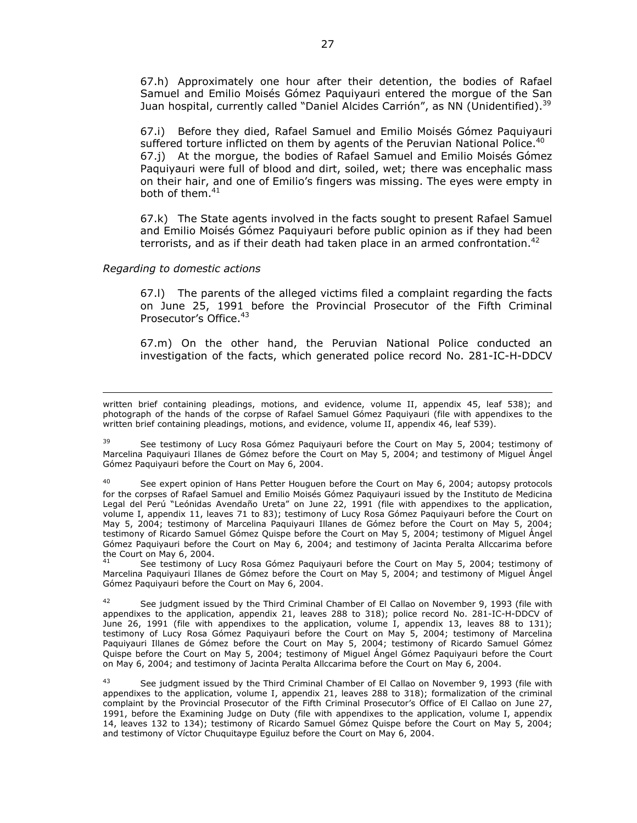67.h) Approximately one hour after their detention, the bodies of Rafael Samuel and Emilio Moisés Gómez Paquiyauri entered the morgue of the San Juan hospital, currently called "Daniel Alcides Carrión", as NN (Unidentified).<sup>39</sup>

67.i) Before they died, Rafael Samuel and Emilio Moisés Gómez Paquiyauri suffered torture inflicted on them by agents of the Peruvian National Police.<sup>40</sup> 67.j) At the morgue, the bodies of Rafael Samuel and Emilio Moisés Gómez Paquiyauri were full of blood and dirt, soiled, wet; there was encephalic mass on their hair, and one of Emilio's fingers was missing. The eyes were empty in both of them. $41$ 

67.k) The State agents involved in the facts sought to present Rafael Samuel and Emilio Moisés Gómez Paquiyauri before public opinion as if they had been terrorists, and as if their death had taken place in an armed confrontation.<sup>42</sup>

#### Regarding to domestic actions

67.l) The parents of the alleged victims filed a complaint regarding the facts on June 25, 1991 before the Provincial Prosecutor of the Fifth Criminal Prosecutor's Office.<sup>43</sup>

67.m) On the other hand, the Peruvian National Police conducted an investigation of the facts, which generated police record No. 281-IC-H-DDCV

See testimony of Lucy Rosa Gómez Paquiyauri before the Court on May 5, 2004; testimony of Marcelina Paquiyauri Illanes de Gómez before the Court on May 5, 2004; and testimony of Miguel Ángel Gómez Paquiyauri before the Court on May 6, 2004.

<sup>42</sup> See judgment issued by the Third Criminal Chamber of El Callao on November 9, 1993 (file with appendixes to the application, appendix 21, leaves 288 to 318); police record No. 281-IC-H-DDCV of June 26, 1991 (file with appendixes to the application, volume I, appendix 13, leaves 88 to 131); testimony of Lucy Rosa Gómez Paquiyauri before the Court on May 5, 2004; testimony of Marcelina Paquiyauri Illanes de Gómez before the Court on May 5, 2004; testimony of Ricardo Samuel Gómez Quispe before the Court on May 5, 2004; testimony of Miguel Ángel Gómez Paquiyauri before the Court on May 6, 2004; and testimony of Jacinta Peralta Allccarima before the Court on May 6, 2004.

written brief containing pleadings, motions, and evidence, volume II, appendix 45, leaf 538); and photograph of the hands of the corpse of Rafael Samuel Gómez Paquiyauri (file with appendixes to the written brief containing pleadings, motions, and evidence, volume II, appendix 46, leaf 539).

<sup>&</sup>lt;sup>39</sup> See testimony of Lucy Rosa Gómez Paquiyauri before the Court on May 5, 2004; testimony of Marcelina Paquiyauri Illanes de Gómez before the Court on May 5, 2004; and testimony of Miguel Ángel Gómez Paquiyauri before the Court on May 6, 2004.

See expert opinion of Hans Petter Houguen before the Court on May 6, 2004; autopsy protocols for the corpses of Rafael Samuel and Emilio Moisés Gómez Paquiyauri issued by the Instituto de Medicina Legal del Perú "Leónidas Avendaño Ureta" on June 22, 1991 (file with appendixes to the application, volume I, appendix 11, leaves 71 to 83); testimony of Lucy Rosa Gómez Paquiyauri before the Court on May 5, 2004; testimony of Marcelina Paquiyauri Illanes de Gómez before the Court on May 5, 2004; testimony of Ricardo Samuel Gómez Quispe before the Court on May 5, 2004; testimony of Miguel Ángel Gómez Paquiyauri before the Court on May 6, 2004; and testimony of Jacinta Peralta Allccarima before the Court on May 6, 2004.

<sup>43</sup> See judgment issued by the Third Criminal Chamber of El Callao on November 9, 1993 (file with appendixes to the application, volume I, appendix 21, leaves 288 to 318); formalization of the criminal complaint by the Provincial Prosecutor of the Fifth Criminal Prosecutor's Office of El Callao on June 27, 1991, before the Examining Judge on Duty (file with appendixes to the application, volume I, appendix 14, leaves 132 to 134); testimony of Ricardo Samuel Gómez Quispe before the Court on May 5, 2004; and testimony of Víctor Chuquitaype Eguiluz before the Court on May 6, 2004.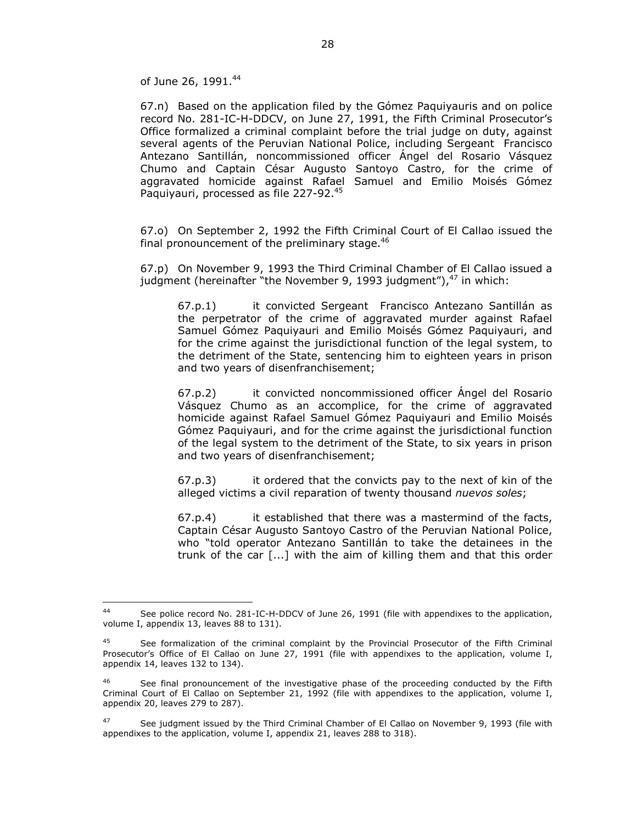of June 26, 1991.<sup>44</sup>

l,

67.n) Based on the application filed by the Gómez Paquiyauris and on police record No. 281-IC-H-DDCV, on June 27, 1991, the Fifth Criminal Prosecutor's Office formalized a criminal complaint before the trial judge on duty, against several agents of the Peruvian National Police, including Sergeant Francisco Antezano Santillán, noncommissioned officer Ángel del Rosario Vásquez Chumo and Captain César Augusto Santoyo Castro, for the crime of aggravated homicide against Rafael Samuel and Emilio Moisés Gómez Paquiyauri, processed as file 227-92.<sup>45</sup>

67.o) On September 2, 1992 the Fifth Criminal Court of El Callao issued the final pronouncement of the preliminary stage. $46$ 

67.p) On November 9, 1993 the Third Criminal Chamber of El Callao issued a judgment (hereinafter "the November 9, 1993 judgment"), $47$  in which:

67.p.1) it convicted Sergeant Francisco Antezano Santillán as the perpetrator of the crime of aggravated murder against Rafael Samuel Gómez Paquiyauri and Emilio Moisés Gómez Paquiyauri, and for the crime against the jurisdictional function of the legal system, to the detriment of the State, sentencing him to eighteen years in prison and two years of disenfranchisement;

67.p.2) it convicted noncommissioned officer Ángel del Rosario Vásquez Chumo as an accomplice, for the crime of aggravated homicide against Rafael Samuel Gómez Paquiyauri and Emilio Moisés Gómez Paquiyauri, and for the crime against the jurisdictional function of the legal system to the detriment of the State, to six years in prison and two years of disenfranchisement;

67.p.3) it ordered that the convicts pay to the next of kin of the alleged victims a civil reparation of twenty thousand nuevos soles;

67.p.4) it established that there was a mastermind of the facts, Captain César Augusto Santoyo Castro of the Peruvian National Police, who "told operator Antezano Santillán to take the detainees in the trunk of the car [...] with the aim of killing them and that this order

<sup>44</sup> See police record No. 281-IC-H-DDCV of June 26, 1991 (file with appendixes to the application, volume I, appendix 13, leaves 88 to 131).

<sup>45</sup> See formalization of the criminal complaint by the Provincial Prosecutor of the Fifth Criminal Prosecutor's Office of El Callao on June 27, 1991 (file with appendixes to the application, volume I, appendix 14, leaves 132 to 134).

See final pronouncement of the investigative phase of the proceeding conducted by the Fifth Criminal Court of El Callao on September 21, 1992 (file with appendixes to the application, volume I, appendix 20, leaves 279 to 287).

<sup>47</sup> See judgment issued by the Third Criminal Chamber of El Callao on November 9, 1993 (file with appendixes to the application, volume I, appendix 21, leaves 288 to 318).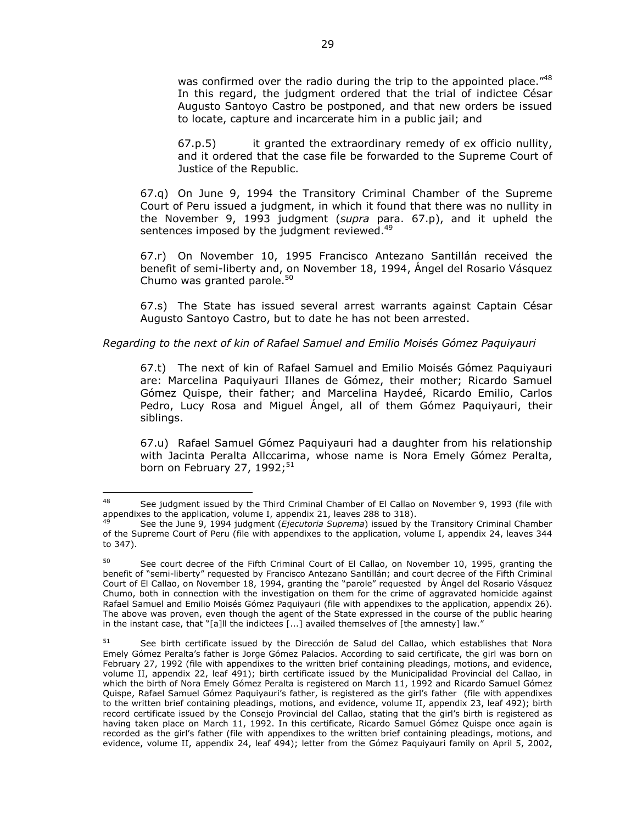was confirmed over the radio during the trip to the appointed place. $148$ In this regard, the judgment ordered that the trial of indictee César Augusto Santoyo Castro be postponed, and that new orders be issued to locate, capture and incarcerate him in a public jail; and

67.p.5) it granted the extraordinary remedy of ex officio nullity, and it ordered that the case file be forwarded to the Supreme Court of Justice of the Republic.

67.q) On June 9, 1994 the Transitory Criminal Chamber of the Supreme Court of Peru issued a judgment, in which it found that there was no nullity in the November 9, 1993 judgment (supra para. 67.p), and it upheld the sentences imposed by the judgment reviewed.<sup>49</sup>

67.r) On November 10, 1995 Francisco Antezano Santillán received the benefit of semi-liberty and, on November 18, 1994, Ángel del Rosario Vásquez Chumo was granted parole.<sup>50</sup>

67.s) The State has issued several arrest warrants against Captain César Augusto Santoyo Castro, but to date he has not been arrested.

## Regarding to the next of kin of Rafael Samuel and Emilio Moisés Gómez Paquiyauri

67.t) The next of kin of Rafael Samuel and Emilio Moisés Gómez Paquiyauri are: Marcelina Paquiyauri Illanes de Gómez, their mother; Ricardo Samuel Gómez Quispe, their father; and Marcelina Haydeé, Ricardo Emilio, Carlos Pedro, Lucy Rosa and Miguel Ángel, all of them Gómez Paquiyauri, their siblings.

67.u) Rafael Samuel Gómez Paquiyauri had a daughter from his relationship with Jacinta Peralta Allccarima, whose name is Nora Emely Gómez Peralta, born on February 27, 1992; $51$ 

<sup>48</sup> See judgment issued by the Third Criminal Chamber of El Callao on November 9, 1993 (file with appendixes to the application, volume I, appendix 21, leaves 288 to 318).

See the June 9, 1994 judgment (*Ejecutoria Suprema*) issued by the Transitory Criminal Chamber of the Supreme Court of Peru (file with appendixes to the application, volume I, appendix 24, leaves 344 to 347).

<sup>&</sup>lt;sup>50</sup> See court decree of the Fifth Criminal Court of El Callao, on November 10, 1995, granting the benefit of "semi-liberty" requested by Francisco Antezano Santillán; and court decree of the Fifth Criminal Court of El Callao, on November 18, 1994, granting the "parole" requested by Ángel del Rosario Vásquez Chumo, both in connection with the investigation on them for the crime of aggravated homicide against Rafael Samuel and Emilio Moisés Gómez Paquiyauri (file with appendixes to the application, appendix 26). The above was proven, even though the agent of the State expressed in the course of the public hearing in the instant case, that "[a]ll the indictees [...] availed themselves of [the amnesty] law."

<sup>&</sup>lt;sup>51</sup> See birth certificate issued by the Dirección de Salud del Callao, which establishes that Nora Emely Gómez Peralta's father is Jorge Gómez Palacios. According to said certificate, the girl was born on February 27, 1992 (file with appendixes to the written brief containing pleadings, motions, and evidence, volume II, appendix 22, leaf 491); birth certificate issued by the Municipalidad Provincial del Callao, in which the birth of Nora Emely Gómez Peralta is registered on March 11, 1992 and Ricardo Samuel Gómez Quispe, Rafael Samuel Gómez Paquiyauri's father, is registered as the girl's father (file with appendixes to the written brief containing pleadings, motions, and evidence, volume II, appendix 23, leaf 492); birth record certificate issued by the Consejo Provincial del Callao, stating that the girl's birth is registered as having taken place on March 11, 1992. In this certificate, Ricardo Samuel Gómez Quispe once again is recorded as the girl's father (file with appendixes to the written brief containing pleadings, motions, and evidence, volume II, appendix 24, leaf 494); letter from the Gómez Paquiyauri family on April 5, 2002,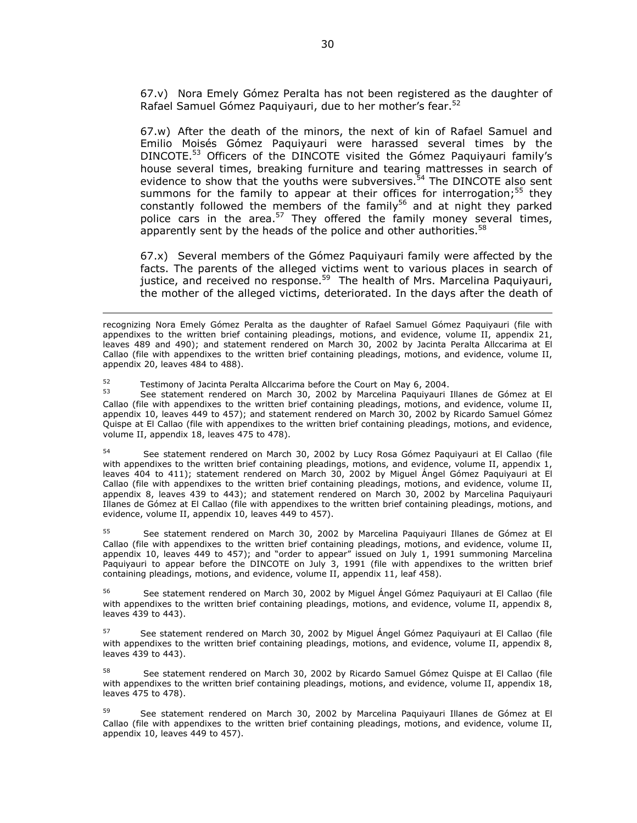67.v) Nora Emely Gómez Peralta has not been registered as the daughter of Rafael Samuel Gómez Paquiyauri, due to her mother's fear.<sup>52</sup>

67.w) After the death of the minors, the next of kin of Rafael Samuel and Emilio Moisés Gómez Paquiyauri were harassed several times by the DINCOTE.<sup>53</sup> Officers of the DINCOTE visited the Gómez Paquiyauri family's house several times, breaking furniture and tearing mattresses in search of evidence to show that the youths were subversives.<sup>54</sup> The DINCOTE also sent summons for the family to appear at their offices for interrogation;<sup>55</sup> they constantly followed the members of the family<sup>56</sup> and at night they parked police cars in the area.<sup>57</sup> They offered the family money several times, apparently sent by the heads of the police and other authorities.<sup>58</sup>

67.x) Several members of the Gómez Paquiyauri family were affected by the facts. The parents of the alleged victims went to various places in search of justice, and received no response.<sup>59</sup> The health of Mrs. Marcelina Paquiyauri, the mother of the alleged victims, deteriorated. In the days after the death of

 $52$  Testimony of Jacinta Peralta Allccarima before the Court on May 6, 2004.

<sup>53</sup> See statement rendered on March 30, 2002 by Marcelina Paquiyauri Illanes de Gómez at El Callao (file with appendixes to the written brief containing pleadings, motions, and evidence, volume II, appendix 10, leaves 449 to 457); and statement rendered on March 30, 2002 by Ricardo Samuel Gómez Quispe at El Callao (file with appendixes to the written brief containing pleadings, motions, and evidence, volume II, appendix 18, leaves 475 to 478).

<sup>54</sup> See statement rendered on March 30, 2002 by Lucy Rosa Gómez Paquiyauri at El Callao (file with appendixes to the written brief containing pleadings, motions, and evidence, volume II, appendix 1, leaves 404 to 411); statement rendered on March 30, 2002 by Miguel Ángel Gómez Paquiyauri at El Callao (file with appendixes to the written brief containing pleadings, motions, and evidence, volume II, appendix 8, leaves 439 to 443); and statement rendered on March 30, 2002 by Marcelina Paquiyauri Illanes de Gómez at El Callao (file with appendixes to the written brief containing pleadings, motions, and evidence, volume II, appendix 10, leaves 449 to 457).

<sup>55</sup> See statement rendered on March 30, 2002 by Marcelina Paquiyauri Illanes de Gómez at El Callao (file with appendixes to the written brief containing pleadings, motions, and evidence, volume II, appendix 10, leaves 449 to 457); and "order to appear" issued on July 1, 1991 summoning Marcelina Paquiyauri to appear before the DINCOTE on July 3, 1991 (file with appendixes to the written brief containing pleadings, motions, and evidence, volume II, appendix 11, leaf 458).

<sup>56</sup> See statement rendered on March 30, 2002 by Miguel Ángel Gómez Paquiyauri at El Callao (file with appendixes to the written brief containing pleadings, motions, and evidence, volume II, appendix 8, leaves 439 to 443).

<sup>57</sup> See statement rendered on March 30, 2002 by Miguel Ángel Gómez Paquiyauri at El Callao (file with appendixes to the written brief containing pleadings, motions, and evidence, volume II, appendix 8, leaves 439 to 443).

<sup>58</sup> See statement rendered on March 30, 2002 by Ricardo Samuel Gómez Quispe at El Callao (file with appendixes to the written brief containing pleadings, motions, and evidence, volume II, appendix 18, leaves 475 to 478).

<sup>59</sup> See statement rendered on March 30, 2002 by Marcelina Paquiyauri Illanes de Gómez at El Callao (file with appendixes to the written brief containing pleadings, motions, and evidence, volume II, appendix 10, leaves 449 to 457).

recognizing Nora Emely Gómez Peralta as the daughter of Rafael Samuel Gómez Paquiyauri (file with appendixes to the written brief containing pleadings, motions, and evidence, volume II, appendix 21, leaves 489 and 490); and statement rendered on March 30, 2002 by Jacinta Peralta Allccarima at El Callao (file with appendixes to the written brief containing pleadings, motions, and evidence, volume II, appendix 20, leaves 484 to 488).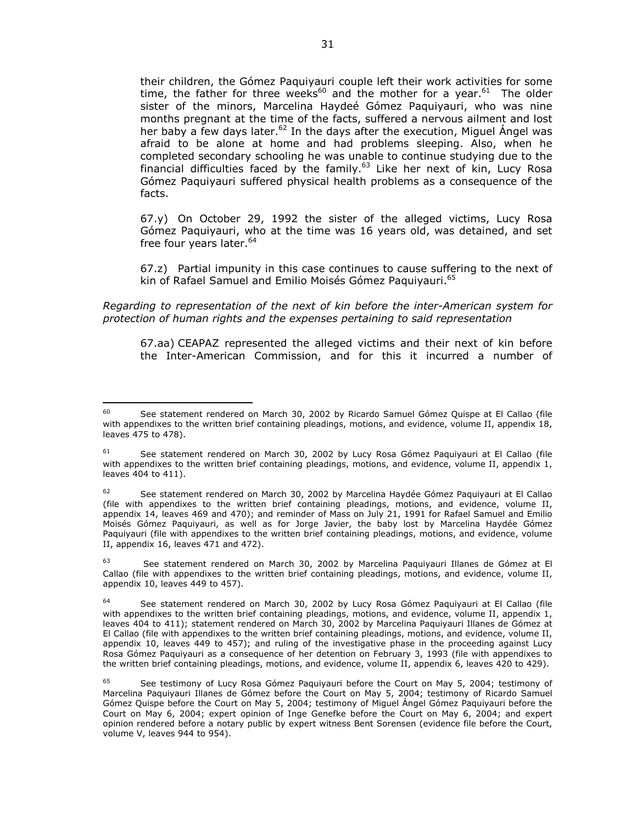their children, the Gómez Paquiyauri couple left their work activities for some time, the father for three weeks<sup>60</sup> and the mother for a year.<sup>61</sup> The older sister of the minors, Marcelina Haydeé Gómez Paquiyauri, who was nine months pregnant at the time of the facts, suffered a nervous ailment and lost her baby a few days later.<sup>62</sup> In the days after the execution, Miguel Angel was afraid to be alone at home and had problems sleeping. Also, when he completed secondary schooling he was unable to continue studying due to the financial difficulties faced by the family. $63$  Like her next of kin, Lucy Rosa Gómez Paquiyauri suffered physical health problems as a consequence of the facts.

67.y) On October 29, 1992 the sister of the alleged victims, Lucy Rosa Gómez Paquiyauri, who at the time was 16 years old, was detained, and set free four years later.<sup>64</sup>

67.z) Partial impunity in this case continues to cause suffering to the next of kin of Rafael Samuel and Emilio Moisés Gómez Paquiyauri.<sup>65</sup>

Regarding to representation of the next of kin before the inter-American system for protection of human rights and the expenses pertaining to said representation

67.aa) CEAPAZ represented the alleged victims and their next of kin before the Inter-American Commission, and for this it incurred a number of

l,

<sup>&</sup>lt;sup>60</sup> See statement rendered on March 30, 2002 by Ricardo Samuel Gómez Quispe at El Callao (file with appendixes to the written brief containing pleadings, motions, and evidence, volume II, appendix 18, leaves 475 to 478).

<sup>61</sup> See statement rendered on March 30, 2002 by Lucy Rosa Gómez Paquiyauri at El Callao (file with appendixes to the written brief containing pleadings, motions, and evidence, volume II, appendix 1, leaves 404 to 411).

<sup>62</sup> See statement rendered on March 30, 2002 by Marcelina Haydée Gómez Paquiyauri at El Callao (file with appendixes to the written brief containing pleadings, motions, and evidence, volume II, appendix 14, leaves 469 and 470); and reminder of Mass on July 21, 1991 for Rafael Samuel and Emilio Moisés Gómez Paquiyauri, as well as for Jorge Javier, the baby lost by Marcelina Haydée Gómez Paquiyauri (file with appendixes to the written brief containing pleadings, motions, and evidence, volume II, appendix 16, leaves 471 and 472).

<sup>&</sup>lt;sup>63</sup> See statement rendered on March 30, 2002 by Marcelina Paquiyauri Illanes de Gómez at El Callao (file with appendixes to the written brief containing pleadings, motions, and evidence, volume II, appendix 10, leaves 449 to 457).

<sup>64</sup> See statement rendered on March 30, 2002 by Lucy Rosa Gómez Paquiyauri at El Callao (file with appendixes to the written brief containing pleadings, motions, and evidence, volume II, appendix 1, leaves 404 to 411); statement rendered on March 30, 2002 by Marcelina Paquiyauri Illanes de Gómez at El Callao (file with appendixes to the written brief containing pleadings, motions, and evidence, volume II, appendix 10, leaves 449 to 457); and ruling of the investigative phase in the proceeding against Lucy Rosa Gómez Paquiyauri as a consequence of her detention on February 3, 1993 (file with appendixes to the written brief containing pleadings, motions, and evidence, volume II, appendix 6, leaves 420 to 429).

<sup>65</sup> See testimony of Lucy Rosa Gómez Paquiyauri before the Court on May 5, 2004; testimony of Marcelina Paquiyauri Illanes de Gómez before the Court on May 5, 2004; testimony of Ricardo Samuel Gómez Quispe before the Court on May 5, 2004; testimony of Miguel Ángel Gómez Paquiyauri before the Court on May 6, 2004; expert opinion of Inge Genefke before the Court on May 6, 2004; and expert opinion rendered before a notary public by expert witness Bent Sorensen (evidence file before the Court, volume V, leaves 944 to 954).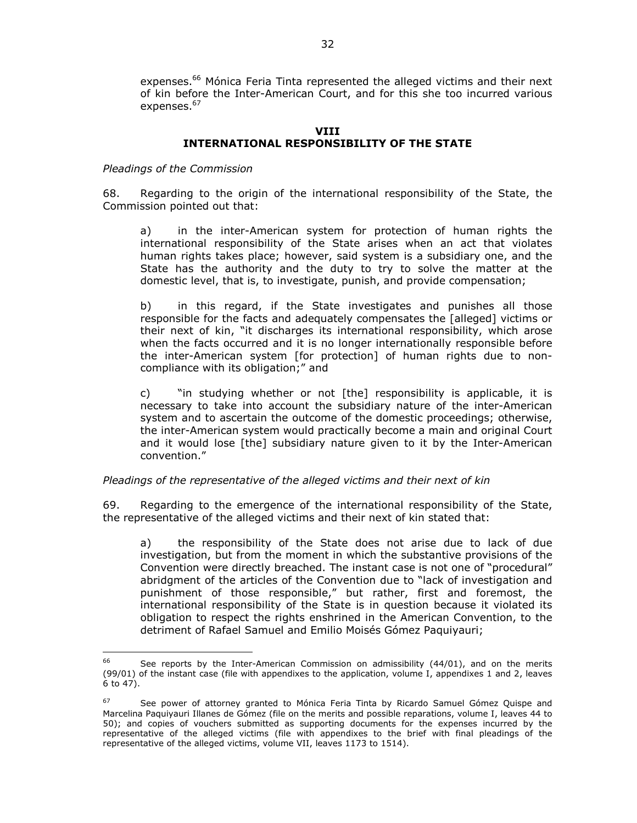expenses.<sup>66</sup> Mónica Feria Tinta represented the alleged victims and their next of kin before the Inter-American Court, and for this she too incurred various expenses.<sup>67</sup>

#### **VIII** INTERNATIONAL RESPONSIBILITY OF THE STATE

#### Pleadings of the Commission

l,

68. Regarding to the origin of the international responsibility of the State, the Commission pointed out that:

a) in the inter-American system for protection of human rights the international responsibility of the State arises when an act that violates human rights takes place; however, said system is a subsidiary one, and the State has the authority and the duty to try to solve the matter at the domestic level, that is, to investigate, punish, and provide compensation;

b) in this regard, if the State investigates and punishes all those responsible for the facts and adequately compensates the [alleged] victims or their next of kin, "it discharges its international responsibility, which arose when the facts occurred and it is no longer internationally responsible before the inter-American system [for protection] of human rights due to noncompliance with its obligation;" and

c) "in studying whether or not [the] responsibility is applicable, it is necessary to take into account the subsidiary nature of the inter-American system and to ascertain the outcome of the domestic proceedings; otherwise, the inter-American system would practically become a main and original Court and it would lose [the] subsidiary nature given to it by the Inter-American convention."

# Pleadings of the representative of the alleged victims and their next of kin

69. Regarding to the emergence of the international responsibility of the State, the representative of the alleged victims and their next of kin stated that:

a) the responsibility of the State does not arise due to lack of due investigation, but from the moment in which the substantive provisions of the Convention were directly breached. The instant case is not one of "procedural" abridgment of the articles of the Convention due to "lack of investigation and punishment of those responsible," but rather, first and foremost, the international responsibility of the State is in question because it violated its obligation to respect the rights enshrined in the American Convention, to the detriment of Rafael Samuel and Emilio Moisés Gómez Paquiyauri;

See reports by the Inter-American Commission on admissibility  $(44/01)$ , and on the merits (99/01) of the instant case (file with appendixes to the application, volume I, appendixes 1 and 2, leaves 6 to 47).

See power of attorney granted to Mónica Feria Tinta by Ricardo Samuel Gómez Quispe and Marcelina Paquiyauri Illanes de Gómez (file on the merits and possible reparations, volume I, leaves 44 to 50); and copies of vouchers submitted as supporting documents for the expenses incurred by the representative of the alleged victims (file with appendixes to the brief with final pleadings of the representative of the alleged victims, volume VII, leaves 1173 to 1514).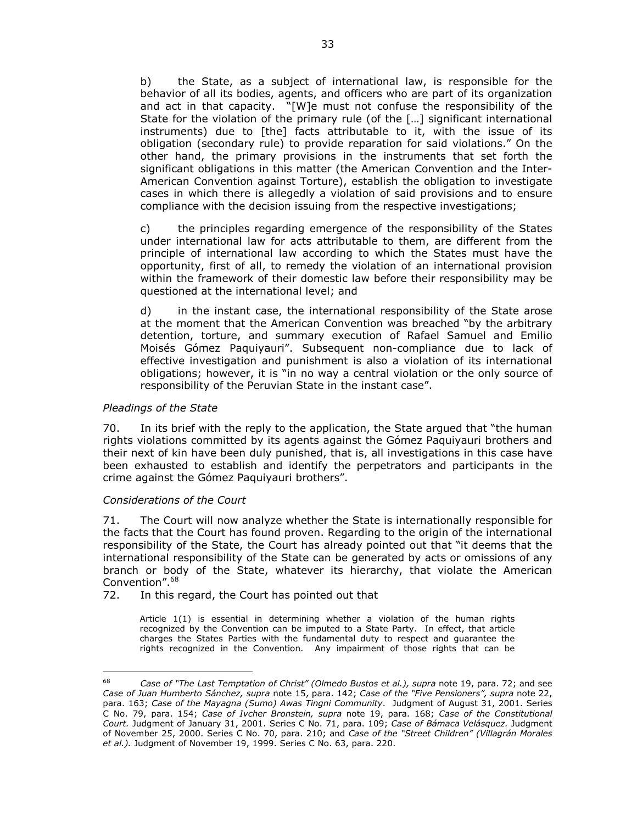b) the State, as a subject of international law, is responsible for the behavior of all its bodies, agents, and officers who are part of its organization and act in that capacity. "[W]e must not confuse the responsibility of the State for the violation of the primary rule (of the […] significant international instruments) due to [the] facts attributable to it, with the issue of its obligation (secondary rule) to provide reparation for said violations." On the other hand, the primary provisions in the instruments that set forth the significant obligations in this matter (the American Convention and the Inter-American Convention against Torture), establish the obligation to investigate cases in which there is allegedly a violation of said provisions and to ensure compliance with the decision issuing from the respective investigations;

c) the principles regarding emergence of the responsibility of the States under international law for acts attributable to them, are different from the principle of international law according to which the States must have the opportunity, first of all, to remedy the violation of an international provision within the framework of their domestic law before their responsibility may be questioned at the international level; and

d) in the instant case, the international responsibility of the State arose at the moment that the American Convention was breached "by the arbitrary detention, torture, and summary execution of Rafael Samuel and Emilio Moisés Gómez Paquiyauri". Subsequent non-compliance due to lack of effective investigation and punishment is also a violation of its international obligations; however, it is "in no way a central violation or the only source of responsibility of the Peruvian State in the instant case".

## Pleadings of the State

70. In its brief with the reply to the application, the State argued that "the human rights violations committed by its agents against the Gómez Paquiyauri brothers and their next of kin have been duly punished, that is, all investigations in this case have been exhausted to establish and identify the perpetrators and participants in the crime against the Gómez Paquiyauri brothers".

# Considerations of the Court

71. The Court will now analyze whether the State is internationally responsible for the facts that the Court has found proven. Regarding to the origin of the international responsibility of the State, the Court has already pointed out that "it deems that the international responsibility of the State can be generated by acts or omissions of any branch or body of the State, whatever its hierarchy, that violate the American Convention".<sup>68</sup>

72. In this regard, the Court has pointed out that

Article 1(1) is essential in determining whether a violation of the human rights recognized by the Convention can be imputed to a State Party. In effect, that article charges the States Parties with the fundamental duty to respect and guarantee the rights recognized in the Convention. Any impairment of those rights that can be

 $68$  Case of "The Last Temptation of Christ" (Olmedo Bustos et al.), supra note 19, para. 72; and see Case of Juan Humberto Sánchez, supra note 15, para. 142; Case of the "Five Pensioners", supra note 22, para. 163; Case of the Mayagna (Sumo) Awas Tingni Community. Judgment of August 31, 2001. Series C No. 79, para. 154; Case of Ivcher Bronstein, supra note 19, para. 168; Case of the Constitutional Court. Judgment of January 31, 2001. Series C No. 71, para. 109; Case of Bámaca Velásquez. Judgment of November 25, 2000. Series C No. 70, para. 210; and Case of the "Street Children" (Villagrán Morales et al.). Judgment of November 19, 1999. Series C No. 63, para. 220.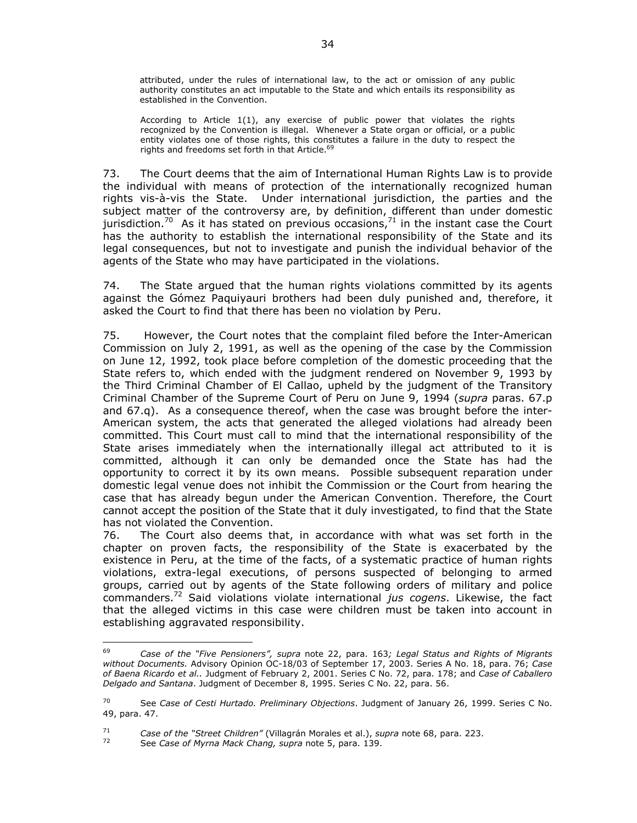attributed, under the rules of international law, to the act or omission of any public authority constitutes an act imputable to the State and which entails its responsibility as established in the Convention.

According to Article  $1(1)$ , any exercise of public power that violates the rights recognized by the Convention is illegal. Whenever a State organ or official, or a public entity violates one of those rights, this constitutes a failure in the duty to respect the rights and freedoms set forth in that Article.<sup>69</sup>

73. The Court deems that the aim of International Human Rights Law is to provide the individual with means of protection of the internationally recognized human rights vis-à-vis the State. Under international jurisdiction, the parties and the subject matter of the controversy are, by definition, different than under domestic jurisdiction.<sup>70</sup> As it has stated on previous occasions,<sup>71</sup> in the instant case the Court has the authority to establish the international responsibility of the State and its legal consequences, but not to investigate and punish the individual behavior of the agents of the State who may have participated in the violations.

74. The State argued that the human rights violations committed by its agents against the Gómez Paquiyauri brothers had been duly punished and, therefore, it asked the Court to find that there has been no violation by Peru.

75. However, the Court notes that the complaint filed before the Inter-American Commission on July 2, 1991, as well as the opening of the case by the Commission on June 12, 1992, took place before completion of the domestic proceeding that the State refers to, which ended with the judgment rendered on November 9, 1993 by the Third Criminal Chamber of El Callao, upheld by the judgment of the Transitory Criminal Chamber of the Supreme Court of Peru on June 9, 1994 (supra paras. 67.p and 67.q). As a consequence thereof, when the case was brought before the inter-American system, the acts that generated the alleged violations had already been committed. This Court must call to mind that the international responsibility of the State arises immediately when the internationally illegal act attributed to it is committed, although it can only be demanded once the State has had the opportunity to correct it by its own means. Possible subsequent reparation under domestic legal venue does not inhibit the Commission or the Court from hearing the case that has already begun under the American Convention. Therefore, the Court cannot accept the position of the State that it duly investigated, to find that the State has not violated the Convention.

76. The Court also deems that, in accordance with what was set forth in the chapter on proven facts, the responsibility of the State is exacerbated by the existence in Peru, at the time of the facts, of a systematic practice of human rights violations, extra-legal executions, of persons suspected of belonging to armed groups, carried out by agents of the State following orders of military and police commanders.<sup>72</sup> Said violations violate international *jus cogens*. Likewise, the fact that the alleged victims in this case were children must be taken into account in establishing aggravated responsibility.

l.

 $^{69}$  Case of the "Five Pensioners", supra note 22, para. 163; Legal Status and Rights of Migrants without Documents. Advisory Opinion OC-18/03 of September 17, 2003. Series A No. 18, para. 76; Case of Baena Ricardo et al.. Judgment of February 2, 2001. Series C No. 72, para. 178; and Case of Caballero Delgado and Santana. Judgment of December 8, 1995. Series C No. 22, para. 56.

<sup>&</sup>lt;sup>70</sup> See Case of Cesti Hurtado. Preliminary Objections. Judgment of January 26, 1999. Series C No. 49, para. 47.

<sup>71</sup> <sup>71</sup> Case of the "Street Children" (Villagrán Morales et al.), supra note 68, para. 223.

See Case of Myrna Mack Chang, supra note 5, para. 139.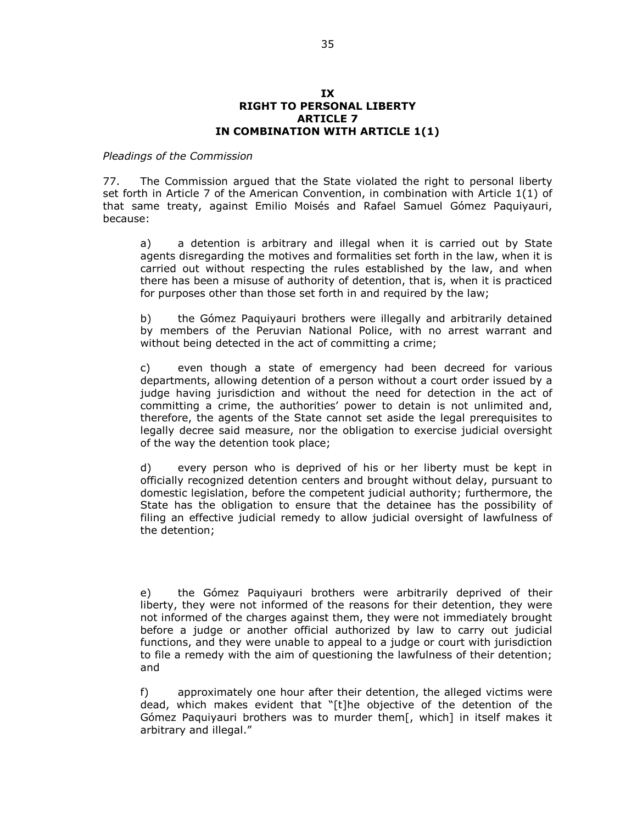#### IX RIGHT TO PERSONAL LIBERTY ARTICLE 7 IN COMBINATION WITH ARTICLE 1(1)

#### Pleadings of the Commission

77. The Commission argued that the State violated the right to personal liberty set forth in Article 7 of the American Convention, in combination with Article 1(1) of that same treaty, against Emilio Moisés and Rafael Samuel Gómez Paquiyauri, because:

a) a detention is arbitrary and illegal when it is carried out by State agents disregarding the motives and formalities set forth in the law, when it is carried out without respecting the rules established by the law, and when there has been a misuse of authority of detention, that is, when it is practiced for purposes other than those set forth in and required by the law;

b) the Gómez Paquiyauri brothers were illegally and arbitrarily detained by members of the Peruvian National Police, with no arrest warrant and without being detected in the act of committing a crime;

c) even though a state of emergency had been decreed for various departments, allowing detention of a person without a court order issued by a judge having jurisdiction and without the need for detection in the act of committing a crime, the authorities' power to detain is not unlimited and, therefore, the agents of the State cannot set aside the legal prerequisites to legally decree said measure, nor the obligation to exercise judicial oversight of the way the detention took place;

d) every person who is deprived of his or her liberty must be kept in officially recognized detention centers and brought without delay, pursuant to domestic legislation, before the competent judicial authority; furthermore, the State has the obligation to ensure that the detainee has the possibility of filing an effective judicial remedy to allow judicial oversight of lawfulness of the detention;

e) the Gómez Paquiyauri brothers were arbitrarily deprived of their liberty, they were not informed of the reasons for their detention, they were not informed of the charges against them, they were not immediately brought before a judge or another official authorized by law to carry out judicial functions, and they were unable to appeal to a judge or court with jurisdiction to file a remedy with the aim of questioning the lawfulness of their detention; and

f) approximately one hour after their detention, the alleged victims were dead, which makes evident that "[t]he objective of the detention of the Gómez Paquiyauri brothers was to murder them[, which] in itself makes it arbitrary and illegal."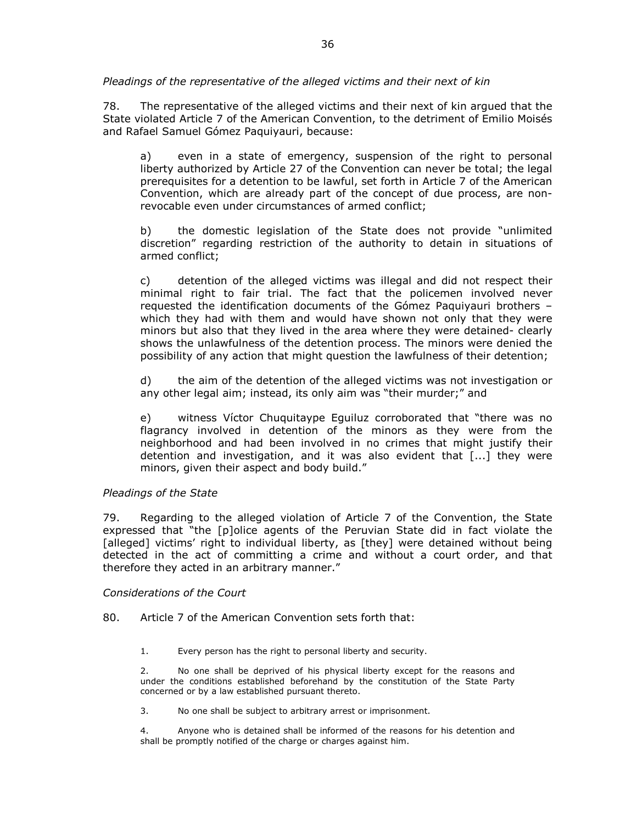Pleadings of the representative of the alleged victims and their next of kin

78. The representative of the alleged victims and their next of kin argued that the State violated Article 7 of the American Convention, to the detriment of Emilio Moisés and Rafael Samuel Gómez Paquiyauri, because:

a) even in a state of emergency, suspension of the right to personal liberty authorized by Article 27 of the Convention can never be total; the legal prerequisites for a detention to be lawful, set forth in Article 7 of the American Convention, which are already part of the concept of due process, are nonrevocable even under circumstances of armed conflict;

b) the domestic legislation of the State does not provide "unlimited discretion" regarding restriction of the authority to detain in situations of armed conflict;

c) detention of the alleged victims was illegal and did not respect their minimal right to fair trial. The fact that the policemen involved never requested the identification documents of the Gómez Paquiyauri brothers – which they had with them and would have shown not only that they were minors but also that they lived in the area where they were detained- clearly shows the unlawfulness of the detention process. The minors were denied the possibility of any action that might question the lawfulness of their detention;

d) the aim of the detention of the alleged victims was not investigation or any other legal aim; instead, its only aim was "their murder;" and

e) witness Víctor Chuquitaype Eguiluz corroborated that "there was no flagrancy involved in detention of the minors as they were from the neighborhood and had been involved in no crimes that might justify their detention and investigation, and it was also evident that [...] they were minors, given their aspect and body build."

# Pleadings of the State

79. Regarding to the alleged violation of Article 7 of the Convention, the State expressed that "the [p]olice agents of the Peruvian State did in fact violate the [alleged] victims' right to individual liberty, as [they] were detained without being detected in the act of committing a crime and without a court order, and that therefore they acted in an arbitrary manner."

#### Considerations of the Court

- 80. Article 7 of the American Convention sets forth that:
	- 1. Every person has the right to personal liberty and security.

2. No one shall be deprived of his physical liberty except for the reasons and under the conditions established beforehand by the constitution of the State Party concerned or by a law established pursuant thereto.

3. No one shall be subject to arbitrary arrest or imprisonment.

4. Anyone who is detained shall be informed of the reasons for his detention and shall be promptly notified of the charge or charges against him.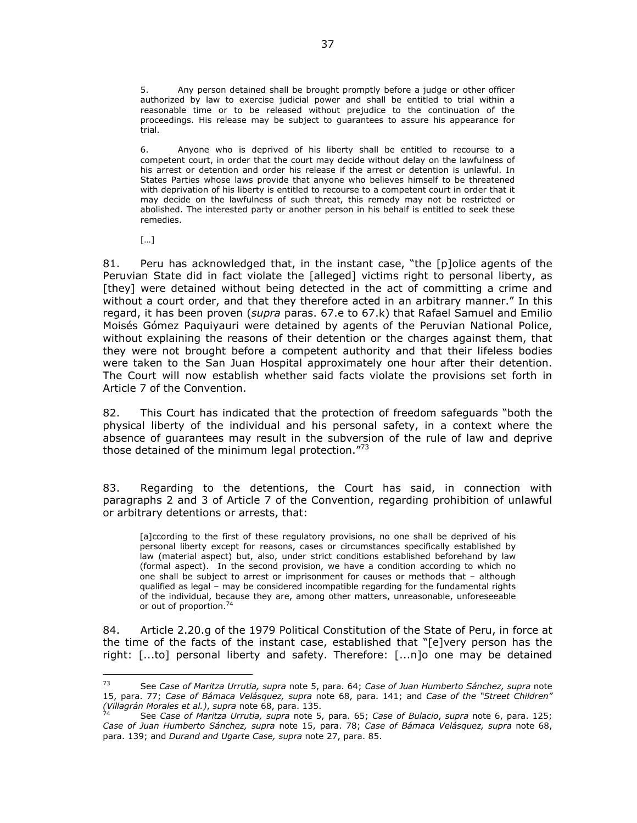Any person detained shall be brought promptly before a judge or other officer authorized by law to exercise judicial power and shall be entitled to trial within a reasonable time or to be released without prejudice to the continuation of the proceedings. His release may be subject to guarantees to assure his appearance for trial.

6. Anyone who is deprived of his liberty shall be entitled to recourse to a competent court, in order that the court may decide without delay on the lawfulness of his arrest or detention and order his release if the arrest or detention is unlawful. In States Parties whose laws provide that anyone who believes himself to be threatened with deprivation of his liberty is entitled to recourse to a competent court in order that it may decide on the lawfulness of such threat, this remedy may not be restricted or abolished. The interested party or another person in his behalf is entitled to seek these remedies.

[…]

81. Peru has acknowledged that, in the instant case, "the [p]olice agents of the Peruvian State did in fact violate the [alleged] victims right to personal liberty, as [they] were detained without being detected in the act of committing a crime and without a court order, and that they therefore acted in an arbitrary manner." In this regard, it has been proven (supra paras. 67.e to 67.k) that Rafael Samuel and Emilio Moisés Gómez Paquiyauri were detained by agents of the Peruvian National Police, without explaining the reasons of their detention or the charges against them, that they were not brought before a competent authority and that their lifeless bodies were taken to the San Juan Hospital approximately one hour after their detention. The Court will now establish whether said facts violate the provisions set forth in Article 7 of the Convention.

82. This Court has indicated that the protection of freedom safeguards "both the physical liberty of the individual and his personal safety, in a context where the absence of guarantees may result in the subversion of the rule of law and deprive those detained of the minimum legal protection."<sup>73</sup>

83. Regarding to the detentions, the Court has said, in connection with paragraphs 2 and 3 of Article 7 of the Convention, regarding prohibition of unlawful or arbitrary detentions or arrests, that:

[a]ccording to the first of these regulatory provisions, no one shall be deprived of his personal liberty except for reasons, cases or circumstances specifically established by law (material aspect) but, also, under strict conditions established beforehand by law (formal aspect). In the second provision, we have a condition according to which no one shall be subject to arrest or imprisonment for causes or methods that – although qualified as legal – may be considered incompatible regarding for the fundamental rights of the individual, because they are, among other matters, unreasonable, unforeseeable or out of proportion.<sup>74</sup>

84. Article 2.20.g of the 1979 Political Constitution of the State of Peru, in force at the time of the facts of the instant case, established that "[e]very person has the right: [...to] personal liberty and safety. Therefore: [...n]o one may be detained

 $73$  See Case of Maritza Urrutia, supra note 5, para. 64; Case of Juan Humberto Sánchez, supra note 15, para. 77; Case of Bámaca Velásquez, supra note 68, para. 141; and Case of the "Street Children" (Villagrán Morales et al.), supra note 68, para. 135.

See Case of Maritza Urrutia, supra note 5, para. 65; Case of Bulacio, supra note 6, para. 125; Case of Juan Humberto Sánchez, supra note 15, para. 78; Case of Bámaca Velásquez, supra note 68, para. 139; and Durand and Ugarte Case, supra note 27, para. 85.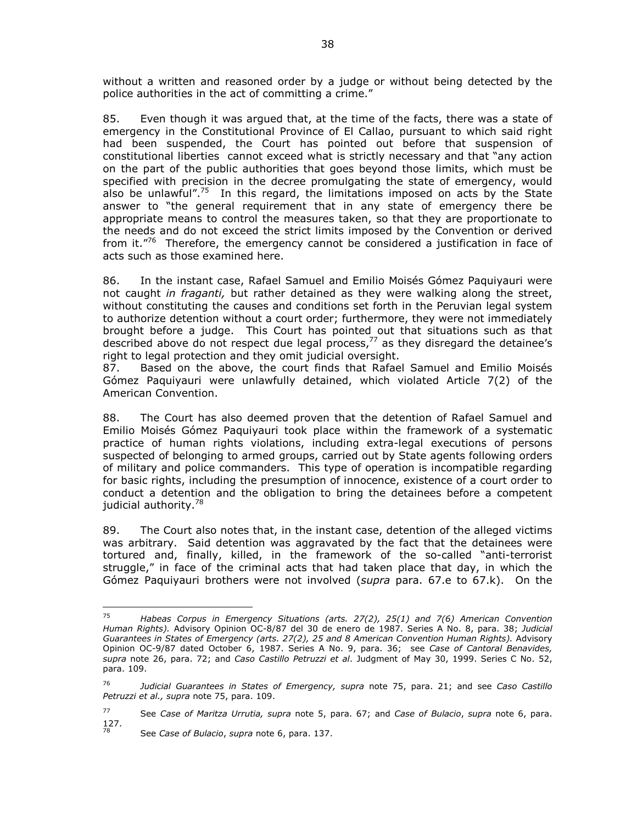without a written and reasoned order by a judge or without being detected by the police authorities in the act of committing a crime."

85. Even though it was argued that, at the time of the facts, there was a state of emergency in the Constitutional Province of El Callao, pursuant to which said right had been suspended, the Court has pointed out before that suspension of constitutional liberties cannot exceed what is strictly necessary and that "any action on the part of the public authorities that goes beyond those limits, which must be specified with precision in the decree promulgating the state of emergency, would also be unlawful".<sup>75</sup> In this regard, the limitations imposed on acts by the State answer to "the general requirement that in any state of emergency there be appropriate means to control the measures taken, so that they are proportionate to the needs and do not exceed the strict limits imposed by the Convention or derived from it. $176$  Therefore, the emergency cannot be considered a justification in face of acts such as those examined here.

86. In the instant case, Rafael Samuel and Emilio Moisés Gómez Paquiyauri were not caught in fraganti, but rather detained as they were walking along the street, without constituting the causes and conditions set forth in the Peruvian legal system to authorize detention without a court order; furthermore, they were not immediately brought before a judge. This Court has pointed out that situations such as that described above do not respect due legal process, $77$  as they disregard the detainee's right to legal protection and they omit judicial oversight.

87. Based on the above, the court finds that Rafael Samuel and Emilio Moisés Gómez Paquiyauri were unlawfully detained, which violated Article 7(2) of the American Convention.

88. The Court has also deemed proven that the detention of Rafael Samuel and Emilio Moisés Gómez Paquiyauri took place within the framework of a systematic practice of human rights violations, including extra-legal executions of persons suspected of belonging to armed groups, carried out by State agents following orders of military and police commanders. This type of operation is incompatible regarding for basic rights, including the presumption of innocence, existence of a court order to conduct a detention and the obligation to bring the detainees before a competent judicial authority.<sup>78</sup>

89. The Court also notes that, in the instant case, detention of the alleged victims was arbitrary. Said detention was aggravated by the fact that the detainees were tortured and, finally, killed, in the framework of the so-called "anti-terrorist struggle," in face of the criminal acts that had taken place that day, in which the Gómez Paquiyauri brothers were not involved (supra para. 67.e to 67.k). On the

<sup>&</sup>lt;sup>75</sup> Habeas Corpus in Emergency Situations (arts. 27(2), 25(1) and 7(6) American Convention Human Rights). Advisory Opinion OC-8/87 del 30 de enero de 1987. Series A No. 8, para. 38; Judicial Guarantees in States of Emergency (arts. 27(2), 25 and 8 American Convention Human Rights). Advisory Opinion OC-9/87 dated October 6, 1987. Series A No. 9, para. 36; see Case of Cantoral Benavides, supra note 26, para. 72; and Caso Castillo Petruzzi et al. Judgment of May 30, 1999. Series C No. 52, para. 109.

 $76$  Judicial Guarantees in States of Emergency, supra note 75, para. 21; and see Caso Castillo Petruzzi et al., supra note 75, para. 109.

<sup>77</sup> See Case of Maritza Urrutia, supra note 5, para. 67; and Case of Bulacio, supra note 6, para.  $\frac{127}{78}$ .

See Case of Bulacio, supra note 6, para. 137.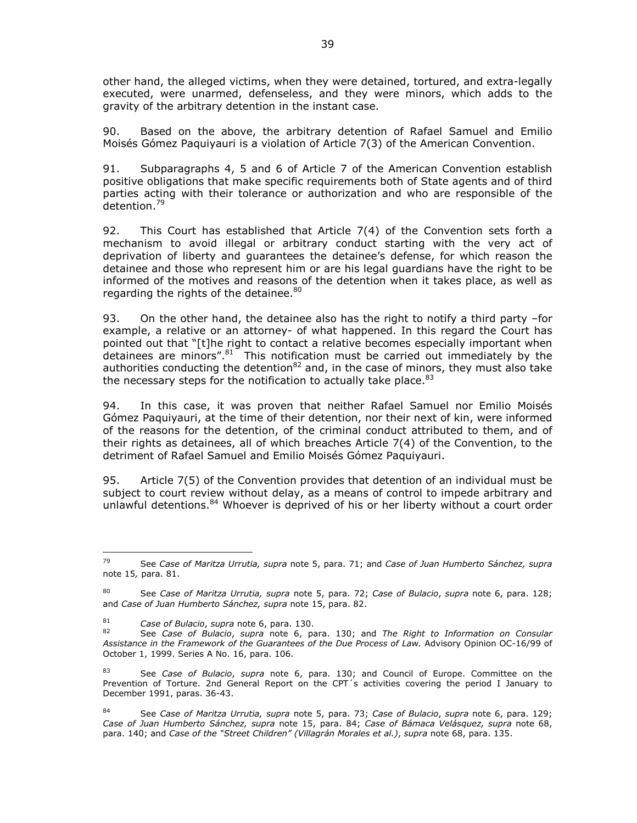other hand, the alleged victims, when they were detained, tortured, and extra-legally executed, were unarmed, defenseless, and they were minors, which adds to the gravity of the arbitrary detention in the instant case.

90. Based on the above, the arbitrary detention of Rafael Samuel and Emilio Moisés Gómez Paquiyauri is a violation of Article 7(3) of the American Convention.

91. Subparagraphs 4, 5 and 6 of Article 7 of the American Convention establish positive obligations that make specific requirements both of State agents and of third parties acting with their tolerance or authorization and who are responsible of the detention.<sup>79</sup>

92. This Court has established that Article 7(4) of the Convention sets forth a mechanism to avoid illegal or arbitrary conduct starting with the very act of deprivation of liberty and guarantees the detainee's defense, for which reason the detainee and those who represent him or are his legal guardians have the right to be informed of the motives and reasons of the detention when it takes place, as well as regarding the rights of the detainee.<sup>80</sup>

93. On the other hand, the detainee also has the right to notify a third party –for example, a relative or an attorney- of what happened. In this regard the Court has pointed out that "[t]he right to contact a relative becomes especially important when detainees are minors". $81$ <sup>\*</sup> This notification must be carried out immediately by the authorities conducting the detention $82$  and, in the case of minors, they must also take the necessary steps for the notification to actually take place. $83$ 

94. In this case, it was proven that neither Rafael Samuel nor Emilio Moisés Gómez Paquiyauri, at the time of their detention, nor their next of kin, were informed of the reasons for the detention, of the criminal conduct attributed to them, and of their rights as detainees, all of which breaches Article 7(4) of the Convention, to the detriment of Rafael Samuel and Emilio Moisés Gómez Paquiyauri.

95. Article 7(5) of the Convention provides that detention of an individual must be subject to court review without delay, as a means of control to impede arbitrary and unlawful detentions.  $84$  Whoever is deprived of his or her liberty without a court order

l,

<sup>&</sup>lt;sup>79</sup> See Case of Maritza Urrutia, supra note 5, para. 71; and Case of Juan Humberto Sánchez, supra note 15, para. 81.

<sup>&</sup>lt;sup>80</sup> See Case of Maritza Urrutia, supra note 5, para. 72; Case of Bulacio, supra note 6, para. 128; and Case of Juan Humberto Sánchez, supra note 15, para. 82.

 $^{81}$  Case of Bulacio, supra note 6, para. 130.

See Case of Bulacio, supra note 6, para. 130; and The Right to Information on Consular Assistance in the Framework of the Guarantees of the Due Process of Law. Advisory Opinion OC-16/99 of October 1, 1999. Series A No. 16, para. 106.

<sup>&</sup>lt;sup>83</sup> See Case of Bulacio, supra note 6, para. 130; and Council of Europe. Committee on the Prevention of Torture. 2nd General Report on the CPT´s activities covering the period I January to December 1991, paras. 36-43.

See Case of Maritza Urrutia, supra note 5, para. 73; Case of Bulacio, supra note 6, para. 129; Case of Juan Humberto Sánchez, supra note 15, para. 84; Case of Bámaca Velásquez, supra note 68, para. 140; and Case of the "Street Children" (Villagrán Morales et al.), supra note 68, para. 135.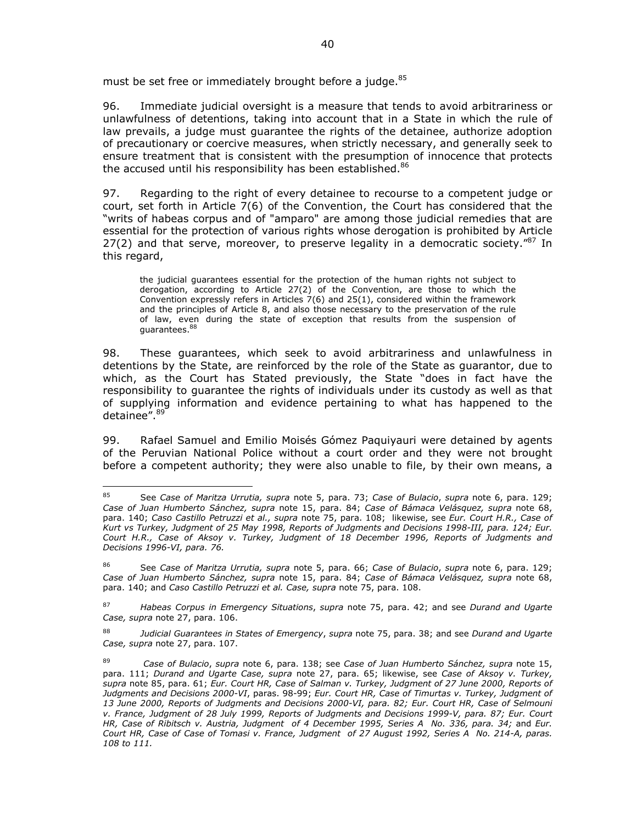must be set free or immediately brought before a judge.<sup>85</sup>

96. Immediate judicial oversight is a measure that tends to avoid arbitrariness or unlawfulness of detentions, taking into account that in a State in which the rule of law prevails, a judge must guarantee the rights of the detainee, authorize adoption of precautionary or coercive measures, when strictly necessary, and generally seek to ensure treatment that is consistent with the presumption of innocence that protects the accused until his responsibility has been established.<sup>86</sup>

97. Regarding to the right of every detainee to recourse to a competent judge or court, set forth in Article 7(6) of the Convention, the Court has considered that the "writs of habeas corpus and of "amparo" are among those judicial remedies that are essential for the protection of various rights whose derogation is prohibited by Article 27(2) and that serve, moreover, to preserve legality in a democratic society." $87$  In this regard,

the judicial guarantees essential for the protection of the human rights not subject to derogation, according to Article 27(2) of the Convention, are those to which the Convention expressly refers in Articles 7(6) and 25(1), considered within the framework and the principles of Article 8, and also those necessary to the preservation of the rule of law, even during the state of exception that results from the suspension of guarantees.<sup>88</sup>

98. These guarantees, which seek to avoid arbitrariness and unlawfulness in detentions by the State, are reinforced by the role of the State as guarantor, due to which, as the Court has Stated previously, the State "does in fact have the responsibility to guarantee the rights of individuals under its custody as well as that of supplying information and evidence pertaining to what has happened to the detainee".<sup>89</sup>

99. Rafael Samuel and Emilio Moisés Gómez Paquiyauri were detained by agents of the Peruvian National Police without a court order and they were not brought before a competent authority; they were also unable to file, by their own means, a

<sup>&</sup>lt;sup>85</sup> See Case of Maritza Urrutia, supra note 5, para. 73; Case of Bulacio, supra note 6, para. 129; Case of Juan Humberto Sánchez, supra note 15, para. 84; Case of Bámaca Velásquez, supra note 68, para. 140; Caso Castillo Petruzzi et al., supra note 75, para. 108; likewise, see Eur. Court H.R., Case of Kurt vs Turkey, Judgment of 25 May 1998, Reports of Judgments and Decisions 1998-III, para. 124; Eur. Court H.R., Case of Aksoy v. Turkey, Judgment of 18 December 1996, Reports of Judgments and Decisions 1996-VI, para. 76.

See Case of Maritza Urrutia, supra note 5, para. 66; Case of Bulacio, supra note 6, para. 129; Case of Juan Humberto Sánchez, supra note 15, para. 84; Case of Bámaca Velásquez, supra note 68, para. 140; and Caso Castillo Petruzzi et al. Case, supra note 75, para. 108.

<sup>87</sup> Habeas Corpus in Emergency Situations, supra note 75, para. 42; and see Durand and Ugarte Case, supra note 27, para. 106.

Judicial Guarantees in States of Emergency, supra note 75, para. 38; and see Durand and Ugarte Case, supra note 27, para. 107.

 $89$  Case of Bulacio, supra note 6, para. 138; see Case of Juan Humberto Sánchez, supra note 15, para. 111; Durand and Ugarte Case, supra note 27, para. 65; likewise, see Case of Aksoy v. Turkey, supra note 85, para. 61; Eur. Court HR, Case of Salman v. Turkey, Judgment of 27 June 2000, Reports of Judgments and Decisions 2000-VI, paras. 98-99; Eur. Court HR, Case of Timurtas v. Turkey, Judgment of 13 June 2000, Reports of Judgments and Decisions 2000-VI, para. 82; Eur. Court HR, Case of Selmouni v. France, Judgment of 28 July 1999, Reports of Judgments and Decisions 1999-V, para. 87; Eur. Court HR, Case of Ribitsch v. Austria, Judgment of 4 December 1995, Series A No. 336, para. 34; and Eur. Court HR, Case of Case of Tomasi v. France, Judgment of 27 August 1992, Series A No. 214-A, paras. 108 to 111.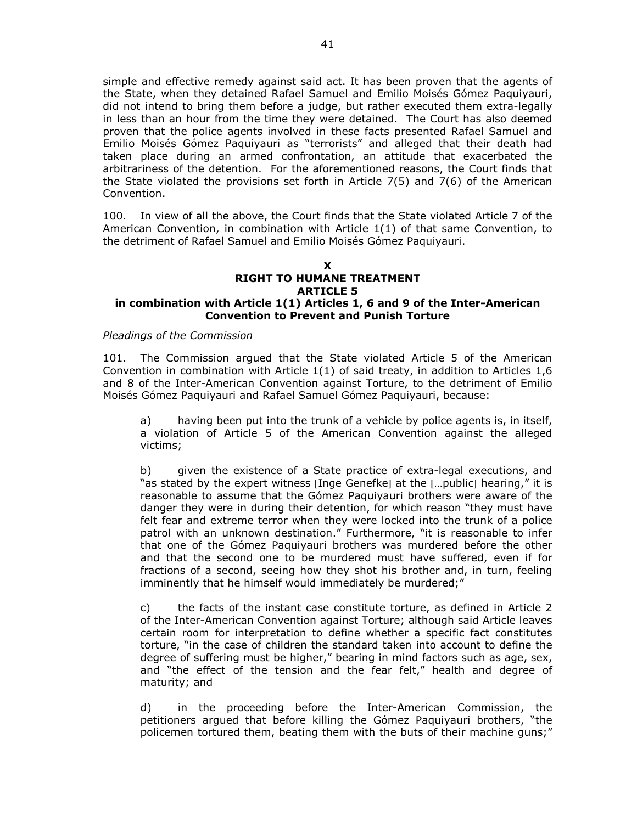simple and effective remedy against said act. It has been proven that the agents of the State, when they detained Rafael Samuel and Emilio Moisés Gómez Paquiyauri, did not intend to bring them before a judge, but rather executed them extra-legally in less than an hour from the time they were detained. The Court has also deemed proven that the police agents involved in these facts presented Rafael Samuel and Emilio Moisés Gómez Paquiyauri as "terrorists" and alleged that their death had taken place during an armed confrontation, an attitude that exacerbated the arbitrariness of the detention. For the aforementioned reasons, the Court finds that the State violated the provisions set forth in Article 7(5) and 7(6) of the American Convention.

100. In view of all the above, the Court finds that the State violated Article 7 of the American Convention, in combination with Article 1(1) of that same Convention, to the detriment of Rafael Samuel and Emilio Moisés Gómez Paquiyauri.

## X RIGHT TO HUMANE TREATMENT ARTICLE 5 in combination with Article 1(1) Articles 1, 6 and 9 of the Inter-American Convention to Prevent and Punish Torture

## Pleadings of the Commission

101. The Commission argued that the State violated Article 5 of the American Convention in combination with Article  $1(1)$  of said treaty, in addition to Articles 1,6 and 8 of the Inter-American Convention against Torture, to the detriment of Emilio Moisés Gómez Paquiyauri and Rafael Samuel Gómez Paquiyauri, because:

a) having been put into the trunk of a vehicle by police agents is, in itself, a violation of Article 5 of the American Convention against the alleged victims;

b) given the existence of a State practice of extra-legal executions, and "as stated by the expert witness [Inge Genefke] at the […public] hearing," it is reasonable to assume that the Gómez Paquiyauri brothers were aware of the danger they were in during their detention, for which reason "they must have felt fear and extreme terror when they were locked into the trunk of a police patrol with an unknown destination." Furthermore, "it is reasonable to infer that one of the Gómez Paquiyauri brothers was murdered before the other and that the second one to be murdered must have suffered, even if for fractions of a second, seeing how they shot his brother and, in turn, feeling imminently that he himself would immediately be murdered;"

c) the facts of the instant case constitute torture, as defined in Article 2 of the Inter-American Convention against Torture; although said Article leaves certain room for interpretation to define whether a specific fact constitutes torture, "in the case of children the standard taken into account to define the degree of suffering must be higher," bearing in mind factors such as age, sex, and "the effect of the tension and the fear felt," health and degree of maturity; and

d) in the proceeding before the Inter-American Commission, the petitioners argued that before killing the Gómez Paquiyauri brothers, "the policemen tortured them, beating them with the buts of their machine guns;"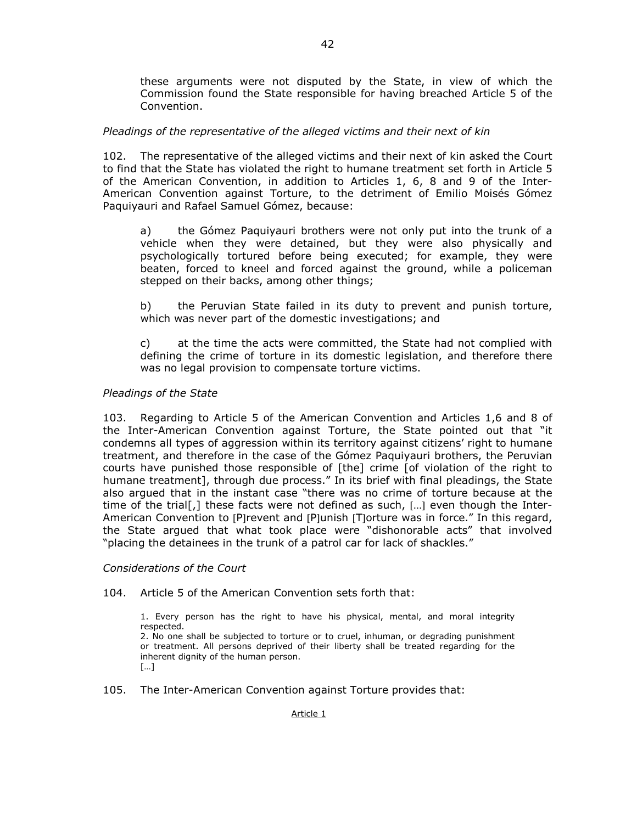these arguments were not disputed by the State, in view of which the Commission found the State responsible for having breached Article 5 of the Convention.

# Pleadings of the representative of the alleged victims and their next of kin

102. The representative of the alleged victims and their next of kin asked the Court to find that the State has violated the right to humane treatment set forth in Article 5 of the American Convention, in addition to Articles 1, 6, 8 and 9 of the Inter-American Convention against Torture, to the detriment of Emilio Moisés Gómez Paquiyauri and Rafael Samuel Gómez, because:

a) the Gómez Paquiyauri brothers were not only put into the trunk of a vehicle when they were detained, but they were also physically and psychologically tortured before being executed; for example, they were beaten, forced to kneel and forced against the ground, while a policeman stepped on their backs, among other things;

b) the Peruvian State failed in its duty to prevent and punish torture, which was never part of the domestic investigations; and

c) at the time the acts were committed, the State had not complied with defining the crime of torture in its domestic legislation, and therefore there was no legal provision to compensate torture victims.

## Pleadings of the State

103. Regarding to Article 5 of the American Convention and Articles 1,6 and 8 of the Inter-American Convention against Torture, the State pointed out that "it condemns all types of aggression within its territory against citizens' right to humane treatment, and therefore in the case of the Gómez Paquiyauri brothers, the Peruvian courts have punished those responsible of [the] crime [of violation of the right to humane treatment], through due process." In its brief with final pleadings, the State also argued that in the instant case "there was no crime of torture because at the time of the trial[,] these facts were not defined as such, […] even though the Inter-American Convention to [P]revent and [P]unish [T]orture was in force." In this regard, the State argued that what took place were "dishonorable acts" that involved "placing the detainees in the trunk of a patrol car for lack of shackles."

### Considerations of the Court

### 104. Article 5 of the American Convention sets forth that:

1. Every person has the right to have his physical, mental, and moral integrity respected.

2. No one shall be subjected to torture or to cruel, inhuman, or degrading punishment or treatment. All persons deprived of their liberty shall be treated regarding for the inherent dignity of the human person. […]

105. The Inter-American Convention against Torture provides that:

### Article 1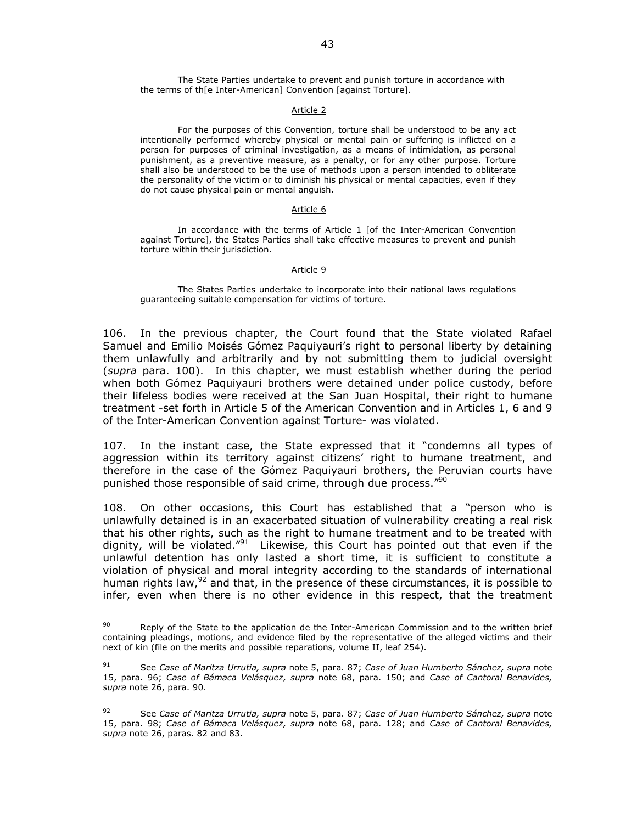#### Article 2

For the purposes of this Convention, torture shall be understood to be any act intentionally performed whereby physical or mental pain or suffering is inflicted on a person for purposes of criminal investigation, as a means of intimidation, as personal punishment, as a preventive measure, as a penalty, or for any other purpose. Torture shall also be understood to be the use of methods upon a person intended to obliterate the personality of the victim or to diminish his physical or mental capacities, even if they do not cause physical pain or mental anguish.

#### Article 6

In accordance with the terms of Article 1 [of the Inter-American Convention against Torture], the States Parties shall take effective measures to prevent and punish torture within their jurisdiction.

#### Article 9

The States Parties undertake to incorporate into their national laws regulations guaranteeing suitable compensation for victims of torture.

106. In the previous chapter, the Court found that the State violated Rafael Samuel and Emilio Moisés Gómez Paquiyauri's right to personal liberty by detaining them unlawfully and arbitrarily and by not submitting them to judicial oversight (supra para. 100). In this chapter, we must establish whether during the period when both Gómez Paquiyauri brothers were detained under police custody, before their lifeless bodies were received at the San Juan Hospital, their right to humane treatment -set forth in Article 5 of the American Convention and in Articles 1, 6 and 9 of the Inter-American Convention against Torture- was violated.

107. In the instant case, the State expressed that it "condemns all types of aggression within its territory against citizens' right to humane treatment, and therefore in the case of the Gómez Paquiyauri brothers, the Peruvian courts have punished those responsible of said crime, through due process."<sup>90</sup>

108. On other occasions, this Court has established that a "person who is unlawfully detained is in an exacerbated situation of vulnerability creating a real risk that his other rights, such as the right to humane treatment and to be treated with dignity, will be violated."<sup>91</sup> Likewise, this Court has pointed out that even if the unlawful detention has only lasted a short time, it is sufficient to constitute a violation of physical and moral integrity according to the standards of international human rights law, $92$  and that, in the presence of these circumstances, it is possible to infer, even when there is no other evidence in this respect, that the treatment

<sup>90</sup> Reply of the State to the application de the Inter-American Commission and to the written brief containing pleadings, motions, and evidence filed by the representative of the alleged victims and their next of kin (file on the merits and possible reparations, volume II, leaf 254).

<sup>&</sup>lt;sup>91</sup> See Case of Maritza Urrutia, supra note 5, para. 87; Case of Juan Humberto Sánchez, supra note 15, para. 96; Case of Bámaca Velásquez, supra note 68, para. 150; and Case of Cantoral Benavides, supra note 26, para. 90.

<sup>92</sup> See Case of Maritza Urrutia, supra note 5, para. 87; Case of Juan Humberto Sánchez, supra note 15, para. 98; Case of Bámaca Velásquez, supra note 68, para. 128; and Case of Cantoral Benavides, supra note 26, paras. 82 and 83.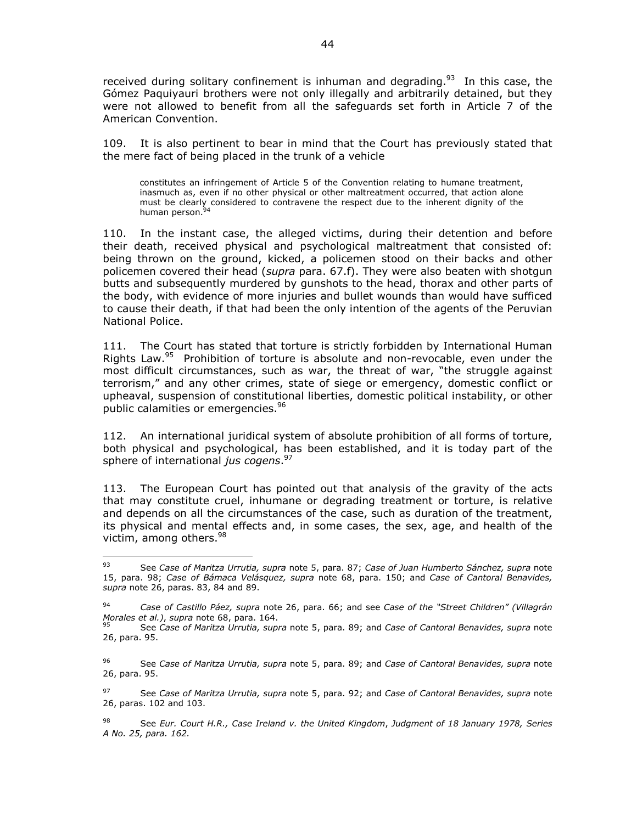received during solitary confinement is inhuman and degrading.<sup>93</sup> In this case, the Gómez Paquiyauri brothers were not only illegally and arbitrarily detained, but they were not allowed to benefit from all the safeguards set forth in Article 7 of the American Convention.

109. It is also pertinent to bear in mind that the Court has previously stated that the mere fact of being placed in the trunk of a vehicle

constitutes an infringement of Article 5 of the Convention relating to humane treatment, inasmuch as, even if no other physical or other maltreatment occurred, that action alone must be clearly considered to contravene the respect due to the inherent dignity of the human person.

110. In the instant case, the alleged victims, during their detention and before their death, received physical and psychological maltreatment that consisted of: being thrown on the ground, kicked, a policemen stood on their backs and other policemen covered their head (supra para. 67.f). They were also beaten with shotgun butts and subsequently murdered by gunshots to the head, thorax and other parts of the body, with evidence of more injuries and bullet wounds than would have sufficed to cause their death, if that had been the only intention of the agents of the Peruvian National Police.

111. The Court has stated that torture is strictly forbidden by International Human Rights Law.<sup>95</sup> Prohibition of torture is absolute and non-revocable, even under the most difficult circumstances, such as war, the threat of war, "the struggle against terrorism," and any other crimes, state of siege or emergency, domestic conflict or upheaval, suspension of constitutional liberties, domestic political instability, or other public calamities or emergencies.<sup>96</sup>

112. An international juridical system of absolute prohibition of all forms of torture, both physical and psychological, has been established, and it is today part of the sphere of international *jus cogens*.<sup>97</sup>

113. The European Court has pointed out that analysis of the gravity of the acts that may constitute cruel, inhumane or degrading treatment or torture, is relative and depends on all the circumstances of the case, such as duration of the treatment, its physical and mental effects and, in some cases, the sex, age, and health of the victim, among others.<sup>98</sup>

See Case of Maritza Urrutia, supra note 5, para. 87; Case of Juan Humberto Sánchez, supra note 15, para. 98; Case of Bámaca Velásquez, supra note 68, para. 150; and Case of Cantoral Benavides, supra note 26, paras. 83, 84 and 89.

<sup>94</sup> Case of Castillo Páez, supra note 26, para. 66; and see Case of the "Street Children" (Villagrán Morales et al.), supra note 68, para. 164.

See Case of Maritza Urrutia, supra note 5, para. 89; and Case of Cantoral Benavides, supra note 26, para. 95.

<sup>96</sup> See Case of Maritza Urrutia, supra note 5, para. 89; and Case of Cantoral Benavides, supra note 26, para. 95.

<sup>97</sup> See Case of Maritza Urrutia, supra note 5, para. 92; and Case of Cantoral Benavides, supra note 26, paras. 102 and 103.

<sup>98</sup> See Eur. Court H.R., Case Ireland v. the United Kingdom, Judgment of 18 January 1978, Series A No. 25, para. 162.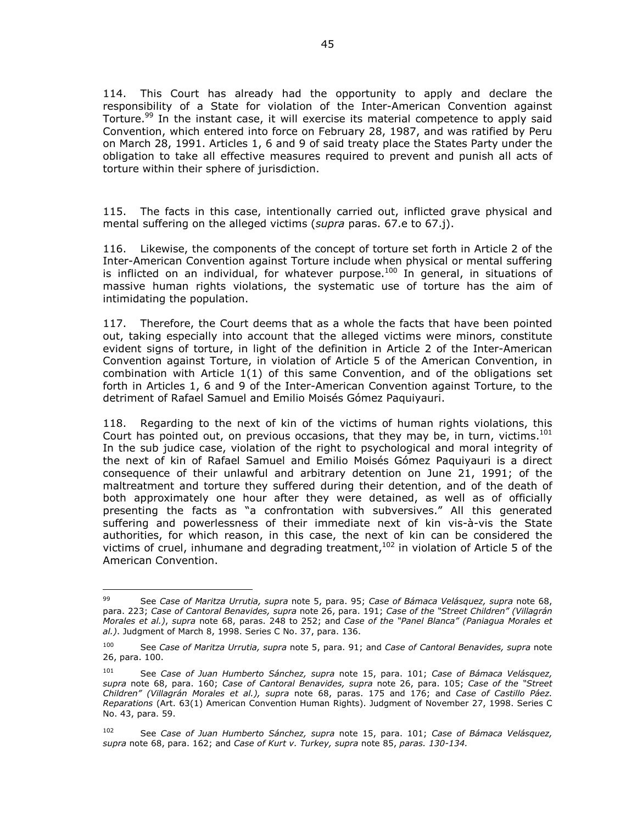114. This Court has already had the opportunity to apply and declare the responsibility of a State for violation of the Inter-American Convention against Torture.<sup>99</sup> In the instant case, it will exercise its material competence to apply said Convention, which entered into force on February 28, 1987, and was ratified by Peru on March 28, 1991. Articles 1, 6 and 9 of said treaty place the States Party under the obligation to take all effective measures required to prevent and punish all acts of torture within their sphere of jurisdiction.

115. The facts in this case, intentionally carried out, inflicted grave physical and mental suffering on the alleged victims (supra paras. 67.e to 67.j).

116. Likewise, the components of the concept of torture set forth in Article 2 of the Inter-American Convention against Torture include when physical or mental suffering is inflicted on an individual, for whatever purpose.<sup>100</sup> In general, in situations of massive human rights violations, the systematic use of torture has the aim of intimidating the population.

117. Therefore, the Court deems that as a whole the facts that have been pointed out, taking especially into account that the alleged victims were minors, constitute evident signs of torture, in light of the definition in Article 2 of the Inter-American Convention against Torture, in violation of Article 5 of the American Convention, in combination with Article 1(1) of this same Convention, and of the obligations set forth in Articles 1, 6 and 9 of the Inter-American Convention against Torture, to the detriment of Rafael Samuel and Emilio Moisés Gómez Paquiyauri.

118. Regarding to the next of kin of the victims of human rights violations, this Court has pointed out, on previous occasions, that they may be, in turn, victims.<sup>101</sup> In the sub judice case, violation of the right to psychological and moral integrity of the next of kin of Rafael Samuel and Emilio Moisés Gómez Paquiyauri is a direct consequence of their unlawful and arbitrary detention on June 21, 1991; of the maltreatment and torture they suffered during their detention, and of the death of both approximately one hour after they were detained, as well as of officially presenting the facts as "a confrontation with subversives." All this generated suffering and powerlessness of their immediate next of kin vis-à-vis the State authorities, for which reason, in this case, the next of kin can be considered the victims of cruel, inhumane and degrading treatment, $102$  in violation of Article 5 of the American Convention.

l,

<sup>99</sup> See Case of Maritza Urrutia, supra note 5, para. 95; Case of Bámaca Velásquez, supra note 68, para. 223; Case of Cantoral Benavides, supra note 26, para. 191; Case of the "Street Children" (Villagrán Morales et al.), supra note 68, paras. 248 to 252; and Case of the "Panel Blanca" (Paniagua Morales et al.). Judgment of March 8, 1998. Series C No. 37, para. 136.

<sup>&</sup>lt;sup>100</sup> See Case of Maritza Urrutia, supra note 5, para. 91; and Case of Cantoral Benavides, supra note 26, para. 100.

<sup>&</sup>lt;sup>101</sup> See Case of Juan Humberto Sánchez, supra note 15, para. 101; Case of Bámaca Velásquez, supra note 68, para. 160; Case of Cantoral Benavides, supra note 26, para. 105; Case of the "Street Children" (Villagrán Morales et al.), supra note 68, paras. 175 and 176; and Case of Castillo Páez. Reparations (Art. 63(1) American Convention Human Rights). Judgment of November 27, 1998. Series C No. 43, para. 59.

<sup>&</sup>lt;sup>102</sup> See Case of Juan Humberto Sánchez, supra note 15, para. 101; Case of Bámaca Velásquez, supra note 68, para. 162; and Case of Kurt v. Turkey, supra note 85, paras. 130-134.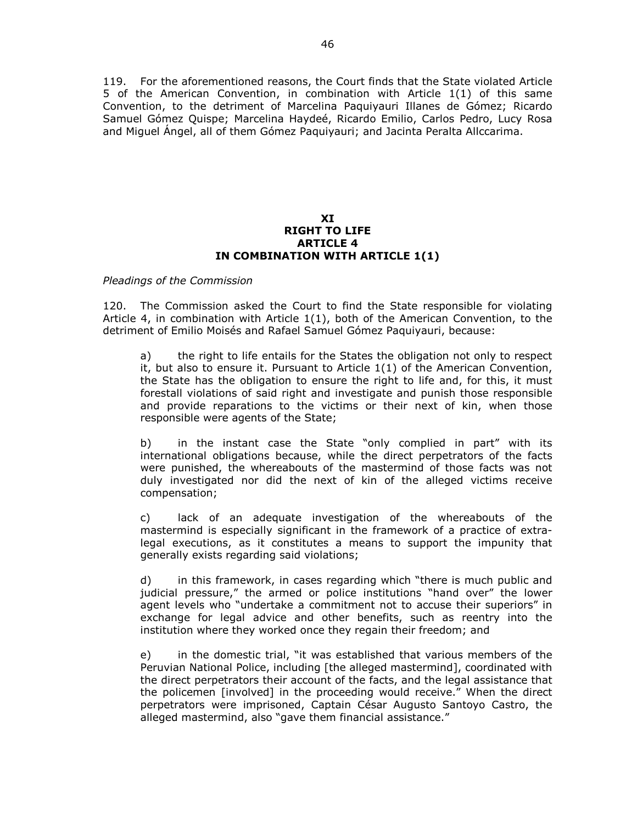119. For the aforementioned reasons, the Court finds that the State violated Article 5 of the American Convention, in combination with Article 1(1) of this same Convention, to the detriment of Marcelina Paquiyauri Illanes de Gómez; Ricardo Samuel Gómez Quispe; Marcelina Haydeé, Ricardo Emilio, Carlos Pedro, Lucy Rosa and Miguel Ángel, all of them Gómez Paquiyauri; and Jacinta Peralta Allccarima.

### XI RIGHT TO LIFE ARTICLE 4 IN COMBINATION WITH ARTICLE 1(1)

### Pleadings of the Commission

120. The Commission asked the Court to find the State responsible for violating Article 4, in combination with Article 1(1), both of the American Convention, to the detriment of Emilio Moisés and Rafael Samuel Gómez Paquiyauri, because:

a) the right to life entails for the States the obligation not only to respect it, but also to ensure it. Pursuant to Article 1(1) of the American Convention, the State has the obligation to ensure the right to life and, for this, it must forestall violations of said right and investigate and punish those responsible and provide reparations to the victims or their next of kin, when those responsible were agents of the State;

b) in the instant case the State "only complied in part" with its international obligations because, while the direct perpetrators of the facts were punished, the whereabouts of the mastermind of those facts was not duly investigated nor did the next of kin of the alleged victims receive compensation;

c) lack of an adequate investigation of the whereabouts of the mastermind is especially significant in the framework of a practice of extralegal executions, as it constitutes a means to support the impunity that generally exists regarding said violations;

d) in this framework, in cases regarding which "there is much public and judicial pressure," the armed or police institutions "hand over" the lower agent levels who "undertake a commitment not to accuse their superiors" in exchange for legal advice and other benefits, such as reentry into the institution where they worked once they regain their freedom; and

e) in the domestic trial, "it was established that various members of the Peruvian National Police, including [the alleged mastermind], coordinated with the direct perpetrators their account of the facts, and the legal assistance that the policemen [involved] in the proceeding would receive." When the direct perpetrators were imprisoned, Captain César Augusto Santoyo Castro, the alleged mastermind, also "gave them financial assistance."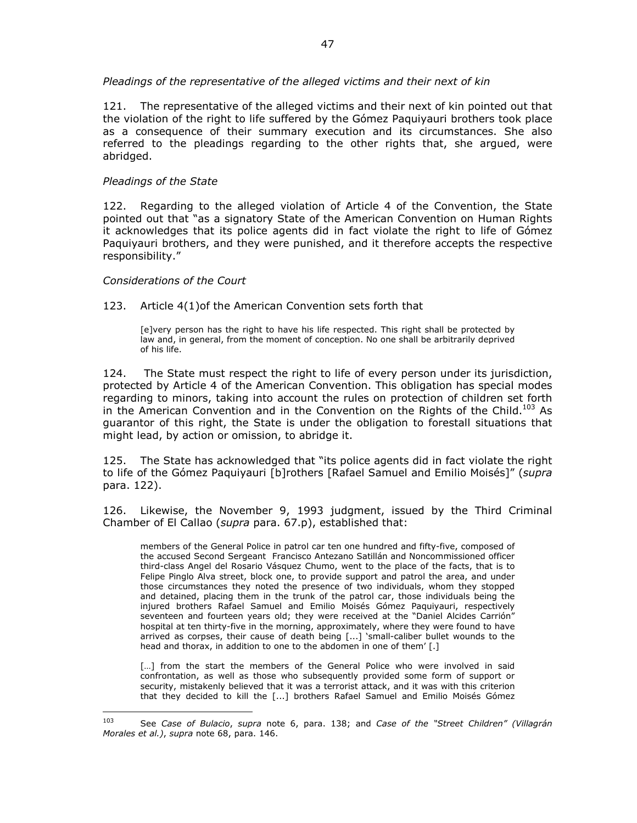## Pleadings of the representative of the alleged victims and their next of kin

121. The representative of the alleged victims and their next of kin pointed out that the violation of the right to life suffered by the Gómez Paquiyauri brothers took place as a consequence of their summary execution and its circumstances. She also referred to the pleadings regarding to the other rights that, she argued, were abridged.

## Pleadings of the State

122. Regarding to the alleged violation of Article 4 of the Convention, the State pointed out that "as a signatory State of the American Convention on Human Rights it acknowledges that its police agents did in fact violate the right to life of Gómez Paquiyauri brothers, and they were punished, and it therefore accepts the respective responsibility."

## Considerations of the Court

## 123. Article 4(1)of the American Convention sets forth that

[e]very person has the right to have his life respected. This right shall be protected by law and, in general, from the moment of conception. No one shall be arbitrarily deprived of his life.

124. The State must respect the right to life of every person under its jurisdiction, protected by Article 4 of the American Convention. This obligation has special modes regarding to minors, taking into account the rules on protection of children set forth in the American Convention and in the Convention on the Rights of the Child.<sup>103</sup> As guarantor of this right, the State is under the obligation to forestall situations that might lead, by action or omission, to abridge it.

125. The State has acknowledged that "its police agents did in fact violate the right to life of the Gómez Paquiyauri [b]rothers [Rafael Samuel and Emilio Moisés]" (supra para. 122).

126. Likewise, the November 9, 1993 judgment, issued by the Third Criminal Chamber of El Callao (supra para. 67.p), established that:

members of the General Police in patrol car ten one hundred and fifty-five, composed of the accused Second Sergeant Francisco Antezano Satillán and Noncommissioned officer third-class Angel del Rosario Vásquez Chumo, went to the place of the facts, that is to Felipe Pinglo Alva street, block one, to provide support and patrol the area, and under those circumstances they noted the presence of two individuals, whom they stopped and detained, placing them in the trunk of the patrol car, those individuals being the injured brothers Rafael Samuel and Emilio Moisés Gómez Paquiyauri, respectively seventeen and fourteen years old; they were received at the "Daniel Alcides Carrión" hospital at ten thirty-five in the morning, approximately, where they were found to have arrived as corpses, their cause of death being [...] 'small-caliber bullet wounds to the head and thorax, in addition to one to the abdomen in one of them' [.]

[...] from the start the members of the General Police who were involved in said confrontation, as well as those who subsequently provided some form of support or security, mistakenly believed that it was a terrorist attack, and it was with this criterion that they decided to kill the [...] brothers Rafael Samuel and Emilio Moisés Gómez

 $103$  See Case of Bulacio, supra note 6, para. 138; and Case of the "Street Children" (Villagrán Morales et al.), supra note 68, para. 146.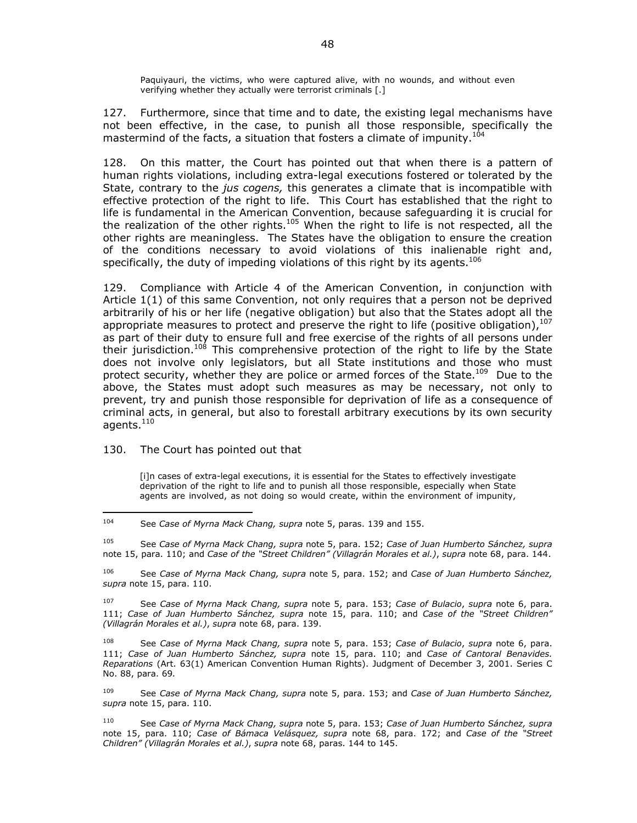Paquiyauri, the victims, who were captured alive, with no wounds, and without even verifying whether they actually were terrorist criminals [.]

127. Furthermore, since that time and to date, the existing legal mechanisms have not been effective, in the case, to punish all those responsible, specifically the mastermind of the facts, a situation that fosters a climate of impunity.<sup>104</sup>

128. On this matter, the Court has pointed out that when there is a pattern of human rights violations, including extra-legal executions fostered or tolerated by the State, contrary to the jus cogens, this generates a climate that is incompatible with effective protection of the right to life. This Court has established that the right to life is fundamental in the American Convention, because safeguarding it is crucial for the realization of the other rights.<sup>105</sup> When the right to life is not respected, all the other rights are meaningless. The States have the obligation to ensure the creation of the conditions necessary to avoid violations of this inalienable right and, specifically, the duty of impeding violations of this right by its agents.<sup>106</sup>

129. Compliance with Article 4 of the American Convention, in conjunction with Article 1(1) of this same Convention, not only requires that a person not be deprived arbitrarily of his or her life (negative obligation) but also that the States adopt all the appropriate measures to protect and preserve the right to life (positive obligation).<sup>107</sup> as part of their duty to ensure full and free exercise of the rights of all persons under their jurisdiction.<sup>108</sup> This comprehensive protection of the right to life by the State does not involve only legislators, but all State institutions and those who must protect security, whether they are police or armed forces of the State.<sup>109</sup> Due to the above, the States must adopt such measures as may be necessary, not only to prevent, try and punish those responsible for deprivation of life as a consequence of criminal acts, in general, but also to forestall arbitrary executions by its own security agents. $110$ 

### 130. The Court has pointed out that

l.

[i]n cases of extra-legal executions, it is essential for the States to effectively investigate deprivation of the right to life and to punish all those responsible, especially when State agents are involved, as not doing so would create, within the environment of impunity,

<sup>105</sup> See Case of Myrna Mack Chang, supra note 5, para. 152; Case of Juan Humberto Sánchez, supra note 15, para. 110; and Case of the "Street Children" (Villagrán Morales et al.), supra note 68, para. 144.

 $106$  See Case of Myrna Mack Chang, supra note 5, para. 152; and Case of Juan Humberto Sánchez, supra note 15, para. 110.

<sup>107</sup> See Case of Myrna Mack Chang, supra note 5, para. 153; Case of Bulacio, supra note 6, para. 111; Case of Juan Humberto Sánchez, supra note 15, para. 110; and Case of the "Street Children" (Villagrán Morales et al.), supra note 68, para. 139.

<sup>108</sup> See Case of Myrna Mack Chang, supra note 5, para. 153; Case of Bulacio, supra note 6, para. 111; Case of Juan Humberto Sánchez, supra note 15, para. 110; and Case of Cantoral Benavides. Reparations (Art. 63(1) American Convention Human Rights). Judgment of December 3, 2001. Series C No. 88, para. 69.

<sup>109</sup> See Case of Myrna Mack Chang, supra note 5, para. 153; and Case of Juan Humberto Sánchez, supra note 15, para. 110.

<sup>110</sup> See Case of Myrna Mack Chang, supra note 5, para. 153; Case of Juan Humberto Sánchez, supra note 15, para. 110; Case of Bámaca Velásquez, supra note 68, para. 172; and Case of the "Street Children" (Villagrán Morales et al.), supra note 68, paras. 144 to 145.

 $104$  See Case of Myrna Mack Chang, supra note 5, paras. 139 and 155.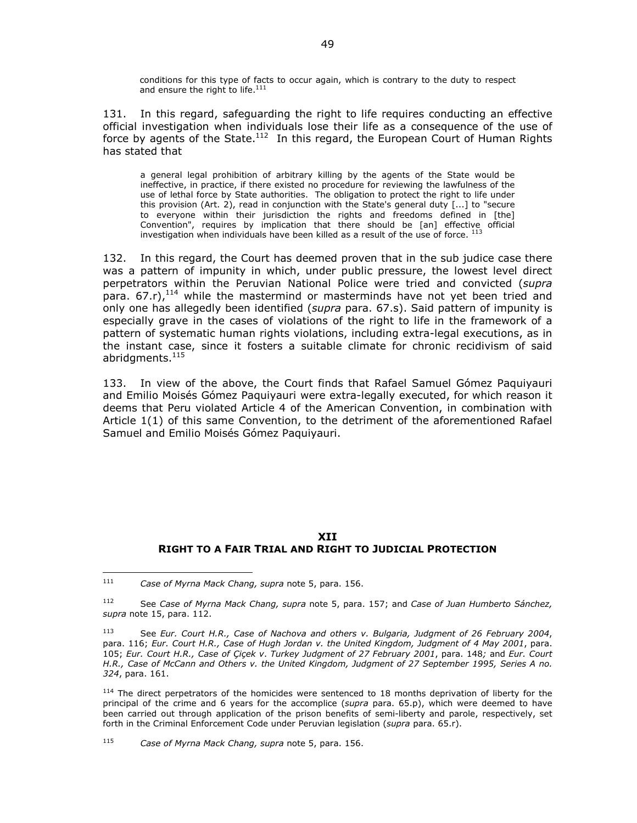conditions for this type of facts to occur again, which is contrary to the duty to respect and ensure the right to life. $111$ 

131. In this regard, safeguarding the right to life requires conducting an effective official investigation when individuals lose their life as a consequence of the use of force by agents of the State.<sup>112</sup> In this regard, the European Court of Human Rights has stated that

a general legal prohibition of arbitrary killing by the agents of the State would be ineffective, in practice, if there existed no procedure for reviewing the lawfulness of the use of lethal force by State authorities. The obligation to protect the right to life under this provision (Art. 2), read in conjunction with the State's general duty [...] to "secure to everyone within their jurisdiction the rights and freedoms defined in [the] Convention", requires by implication that there should be [an] effective official investigation when individuals have been killed as a result of the use of force. <sup>113</sup>

132. In this regard, the Court has deemed proven that in the sub judice case there was a pattern of impunity in which, under public pressure, the lowest level direct perpetrators within the Peruvian National Police were tried and convicted (supra para.  $67 \cdot r$ ),<sup>114</sup> while the mastermind or masterminds have not yet been tried and only one has allegedly been identified (supra para. 67.s). Said pattern of impunity is especially grave in the cases of violations of the right to life in the framework of a pattern of systematic human rights violations, including extra-legal executions, as in the instant case, since it fosters a suitable climate for chronic recidivism of said abridgments.<sup>115</sup>

133. In view of the above, the Court finds that Rafael Samuel Gómez Paquiyauri and Emilio Moisés Gómez Paquiyauri were extra-legally executed, for which reason it deems that Peru violated Article 4 of the American Convention, in combination with Article 1(1) of this same Convention, to the detriment of the aforementioned Rafael Samuel and Emilio Moisés Gómez Paquiyauri.

## XII RIGHT TO A FAIR TRIAL AND RIGHT TO JUDICIAL PROTECTION

<sup>111</sup> Case of Myrna Mack Chang, supra note 5, para. 156.

<sup>&</sup>lt;sup>112</sup> See Case of Myrna Mack Chang, supra note 5, para. 157; and Case of Juan Humberto Sánchez, supra note 15, para. 112.

See Eur. Court H.R., Case of Nachova and others v. Bulgaria, Judgment of 26 February 2004, para. 116; Eur. Court H.R., Case of Hugh Jordan v. the United Kingdom, Judgment of 4 May 2001, para. 105; Eur. Court H.R., Case of Çiçek v. Turkey Judgment of 27 February 2001, para. 148; and Eur. Court H.R., Case of McCann and Others v. the United Kingdom, Judgment of 27 September 1995, Series A no. 324, para. 161.

<sup>&</sup>lt;sup>114</sup> The direct perpetrators of the homicides were sentenced to 18 months deprivation of liberty for the principal of the crime and 6 years for the accomplice (supra para. 65.p), which were deemed to have been carried out through application of the prison benefits of semi-liberty and parole, respectively, set forth in the Criminal Enforcement Code under Peruvian legislation (supra para. 65.r).

<sup>115</sup> Case of Myrna Mack Chang, supra note 5, para. 156.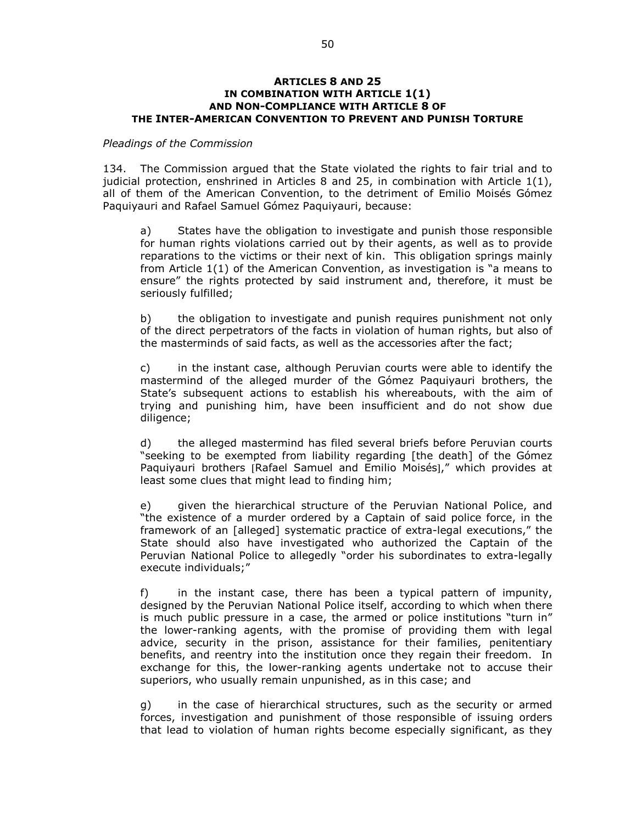### ARTICLES 8 AND 25 IN COMBINATION WITH ARTICLE 1(1) AND NON-COMPLIANCE WITH ARTICLE 8 OF THE INTER-AMERICAN CONVENTION TO PREVENT AND PUNISH TORTURE

### Pleadings of the Commission

134. The Commission argued that the State violated the rights to fair trial and to judicial protection, enshrined in Articles 8 and 25, in combination with Article 1(1), all of them of the American Convention, to the detriment of Emilio Moisés Gómez Paquiyauri and Rafael Samuel Gómez Paquiyauri, because:

a) States have the obligation to investigate and punish those responsible for human rights violations carried out by their agents, as well as to provide reparations to the victims or their next of kin. This obligation springs mainly from Article 1(1) of the American Convention, as investigation is "a means to ensure" the rights protected by said instrument and, therefore, it must be seriously fulfilled;

b) the obligation to investigate and punish requires punishment not only of the direct perpetrators of the facts in violation of human rights, but also of the masterminds of said facts, as well as the accessories after the fact;

c) in the instant case, although Peruvian courts were able to identify the mastermind of the alleged murder of the Gómez Paquiyauri brothers, the State's subsequent actions to establish his whereabouts, with the aim of trying and punishing him, have been insufficient and do not show due diligence;

d) the alleged mastermind has filed several briefs before Peruvian courts "seeking to be exempted from liability regarding [the death] of the Gómez Paquiyauri brothers [Rafael Samuel and Emilio Moisés]," which provides at least some clues that might lead to finding him;

e) given the hierarchical structure of the Peruvian National Police, and "the existence of a murder ordered by a Captain of said police force, in the framework of an [alleged] systematic practice of extra-legal executions," the State should also have investigated who authorized the Captain of the Peruvian National Police to allegedly "order his subordinates to extra-legally execute individuals;"

f) in the instant case, there has been a typical pattern of impunity, designed by the Peruvian National Police itself, according to which when there is much public pressure in a case, the armed or police institutions "turn in" the lower-ranking agents, with the promise of providing them with legal advice, security in the prison, assistance for their families, penitentiary benefits, and reentry into the institution once they regain their freedom. In exchange for this, the lower-ranking agents undertake not to accuse their superiors, who usually remain unpunished, as in this case; and

g) in the case of hierarchical structures, such as the security or armed forces, investigation and punishment of those responsible of issuing orders that lead to violation of human rights become especially significant, as they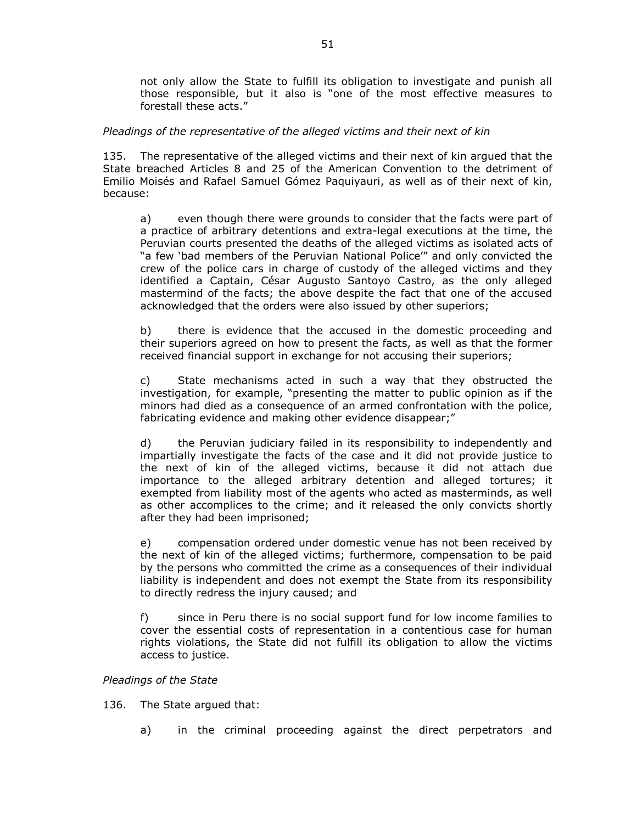not only allow the State to fulfill its obligation to investigate and punish all those responsible, but it also is "one of the most effective measures to forestall these acts."

## Pleadings of the representative of the alleged victims and their next of kin

135. The representative of the alleged victims and their next of kin argued that the State breached Articles 8 and 25 of the American Convention to the detriment of Emilio Moisés and Rafael Samuel Gómez Paquiyauri, as well as of their next of kin, because:

a) even though there were grounds to consider that the facts were part of a practice of arbitrary detentions and extra-legal executions at the time, the Peruvian courts presented the deaths of the alleged victims as isolated acts of "a few 'bad members of the Peruvian National Police'" and only convicted the crew of the police cars in charge of custody of the alleged victims and they identified a Captain, César Augusto Santoyo Castro, as the only alleged mastermind of the facts; the above despite the fact that one of the accused acknowledged that the orders were also issued by other superiors;

b) there is evidence that the accused in the domestic proceeding and their superiors agreed on how to present the facts, as well as that the former received financial support in exchange for not accusing their superiors;

c) State mechanisms acted in such a way that they obstructed the investigation, for example, "presenting the matter to public opinion as if the minors had died as a consequence of an armed confrontation with the police, fabricating evidence and making other evidence disappear;"

d) the Peruvian judiciary failed in its responsibility to independently and impartially investigate the facts of the case and it did not provide justice to the next of kin of the alleged victims, because it did not attach due importance to the alleged arbitrary detention and alleged tortures; it exempted from liability most of the agents who acted as masterminds, as well as other accomplices to the crime; and it released the only convicts shortly after they had been imprisoned;

e) compensation ordered under domestic venue has not been received by the next of kin of the alleged victims; furthermore, compensation to be paid by the persons who committed the crime as a consequences of their individual liability is independent and does not exempt the State from its responsibility to directly redress the injury caused; and

f) since in Peru there is no social support fund for low income families to cover the essential costs of representation in a contentious case for human rights violations, the State did not fulfill its obligation to allow the victims access to justice.

### Pleadings of the State

- 136. The State argued that:
	- a) in the criminal proceeding against the direct perpetrators and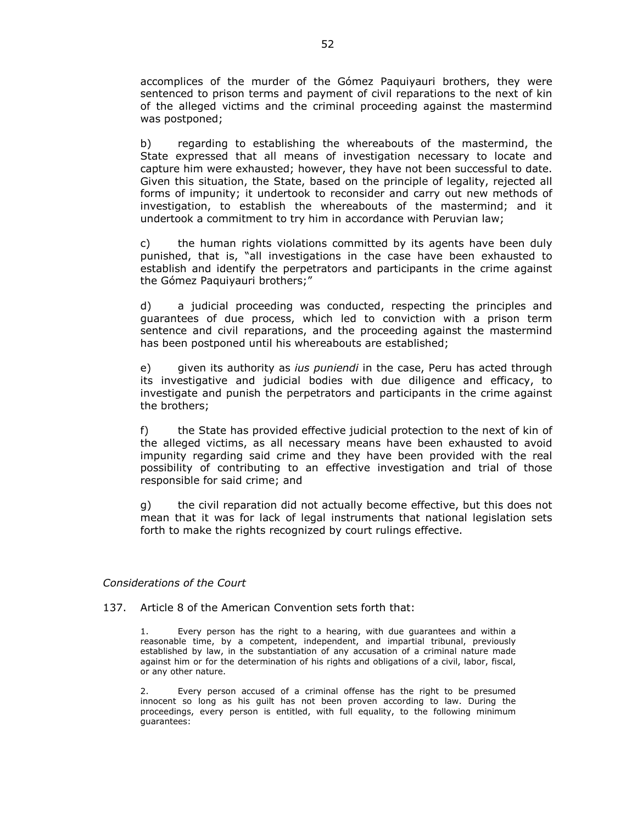accomplices of the murder of the Gómez Paquiyauri brothers, they were sentenced to prison terms and payment of civil reparations to the next of kin of the alleged victims and the criminal proceeding against the mastermind was postponed;

b) regarding to establishing the whereabouts of the mastermind, the State expressed that all means of investigation necessary to locate and capture him were exhausted; however, they have not been successful to date. Given this situation, the State, based on the principle of legality, rejected all forms of impunity; it undertook to reconsider and carry out new methods of investigation, to establish the whereabouts of the mastermind; and it undertook a commitment to try him in accordance with Peruvian law;

c) the human rights violations committed by its agents have been duly punished, that is, "all investigations in the case have been exhausted to establish and identify the perpetrators and participants in the crime against the Gómez Paquiyauri brothers;"

d) a judicial proceeding was conducted, respecting the principles and guarantees of due process, which led to conviction with a prison term sentence and civil reparations, and the proceeding against the mastermind has been postponed until his whereabouts are established;

e) given its authority as *ius puniendi* in the case, Peru has acted through its investigative and judicial bodies with due diligence and efficacy, to investigate and punish the perpetrators and participants in the crime against the brothers;

f) the State has provided effective judicial protection to the next of kin of the alleged victims, as all necessary means have been exhausted to avoid impunity regarding said crime and they have been provided with the real possibility of contributing to an effective investigation and trial of those responsible for said crime; and

g) the civil reparation did not actually become effective, but this does not mean that it was for lack of legal instruments that national legislation sets forth to make the rights recognized by court rulings effective.

## Considerations of the Court

### 137. Article 8 of the American Convention sets forth that:

1. Every person has the right to a hearing, with due guarantees and within a reasonable time, by a competent, independent, and impartial tribunal, previously established by law, in the substantiation of any accusation of a criminal nature made against him or for the determination of his rights and obligations of a civil, labor, fiscal, or any other nature.

2. Every person accused of a criminal offense has the right to be presumed innocent so long as his guilt has not been proven according to law. During the proceedings, every person is entitled, with full equality, to the following minimum guarantees: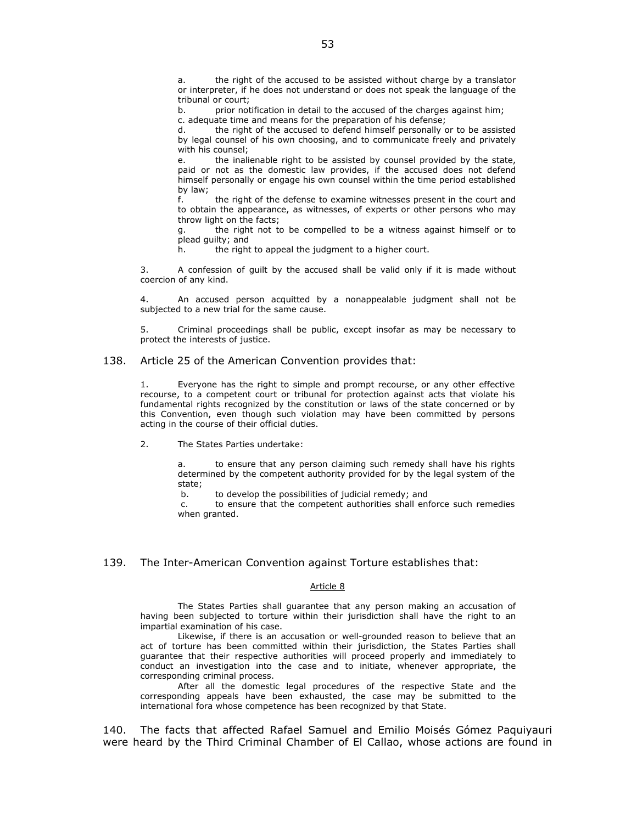a. the right of the accused to be assisted without charge by a translator or interpreter, if he does not understand or does not speak the language of the tribunal or court;

b. prior notification in detail to the accused of the charges against him; c. adequate time and means for the preparation of his defense;

d. the right of the accused to defend himself personally or to be assisted by legal counsel of his own choosing, and to communicate freely and privately with his counsel;

e. the inalienable right to be assisted by counsel provided by the state, paid or not as the domestic law provides, if the accused does not defend himself personally or engage his own counsel within the time period established by law;

f. the right of the defense to examine witnesses present in the court and to obtain the appearance, as witnesses, of experts or other persons who may throw light on the facts;

g. the right not to be compelled to be a witness against himself or to plead guilty; and

h. the right to appeal the judgment to a higher court.

3. A confession of guilt by the accused shall be valid only if it is made without coercion of any kind.

4. An accused person acquitted by a nonappealable judgment shall not be subjected to a new trial for the same cause.

5. Criminal proceedings shall be public, except insofar as may be necessary to protect the interests of justice.

#### 138. Article 25 of the American Convention provides that:

1. Everyone has the right to simple and prompt recourse, or any other effective recourse, to a competent court or tribunal for protection against acts that violate his fundamental rights recognized by the constitution or laws of the state concerned or by this Convention, even though such violation may have been committed by persons acting in the course of their official duties.

2. The States Parties undertake:

a. to ensure that any person claiming such remedy shall have his rights determined by the competent authority provided for by the legal system of the state;

b. to develop the possibilities of judicial remedy; and

 c. to ensure that the competent authorities shall enforce such remedies when granted.

### 139. The Inter-American Convention against Torture establishes that:

#### Article 8

The States Parties shall guarantee that any person making an accusation of having been subjected to torture within their jurisdiction shall have the right to an impartial examination of his case.

Likewise, if there is an accusation or well-grounded reason to believe that an act of torture has been committed within their jurisdiction, the States Parties shall guarantee that their respective authorities will proceed properly and immediately to conduct an investigation into the case and to initiate, whenever appropriate, the corresponding criminal process.

After all the domestic legal procedures of the respective State and the corresponding appeals have been exhausted, the case may be submitted to the international fora whose competence has been recognized by that State.

140. The facts that affected Rafael Samuel and Emilio Moisés Gómez Paquiyauri were heard by the Third Criminal Chamber of El Callao, whose actions are found in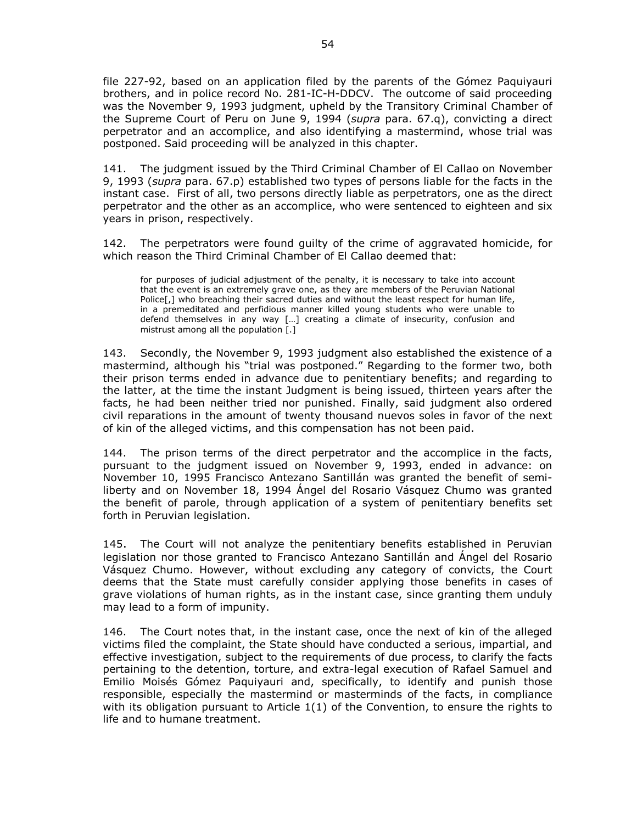file 227-92, based on an application filed by the parents of the Gómez Paquiyauri brothers, and in police record No. 281-IC-H-DDCV. The outcome of said proceeding was the November 9, 1993 judgment, upheld by the Transitory Criminal Chamber of the Supreme Court of Peru on June 9, 1994 (supra para. 67.q), convicting a direct perpetrator and an accomplice, and also identifying a mastermind, whose trial was postponed. Said proceeding will be analyzed in this chapter.

141. The judgment issued by the Third Criminal Chamber of El Callao on November 9, 1993 (supra para. 67.p) established two types of persons liable for the facts in the instant case. First of all, two persons directly liable as perpetrators, one as the direct perpetrator and the other as an accomplice, who were sentenced to eighteen and six years in prison, respectively.

142. The perpetrators were found guilty of the crime of aggravated homicide, for which reason the Third Criminal Chamber of El Callao deemed that:

for purposes of judicial adjustment of the penalty, it is necessary to take into account that the event is an extremely grave one, as they are members of the Peruvian National Police[,] who breaching their sacred duties and without the least respect for human life, in a premeditated and perfidious manner killed young students who were unable to defend themselves in any way […] creating a climate of insecurity, confusion and mistrust among all the population [.]

143. Secondly, the November 9, 1993 judgment also established the existence of a mastermind, although his "trial was postponed." Regarding to the former two, both their prison terms ended in advance due to penitentiary benefits; and regarding to the latter, at the time the instant Judgment is being issued, thirteen years after the facts, he had been neither tried nor punished. Finally, said judgment also ordered civil reparations in the amount of twenty thousand nuevos soles in favor of the next of kin of the alleged victims, and this compensation has not been paid.

144. The prison terms of the direct perpetrator and the accomplice in the facts, pursuant to the judgment issued on November 9, 1993, ended in advance: on November 10, 1995 Francisco Antezano Santillán was granted the benefit of semiliberty and on November 18, 1994 Ángel del Rosario Vásquez Chumo was granted the benefit of parole, through application of a system of penitentiary benefits set forth in Peruvian legislation.

145. The Court will not analyze the penitentiary benefits established in Peruvian legislation nor those granted to Francisco Antezano Santillán and Ángel del Rosario Vásquez Chumo. However, without excluding any category of convicts, the Court deems that the State must carefully consider applying those benefits in cases of grave violations of human rights, as in the instant case, since granting them unduly may lead to a form of impunity.

146. The Court notes that, in the instant case, once the next of kin of the alleged victims filed the complaint, the State should have conducted a serious, impartial, and effective investigation, subject to the requirements of due process, to clarify the facts pertaining to the detention, torture, and extra-legal execution of Rafael Samuel and Emilio Moisés Gómez Paquiyauri and, specifically, to identify and punish those responsible, especially the mastermind or masterminds of the facts, in compliance with its obligation pursuant to Article  $1(1)$  of the Convention, to ensure the rights to life and to humane treatment.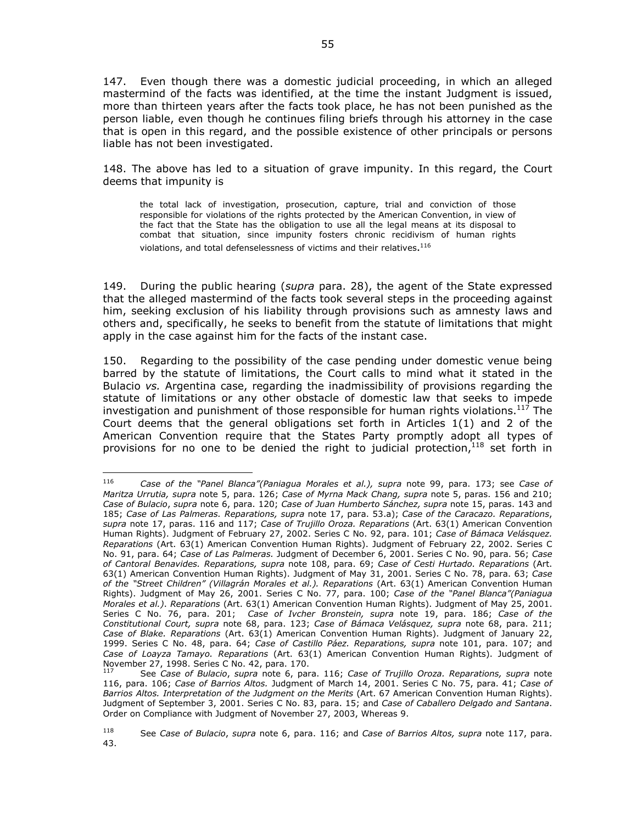147. Even though there was a domestic judicial proceeding, in which an alleged mastermind of the facts was identified, at the time the instant Judgment is issued, more than thirteen years after the facts took place, he has not been punished as the person liable, even though he continues filing briefs through his attorney in the case that is open in this regard, and the possible existence of other principals or persons liable has not been investigated.

148. The above has led to a situation of grave impunity. In this regard, the Court deems that impunity is

the total lack of investigation, prosecution, capture, trial and conviction of those responsible for violations of the rights protected by the American Convention, in view of the fact that the State has the obligation to use all the legal means at its disposal to combat that situation, since impunity fosters chronic recidivism of human rights violations, and total defenselessness of victims and their relatives. 116

149. During the public hearing (supra para. 28), the agent of the State expressed that the alleged mastermind of the facts took several steps in the proceeding against him, seeking exclusion of his liability through provisions such as amnesty laws and others and, specifically, he seeks to benefit from the statute of limitations that might apply in the case against him for the facts of the instant case.

150. Regarding to the possibility of the case pending under domestic venue being barred by the statute of limitations, the Court calls to mind what it stated in the Bulacio vs. Argentina case, regarding the inadmissibility of provisions regarding the statute of limitations or any other obstacle of domestic law that seeks to impede investigation and punishment of those responsible for human rights violations. $117$  The Court deems that the general obligations set forth in Articles 1(1) and 2 of the American Convention require that the States Party promptly adopt all types of provisions for no one to be denied the right to judicial protection, $118$  set forth in

<sup>116</sup> Case of the "Panel Blanca"(Paniagua Morales et al.), supra note 99, para. 173; see Case of Maritza Urrutia, supra note 5, para. 126; Case of Myrna Mack Chang, supra note 5, paras. 156 and 210; Case of Bulacio, supra note 6, para. 120; Case of Juan Humberto Sánchez, supra note 15, paras. 143 and 185; Case of Las Palmeras. Reparations, supra note 17, para. 53.a); Case of the Caracazo. Reparations, supra note 17, paras. 116 and 117; Case of Trujillo Oroza. Reparations (Art. 63(1) American Convention Human Rights). Judgment of February 27, 2002. Series C No. 92, para. 101; Case of Bámaca Velásquez. Reparations (Art. 63(1) American Convention Human Rights). Judgment of February 22, 2002. Series C No. 91, para. 64; Case of Las Palmeras. Judgment of December 6, 2001. Series C No. 90, para. 56; Case of Cantoral Benavides. Reparations, supra note 108, para. 69; Case of Cesti Hurtado. Reparations (Art. 63(1) American Convention Human Rights). Judgment of May 31, 2001. Series C No. 78, para. 63; Case of the "Street Children" (Villagrán Morales et al.). Reparations (Art. 63(1) American Convention Human Rights). Judgment of May 26, 2001. Series C No. 77, para. 100; Case of the "Panel Blanca"(Paniagua Morales et al.). Reparations (Art. 63(1) American Convention Human Rights). Judgment of May 25, 2001. Series C No. 76, para. 201; Case of Ivcher Bronstein, supra note 19, para. 186; Case of the Constitutional Court, supra note 68, para. 123; Case of Bámaca Velásquez, supra note 68, para. 211; Case of Blake. Reparations (Art. 63(1) American Convention Human Rights). Judgment of January 22, 1999. Series C No. 48, para. 64; Case of Castillo Páez. Reparations, supra note 101, para. 107; and Case of Loayza Tamayo. Reparations (Art. 63(1) American Convention Human Rights). Judgment of November 27, 1998. Series C No. 42, para. 170.

See Case of Bulacio, supra note 6, para. 116; Case of Trujillo Oroza. Reparations, supra note 116, para. 106; Case of Barrios Altos. Judgment of March 14, 2001. Series C No. 75, para. 41; Case of Barrios Altos. Interpretation of the Judgment on the Merits (Art. 67 American Convention Human Rights). Judgment of September 3, 2001. Series C No. 83, para. 15; and Case of Caballero Delgado and Santana. Order on Compliance with Judgment of November 27, 2003, Whereas 9.

<sup>&</sup>lt;sup>118</sup> See Case of Bulacio, supra note 6, para. 116; and Case of Barrios Altos, supra note 117, para. 43.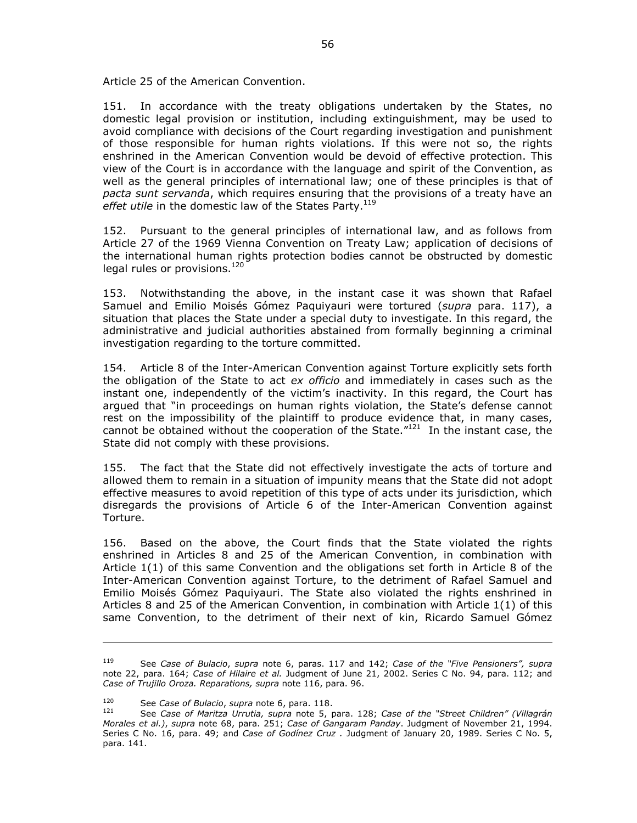Article 25 of the American Convention.

151. In accordance with the treaty obligations undertaken by the States, no domestic legal provision or institution, including extinguishment, may be used to avoid compliance with decisions of the Court regarding investigation and punishment of those responsible for human rights violations. If this were not so, the rights enshrined in the American Convention would be devoid of effective protection. This view of the Court is in accordance with the language and spirit of the Convention, as well as the general principles of international law; one of these principles is that of pacta sunt servanda, which requires ensuring that the provisions of a treaty have an effet utile in the domestic law of the States Party.<sup>119</sup>

152. Pursuant to the general principles of international law, and as follows from Article 27 of the 1969 Vienna Convention on Treaty Law; application of decisions of the international human rights protection bodies cannot be obstructed by domestic legal rules or provisions. $120$ 

153. Notwithstanding the above, in the instant case it was shown that Rafael Samuel and Emilio Moisés Gómez Paquiyauri were tortured (supra para. 117), a situation that places the State under a special duty to investigate. In this regard, the administrative and judicial authorities abstained from formally beginning a criminal investigation regarding to the torture committed.

154. Article 8 of the Inter-American Convention against Torture explicitly sets forth the obligation of the State to act ex officio and immediately in cases such as the instant one, independently of the victim's inactivity. In this regard, the Court has argued that "in proceedings on human rights violation, the State's defense cannot rest on the impossibility of the plaintiff to produce evidence that, in many cases, cannot be obtained without the cooperation of the State. $121$  In the instant case, the State did not comply with these provisions.

155. The fact that the State did not effectively investigate the acts of torture and allowed them to remain in a situation of impunity means that the State did not adopt effective measures to avoid repetition of this type of acts under its jurisdiction, which disregards the provisions of Article 6 of the Inter-American Convention against Torture.

156. Based on the above, the Court finds that the State violated the rights enshrined in Articles 8 and 25 of the American Convention, in combination with Article 1(1) of this same Convention and the obligations set forth in Article 8 of the Inter-American Convention against Torture, to the detriment of Rafael Samuel and Emilio Moisés Gómez Paquiyauri. The State also violated the rights enshrined in Articles 8 and 25 of the American Convention, in combination with Article 1(1) of this same Convention, to the detriment of their next of kin, Ricardo Samuel Gómez

<sup>&</sup>lt;sup>119</sup> See Case of Bulacio, supra note 6, paras. 117 and 142; Case of the "Five Pensioners", supra note 22, para. 164; Case of Hilaire et al. Judgment of June 21, 2002. Series C No. 94, para. 112; and Case of Trujillo Oroza. Reparations, supra note 116, para. 96.

<sup>&</sup>lt;sup>120</sup> See Case of Bulacio, supra note 6, para. 118.<br><sup>121</sup> See Case of Maritza Urrutia, supra pate 5, p

See Case of Maritza Urrutia, supra note 5, para. 128; Case of the "Street Children" (Villagrán Morales et al.), supra note 68, para. 251; Case of Gangaram Panday. Judgment of November 21, 1994. Series C No. 16, para. 49; and Case of Godínez Cruz . Judgment of January 20, 1989. Series C No. 5, para. 141.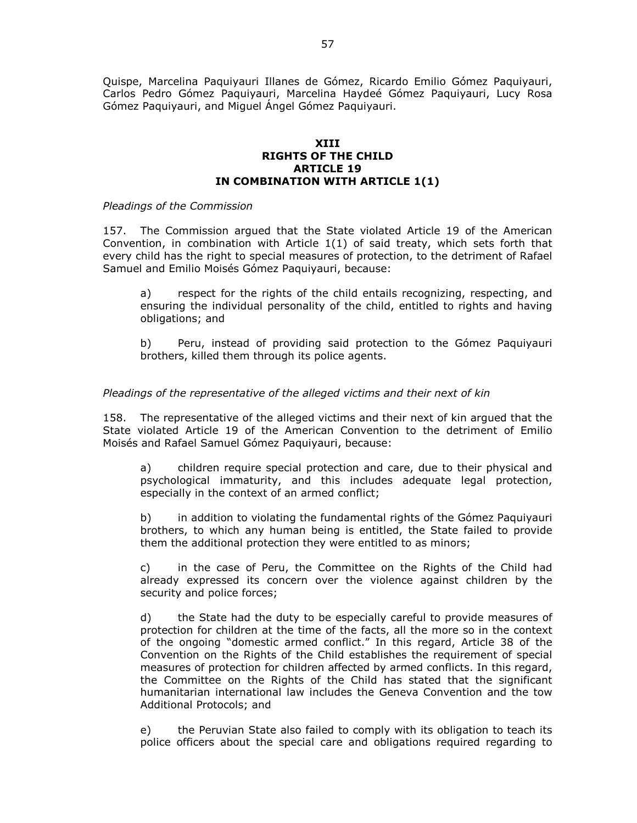Quispe, Marcelina Paquiyauri Illanes de Gómez, Ricardo Emilio Gómez Paquiyauri, Carlos Pedro Gómez Paquiyauri, Marcelina Haydeé Gómez Paquiyauri, Lucy Rosa Gómez Paquiyauri, and Miguel Ángel Gómez Paquiyauri.

## XIII RIGHTS OF THE CHILD ARTICLE 19 IN COMBINATION WITH ARTICLE 1(1)

### Pleadings of the Commission

157. The Commission argued that the State violated Article 19 of the American Convention, in combination with Article 1(1) of said treaty, which sets forth that every child has the right to special measures of protection, to the detriment of Rafael Samuel and Emilio Moisés Gómez Paquiyauri, because:

a) respect for the rights of the child entails recognizing, respecting, and ensuring the individual personality of the child, entitled to rights and having obligations; and

b) Peru, instead of providing said protection to the Gómez Paquiyauri brothers, killed them through its police agents.

### Pleadings of the representative of the alleged victims and their next of kin

158. The representative of the alleged victims and their next of kin argued that the State violated Article 19 of the American Convention to the detriment of Emilio Moisés and Rafael Samuel Gómez Paquiyauri, because:

a) children require special protection and care, due to their physical and psychological immaturity, and this includes adequate legal protection, especially in the context of an armed conflict;

b) in addition to violating the fundamental rights of the Gómez Paquiyauri brothers, to which any human being is entitled, the State failed to provide them the additional protection they were entitled to as minors;

c) in the case of Peru, the Committee on the Rights of the Child had already expressed its concern over the violence against children by the security and police forces;

d) the State had the duty to be especially careful to provide measures of protection for children at the time of the facts, all the more so in the context of the ongoing "domestic armed conflict." In this regard, Article 38 of the Convention on the Rights of the Child establishes the requirement of special measures of protection for children affected by armed conflicts. In this regard, the Committee on the Rights of the Child has stated that the significant humanitarian international law includes the Geneva Convention and the tow Additional Protocols; and

e) the Peruvian State also failed to comply with its obligation to teach its police officers about the special care and obligations required regarding to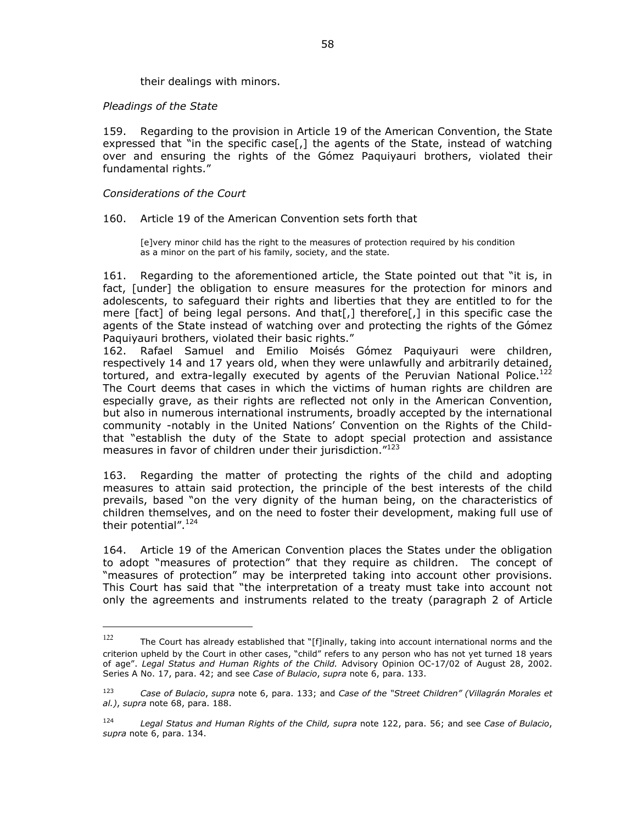their dealings with minors.

## Pleadings of the State

159. Regarding to the provision in Article 19 of the American Convention, the State expressed that "in the specific case[,] the agents of the State, instead of watching over and ensuring the rights of the Gómez Paquiyauri brothers, violated their fundamental rights."

### Considerations of the Court

### 160. Article 19 of the American Convention sets forth that

[e]very minor child has the right to the measures of protection required by his condition as a minor on the part of his family, society, and the state.

161. Regarding to the aforementioned article, the State pointed out that "it is, in fact, [under] the obligation to ensure measures for the protection for minors and adolescents, to safeguard their rights and liberties that they are entitled to for the mere [fact] of being legal persons. And that[,] therefore[,] in this specific case the agents of the State instead of watching over and protecting the rights of the Gómez Paquiyauri brothers, violated their basic rights."

162. Rafael Samuel and Emilio Moisés Gómez Paquiyauri were children, respectively 14 and 17 years old, when they were unlawfully and arbitrarily detained, tortured, and extra-legally executed by agents of the Peruvian National Police.<sup>122</sup> The Court deems that cases in which the victims of human rights are children are especially grave, as their rights are reflected not only in the American Convention, but also in numerous international instruments, broadly accepted by the international community -notably in the United Nations' Convention on the Rights of the Childthat "establish the duty of the State to adopt special protection and assistance measures in favor of children under their jurisdiction."<sup>123</sup>

163. Regarding the matter of protecting the rights of the child and adopting measures to attain said protection, the principle of the best interests of the child prevails, based "on the very dignity of the human being, on the characteristics of children themselves, and on the need to foster their development, making full use of their potential". $124$ 

164. Article 19 of the American Convention places the States under the obligation to adopt "measures of protection" that they require as children. The concept of "measures of protection" may be interpreted taking into account other provisions. This Court has said that "the interpretation of a treaty must take into account not only the agreements and instruments related to the treaty (paragraph 2 of Article

<sup>122</sup> The Court has already established that "[f]inally, taking into account international norms and the criterion upheld by the Court in other cases, "child" refers to any person who has not yet turned 18 years of age". Legal Status and Human Rights of the Child. Advisory Opinion OC-17/02 of August 28, 2002. Series A No. 17, para. 42; and see Case of Bulacio, supra note 6, para. 133.

<sup>123</sup> Case of Bulacio, supra note 6, para. 133; and Case of the "Street Children" (Villagrán Morales et al.), supra note 68, para. 188.

 $124$  Legal Status and Human Rights of the Child, supra note 122, para. 56; and see Case of Bulacio, supra note 6, para. 134.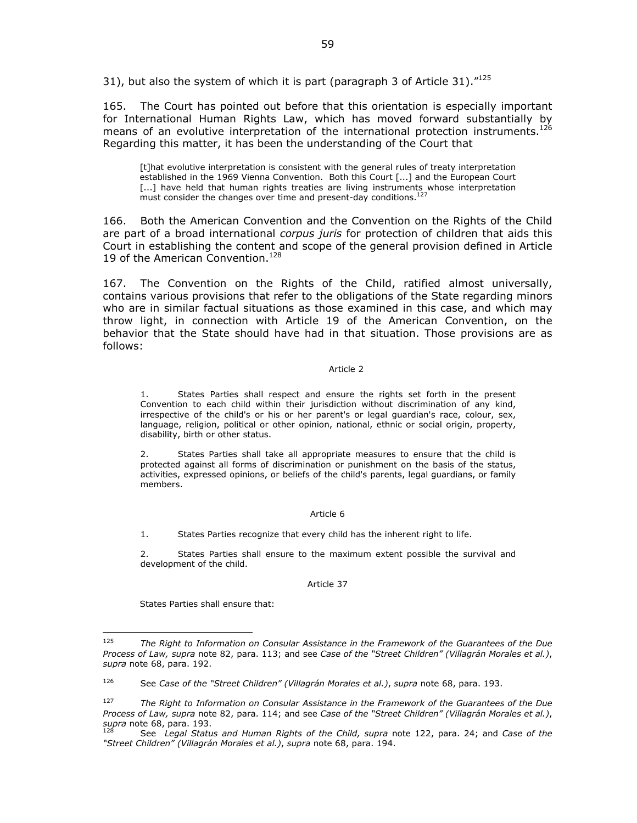31), but also the system of which it is part (paragraph 3 of Article 31). $125$ 

165. The Court has pointed out before that this orientation is especially important for International Human Rights Law, which has moved forward substantially by means of an evolutive interpretation of the international protection instruments.<sup>126</sup> Regarding this matter, it has been the understanding of the Court that

[t]hat evolutive interpretation is consistent with the general rules of treaty interpretation established in the 1969 Vienna Convention. Both this Court [...] and the European Court [...] have held that human rights treaties are living instruments whose interpretation must consider the changes over time and present-day conditions. $^{127}$ 

166. Both the American Convention and the Convention on the Rights of the Child are part of a broad international *corpus juris* for protection of children that aids this Court in establishing the content and scope of the general provision defined in Article 19 of the American Convention.<sup>128</sup>

167. The Convention on the Rights of the Child, ratified almost universally, contains various provisions that refer to the obligations of the State regarding minors who are in similar factual situations as those examined in this case, and which may throw light, in connection with Article 19 of the American Convention, on the behavior that the State should have had in that situation. Those provisions are as follows:

#### Article 2

States Parties shall respect and ensure the rights set forth in the present Convention to each child within their jurisdiction without discrimination of any kind, irrespective of the child's or his or her parent's or legal guardian's race, colour, sex, language, religion, political or other opinion, national, ethnic or social origin, property, disability, birth or other status.

2. States Parties shall take all appropriate measures to ensure that the child is protected against all forms of discrimination or punishment on the basis of the status, activities, expressed opinions, or beliefs of the child's parents, legal guardians, or family members.

### Article 6

1. States Parties recognize that every child has the inherent right to life.

2. States Parties shall ensure to the maximum extent possible the survival and development of the child.

#### Article 37

States Parties shall ensure that:

 $125$  The Right to Information on Consular Assistance in the Framework of the Guarantees of the Due Process of Law, supra note 82, para. 113; and see Case of the "Street Children" (Villagrán Morales et al.), supra note 68, para. 192.

<sup>&</sup>lt;sup>126</sup> See Case of the "Street Children" (Villagrán Morales et al.), supra note 68, para. 193.

<sup>&</sup>lt;sup>127</sup> The Right to Information on Consular Assistance in the Framework of the Guarantees of the Due Process of Law, supra note 82, para. 114; and see Case of the "Street Children" (Villagrán Morales et al.), supra note 68, para. 193.

See Legal Status and Human Rights of the Child, supra note 122, para. 24; and Case of the "Street Children" (Villagrán Morales et al.), supra note 68, para. 194.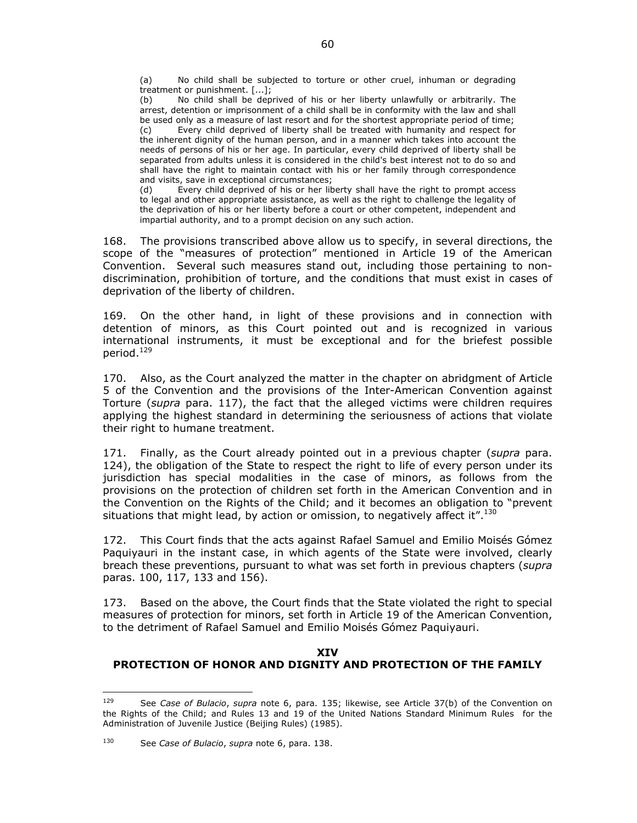(a) No child shall be subjected to torture or other cruel, inhuman or degrading treatment or punishment. [...];

(b) No child shall be deprived of his or her liberty unlawfully or arbitrarily. The arrest, detention or imprisonment of a child shall be in conformity with the law and shall be used only as a measure of last resort and for the shortest appropriate period of time; (c) Every child deprived of liberty shall be treated with humanity and respect for the inherent dignity of the human person, and in a manner which takes into account the needs of persons of his or her age. In particular, every child deprived of liberty shall be separated from adults unless it is considered in the child's best interest not to do so and shall have the right to maintain contact with his or her family through correspondence and visits, save in exceptional circumstances;

(d) Every child deprived of his or her liberty shall have the right to prompt access to legal and other appropriate assistance, as well as the right to challenge the legality of the deprivation of his or her liberty before a court or other competent, independent and impartial authority, and to a prompt decision on any such action.

168. The provisions transcribed above allow us to specify, in several directions, the scope of the "measures of protection" mentioned in Article 19 of the American Convention. Several such measures stand out, including those pertaining to nondiscrimination, prohibition of torture, and the conditions that must exist in cases of deprivation of the liberty of children.

169. On the other hand, in light of these provisions and in connection with detention of minors, as this Court pointed out and is recognized in various international instruments, it must be exceptional and for the briefest possible period.<sup>129</sup>

170. Also, as the Court analyzed the matter in the chapter on abridgment of Article 5 of the Convention and the provisions of the Inter-American Convention against Torture (supra para. 117), the fact that the alleged victims were children requires applying the highest standard in determining the seriousness of actions that violate their right to humane treatment.

171. Finally, as the Court already pointed out in a previous chapter (supra para. 124), the obligation of the State to respect the right to life of every person under its jurisdiction has special modalities in the case of minors, as follows from the provisions on the protection of children set forth in the American Convention and in the Convention on the Rights of the Child; and it becomes an obligation to "prevent situations that might lead, by action or omission, to negatively affect it".<sup>130</sup>

172. This Court finds that the acts against Rafael Samuel and Emilio Moisés Gómez Paquiyauri in the instant case, in which agents of the State were involved, clearly breach these preventions, pursuant to what was set forth in previous chapters (supra paras. 100, 117, 133 and 156).

173. Based on the above, the Court finds that the State violated the right to special measures of protection for minors, set forth in Article 19 of the American Convention, to the detriment of Rafael Samuel and Emilio Moisés Gómez Paquiyauri.

# XIV PROTECTION OF HONOR AND DIGNITY AND PROTECTION OF THE FAMILY

<sup>129</sup> See Case of Bulacio, supra note 6, para. 135; likewise, see Article 37(b) of the Convention on the Rights of the Child; and Rules 13 and 19 of the United Nations Standard Minimum Rules for the Administration of Juvenile Justice (Beijing Rules) (1985).

<sup>130</sup> See Case of Bulacio, supra note 6, para. 138.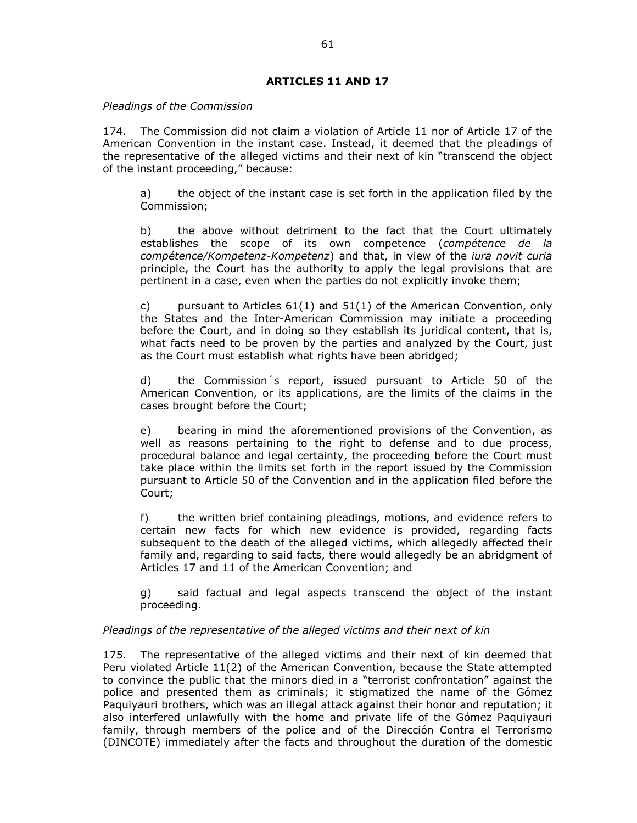## ARTICLES 11 AND 17

## Pleadings of the Commission

174. The Commission did not claim a violation of Article 11 nor of Article 17 of the American Convention in the instant case. Instead, it deemed that the pleadings of the representative of the alleged victims and their next of kin "transcend the object of the instant proceeding," because:

a) the object of the instant case is set forth in the application filed by the Commission;

b) the above without detriment to the fact that the Court ultimately establishes the scope of its own competence (compétence de la compétence/Kompetenz-Kompetenz) and that, in view of the iura novit curia principle, the Court has the authority to apply the legal provisions that are pertinent in a case, even when the parties do not explicitly invoke them;

c) pursuant to Articles  $61(1)$  and  $51(1)$  of the American Convention, only the States and the Inter-American Commission may initiate a proceeding before the Court, and in doing so they establish its juridical content, that is, what facts need to be proven by the parties and analyzed by the Court, just as the Court must establish what rights have been abridged;

d) the Commission´s report, issued pursuant to Article 50 of the American Convention, or its applications, are the limits of the claims in the cases brought before the Court;

e) bearing in mind the aforementioned provisions of the Convention, as well as reasons pertaining to the right to defense and to due process, procedural balance and legal certainty, the proceeding before the Court must take place within the limits set forth in the report issued by the Commission pursuant to Article 50 of the Convention and in the application filed before the Court;

f) the written brief containing pleadings, motions, and evidence refers to certain new facts for which new evidence is provided, regarding facts subsequent to the death of the alleged victims, which allegedly affected their family and, regarding to said facts, there would allegedly be an abridgment of Articles 17 and 11 of the American Convention; and

g) said factual and legal aspects transcend the object of the instant proceeding.

### Pleadings of the representative of the alleged victims and their next of kin

175. The representative of the alleged victims and their next of kin deemed that Peru violated Article 11(2) of the American Convention, because the State attempted to convince the public that the minors died in a "terrorist confrontation" against the police and presented them as criminals; it stigmatized the name of the Gómez Paquiyauri brothers, which was an illegal attack against their honor and reputation; it also interfered unlawfully with the home and private life of the Gómez Paquiyauri family, through members of the police and of the Dirección Contra el Terrorismo (DINCOTE) immediately after the facts and throughout the duration of the domestic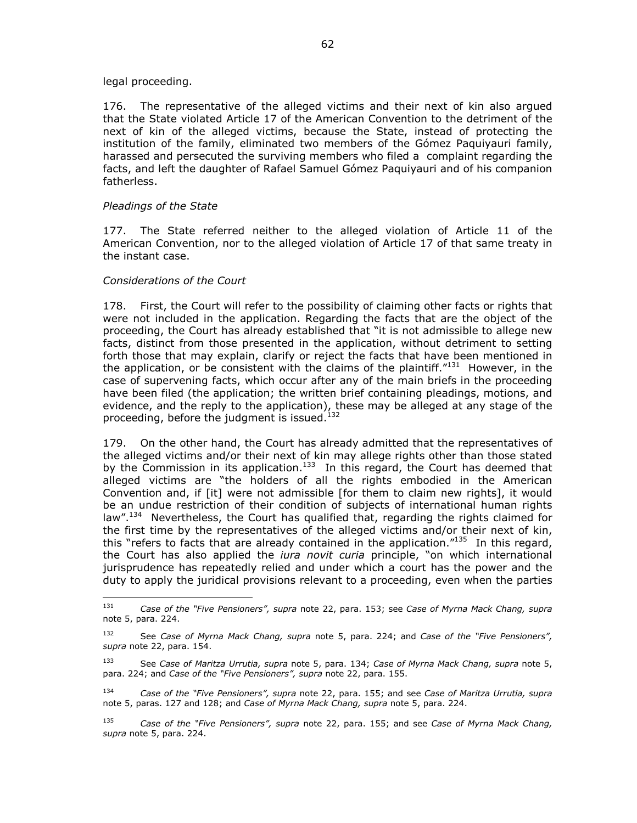legal proceeding.

176. The representative of the alleged victims and their next of kin also argued that the State violated Article 17 of the American Convention to the detriment of the next of kin of the alleged victims, because the State, instead of protecting the institution of the family, eliminated two members of the Gómez Paquiyauri family, harassed and persecuted the surviving members who filed a complaint regarding the facts, and left the daughter of Rafael Samuel Gómez Paquiyauri and of his companion fatherless.

# Pleadings of the State

177. The State referred neither to the alleged violation of Article 11 of the American Convention, nor to the alleged violation of Article 17 of that same treaty in the instant case.

# Considerations of the Court

178. First, the Court will refer to the possibility of claiming other facts or rights that were not included in the application. Regarding the facts that are the object of the proceeding, the Court has already established that "it is not admissible to allege new facts, distinct from those presented in the application, without detriment to setting forth those that may explain, clarify or reject the facts that have been mentioned in the application, or be consistent with the claims of the plaintiff."<sup>131</sup> However, in the case of supervening facts, which occur after any of the main briefs in the proceeding have been filed (the application; the written brief containing pleadings, motions, and evidence, and the reply to the application), these may be alleged at any stage of the proceeding, before the judgment is issued.<sup>132</sup>

179. On the other hand, the Court has already admitted that the representatives of the alleged victims and/or their next of kin may allege rights other than those stated by the Commission in its application.<sup>133</sup> In this regard, the Court has deemed that alleged victims are "the holders of all the rights embodied in the American Convention and, if [it] were not admissible [for them to claim new rights], it would be an undue restriction of their condition of subjects of international human rights law".<sup>134</sup> Nevertheless, the Court has qualified that, regarding the rights claimed for the first time by the representatives of the alleged victims and/or their next of kin, this "refers to facts that are already contained in the application."<sup>135</sup> In this regard, the Court has also applied the *iura novit curia* principle, "on which international jurisprudence has repeatedly relied and under which a court has the power and the duty to apply the juridical provisions relevant to a proceeding, even when the parties

<sup>&</sup>lt;sup>131</sup> Case of the "Five Pensioners", supra note 22, para. 153; see Case of Myrna Mack Chang, supra note 5, para. 224.

<sup>&</sup>lt;sup>132</sup> See Case of Myrna Mack Chang, supra note 5, para. 224; and Case of the "Five Pensioners", supra note 22, para. 154.

<sup>133</sup> See Case of Maritza Urrutia, supra note 5, para. 134; Case of Myrna Mack Chang, supra note 5, para. 224; and Case of the "Five Pensioners", supra note 22, para. 155.

<sup>&</sup>lt;sup>134</sup> Case of the "Five Pensioners", supra note 22, para. 155; and see Case of Maritza Urrutia, supra note 5, paras. 127 and 128; and Case of Myrna Mack Chang, supra note 5, para. 224.

<sup>&</sup>lt;sup>135</sup> Case of the "Five Pensioners", supra note 22, para. 155; and see Case of Myrna Mack Chang, supra note 5, para. 224.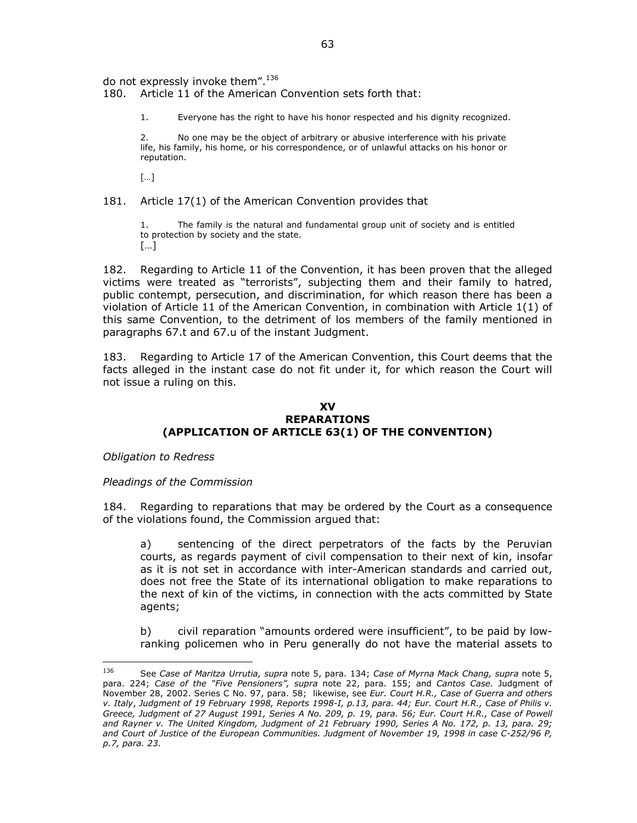do not expressly invoke them". $136$ 

180. Article 11 of the American Convention sets forth that:

1. Everyone has the right to have his honor respected and his dignity recognized.

No one may be the object of arbitrary or abusive interference with his private life, his family, his home, or his correspondence, or of unlawful attacks on his honor or reputation.

[…]

181. Article 17(1) of the American Convention provides that

1. The family is the natural and fundamental group unit of society and is entitled to protection by society and the state. […]

182. Regarding to Article 11 of the Convention, it has been proven that the alleged victims were treated as "terrorists", subjecting them and their family to hatred, public contempt, persecution, and discrimination, for which reason there has been a violation of Article 11 of the American Convention, in combination with Article 1(1) of this same Convention, to the detriment of los members of the family mentioned in paragraphs 67.t and 67.u of the instant Judgment.

183. Regarding to Article 17 of the American Convention, this Court deems that the facts alleged in the instant case do not fit under it, for which reason the Court will not issue a ruling on this.

### XV REPARATIONS (APPLICATION OF ARTICLE 63(1) OF THE CONVENTION)

Obligation to Redress

Pleadings of the Commission

184. Regarding to reparations that may be ordered by the Court as a consequence of the violations found, the Commission argued that:

a) sentencing of the direct perpetrators of the facts by the Peruvian courts, as regards payment of civil compensation to their next of kin, insofar as it is not set in accordance with inter-American standards and carried out, does not free the State of its international obligation to make reparations to the next of kin of the victims, in connection with the acts committed by State agents;

b) civil reparation "amounts ordered were insufficient", to be paid by lowranking policemen who in Peru generally do not have the material assets to

<sup>&</sup>lt;sup>136</sup> See Case of Maritza Urrutia, supra note 5, para. 134; Case of Myrna Mack Chang, supra note 5, para. 224; Case of the "Five Pensioners", supra note 22, para. 155; and Cantos Case. Judgment of November 28, 2002. Series C No. 97, para. 58; likewise, see Eur. Court H.R., Case of Guerra and others v. Italy, Judgment of 19 February 1998, Reports 1998-I, p.13, para. 44; Eur. Court H.R., Case of Philis v. Greece, Judgment of 27 August 1991, Series A No. 209, p. 19, para. 56; Eur. Court H.R., Case of Powell and Rayner v. The United Kingdom, Judgment of 21 February 1990, Series A No. 172, p. 13, para. 29; and Court of Justice of the European Communities. Judgment of November 19, 1998 in case C-252/96 P, p.7, para. 23.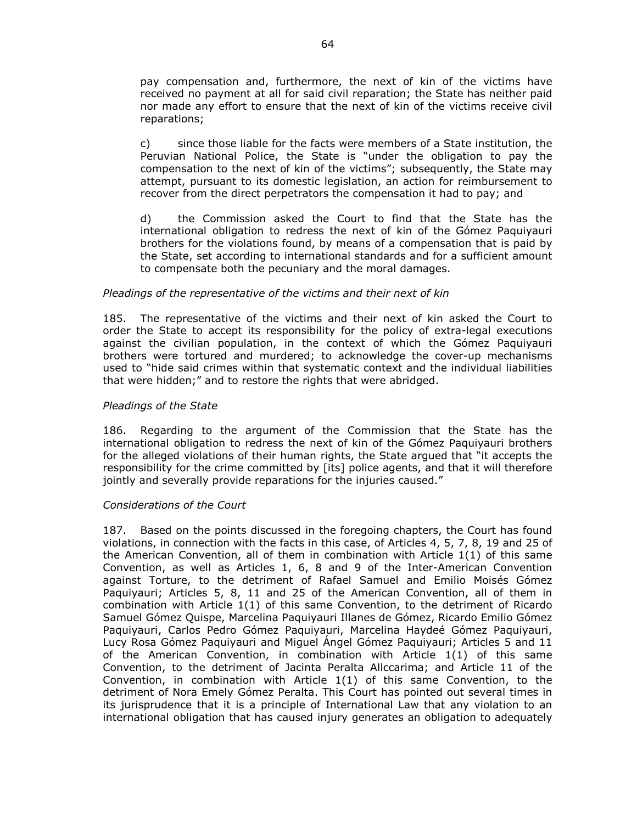pay compensation and, furthermore, the next of kin of the victims have received no payment at all for said civil reparation; the State has neither paid nor made any effort to ensure that the next of kin of the victims receive civil reparations;

c) since those liable for the facts were members of a State institution, the Peruvian National Police, the State is "under the obligation to pay the compensation to the next of kin of the victims"; subsequently, the State may attempt, pursuant to its domestic legislation, an action for reimbursement to recover from the direct perpetrators the compensation it had to pay; and

d) the Commission asked the Court to find that the State has the international obligation to redress the next of kin of the Gómez Paquiyauri brothers for the violations found, by means of a compensation that is paid by the State, set according to international standards and for a sufficient amount to compensate both the pecuniary and the moral damages.

## Pleadings of the representative of the victims and their next of kin

185. The representative of the victims and their next of kin asked the Court to order the State to accept its responsibility for the policy of extra-legal executions against the civilian population, in the context of which the Gómez Paquiyauri brothers were tortured and murdered; to acknowledge the cover-up mechanisms used to "hide said crimes within that systematic context and the individual liabilities that were hidden;" and to restore the rights that were abridged.

## Pleadings of the State

186. Regarding to the argument of the Commission that the State has the international obligation to redress the next of kin of the Gómez Paquiyauri brothers for the alleged violations of their human rights, the State argued that "it accepts the responsibility for the crime committed by [its] police agents, and that it will therefore jointly and severally provide reparations for the injuries caused."

# Considerations of the Court

187. Based on the points discussed in the foregoing chapters, the Court has found violations, in connection with the facts in this case, of Articles 4, 5, 7, 8, 19 and 25 of the American Convention, all of them in combination with Article 1(1) of this same Convention, as well as Articles 1, 6, 8 and 9 of the Inter-American Convention against Torture, to the detriment of Rafael Samuel and Emilio Moisés Gómez Paquiyauri; Articles 5, 8, 11 and 25 of the American Convention, all of them in combination with Article 1(1) of this same Convention, to the detriment of Ricardo Samuel Gómez Quispe, Marcelina Paquiyauri Illanes de Gómez, Ricardo Emilio Gómez Paquiyauri, Carlos Pedro Gómez Paquiyauri, Marcelina Haydeé Gómez Paquiyauri, Lucy Rosa Gómez Paquiyauri and Miguel Ángel Gómez Paquiyauri; Articles 5 and 11 of the American Convention, in combination with Article 1(1) of this same Convention, to the detriment of Jacinta Peralta Allccarima; and Article 11 of the Convention, in combination with Article 1(1) of this same Convention, to the detriment of Nora Emely Gómez Peralta. This Court has pointed out several times in its jurisprudence that it is a principle of International Law that any violation to an international obligation that has caused injury generates an obligation to adequately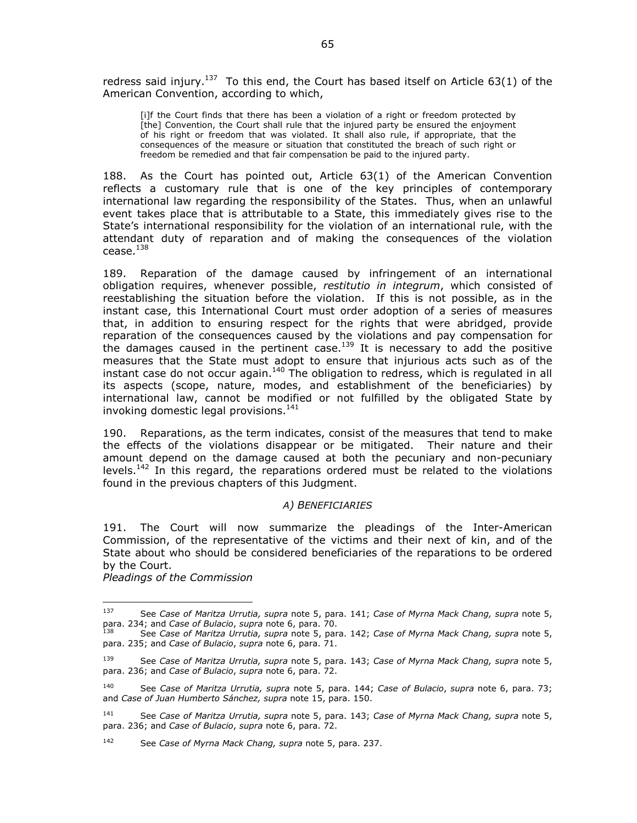redress said injury.<sup>137</sup> To this end, the Court has based itself on Article 63(1) of the American Convention, according to which,

[i]f the Court finds that there has been a violation of a right or freedom protected by [the] Convention, the Court shall rule that the injured party be ensured the enjoyment of his right or freedom that was violated. It shall also rule, if appropriate, that the consequences of the measure or situation that constituted the breach of such right or freedom be remedied and that fair compensation be paid to the injured party.

188. As the Court has pointed out, Article 63(1) of the American Convention reflects a customary rule that is one of the key principles of contemporary international law regarding the responsibility of the States. Thus, when an unlawful event takes place that is attributable to a State, this immediately gives rise to the State's international responsibility for the violation of an international rule, with the attendant duty of reparation and of making the consequences of the violation cease. $138$ 

189. Reparation of the damage caused by infringement of an international obligation requires, whenever possible, restitutio in integrum, which consisted of reestablishing the situation before the violation. If this is not possible, as in the instant case, this International Court must order adoption of a series of measures that, in addition to ensuring respect for the rights that were abridged, provide reparation of the consequences caused by the violations and pay compensation for the damages caused in the pertinent case.<sup>139</sup> It is necessary to add the positive measures that the State must adopt to ensure that injurious acts such as of the instant case do not occur again.<sup>140</sup> The obligation to redress, which is regulated in all its aspects (scope, nature, modes, and establishment of the beneficiaries) by international law, cannot be modified or not fulfilled by the obligated State by invoking domestic legal provisions.<sup>141</sup>

190. Reparations, as the term indicates, consist of the measures that tend to make the effects of the violations disappear or be mitigated. Their nature and their amount depend on the damage caused at both the pecuniary and non-pecuniary levels.<sup>142</sup> In this regard, the reparations ordered must be related to the violations found in the previous chapters of this Judgment.

### A) BENEFICIARIES

191. The Court will now summarize the pleadings of the Inter-American Commission, of the representative of the victims and their next of kin, and of the State about who should be considered beneficiaries of the reparations to be ordered by the Court.

Pleadings of the Commission

l,

<sup>&</sup>lt;sup>137</sup> See Case of Maritza Urrutia, supra note 5, para. 141; Case of Myrna Mack Chang, supra note 5, para. 234; and Case of Bulacio, supra note 6, para. 70.

See Case of Maritza Urrutia, supra note 5, para. 142; Case of Myrna Mack Chang, supra note 5, para. 235; and Case of Bulacio, supra note 6, para. 71.

<sup>&</sup>lt;sup>139</sup> See Case of Maritza Urrutia, supra note 5, para. 143; Case of Myrna Mack Chang, supra note 5, para. 236; and Case of Bulacio, supra note 6, para. 72.

<sup>&</sup>lt;sup>140</sup> See Case of Maritza Urrutia, supra note 5, para. 144; Case of Bulacio, supra note 6, para. 73; and Case of Juan Humberto Sánchez, supra note 15, para. 150.

<sup>&</sup>lt;sup>141</sup> See Case of Maritza Urrutia, supra note 5, para. 143; Case of Myrna Mack Chang, supra note 5, para. 236; and Case of Bulacio, supra note 6, para. 72.

<sup>142</sup> See Case of Myrna Mack Chang, supra note 5, para. 237.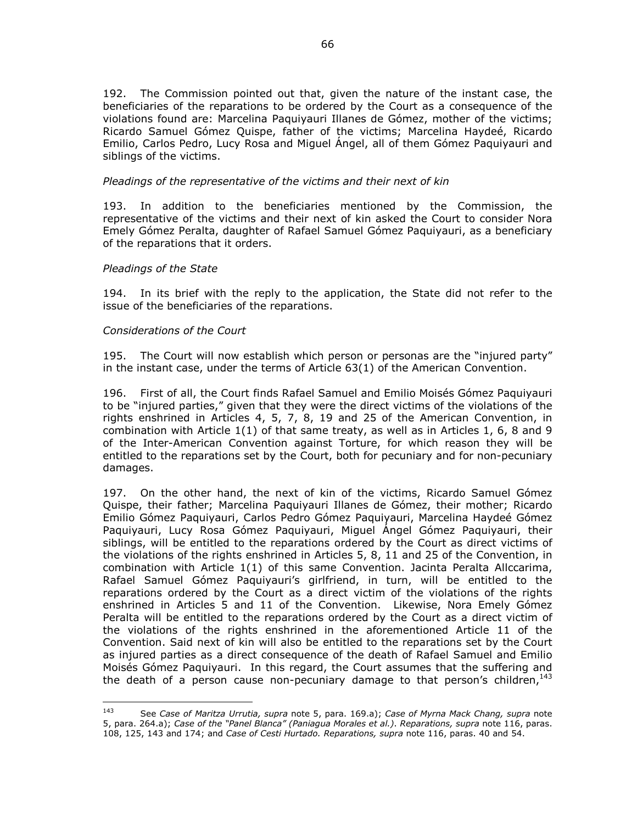192. The Commission pointed out that, given the nature of the instant case, the beneficiaries of the reparations to be ordered by the Court as a consequence of the violations found are: Marcelina Paquiyauri Illanes de Gómez, mother of the victims; Ricardo Samuel Gómez Quispe, father of the victims; Marcelina Haydeé, Ricardo Emilio, Carlos Pedro, Lucy Rosa and Miguel Ángel, all of them Gómez Paquiyauri and siblings of the victims.

## Pleadings of the representative of the victims and their next of kin

193. In addition to the beneficiaries mentioned by the Commission, the representative of the victims and their next of kin asked the Court to consider Nora Emely Gómez Peralta, daughter of Rafael Samuel Gómez Paquiyauri, as a beneficiary of the reparations that it orders.

## Pleadings of the State

l,

194. In its brief with the reply to the application, the State did not refer to the issue of the beneficiaries of the reparations.

### Considerations of the Court

195. The Court will now establish which person or personas are the "injured party" in the instant case, under the terms of Article 63(1) of the American Convention.

196. First of all, the Court finds Rafael Samuel and Emilio Moisés Gómez Paquiyauri to be "injured parties," given that they were the direct victims of the violations of the rights enshrined in Articles 4, 5, 7, 8, 19 and 25 of the American Convention, in combination with Article  $1(1)$  of that same treaty, as well as in Articles 1, 6, 8 and 9 of the Inter-American Convention against Torture, for which reason they will be entitled to the reparations set by the Court, both for pecuniary and for non-pecuniary damages.

197. On the other hand, the next of kin of the victims, Ricardo Samuel Gómez Quispe, their father; Marcelina Paquiyauri Illanes de Gómez, their mother; Ricardo Emilio Gómez Paquiyauri, Carlos Pedro Gómez Paquiyauri, Marcelina Haydeé Gómez Paquiyauri, Lucy Rosa Gómez Paquiyauri, Miguel Ángel Gómez Paquiyauri, their siblings, will be entitled to the reparations ordered by the Court as direct victims of the violations of the rights enshrined in Articles 5, 8, 11 and 25 of the Convention, in combination with Article 1(1) of this same Convention. Jacinta Peralta Allccarima, Rafael Samuel Gómez Paquiyauri's girlfriend, in turn, will be entitled to the reparations ordered by the Court as a direct victim of the violations of the rights enshrined in Articles 5 and 11 of the Convention. Likewise, Nora Emely Gómez Peralta will be entitled to the reparations ordered by the Court as a direct victim of the violations of the rights enshrined in the aforementioned Article 11 of the Convention. Said next of kin will also be entitled to the reparations set by the Court as injured parties as a direct consequence of the death of Rafael Samuel and Emilio Moisés Gómez Paquiyauri. In this regard, the Court assumes that the suffering and the death of a person cause non-pecuniary damage to that person's children,  $143$ 

<sup>&</sup>lt;sup>143</sup> See Case of Maritza Urrutia, supra note 5, para. 169.a); Case of Myrna Mack Chang, supra note 5, para. 264.a); Case of the "Panel Blanca" (Paniagua Morales et al.). Reparations, supra note 116, paras. 108, 125, 143 and 174; and Case of Cesti Hurtado. Reparations, supra note 116, paras. 40 and 54.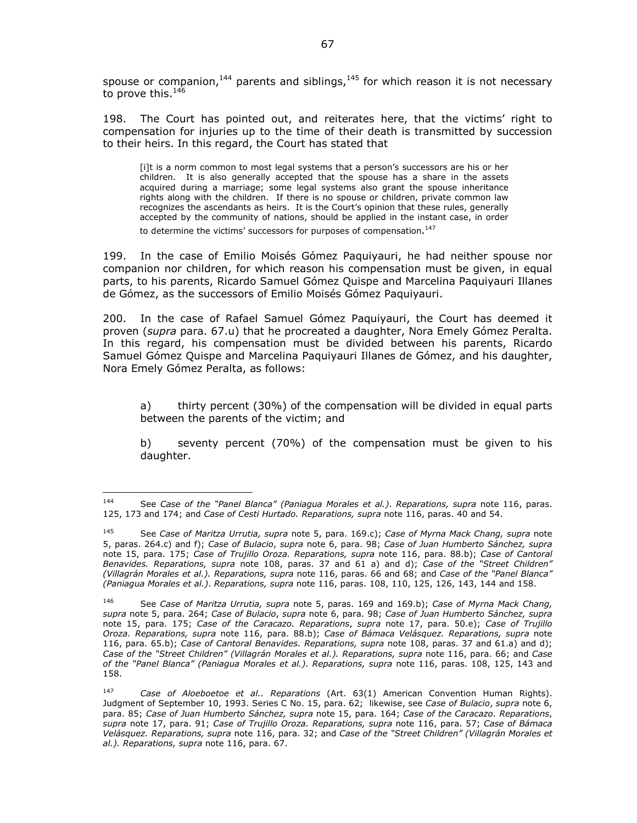spouse or companion,  $144$  parents and siblings,  $145$  for which reason it is not necessary to prove this. $146$ 

198. The Court has pointed out, and reiterates here, that the victims' right to compensation for injuries up to the time of their death is transmitted by succession to their heirs. In this regard, the Court has stated that

[i]t is a norm common to most legal systems that a person's successors are his or her children. It is also generally accepted that the spouse has a share in the assets acquired during a marriage; some legal systems also grant the spouse inheritance rights along with the children. If there is no spouse or children, private common law recognizes the ascendants as heirs. It is the Court's opinion that these rules, generally accepted by the community of nations, should be applied in the instant case, in order to determine the victims' successors for purposes of compensation.<sup>147</sup>

199. In the case of Emilio Moisés Gómez Paquiyauri, he had neither spouse nor companion nor children, for which reason his compensation must be given, in equal parts, to his parents, Ricardo Samuel Gómez Quispe and Marcelina Paquiyauri Illanes de Gómez, as the successors of Emilio Moisés Gómez Paquiyauri.

200. In the case of Rafael Samuel Gómez Paquiyauri, the Court has deemed it proven (supra para. 67.u) that he procreated a daughter, Nora Emely Gómez Peralta. In this regard, his compensation must be divided between his parents, Ricardo Samuel Gómez Quispe and Marcelina Paquiyauri Illanes de Gómez, and his daughter, Nora Emely Gómez Peralta, as follows:

a) thirty percent (30%) of the compensation will be divided in equal parts between the parents of the victim; and

b) seventy percent (70%) of the compensation must be given to his daughter.

<sup>&</sup>lt;sup>144</sup> See Case of the "Panel Blanca" (Paniagua Morales et al.). Reparations, supra note 116, paras. 125, 173 and 174; and Case of Cesti Hurtado. Reparations, supra note 116, paras. 40 and 54.

<sup>&</sup>lt;sup>145</sup> See Case of Maritza Urrutia, supra note 5, para. 169.c); Case of Myrna Mack Chang, supra note 5, paras. 264.c) and f); Case of Bulacio, supra note 6, para. 98; Case of Juan Humberto Sánchez, supra note 15, para. 175; Case of Trujillo Oroza. Reparations, supra note 116, para. 88.b); Case of Cantoral Benavides. Reparations, supra note 108, paras. 37 and 61 a) and d); Case of the "Street Children" (Villagrán Morales et al.). Reparations, supra note 116, paras. 66 and 68; and Case of the "Panel Blanca" (Paniagua Morales et al.). Reparations, supra note 116, paras. 108, 110, 125, 126, 143, 144 and 158.

<sup>&</sup>lt;sup>146</sup> See Case of Maritza Urrutia, supra note 5, paras. 169 and 169.b); Case of Myrna Mack Chang, supra note 5, para. 264; Case of Bulacio, supra note 6, para. 98; Case of Juan Humberto Sánchez, supra note 15, para. 175; Case of the Caracazo. Reparations, supra note 17, para. 50.e); Case of Trujillo Oroza. Reparations, supra note 116, para. 88.b); Case of Bámaca Velásquez. Reparations, supra note 116, para. 65.b); Case of Cantoral Benavides. Reparations, supra note 108, paras. 37 and 61.a) and d); Case of the "Street Children" (Villagrán Morales et al.). Reparations, supra note 116, para. 66; and Case of the "Panel Blanca" (Paniagua Morales et al.). Reparations, supra note 116, paras. 108, 125, 143 and 158.

<sup>&</sup>lt;sup>147</sup> Case of Aloeboetoe et al.. Reparations (Art.  $63(1)$  American Convention Human Rights). Judgment of September 10, 1993. Series C No. 15, para. 62; likewise, see Case of Bulacio, supra note 6, para. 85; Case of Juan Humberto Sánchez, supra note 15, para. 164; Case of the Caracazo. Reparations, supra note 17, para. 91; Case of Trujillo Oroza. Reparations, supra note 116, para. 57; Case of Bámaca Velásquez. Reparations, supra note 116, para. 32; and Case of the "Street Children" (Villagrán Morales et al.). Reparations, supra note 116, para. 67.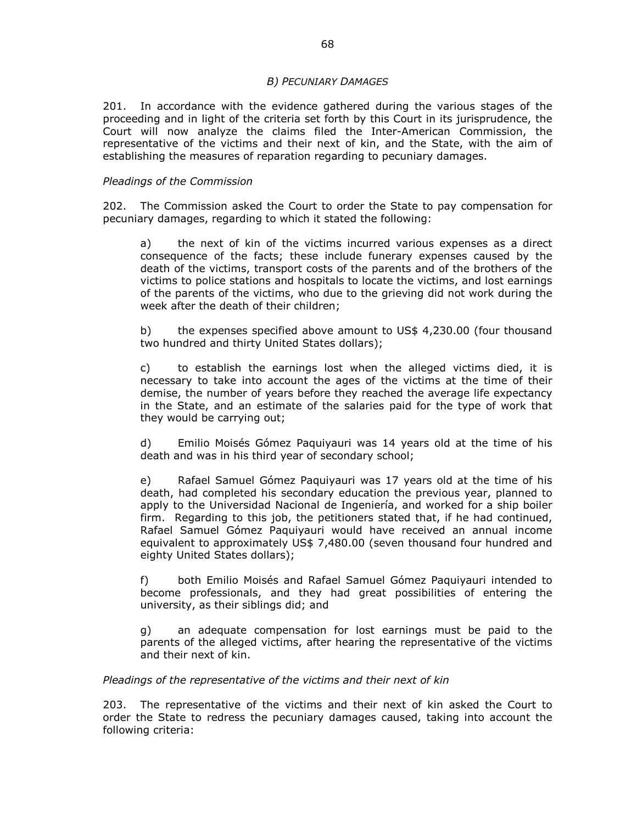# B) PECUNIARY DAMAGES

201. In accordance with the evidence gathered during the various stages of the proceeding and in light of the criteria set forth by this Court in its jurisprudence, the Court will now analyze the claims filed the Inter-American Commission, the representative of the victims and their next of kin, and the State, with the aim of establishing the measures of reparation regarding to pecuniary damages.

### Pleadings of the Commission

202. The Commission asked the Court to order the State to pay compensation for pecuniary damages, regarding to which it stated the following:

a) the next of kin of the victims incurred various expenses as a direct consequence of the facts; these include funerary expenses caused by the death of the victims, transport costs of the parents and of the brothers of the victims to police stations and hospitals to locate the victims, and lost earnings of the parents of the victims, who due to the grieving did not work during the week after the death of their children;

b) the expenses specified above amount to US\$ 4,230.00 (four thousand two hundred and thirty United States dollars);

c) to establish the earnings lost when the alleged victims died, it is necessary to take into account the ages of the victims at the time of their demise, the number of years before they reached the average life expectancy in the State, and an estimate of the salaries paid for the type of work that they would be carrying out;

d) Emilio Moisés Gómez Paquiyauri was 14 years old at the time of his death and was in his third year of secondary school;

e) Rafael Samuel Gómez Paquiyauri was 17 years old at the time of his death, had completed his secondary education the previous year, planned to apply to the Universidad Nacional de Ingeniería, and worked for a ship boiler firm. Regarding to this job, the petitioners stated that, if he had continued, Rafael Samuel Gómez Paquiyauri would have received an annual income equivalent to approximately US\$ 7,480.00 (seven thousand four hundred and eighty United States dollars);

f) both Emilio Moisés and Rafael Samuel Gómez Paquiyauri intended to become professionals, and they had great possibilities of entering the university, as their siblings did; and

g) an adequate compensation for lost earnings must be paid to the parents of the alleged victims, after hearing the representative of the victims and their next of kin.

### Pleadings of the representative of the victims and their next of kin

203. The representative of the victims and their next of kin asked the Court to order the State to redress the pecuniary damages caused, taking into account the following criteria: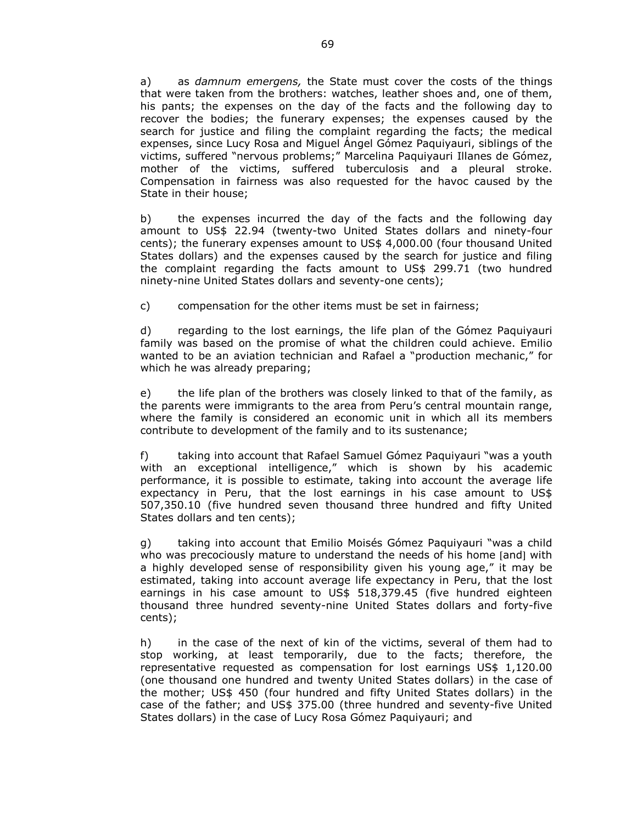a) as *damnum emergens*, the State must cover the costs of the things that were taken from the brothers: watches, leather shoes and, one of them, his pants; the expenses on the day of the facts and the following day to recover the bodies; the funerary expenses; the expenses caused by the search for justice and filing the complaint regarding the facts; the medical expenses, since Lucy Rosa and Miguel Ángel Gómez Paquiyauri, siblings of the victims, suffered "nervous problems;" Marcelina Paquiyauri Illanes de Gómez, mother of the victims, suffered tuberculosis and a pleural stroke. Compensation in fairness was also requested for the havoc caused by the State in their house;

b) the expenses incurred the day of the facts and the following day amount to US\$ 22.94 (twenty-two United States dollars and ninety-four cents); the funerary expenses amount to US\$ 4,000.00 (four thousand United States dollars) and the expenses caused by the search for justice and filing the complaint regarding the facts amount to US\$ 299.71 (two hundred ninety-nine United States dollars and seventy-one cents);

c) compensation for the other items must be set in fairness;

d) regarding to the lost earnings, the life plan of the Gómez Paquiyauri family was based on the promise of what the children could achieve. Emilio wanted to be an aviation technician and Rafael a "production mechanic," for which he was already preparing;

e) the life plan of the brothers was closely linked to that of the family, as the parents were immigrants to the area from Peru's central mountain range, where the family is considered an economic unit in which all its members contribute to development of the family and to its sustenance;

f) taking into account that Rafael Samuel Gómez Paquiyauri "was a youth with an exceptional intelligence," which is shown by his academic performance, it is possible to estimate, taking into account the average life expectancy in Peru, that the lost earnings in his case amount to US\$ 507,350.10 (five hundred seven thousand three hundred and fifty United States dollars and ten cents);

g) taking into account that Emilio Moisés Gómez Paquiyauri "was a child who was precociously mature to understand the needs of his home [and] with a highly developed sense of responsibility given his young age," it may be estimated, taking into account average life expectancy in Peru, that the lost earnings in his case amount to US\$ 518,379.45 (five hundred eighteen thousand three hundred seventy-nine United States dollars and forty-five cents);

h) in the case of the next of kin of the victims, several of them had to stop working, at least temporarily, due to the facts; therefore, the representative requested as compensation for lost earnings US\$ 1,120.00 (one thousand one hundred and twenty United States dollars) in the case of the mother; US\$ 450 (four hundred and fifty United States dollars) in the case of the father; and US\$ 375.00 (three hundred and seventy-five United States dollars) in the case of Lucy Rosa Gómez Paquiyauri; and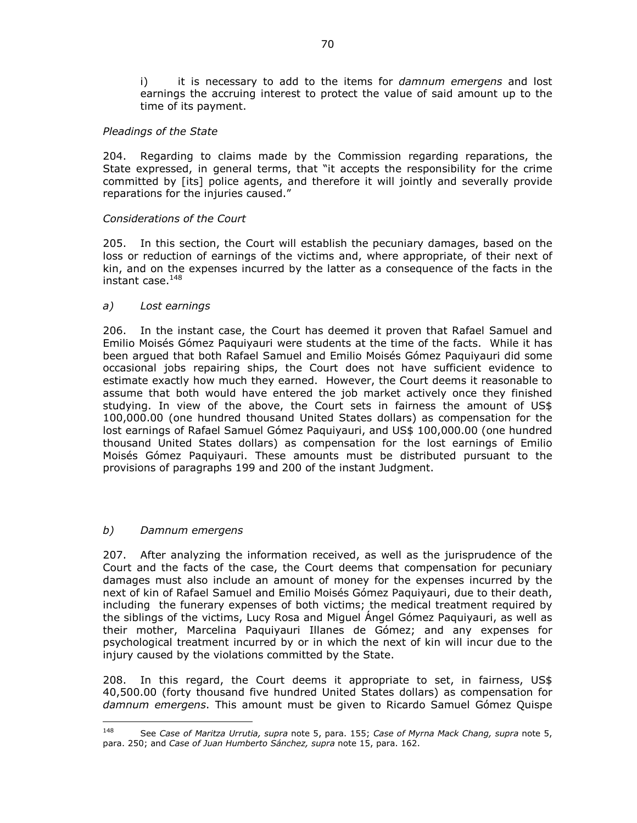i) it is necessary to add to the items for *damnum emergens* and lost earnings the accruing interest to protect the value of said amount up to the time of its payment.

# Pleadings of the State

204. Regarding to claims made by the Commission regarding reparations, the State expressed, in general terms, that "it accepts the responsibility for the crime committed by [its] police agents, and therefore it will jointly and severally provide reparations for the injuries caused."

# Considerations of the Court

205. In this section, the Court will establish the pecuniary damages, based on the loss or reduction of earnings of the victims and, where appropriate, of their next of kin, and on the expenses incurred by the latter as a consequence of the facts in the instant case. $148$ 

# a) Lost earnings

206. In the instant case, the Court has deemed it proven that Rafael Samuel and Emilio Moisés Gómez Paquiyauri were students at the time of the facts. While it has been argued that both Rafael Samuel and Emilio Moisés Gómez Paquiyauri did some occasional jobs repairing ships, the Court does not have sufficient evidence to estimate exactly how much they earned. However, the Court deems it reasonable to assume that both would have entered the job market actively once they finished studying. In view of the above, the Court sets in fairness the amount of US\$ 100,000.00 (one hundred thousand United States dollars) as compensation for the lost earnings of Rafael Samuel Gómez Paquiyauri, and US\$ 100,000.00 (one hundred thousand United States dollars) as compensation for the lost earnings of Emilio Moisés Gómez Paquiyauri. These amounts must be distributed pursuant to the provisions of paragraphs 199 and 200 of the instant Judgment.

# b) Damnum emergens

207. After analyzing the information received, as well as the jurisprudence of the Court and the facts of the case, the Court deems that compensation for pecuniary damages must also include an amount of money for the expenses incurred by the next of kin of Rafael Samuel and Emilio Moisés Gómez Paquiyauri, due to their death, including the funerary expenses of both victims; the medical treatment required by the siblings of the victims, Lucy Rosa and Miguel Ángel Gómez Paquiyauri, as well as their mother, Marcelina Paquiyauri Illanes de Gómez; and any expenses for psychological treatment incurred by or in which the next of kin will incur due to the injury caused by the violations committed by the State.

208. In this regard, the Court deems it appropriate to set, in fairness, US\$ 40,500.00 (forty thousand five hundred United States dollars) as compensation for damnum emergens. This amount must be given to Ricardo Samuel Gómez Quispe

<sup>&</sup>lt;sup>148</sup> See Case of Maritza Urrutia, supra note 5, para. 155; Case of Myrna Mack Chang, supra note 5, para. 250; and Case of Juan Humberto Sánchez, supra note 15, para. 162.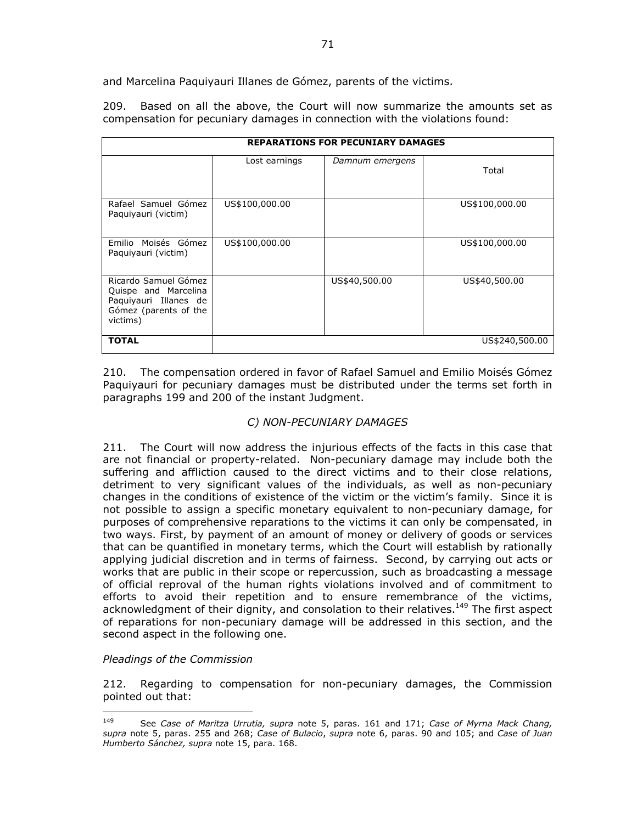and Marcelina Paquiyauri Illanes de Gómez, parents of the victims.

209. Based on all the above, the Court will now summarize the amounts set as compensation for pecuniary damages in connection with the violations found:

| <b>REPARATIONS FOR PECUNIARY DAMAGES</b>                                                                   |                |                 |                |
|------------------------------------------------------------------------------------------------------------|----------------|-----------------|----------------|
|                                                                                                            | Lost earnings  | Damnum emergens | Total          |
| Rafael Samuel Gómez<br>Paquiyauri (victim)                                                                 | US\$100,000.00 |                 | US\$100,000.00 |
| Emilio Moisés Gómez<br>Paquiyauri (victim)                                                                 | US\$100,000.00 |                 | US\$100,000.00 |
| Ricardo Samuel Gómez<br>Quispe and Marcelina<br>Paquiyauri Illanes de<br>Gómez (parents of the<br>victims) |                | US\$40,500.00   | US\$40,500.00  |
| <b>TOTAL</b>                                                                                               | US\$240,500.00 |                 |                |

210. The compensation ordered in favor of Rafael Samuel and Emilio Moisés Gómez Paquiyauri for pecuniary damages must be distributed under the terms set forth in paragraphs 199 and 200 of the instant Judgment.

# C) NON-PECUNIARY DAMAGES

211. The Court will now address the injurious effects of the facts in this case that are not financial or property-related. Non-pecuniary damage may include both the suffering and affliction caused to the direct victims and to their close relations, detriment to very significant values of the individuals, as well as non-pecuniary changes in the conditions of existence of the victim or the victim's family. Since it is not possible to assign a specific monetary equivalent to non-pecuniary damage, for purposes of comprehensive reparations to the victims it can only be compensated, in two ways. First, by payment of an amount of money or delivery of goods or services that can be quantified in monetary terms, which the Court will establish by rationally applying judicial discretion and in terms of fairness. Second, by carrying out acts or works that are public in their scope or repercussion, such as broadcasting a message of official reproval of the human rights violations involved and of commitment to efforts to avoid their repetition and to ensure remembrance of the victims, acknowledgment of their dignity, and consolation to their relatives.<sup>149</sup> The first aspect of reparations for non-pecuniary damage will be addressed in this section, and the second aspect in the following one.

# Pleadings of the Commission

212. Regarding to compensation for non-pecuniary damages, the Commission pointed out that:

<sup>&</sup>lt;sup>149</sup> See Case of Maritza Urrutia, supra note 5, paras. 161 and 171; Case of Myrna Mack Chang, supra note 5, paras. 255 and 268; Case of Bulacio, supra note 6, paras. 90 and 105; and Case of Juan Humberto Sánchez, supra note 15, para. 168.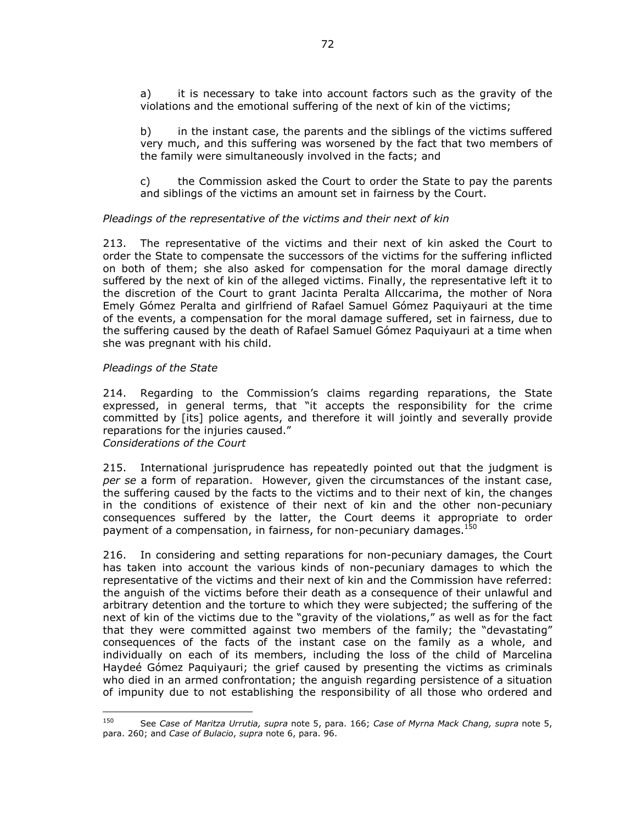a) it is necessary to take into account factors such as the gravity of the violations and the emotional suffering of the next of kin of the victims;

b) in the instant case, the parents and the siblings of the victims suffered very much, and this suffering was worsened by the fact that two members of the family were simultaneously involved in the facts; and

c) the Commission asked the Court to order the State to pay the parents and siblings of the victims an amount set in fairness by the Court.

## Pleadings of the representative of the victims and their next of kin

213. The representative of the victims and their next of kin asked the Court to order the State to compensate the successors of the victims for the suffering inflicted on both of them; she also asked for compensation for the moral damage directly suffered by the next of kin of the alleged victims. Finally, the representative left it to the discretion of the Court to grant Jacinta Peralta Allccarima, the mother of Nora Emely Gómez Peralta and girlfriend of Rafael Samuel Gómez Paquiyauri at the time of the events, a compensation for the moral damage suffered, set in fairness, due to the suffering caused by the death of Rafael Samuel Gómez Paquiyauri at a time when she was pregnant with his child.

## Pleadings of the State

214. Regarding to the Commission's claims regarding reparations, the State expressed, in general terms, that "it accepts the responsibility for the crime committed by [its] police agents, and therefore it will jointly and severally provide reparations for the injuries caused." Considerations of the Court

215. International jurisprudence has repeatedly pointed out that the judgment is per se a form of reparation. However, given the circumstances of the instant case, the suffering caused by the facts to the victims and to their next of kin, the changes in the conditions of existence of their next of kin and the other non-pecuniary consequences suffered by the latter, the Court deems it appropriate to order payment of a compensation, in fairness, for non-pecuniary damages.<sup>150</sup>

216. In considering and setting reparations for non-pecuniary damages, the Court has taken into account the various kinds of non-pecuniary damages to which the representative of the victims and their next of kin and the Commission have referred: the anguish of the victims before their death as a consequence of their unlawful and arbitrary detention and the torture to which they were subjected; the suffering of the next of kin of the victims due to the "gravity of the violations," as well as for the fact that they were committed against two members of the family; the "devastating" consequences of the facts of the instant case on the family as a whole, and individually on each of its members, including the loss of the child of Marcelina Haydeé Gómez Paquiyauri; the grief caused by presenting the victims as criminals who died in an armed confrontation; the anguish regarding persistence of a situation of impunity due to not establishing the responsibility of all those who ordered and

<sup>&</sup>lt;sup>150</sup> See Case of Maritza Urrutia, supra note 5, para. 166; Case of Myrna Mack Chang, supra note 5, para. 260; and Case of Bulacio, supra note 6, para. 96.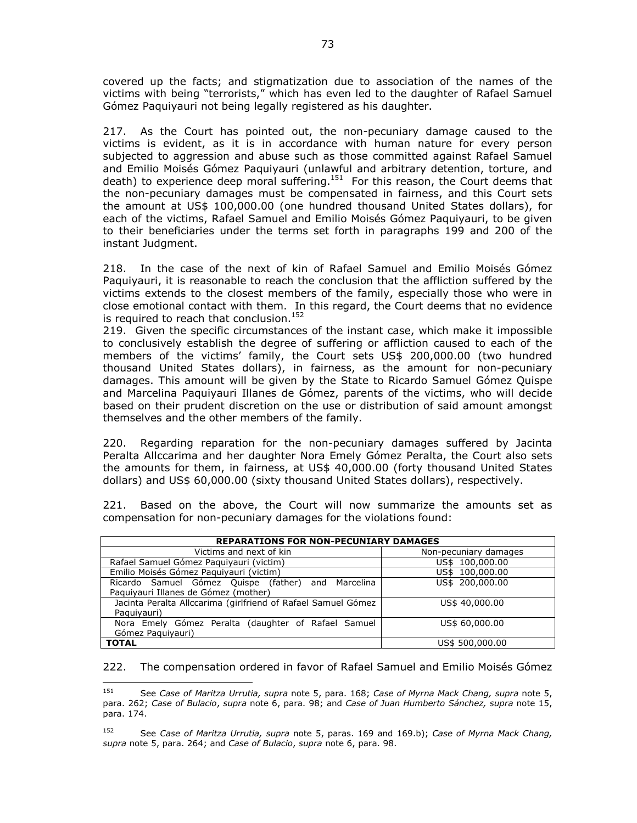covered up the facts; and stigmatization due to association of the names of the victims with being "terrorists," which has even led to the daughter of Rafael Samuel Gómez Paquiyauri not being legally registered as his daughter.

217. As the Court has pointed out, the non-pecuniary damage caused to the victims is evident, as it is in accordance with human nature for every person subjected to aggression and abuse such as those committed against Rafael Samuel and Emilio Moisés Gómez Paquiyauri (unlawful and arbitrary detention, torture, and death) to experience deep moral suffering.<sup>151</sup> For this reason, the Court deems that the non-pecuniary damages must be compensated in fairness, and this Court sets the amount at US\$ 100,000.00 (one hundred thousand United States dollars), for each of the victims, Rafael Samuel and Emilio Moisés Gómez Paquiyauri, to be given to their beneficiaries under the terms set forth in paragraphs 199 and 200 of the instant Judgment.

218. In the case of the next of kin of Rafael Samuel and Emilio Moisés Gómez Paquiyauri, it is reasonable to reach the conclusion that the affliction suffered by the victims extends to the closest members of the family, especially those who were in close emotional contact with them. In this regard, the Court deems that no evidence is required to reach that conclusion.<sup>152</sup>

219. Given the specific circumstances of the instant case, which make it impossible to conclusively establish the degree of suffering or affliction caused to each of the members of the victims' family, the Court sets US\$ 200,000.00 (two hundred thousand United States dollars), in fairness, as the amount for non-pecuniary damages. This amount will be given by the State to Ricardo Samuel Gómez Quispe and Marcelina Paquiyauri Illanes de Gómez, parents of the victims, who will decide based on their prudent discretion on the use or distribution of said amount amongst themselves and the other members of the family.

220. Regarding reparation for the non-pecuniary damages suffered by Jacinta Peralta Allccarima and her daughter Nora Emely Gómez Peralta, the Court also sets the amounts for them, in fairness, at US\$ 40,000.00 (forty thousand United States dollars) and US\$ 60,000.00 (sixty thousand United States dollars), respectively.

221. Based on the above, the Court will now summarize the amounts set as compensation for non-pecuniary damages for the violations found:

| <b>REPARATIONS FOR NON-PECUNIARY DAMAGES</b>                  |                       |
|---------------------------------------------------------------|-----------------------|
| Victims and next of kin                                       | Non-pecuniary damages |
| Rafael Samuel Gómez Paguiyauri (victim)                       | US\$ 100,000.00       |
| Emilio Moisés Gómez Paguiyauri (victim)                       | US\$ 100,000.00       |
| Ricardo Samuel Gómez Quispe (father) and Marcelina            | US\$ 200,000.00       |
| Paquiyauri Illanes de Gómez (mother)                          |                       |
| Jacinta Peralta Allccarima (girlfriend of Rafael Samuel Gómez | US\$ 40,000.00        |
| Paguiyauri)                                                   |                       |
| Nora Emely Gómez Peralta (daughter of Rafael Samuel           | US\$ 60,000.00        |
| Gómez Paquiyauri)                                             |                       |
| <b>TOTAL</b>                                                  | US\$ 500,000.00       |

222. The compensation ordered in favor of Rafael Samuel and Emilio Moisés Gómez 

<sup>&</sup>lt;sup>151</sup> See Case of Maritza Urrutia, supra note 5, para. 168; Case of Myrna Mack Chang, supra note 5, para. 262; Case of Bulacio, supra note 6, para. 98; and Case of Juan Humberto Sánchez, supra note 15, para. 174.

<sup>&</sup>lt;sup>152</sup> See Case of Maritza Urrutia, supra note 5, paras. 169 and 169.b); Case of Myrna Mack Chang, supra note 5, para. 264; and Case of Bulacio, supra note 6, para. 98.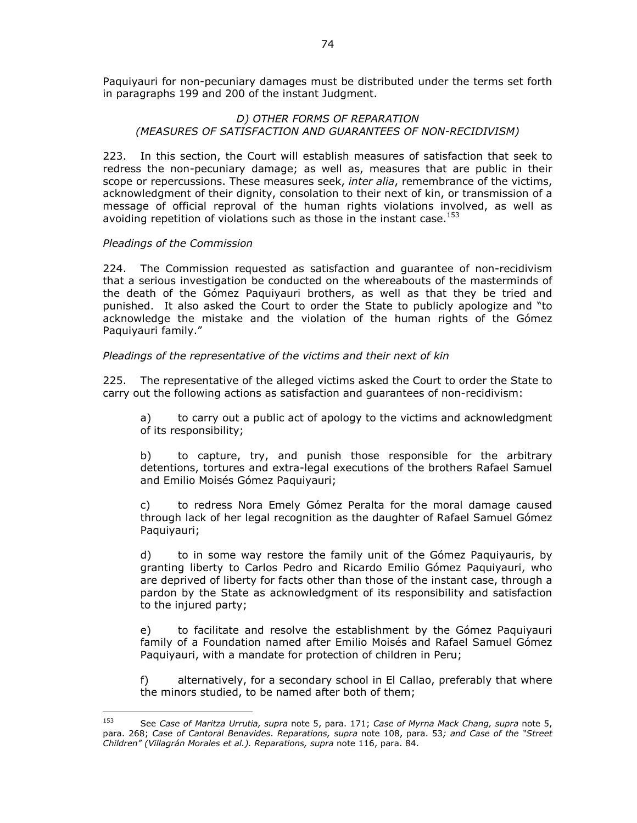Paquiyauri for non-pecuniary damages must be distributed under the terms set forth in paragraphs 199 and 200 of the instant Judgment.

### D) OTHER FORMS OF REPARATION (MEASURES OF SATISFACTION AND GUARANTEES OF NON-RECIDIVISM)

223. In this section, the Court will establish measures of satisfaction that seek to redress the non-pecuniary damage; as well as, measures that are public in their scope or repercussions. These measures seek, *inter alia*, remembrance of the victims, acknowledgment of their dignity, consolation to their next of kin, or transmission of a message of official reproval of the human rights violations involved, as well as avoiding repetition of violations such as those in the instant case.<sup>153</sup>

## Pleadings of the Commission

224. The Commission requested as satisfaction and guarantee of non-recidivism that a serious investigation be conducted on the whereabouts of the masterminds of the death of the Gómez Paquiyauri brothers, as well as that they be tried and punished. It also asked the Court to order the State to publicly apologize and "to acknowledge the mistake and the violation of the human rights of the Gómez Paquiyauri family."

## Pleadings of the representative of the victims and their next of kin

225. The representative of the alleged victims asked the Court to order the State to carry out the following actions as satisfaction and guarantees of non-recidivism:

a) to carry out a public act of apology to the victims and acknowledgment of its responsibility;

b) to capture, try, and punish those responsible for the arbitrary detentions, tortures and extra-legal executions of the brothers Rafael Samuel and Emilio Moisés Gómez Paquiyauri;

c) to redress Nora Emely Gómez Peralta for the moral damage caused through lack of her legal recognition as the daughter of Rafael Samuel Gómez Paquiyauri;

d) to in some way restore the family unit of the Gómez Paquiyauris, by granting liberty to Carlos Pedro and Ricardo Emilio Gómez Paquiyauri, who are deprived of liberty for facts other than those of the instant case, through a pardon by the State as acknowledgment of its responsibility and satisfaction to the injured party;

e) to facilitate and resolve the establishment by the Gómez Paquiyauri family of a Foundation named after Emilio Moisés and Rafael Samuel Gómez Paquiyauri, with a mandate for protection of children in Peru;

f) alternatively, for a secondary school in El Callao, preferably that where the minors studied, to be named after both of them;

<sup>&</sup>lt;sup>153</sup> See Case of Maritza Urrutia, supra note 5, para. 171; Case of Myrna Mack Chang, supra note 5, para. 268; Case of Cantoral Benavides. Reparations, supra note 108, para. 53; and Case of the "Street Children" (Villagrán Morales et al.). Reparations, supra note 116, para. 84.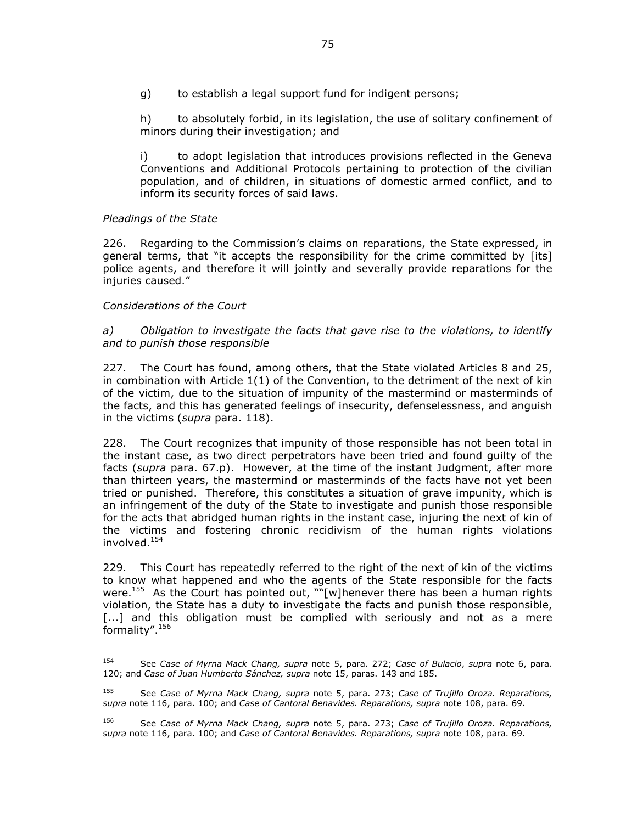g) to establish a legal support fund for indigent persons;

h) to absolutely forbid, in its legislation, the use of solitary confinement of minors during their investigation; and

i) to adopt legislation that introduces provisions reflected in the Geneva Conventions and Additional Protocols pertaining to protection of the civilian population, and of children, in situations of domestic armed conflict, and to inform its security forces of said laws.

## Pleadings of the State

226. Regarding to the Commission's claims on reparations, the State expressed, in general terms, that "it accepts the responsibility for the crime committed by [its] police agents, and therefore it will jointly and severally provide reparations for the injuries caused."

## Considerations of the Court

l,

a) Obligation to investigate the facts that gave rise to the violations, to identify and to punish those responsible

227. The Court has found, among others, that the State violated Articles 8 and 25, in combination with Article  $1(1)$  of the Convention, to the detriment of the next of kin of the victim, due to the situation of impunity of the mastermind or masterminds of the facts, and this has generated feelings of insecurity, defenselessness, and anguish in the victims (supra para. 118).

228. The Court recognizes that impunity of those responsible has not been total in the instant case, as two direct perpetrators have been tried and found guilty of the facts (supra para. 67.p). However, at the time of the instant Judgment, after more than thirteen years, the mastermind or masterminds of the facts have not yet been tried or punished. Therefore, this constitutes a situation of grave impunity, which is an infringement of the duty of the State to investigate and punish those responsible for the acts that abridged human rights in the instant case, injuring the next of kin of the victims and fostering chronic recidivism of the human rights violations involved.<sup>154</sup>

229. This Court has repeatedly referred to the right of the next of kin of the victims to know what happened and who the agents of the State responsible for the facts were.<sup>155</sup> As the Court has pointed out, "[w]henever there has been a human rights violation, the State has a duty to investigate the facts and punish those responsible, [...] and this obligation must be complied with seriously and not as a mere formality".<sup>156</sup>

 $154$  See Case of Myrna Mack Chang, supra note 5, para. 272; Case of Bulacio, supra note 6, para. 120; and Case of Juan Humberto Sánchez, supra note 15, paras. 143 and 185.

<sup>&</sup>lt;sup>155</sup> See Case of Myrna Mack Chang, supra note 5, para. 273; Case of Trujillo Oroza. Reparations, supra note 116, para. 100; and Case of Cantoral Benavides. Reparations, supra note 108, para. 69.

<sup>&</sup>lt;sup>156</sup> See Case of Myrna Mack Chang, supra note 5, para. 273; Case of Trujillo Oroza. Reparations, supra note 116, para. 100; and Case of Cantoral Benavides. Reparations, supra note 108, para. 69.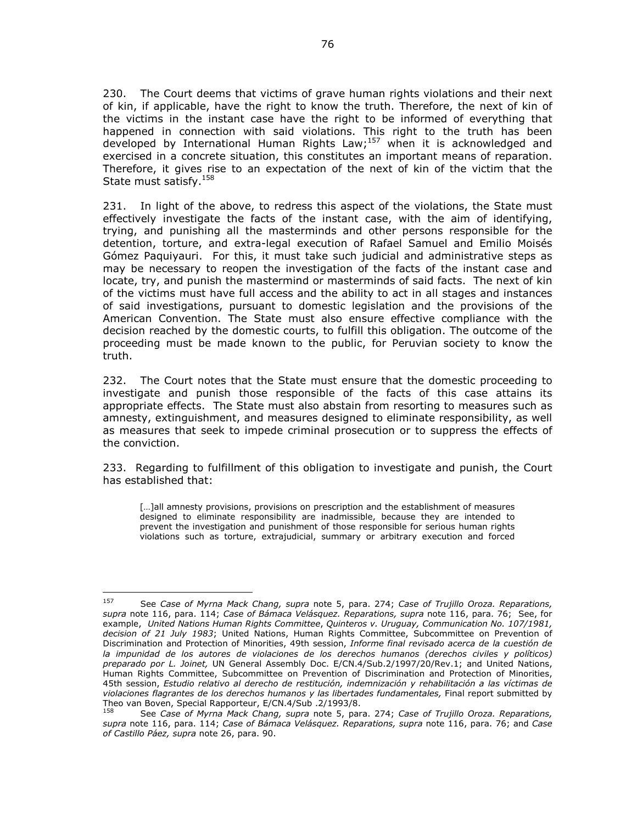230. The Court deems that victims of grave human rights violations and their next of kin, if applicable, have the right to know the truth. Therefore, the next of kin of the victims in the instant case have the right to be informed of everything that happened in connection with said violations. This right to the truth has been developed by International Human Rights Law;<sup>157</sup> when it is acknowledged and exercised in a concrete situation, this constitutes an important means of reparation. Therefore, it gives rise to an expectation of the next of kin of the victim that the State must satisfy.<sup>158</sup>

231. In light of the above, to redress this aspect of the violations, the State must effectively investigate the facts of the instant case, with the aim of identifying, trying, and punishing all the masterminds and other persons responsible for the detention, torture, and extra-legal execution of Rafael Samuel and Emilio Moisés Gómez Paquiyauri. For this, it must take such judicial and administrative steps as may be necessary to reopen the investigation of the facts of the instant case and locate, try, and punish the mastermind or masterminds of said facts. The next of kin of the victims must have full access and the ability to act in all stages and instances of said investigations, pursuant to domestic legislation and the provisions of the American Convention. The State must also ensure effective compliance with the decision reached by the domestic courts, to fulfill this obligation. The outcome of the proceeding must be made known to the public, for Peruvian society to know the truth.

232. The Court notes that the State must ensure that the domestic proceeding to investigate and punish those responsible of the facts of this case attains its appropriate effects. The State must also abstain from resorting to measures such as amnesty, extinguishment, and measures designed to eliminate responsibility, as well as measures that seek to impede criminal prosecution or to suppress the effects of the conviction.

233. Regarding to fulfillment of this obligation to investigate and punish, the Court has established that:

[...]all amnesty provisions, provisions on prescription and the establishment of measures designed to eliminate responsibility are inadmissible, because they are intended to prevent the investigation and punishment of those responsible for serious human rights violations such as torture, extrajudicial, summary or arbitrary execution and forced

<sup>&</sup>lt;sup>157</sup> See Case of Myrna Mack Chang, supra note 5, para. 274; Case of Trujillo Oroza. Reparations, supra note 116, para. 114; Case of Bámaca Velásquez. Reparations, supra note 116, para. 76; See, for example, United Nations Human Rights Committee, Quinteros v. Uruguay, Communication No. 107/1981, decision of 21 July 1983; United Nations, Human Rights Committee, Subcommittee on Prevention of Discrimination and Protection of Minorities, 49th session, Informe final revisado acerca de la cuestión de la impunidad de los autores de violaciones de los derechos humanos (derechos civiles y políticos) preparado por L. Joinet, UN General Assembly Doc. E/CN.4/Sub.2/1997/20/Rev.1; and United Nations, Human Rights Committee, Subcommittee on Prevention of Discrimination and Protection of Minorities, 45th session, Estudio relativo al derecho de restitución, indemnización y rehabilitación a las víctimas de violaciones flagrantes de los derechos humanos y las libertades fundamentales, Final report submitted by Theo van Boven, Special Rapporteur, E/CN.4/Sub .2/1993/8.

See Case of Myrna Mack Chang, supra note 5, para. 274; Case of Trujillo Oroza. Reparations, supra note 116, para. 114; Case of Bámaca Velásquez. Reparations, supra note 116, para. 76; and Case of Castillo Páez, supra note 26, para. 90.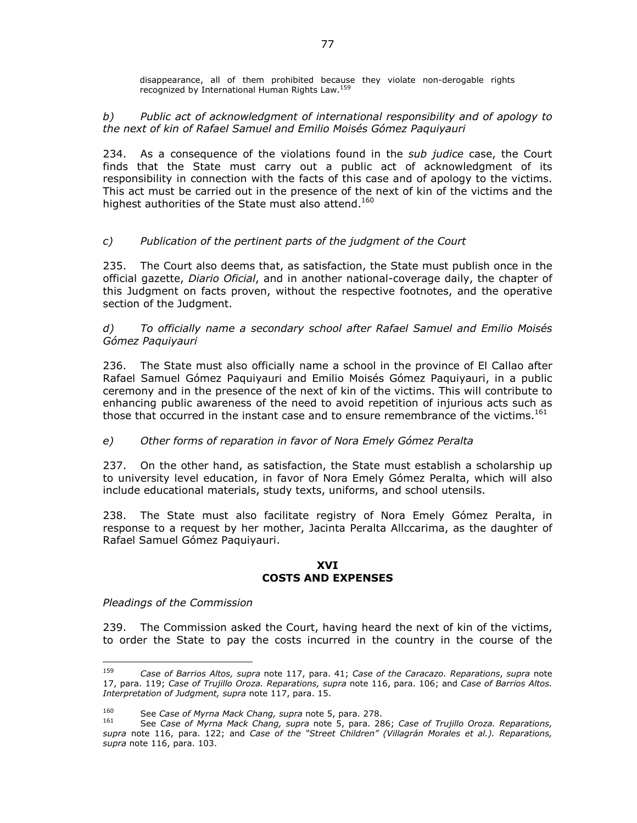disappearance, all of them prohibited because they violate non-derogable rights recognized by International Human Rights Law.<sup>159</sup>

## b) Public act of acknowledgment of international responsibility and of apology to the next of kin of Rafael Samuel and Emilio Moisés Gómez Paquiyauri

234. As a consequence of the violations found in the *sub judice* case, the Court finds that the State must carry out a public act of acknowledgment of its responsibility in connection with the facts of this case and of apology to the victims. This act must be carried out in the presence of the next of kin of the victims and the highest authorities of the State must also attend.<sup>160</sup>

## c) Publication of the pertinent parts of the judgment of the Court

235. The Court also deems that, as satisfaction, the State must publish once in the official gazette, Diario Oficial, and in another national-coverage daily, the chapter of this Judgment on facts proven, without the respective footnotes, and the operative section of the Judgment.

d) To officially name a secondary school after Rafael Samuel and Emilio Moisés Gómez Paquiyauri

236. The State must also officially name a school in the province of El Callao after Rafael Samuel Gómez Paquiyauri and Emilio Moisés Gómez Paquiyauri, in a public ceremony and in the presence of the next of kin of the victims. This will contribute to enhancing public awareness of the need to avoid repetition of injurious acts such as those that occurred in the instant case and to ensure remembrance of the victims.<sup>161</sup>

## e) Other forms of reparation in favor of Nora Emely Gómez Peralta

237. On the other hand, as satisfaction, the State must establish a scholarship up to university level education, in favor of Nora Emely Gómez Peralta, which will also include educational materials, study texts, uniforms, and school utensils.

238. The State must also facilitate registry of Nora Emely Gómez Peralta, in response to a request by her mother, Jacinta Peralta Allccarima, as the daughter of Rafael Samuel Gómez Paquiyauri.

#### XVI COSTS AND EXPENSES

## Pleadings of the Commission

239. The Commission asked the Court, having heard the next of kin of the victims, to order the State to pay the costs incurred in the country in the course of the

<sup>159</sup> Case of Barrios Altos, supra note 117, para. 41; Case of the Caracazo. Reparations, supra note 17, para. 119; Case of Trujillo Oroza. Reparations, supra note 116, para. 106; and Case of Barrios Altos. Interpretation of Judgment, supra note 117, para. 15.

<sup>&</sup>lt;sup>160</sup> See Case of Myrna Mack Chang, supra note 5, para. 278.<br><sup>161</sup> See Case of Myrna Mack Chang, supra note 5, para. 28

See Case of Myrna Mack Chang, supra note 5, para. 286; Case of Trujillo Oroza. Reparations, supra note 116, para. 122; and Case of the "Street Children" (Villagrán Morales et al.). Reparations, supra note 116, para. 103.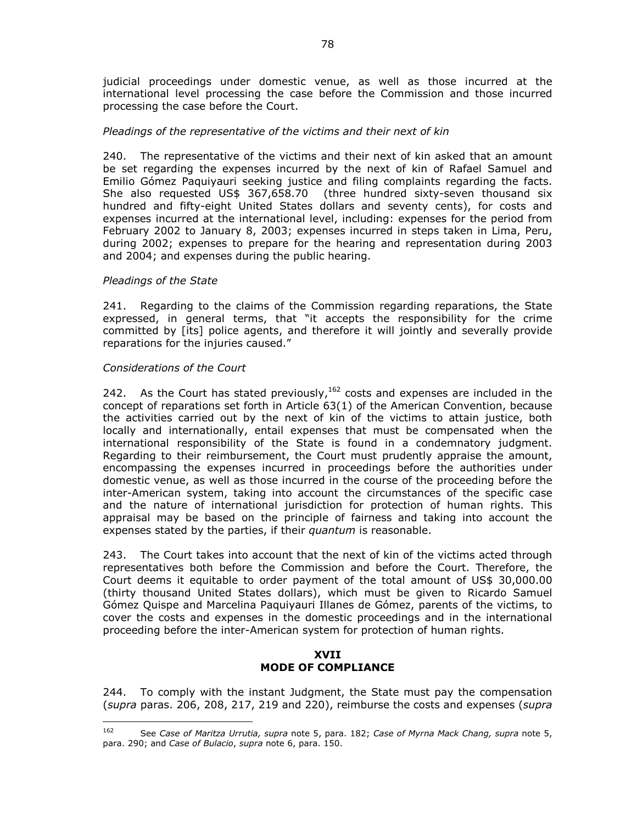judicial proceedings under domestic venue, as well as those incurred at the international level processing the case before the Commission and those incurred processing the case before the Court.

## Pleadings of the representative of the victims and their next of kin

240. The representative of the victims and their next of kin asked that an amount be set regarding the expenses incurred by the next of kin of Rafael Samuel and Emilio Gómez Paquiyauri seeking justice and filing complaints regarding the facts. She also requested US\$ 367,658.70 (three hundred sixty-seven thousand six hundred and fifty-eight United States dollars and seventy cents), for costs and expenses incurred at the international level, including: expenses for the period from February 2002 to January 8, 2003; expenses incurred in steps taken in Lima, Peru, during 2002; expenses to prepare for the hearing and representation during 2003 and 2004; and expenses during the public hearing.

## Pleadings of the State

241. Regarding to the claims of the Commission regarding reparations, the State expressed, in general terms, that "it accepts the responsibility for the crime committed by [its] police agents, and therefore it will jointly and severally provide reparations for the injuries caused."

### Considerations of the Court

242. As the Court has stated previously,  $162$  costs and expenses are included in the concept of reparations set forth in Article 63(1) of the American Convention, because the activities carried out by the next of kin of the victims to attain justice, both locally and internationally, entail expenses that must be compensated when the international responsibility of the State is found in a condemnatory judgment. Regarding to their reimbursement, the Court must prudently appraise the amount, encompassing the expenses incurred in proceedings before the authorities under domestic venue, as well as those incurred in the course of the proceeding before the inter-American system, taking into account the circumstances of the specific case and the nature of international jurisdiction for protection of human rights. This appraisal may be based on the principle of fairness and taking into account the expenses stated by the parties, if their *quantum* is reasonable.

243. The Court takes into account that the next of kin of the victims acted through representatives both before the Commission and before the Court. Therefore, the Court deems it equitable to order payment of the total amount of US\$ 30,000.00 (thirty thousand United States dollars), which must be given to Ricardo Samuel Gómez Quispe and Marcelina Paquiyauri Illanes de Gómez, parents of the victims, to cover the costs and expenses in the domestic proceedings and in the international proceeding before the inter-American system for protection of human rights.

## XVII MODE OF COMPLIANCE

244. To comply with the instant Judgment, the State must pay the compensation (supra paras. 206, 208, 217, 219 and 220), reimburse the costs and expenses (supra

<sup>&</sup>lt;sup>162</sup> See Case of Maritza Urrutia, supra note 5, para. 182; Case of Myrna Mack Chang, supra note 5, para. 290; and Case of Bulacio, supra note 6, para. 150.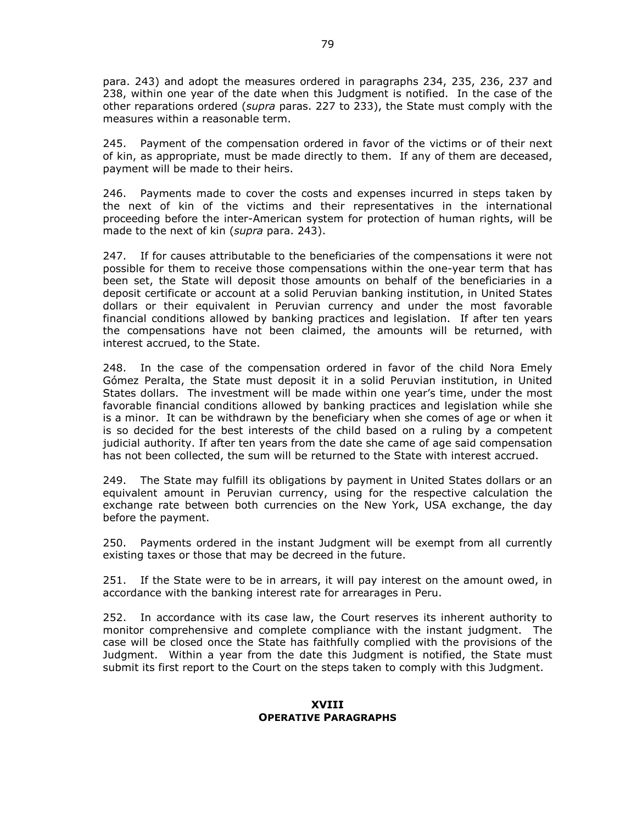para. 243) and adopt the measures ordered in paragraphs 234, 235, 236, 237 and 238, within one year of the date when this Judgment is notified. In the case of the other reparations ordered (supra paras. 227 to 233), the State must comply with the measures within a reasonable term.

245. Payment of the compensation ordered in favor of the victims or of their next of kin, as appropriate, must be made directly to them. If any of them are deceased, payment will be made to their heirs.

246. Payments made to cover the costs and expenses incurred in steps taken by the next of kin of the victims and their representatives in the international proceeding before the inter-American system for protection of human rights, will be made to the next of kin (supra para. 243).

247. If for causes attributable to the beneficiaries of the compensations it were not possible for them to receive those compensations within the one-year term that has been set, the State will deposit those amounts on behalf of the beneficiaries in a deposit certificate or account at a solid Peruvian banking institution, in United States dollars or their equivalent in Peruvian currency and under the most favorable financial conditions allowed by banking practices and legislation. If after ten years the compensations have not been claimed, the amounts will be returned, with interest accrued, to the State.

248. In the case of the compensation ordered in favor of the child Nora Emely Gómez Peralta, the State must deposit it in a solid Peruvian institution, in United States dollars. The investment will be made within one year's time, under the most favorable financial conditions allowed by banking practices and legislation while she is a minor. It can be withdrawn by the beneficiary when she comes of age or when it is so decided for the best interests of the child based on a ruling by a competent judicial authority. If after ten years from the date she came of age said compensation has not been collected, the sum will be returned to the State with interest accrued.

249. The State may fulfill its obligations by payment in United States dollars or an equivalent amount in Peruvian currency, using for the respective calculation the exchange rate between both currencies on the New York, USA exchange, the day before the payment.

250. Payments ordered in the instant Judgment will be exempt from all currently existing taxes or those that may be decreed in the future.

251. If the State were to be in arrears, it will pay interest on the amount owed, in accordance with the banking interest rate for arrearages in Peru.

252. In accordance with its case law, the Court reserves its inherent authority to monitor comprehensive and complete compliance with the instant judgment. The case will be closed once the State has faithfully complied with the provisions of the Judgment. Within a year from the date this Judgment is notified, the State must submit its first report to the Court on the steps taken to comply with this Judgment.

### XVIII OPERATIVE PARAGRAPHS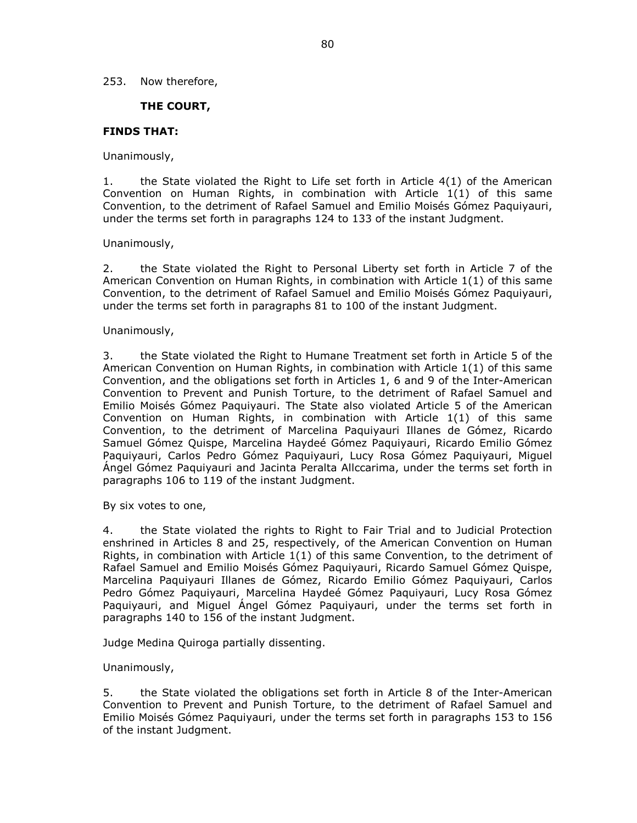253. Now therefore,

## THE COURT,

## FINDS THAT:

Unanimously,

1. the State violated the Right to Life set forth in Article 4(1) of the American Convention on Human Rights, in combination with Article 1(1) of this same Convention, to the detriment of Rafael Samuel and Emilio Moisés Gómez Paquiyauri, under the terms set forth in paragraphs 124 to 133 of the instant Judgment.

### Unanimously,

2. the State violated the Right to Personal Liberty set forth in Article 7 of the American Convention on Human Rights, in combination with Article 1(1) of this same Convention, to the detriment of Rafael Samuel and Emilio Moisés Gómez Paquiyauri, under the terms set forth in paragraphs 81 to 100 of the instant Judgment.

### Unanimously,

3. the State violated the Right to Humane Treatment set forth in Article 5 of the American Convention on Human Rights, in combination with Article 1(1) of this same Convention, and the obligations set forth in Articles 1, 6 and 9 of the Inter-American Convention to Prevent and Punish Torture, to the detriment of Rafael Samuel and Emilio Moisés Gómez Paquiyauri. The State also violated Article 5 of the American Convention on Human Rights, in combination with Article 1(1) of this same Convention, to the detriment of Marcelina Paquiyauri Illanes de Gómez, Ricardo Samuel Gómez Quispe, Marcelina Haydeé Gómez Paquiyauri, Ricardo Emilio Gómez Paquiyauri, Carlos Pedro Gómez Paquiyauri, Lucy Rosa Gómez Paquiyauri, Miguel Ángel Gómez Paquiyauri and Jacinta Peralta Allccarima, under the terms set forth in paragraphs 106 to 119 of the instant Judgment.

By six votes to one,

4. the State violated the rights to Right to Fair Trial and to Judicial Protection enshrined in Articles 8 and 25, respectively, of the American Convention on Human Rights, in combination with Article  $1(1)$  of this same Convention, to the detriment of Rafael Samuel and Emilio Moisés Gómez Paquiyauri, Ricardo Samuel Gómez Quispe, Marcelina Paquiyauri Illanes de Gómez, Ricardo Emilio Gómez Paquiyauri, Carlos Pedro Gómez Paquiyauri, Marcelina Haydeé Gómez Paquiyauri, Lucy Rosa Gómez Paquiyauri, and Miguel Ángel Gómez Paquiyauri, under the terms set forth in paragraphs 140 to 156 of the instant Judgment.

Judge Medina Quiroga partially dissenting.

## Unanimously,

5. the State violated the obligations set forth in Article 8 of the Inter-American Convention to Prevent and Punish Torture, to the detriment of Rafael Samuel and Emilio Moisés Gómez Paquiyauri, under the terms set forth in paragraphs 153 to 156 of the instant Judgment.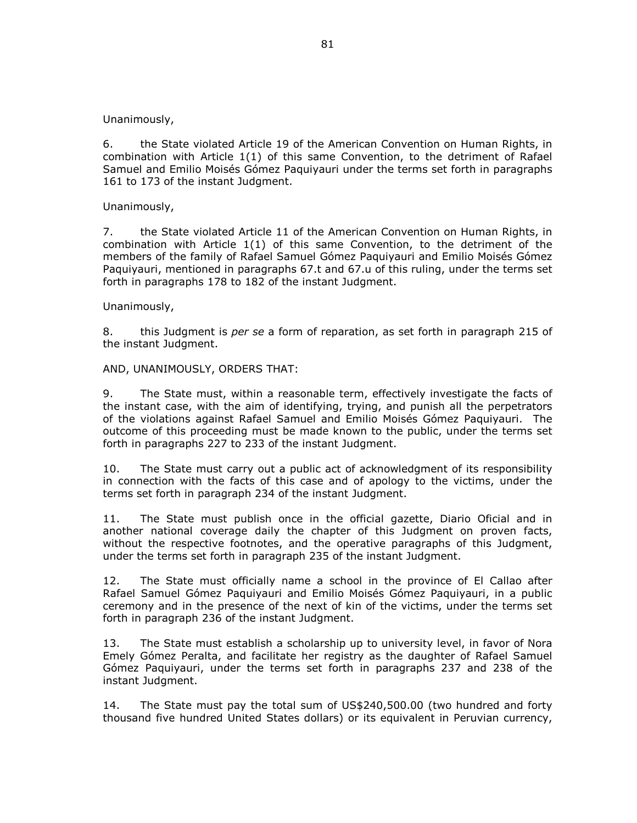### Unanimously,

6. the State violated Article 19 of the American Convention on Human Rights, in combination with Article 1(1) of this same Convention, to the detriment of Rafael Samuel and Emilio Moisés Gómez Paquiyauri under the terms set forth in paragraphs 161 to 173 of the instant Judgment.

Unanimously,

7. the State violated Article 11 of the American Convention on Human Rights, in combination with Article 1(1) of this same Convention, to the detriment of the members of the family of Rafael Samuel Gómez Paquiyauri and Emilio Moisés Gómez Paquiyauri, mentioned in paragraphs 67.t and 67.u of this ruling, under the terms set forth in paragraphs 178 to 182 of the instant Judgment.

### Unanimously,

8. this Judgment is per se a form of reparation, as set forth in paragraph 215 of the instant Judgment.

### AND, UNANIMOUSLY, ORDERS THAT:

9. The State must, within a reasonable term, effectively investigate the facts of the instant case, with the aim of identifying, trying, and punish all the perpetrators of the violations against Rafael Samuel and Emilio Moisés Gómez Paquiyauri. The outcome of this proceeding must be made known to the public, under the terms set forth in paragraphs 227 to 233 of the instant Judgment.

10. The State must carry out a public act of acknowledgment of its responsibility in connection with the facts of this case and of apology to the victims, under the terms set forth in paragraph 234 of the instant Judgment.

11. The State must publish once in the official gazette, Diario Oficial and in another national coverage daily the chapter of this Judgment on proven facts, without the respective footnotes, and the operative paragraphs of this Judgment, under the terms set forth in paragraph 235 of the instant Judgment.

12. The State must officially name a school in the province of El Callao after Rafael Samuel Gómez Paquiyauri and Emilio Moisés Gómez Paquiyauri, in a public ceremony and in the presence of the next of kin of the victims, under the terms set forth in paragraph 236 of the instant Judgment.

13. The State must establish a scholarship up to university level, in favor of Nora Emely Gómez Peralta, and facilitate her registry as the daughter of Rafael Samuel Gómez Paquiyauri, under the terms set forth in paragraphs 237 and 238 of the instant Judgment.

14. The State must pay the total sum of US\$240,500.00 (two hundred and forty thousand five hundred United States dollars) or its equivalent in Peruvian currency,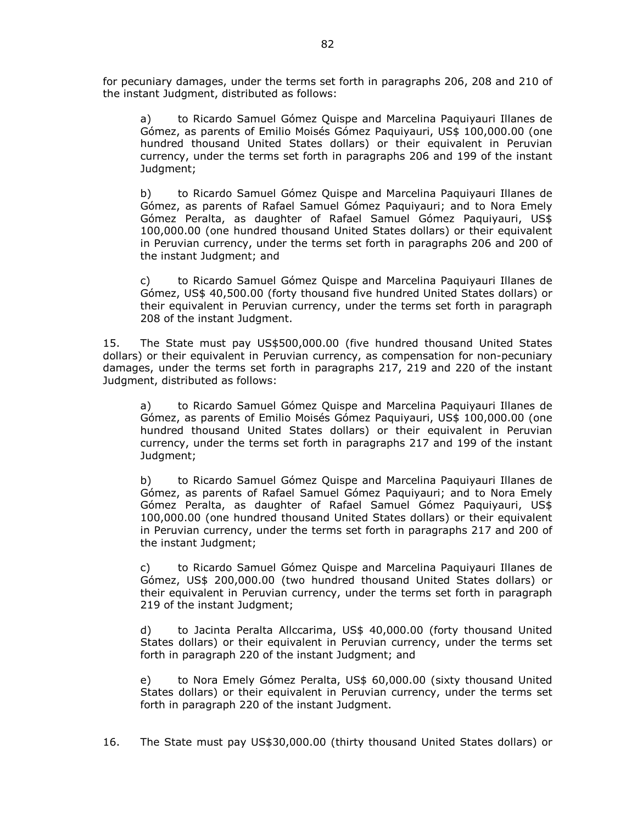for pecuniary damages, under the terms set forth in paragraphs 206, 208 and 210 of the instant Judgment, distributed as follows:

a) to Ricardo Samuel Gómez Quispe and Marcelina Paquiyauri Illanes de Gómez, as parents of Emilio Moisés Gómez Paquiyauri, US\$ 100,000.00 (one hundred thousand United States dollars) or their equivalent in Peruvian currency, under the terms set forth in paragraphs 206 and 199 of the instant Judgment;

b) to Ricardo Samuel Gómez Quispe and Marcelina Paquiyauri Illanes de Gómez, as parents of Rafael Samuel Gómez Paquiyauri; and to Nora Emely Gómez Peralta, as daughter of Rafael Samuel Gómez Paquiyauri, US\$ 100,000.00 (one hundred thousand United States dollars) or their equivalent in Peruvian currency, under the terms set forth in paragraphs 206 and 200 of the instant Judgment; and

c) to Ricardo Samuel Gómez Quispe and Marcelina Paquiyauri Illanes de Gómez, US\$ 40,500.00 (forty thousand five hundred United States dollars) or their equivalent in Peruvian currency, under the terms set forth in paragraph 208 of the instant Judgment.

15. The State must pay US\$500,000.00 (five hundred thousand United States dollars) or their equivalent in Peruvian currency, as compensation for non-pecuniary damages, under the terms set forth in paragraphs 217, 219 and 220 of the instant Judgment, distributed as follows:

a) to Ricardo Samuel Gómez Quispe and Marcelina Paquiyauri Illanes de Gómez, as parents of Emilio Moisés Gómez Paquiyauri, US\$ 100,000.00 (one hundred thousand United States dollars) or their equivalent in Peruvian currency, under the terms set forth in paragraphs 217 and 199 of the instant Judgment;

b) to Ricardo Samuel Gómez Quispe and Marcelina Paquiyauri Illanes de Gómez, as parents of Rafael Samuel Gómez Paquiyauri; and to Nora Emely Gómez Peralta, as daughter of Rafael Samuel Gómez Paquiyauri, US\$ 100,000.00 (one hundred thousand United States dollars) or their equivalent in Peruvian currency, under the terms set forth in paragraphs 217 and 200 of the instant Judgment;

c) to Ricardo Samuel Gómez Quispe and Marcelina Paquiyauri Illanes de Gómez, US\$ 200,000.00 (two hundred thousand United States dollars) or their equivalent in Peruvian currency, under the terms set forth in paragraph 219 of the instant Judgment;

d) to Jacinta Peralta Allccarima, US\$ 40,000.00 (forty thousand United States dollars) or their equivalent in Peruvian currency, under the terms set forth in paragraph 220 of the instant Judgment; and

e) to Nora Emely Gómez Peralta, US\$ 60,000.00 (sixty thousand United States dollars) or their equivalent in Peruvian currency, under the terms set forth in paragraph 220 of the instant Judgment.

16. The State must pay US\$30,000.00 (thirty thousand United States dollars) or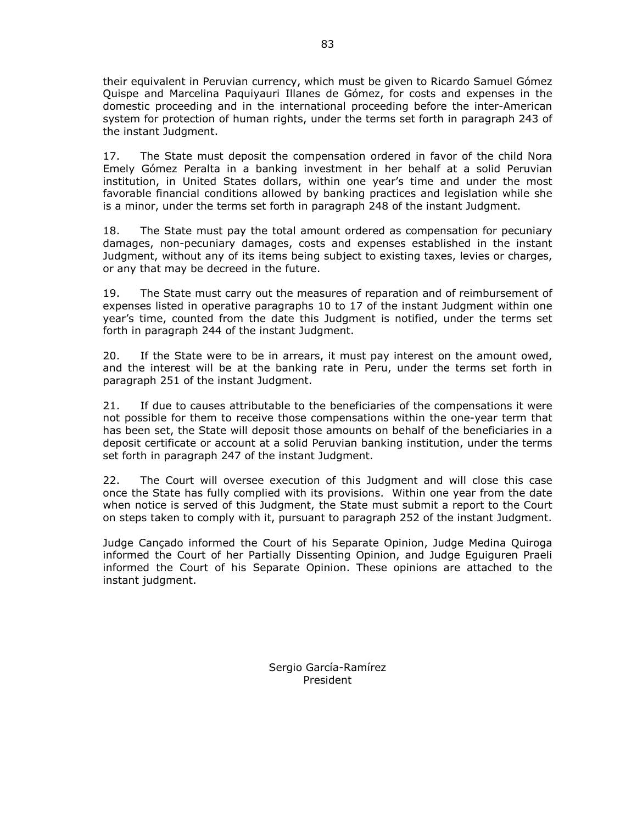their equivalent in Peruvian currency, which must be given to Ricardo Samuel Gómez Quispe and Marcelina Paquiyauri Illanes de Gómez, for costs and expenses in the domestic proceeding and in the international proceeding before the inter-American system for protection of human rights, under the terms set forth in paragraph 243 of the instant Judgment.

17. The State must deposit the compensation ordered in favor of the child Nora Emely Gómez Peralta in a banking investment in her behalf at a solid Peruvian institution, in United States dollars, within one year's time and under the most favorable financial conditions allowed by banking practices and legislation while she is a minor, under the terms set forth in paragraph 248 of the instant Judgment.

18. The State must pay the total amount ordered as compensation for pecuniary damages, non-pecuniary damages, costs and expenses established in the instant Judgment, without any of its items being subject to existing taxes, levies or charges, or any that may be decreed in the future.

19. The State must carry out the measures of reparation and of reimbursement of expenses listed in operative paragraphs 10 to 17 of the instant Judgment within one year's time, counted from the date this Judgment is notified, under the terms set forth in paragraph 244 of the instant Judgment.

20. If the State were to be in arrears, it must pay interest on the amount owed, and the interest will be at the banking rate in Peru, under the terms set forth in paragraph 251 of the instant Judgment.

21. If due to causes attributable to the beneficiaries of the compensations it were not possible for them to receive those compensations within the one-year term that has been set, the State will deposit those amounts on behalf of the beneficiaries in a deposit certificate or account at a solid Peruvian banking institution, under the terms set forth in paragraph 247 of the instant Judgment.

22. The Court will oversee execution of this Judgment and will close this case once the State has fully complied with its provisions. Within one year from the date when notice is served of this Judgment, the State must submit a report to the Court on steps taken to comply with it, pursuant to paragraph 252 of the instant Judgment.

Judge Cançado informed the Court of his Separate Opinion, Judge Medina Quiroga informed the Court of her Partially Dissenting Opinion, and Judge Eguiguren Praeli informed the Court of his Separate Opinion. These opinions are attached to the instant judgment.

> Sergio García-Ramírez President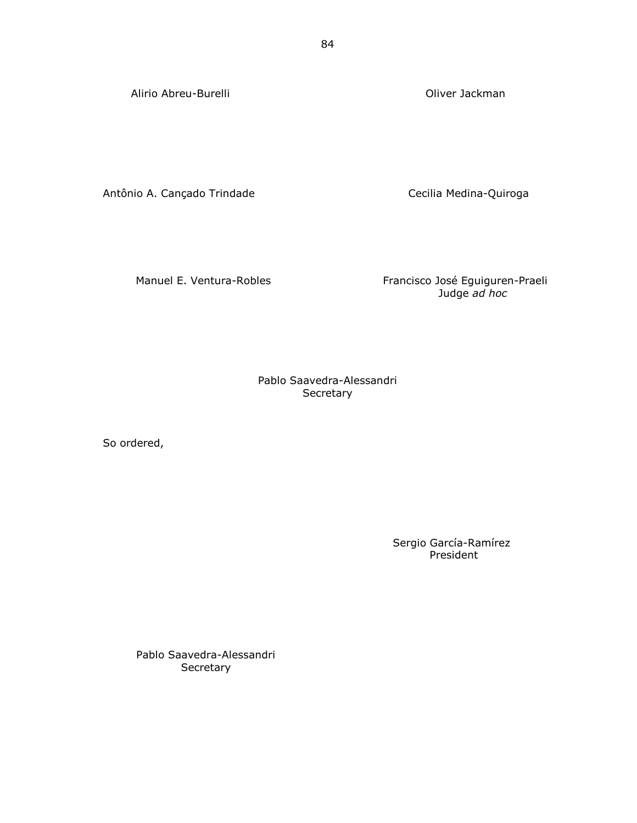Alirio Abreu-Burelli Oliver Jackman

Antônio A. Cançado Trindade **Cecilia Medina-Quiroga** 

Manuel E. Ventura-Robles Francisco José Eguiguren-Praeli Judge *ad hoc* 

> Pablo Saavedra-Alessandri Secretary

So ordered,

Sergio García-Ramírez President

Pablo Saavedra-Alessandri Secretary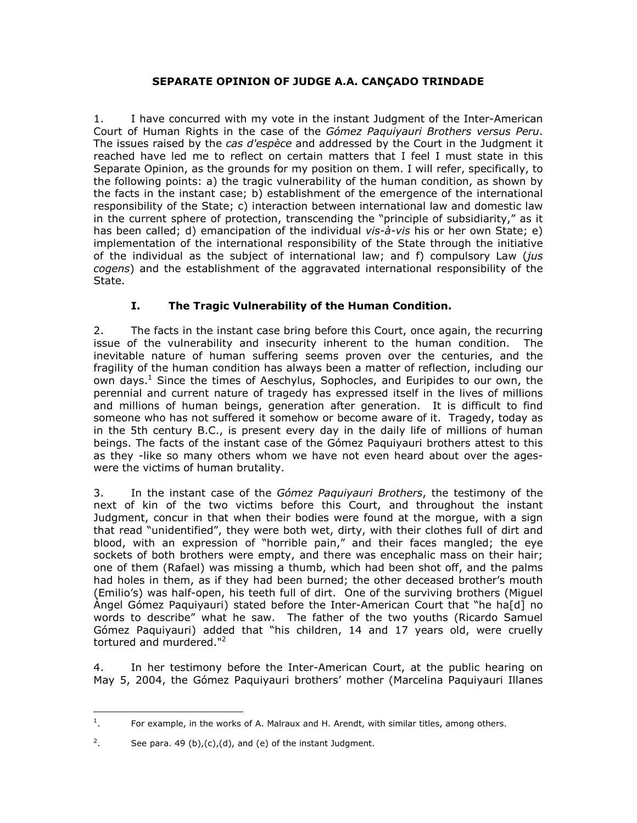## SEPARATE OPINION OF JUDGE A.A. CANÇADO TRINDADE

1. I have concurred with my vote in the instant Judgment of the Inter-American Court of Human Rights in the case of the Gómez Paquiyauri Brothers versus Peru. The issues raised by the cas d'espèce and addressed by the Court in the Judgment it reached have led me to reflect on certain matters that I feel I must state in this Separate Opinion, as the grounds for my position on them. I will refer, specifically, to the following points: a) the tragic vulnerability of the human condition, as shown by the facts in the instant case; b) establishment of the emergence of the international responsibility of the State; c) interaction between international law and domestic law in the current sphere of protection, transcending the "principle of subsidiarity," as it has been called; d) emancipation of the individual vis-à-vis his or her own State; e) implementation of the international responsibility of the State through the initiative of the individual as the subject of international law; and  $f$ ) compulsory Law *(jus* cogens) and the establishment of the aggravated international responsibility of the State.

# I. The Tragic Vulnerability of the Human Condition.

2. The facts in the instant case bring before this Court, once again, the recurring issue of the vulnerability and insecurity inherent to the human condition. The inevitable nature of human suffering seems proven over the centuries, and the fragility of the human condition has always been a matter of reflection, including our own days.<sup>1</sup> Since the times of Aeschylus, Sophocles, and Euripides to our own, the perennial and current nature of tragedy has expressed itself in the lives of millions and millions of human beings, generation after generation. It is difficult to find someone who has not suffered it somehow or become aware of it. Tragedy, today as in the 5th century B.C., is present every day in the daily life of millions of human beings. The facts of the instant case of the Gómez Paquiyauri brothers attest to this as they -like so many others whom we have not even heard about over the ageswere the victims of human brutality.

3. In the instant case of the Gómez Paquiyauri Brothers, the testimony of the next of kin of the two victims before this Court, and throughout the instant Judgment, concur in that when their bodies were found at the morgue, with a sign that read "unidentified", they were both wet, dirty, with their clothes full of dirt and blood, with an expression of "horrible pain," and their faces mangled; the eye sockets of both brothers were empty, and there was encephalic mass on their hair; one of them (Rafael) was missing a thumb, which had been shot off, and the palms had holes in them, as if they had been burned; the other deceased brother's mouth (Emilio's) was half-open, his teeth full of dirt. One of the surviving brothers (Miguel Ángel Gómez Paquiyauri) stated before the Inter-American Court that "he ha[d] no words to describe" what he saw. The father of the two youths (Ricardo Samuel Gómez Paquiyauri) added that "his children, 14 and 17 years old, were cruelly tortured and murdered."<sup>2</sup>

4. In her testimony before the Inter-American Court, at the public hearing on May 5, 2004, the Gómez Paquiyauri brothers' mother (Marcelina Paquiyauri Illanes

<sup>1</sup> . For example, in the works of A. Malraux and H. Arendt, with similar titles, among others.

 $2 \cdot$ See para. 49  $(b)$ , $(c)$ , $(d)$ , and  $(e)$  of the instant Judgment.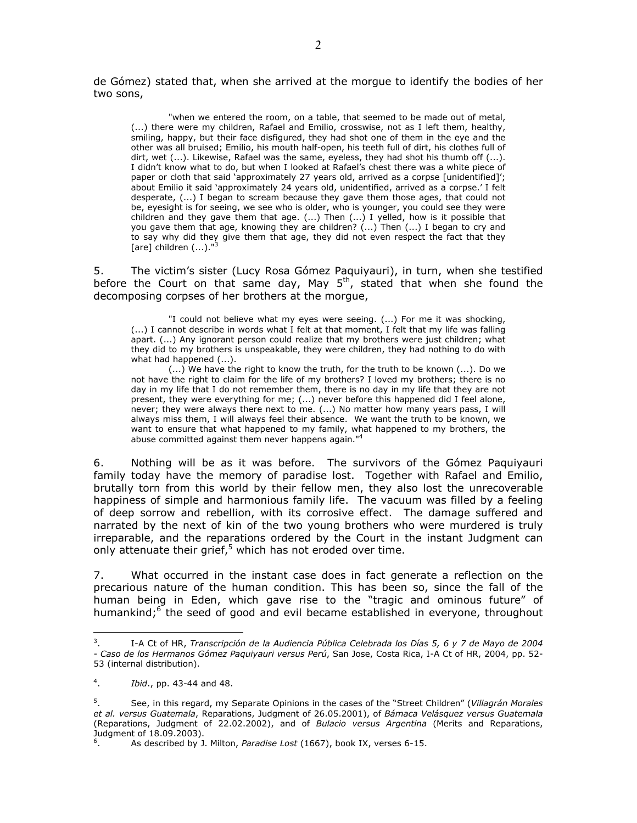de Gómez) stated that, when she arrived at the morgue to identify the bodies of her two sons,

 "when we entered the room, on a table, that seemed to be made out of metal, (...) there were my children, Rafael and Emilio, crosswise, not as I left them, healthy, smiling, happy, but their face disfigured, they had shot one of them in the eye and the other was all bruised; Emilio, his mouth half-open, his teeth full of dirt, his clothes full of dirt, wet (...). Likewise, Rafael was the same, eyeless, they had shot his thumb off (...). I didn't know what to do, but when I looked at Rafael's chest there was a white piece of paper or cloth that said 'approximately 27 years old, arrived as a corpse [unidentified]'; about Emilio it said 'approximately 24 years old, unidentified, arrived as a corpse.' I felt desperate, (...) I began to scream because they gave them those ages, that could not be, eyesight is for seeing, we see who is older, who is younger, you could see they were children and they gave them that age. (...) Then (...) I yelled, how is it possible that you gave them that age, knowing they are children? (...) Then (...) I began to cry and to say why did they give them that age, they did not even respect the fact that they [are] children (...).'

5. The victim's sister (Lucy Rosa Gómez Paquiyauri), in turn, when she testified before the Court on that same day, May 5<sup>th</sup>, stated that when she found the decomposing corpses of her brothers at the morgue,

 "I could not believe what my eyes were seeing. (...) For me it was shocking, (...) I cannot describe in words what I felt at that moment, I felt that my life was falling apart. (...) Any ignorant person could realize that my brothers were just children; what they did to my brothers is unspeakable, they were children, they had nothing to do with what had happened  $(...)$ .

 (...) We have the right to know the truth, for the truth to be known (...). Do we not have the right to claim for the life of my brothers? I loved my brothers; there is no day in my life that I do not remember them, there is no day in my life that they are not present, they were everything for me; (...) never before this happened did I feel alone, never; they were always there next to me. (...) No matter how many years pass, I will always miss them, I will always feel their absence. We want the truth to be known, we want to ensure that what happened to my family, what happened to my brothers, the abuse committed against them never happens again."<sup>4</sup>

6. Nothing will be as it was before. The survivors of the Gómez Paquiyauri family today have the memory of paradise lost. Together with Rafael and Emilio, brutally torn from this world by their fellow men, they also lost the unrecoverable happiness of simple and harmonious family life. The vacuum was filled by a feeling of deep sorrow and rebellion, with its corrosive effect. The damage suffered and narrated by the next of kin of the two young brothers who were murdered is truly irreparable, and the reparations ordered by the Court in the instant Judgment can only attenuate their grief, $5$  which has not eroded over time.

7. What occurred in the instant case does in fact generate a reflection on the precarious nature of the human condition. This has been so, since the fall of the human being in Eden, which gave rise to the "tragic and ominous future" of humankind;<sup>6</sup> the seed of good and evil became established in everyone, throughout

<sup>3</sup> . I-A Ct of HR, Transcripción de la Audiencia Pública Celebrada los Días 5, 6 y 7 de Mayo de 2004 - Caso de los Hermanos Gómez Paquiyauri versus Perú, San Jose, Costa Rica, I-A Ct of HR, 2004, pp. 52- 53 (internal distribution).

<sup>4</sup> . Ibid., pp. 43-44 and 48.

<sup>5</sup> See, in this regard, my Separate Opinions in the cases of the "Street Children" (Villagrán Morales et al. versus Guatemala, Reparations, Judgment of 26.05.2001), of Bámaca Velásquez versus Guatemala (Reparations, Judgment of 22.02.2002), and of Bulacio versus Argentina (Merits and Reparations, Judgment of 18.09.2003).

<sup>6</sup> . As described by J. Milton, Paradise Lost (1667), book IX, verses 6-15.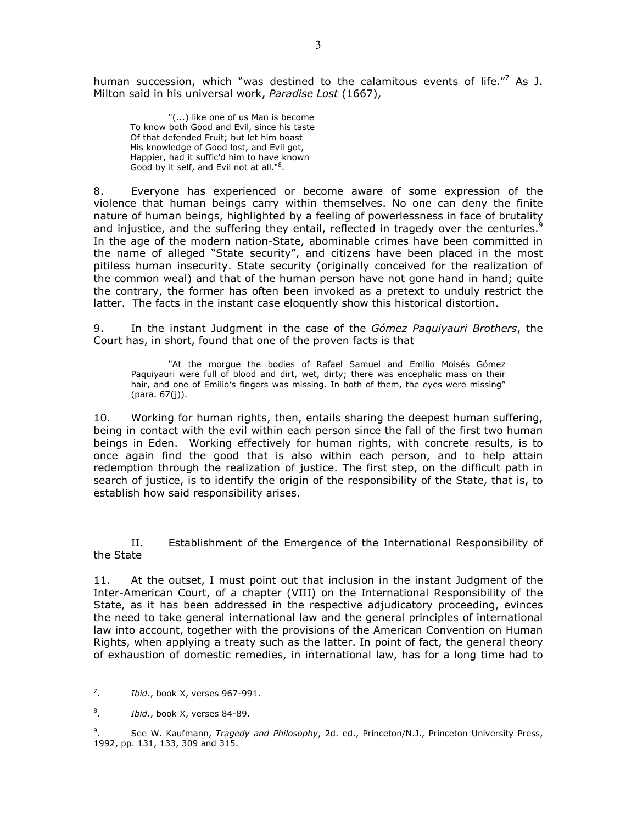human succession, which "was destined to the calamitous events of life."<sup>7</sup> As J. Milton said in his universal work, Paradise Lost (1667),

 "(...) like one of us Man is become To know both Good and Evil, since his taste Of that defended Fruit; but let him boast His knowledge of Good lost, and Evil got, Happier, had it suffic'd him to have known Good by it self, and Evil not at all."<sup>8</sup>.

8. Everyone has experienced or become aware of some expression of the violence that human beings carry within themselves. No one can deny the finite nature of human beings, highlighted by a feeling of powerlessness in face of brutality and injustice, and the suffering they entail, reflected in tragedy over the centuries. $9$ In the age of the modern nation-State, abominable crimes have been committed in the name of alleged "State security", and citizens have been placed in the most pitiless human insecurity. State security (originally conceived for the realization of the common weal) and that of the human person have not gone hand in hand; quite the contrary, the former has often been invoked as a pretext to unduly restrict the latter. The facts in the instant case eloquently show this historical distortion.

9. In the instant Judgment in the case of the *Gómez Paguiyauri Brothers*, the Court has, in short, found that one of the proven facts is that

 "At the morgue the bodies of Rafael Samuel and Emilio Moisés Gómez Paquiyauri were full of blood and dirt, wet, dirty; there was encephalic mass on their hair, and one of Emilio's fingers was missing. In both of them, the eyes were missing" (para. 67(j)).

10. Working for human rights, then, entails sharing the deepest human suffering, being in contact with the evil within each person since the fall of the first two human beings in Eden. Working effectively for human rights, with concrete results, is to once again find the good that is also within each person, and to help attain redemption through the realization of justice. The first step, on the difficult path in search of justice, is to identify the origin of the responsibility of the State, that is, to establish how said responsibility arises.

 II. Establishment of the Emergence of the International Responsibility of the State

11. At the outset, I must point out that inclusion in the instant Judgment of the Inter-American Court, of a chapter (VIII) on the International Responsibility of the State, as it has been addressed in the respective adjudicatory proceeding, evinces the need to take general international law and the general principles of international law into account, together with the provisions of the American Convention on Human Rights, when applying a treaty such as the latter. In point of fact, the general theory of exhaustion of domestic remedies, in international law, has for a long time had to

7 . Ibid., book X, verses 967-991.

8 . Ibid., book X, verses 84-89.

9 See W. Kaufmann, Tragedy and Philosophy, 2d. ed., Princeton/N.J., Princeton University Press, 1992, pp. 131, 133, 309 and 315.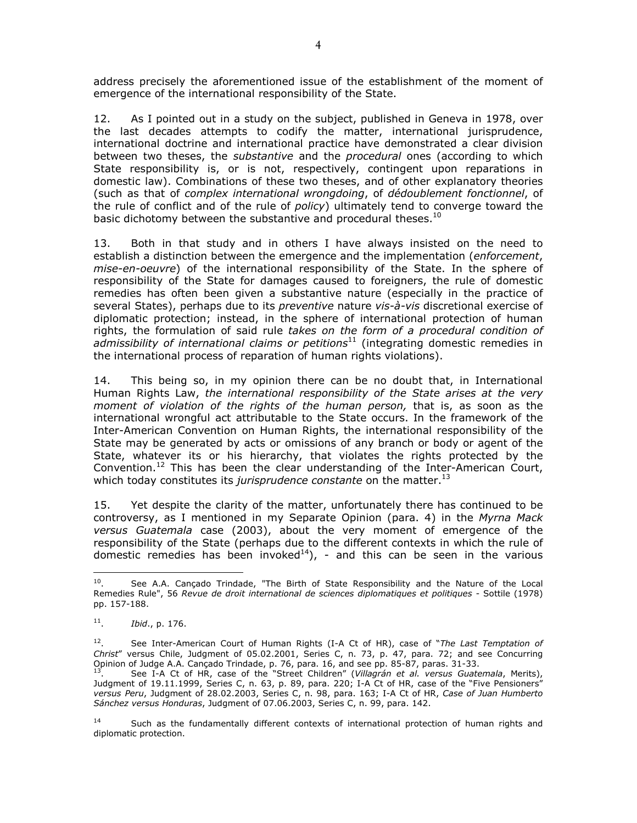address precisely the aforementioned issue of the establishment of the moment of emergence of the international responsibility of the State.

12. As I pointed out in a study on the subject, published in Geneva in 1978, over the last decades attempts to codify the matter, international jurisprudence, international doctrine and international practice have demonstrated a clear division between two theses, the *substantive* and the *procedural* ones (according to which State responsibility is, or is not, respectively, contingent upon reparations in domestic law). Combinations of these two theses, and of other explanatory theories (such as that of complex international wrongdoing, of dédoublement fonctionnel, of the rule of conflict and of the rule of *policy*) ultimately tend to converge toward the basic dichotomy between the substantive and procedural theses.<sup>10</sup>

13. Both in that study and in others I have always insisted on the need to establish a distinction between the emergence and the implementation (enforcement, mise-en-oeuvre) of the international responsibility of the State. In the sphere of responsibility of the State for damages caused to foreigners, the rule of domestic remedies has often been given a substantive nature (especially in the practice of several States), perhaps due to its *preventive* nature vis-à-vis discretional exercise of diplomatic protection; instead, in the sphere of international protection of human rights, the formulation of said rule takes on the form of a procedural condition of  $admissible$  of international claims or petitions<sup>11</sup> (integrating domestic remedies in the international process of reparation of human rights violations).

14. This being so, in my opinion there can be no doubt that, in International Human Rights Law, the international responsibility of the State arises at the very moment of violation of the rights of the human person, that is, as soon as the international wrongful act attributable to the State occurs. In the framework of the Inter-American Convention on Human Rights, the international responsibility of the State may be generated by acts or omissions of any branch or body or agent of the State, whatever its or his hierarchy, that violates the rights protected by the Convention.<sup>12</sup> This has been the clear understanding of the Inter-American Court, which today constitutes its *jurisprudence constante* on the matter.<sup>13</sup>

15. Yet despite the clarity of the matter, unfortunately there has continued to be controversy, as I mentioned in my Separate Opinion (para. 4) in the Myrna Mack versus Guatemala case (2003), about the very moment of emergence of the responsibility of the State (perhaps due to the different contexts in which the rule of domestic remedies has been invoked<sup>14</sup>), - and this can be seen in the various

<sup>&</sup>lt;sup>10</sup>. See A.A. Cançado Trindade, "The Birth of State Responsibility and the Nature of the Local Remedies Rule", 56 Revue de droit international de sciences diplomatiques et politiques - Sottile (1978) pp. 157-188.

<sup>11</sup> . Ibid., p. 176.

<sup>&</sup>lt;sup>12</sup>. See Inter-American Court of Human Rights (I-A Ct of HR), case of "The Last Temptation of Christ" versus Chile, Judgment of 05.02.2001, Series C, n. 73, p. 47, para. 72; and see Concurring Opinion of Judge A.A. Cançado Trindade, p. 76, para. 16, and see pp. 85-87, paras. 31-33.

 $^{13}$ . See I-A Ct of HR, case of the "Street Children" (Villagrán et al. versus Guatemala, Merits), Judgment of 19.11.1999, Series C, n. 63, p. 89, para. 220; I-A Ct of HR, case of the "Five Pensioners" versus Peru, Judgment of 28.02.2003, Series C, n. 98, para. 163; I-A Ct of HR, Case of Juan Humberto Sánchez versus Honduras, Judgment of 07.06.2003, Series C, n. 99, para. 142.

<sup>&</sup>lt;sup>14</sup> Such as the fundamentally different contexts of international protection of human rights and diplomatic protection.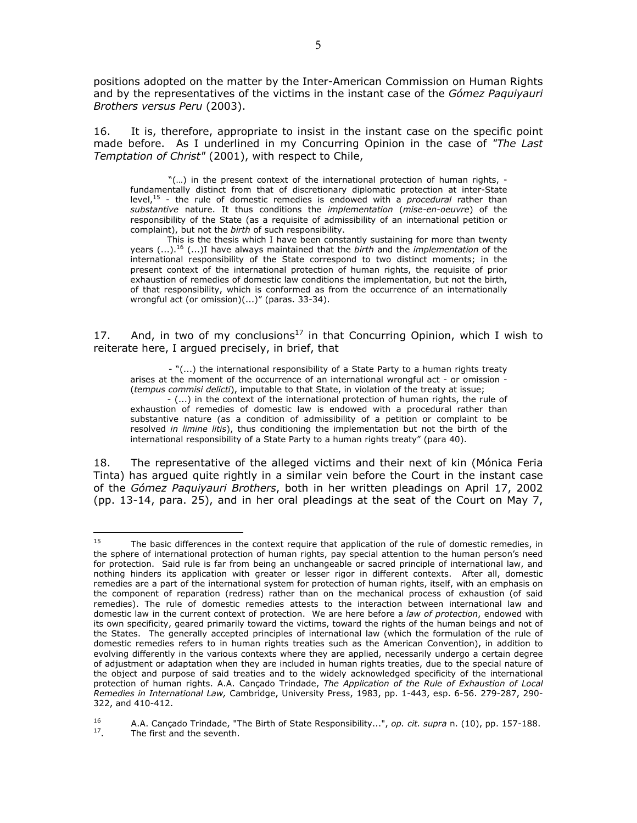positions adopted on the matter by the Inter-American Commission on Human Rights and by the representatives of the victims in the instant case of the Gómez Paquiyauri Brothers versus Peru (2003).

16. It is, therefore, appropriate to insist in the instant case on the specific point made before. As I underlined in my Concurring Opinion in the case of "The Last Temptation of Christ" (2001), with respect to Chile,

 "(…) in the present context of the international protection of human rights, fundamentally distinct from that of discretionary diplomatic protection at inter-State level,<sup>15</sup> - the rule of domestic remedies is endowed with a *procedural* rather than substantive nature. It thus conditions the implementation (mise-en-oeuvre) of the responsibility of the State (as a requisite of admissibility of an international petition or complaint), but not the birth of such responsibility.

This is the thesis which I have been constantly sustaining for more than twenty years  $(...).$ <sup>16</sup>  $(...)$  have always maintained that the *birth* and the *implementation* of the international responsibility of the State correspond to two distinct moments; in the present context of the international protection of human rights, the requisite of prior exhaustion of remedies of domestic law conditions the implementation, but not the birth, of that responsibility, which is conformed as from the occurrence of an internationally wrongful act (or omission)(...)" (paras. 33-34).

17. And, in two of my conclusions<sup>17</sup> in that Concurring Opinion, which I wish to reiterate here, I argued precisely, in brief, that

 - "(...) the international responsibility of a State Party to a human rights treaty arises at the moment of the occurrence of an international wrongful act - or omission - (tempus commisi delicti), imputable to that State, in violation of the treaty at issue; - (...) in the context of the international protection of human rights, the rule of exhaustion of remedies of domestic law is endowed with a procedural rather than substantive nature (as a condition of admissibility of a petition or complaint to be resolved in limine litis), thus conditioning the implementation but not the birth of the international responsibility of a State Party to a human rights treaty" (para 40).

18. The representative of the alleged victims and their next of kin (Mónica Feria Tinta) has argued quite rightly in a similar vein before the Court in the instant case of the Gómez Paquiyauri Brothers, both in her written pleadings on April 17, 2002 (pp. 13-14, para. 25), and in her oral pleadings at the seat of the Court on May 7,

<sup>&</sup>lt;sup>15</sup> The basic differences in the context require that application of the rule of domestic remedies, in the sphere of international protection of human rights, pay special attention to the human person's need for protection. Said rule is far from being an unchangeable or sacred principle of international law, and nothing hinders its application with greater or lesser rigor in different contexts. After all, domestic remedies are a part of the international system for protection of human rights, itself, with an emphasis on the component of reparation (redress) rather than on the mechanical process of exhaustion (of said remedies). The rule of domestic remedies attests to the interaction between international law and domestic law in the current context of protection. We are here before a law of protection, endowed with its own specificity, geared primarily toward the victims, toward the rights of the human beings and not of the States. The generally accepted principles of international law (which the formulation of the rule of domestic remedies refers to in human rights treaties such as the American Convention), in addition to evolving differently in the various contexts where they are applied, necessarily undergo a certain degree of adjustment or adaptation when they are included in human rights treaties, due to the special nature of the object and purpose of said treaties and to the widely acknowledged specificity of the international protection of human rights. A.A. Cançado Trindade, The Application of the Rule of Exhaustion of Local Remedies in International Law, Cambridge, University Press, 1983, pp. 1-443, esp. 6-56. 279-287, 290- 322, and 410-412.

<sup>16</sup> A.A. Cançado Trindade, "The Birth of State Responsibility...", op. cit. supra n. (10), pp. 157-188.<br>17. The first and the seventh. The first and the seventh.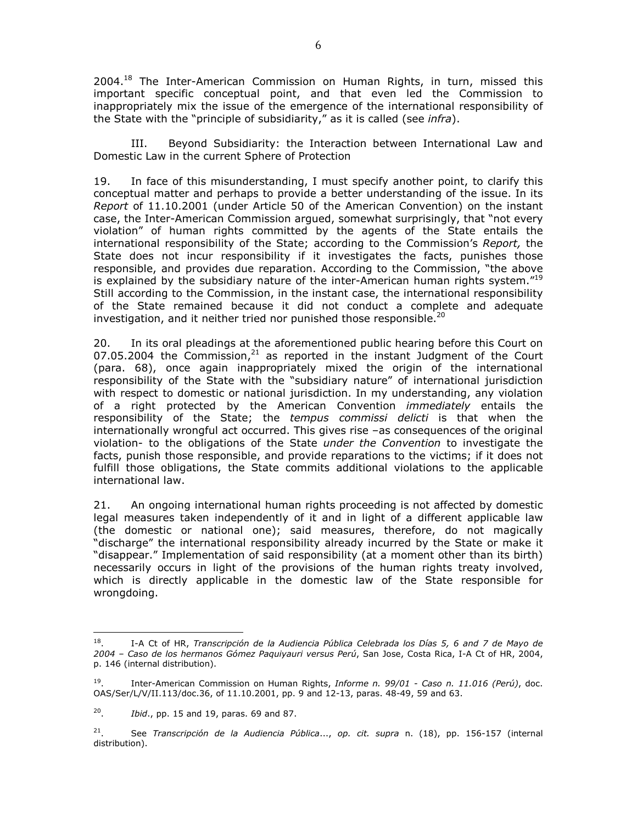2004.<sup>18</sup> The Inter-American Commission on Human Rights, in turn, missed this important specific conceptual point, and that even led the Commission to inappropriately mix the issue of the emergence of the international responsibility of the State with the "principle of subsidiarity," as it is called (see *infra*).

 III. Beyond Subsidiarity: the Interaction between International Law and Domestic Law in the current Sphere of Protection

19. In face of this misunderstanding, I must specify another point, to clarify this conceptual matter and perhaps to provide a better understanding of the issue. In its Report of 11.10.2001 (under Article 50 of the American Convention) on the instant case, the Inter-American Commission argued, somewhat surprisingly, that "not every violation" of human rights committed by the agents of the State entails the international responsibility of the State; according to the Commission's Report, the State does not incur responsibility if it investigates the facts, punishes those responsible, and provides due reparation. According to the Commission, "the above is explained by the subsidiary nature of the inter-American human rights system."<sup>19</sup> Still according to the Commission, in the instant case, the international responsibility of the State remained because it did not conduct a complete and adequate investigation, and it neither tried nor punished those responsible.<sup>20</sup>

20. In its oral pleadings at the aforementioned public hearing before this Court on 07.05.2004 the Commission, $21$  as reported in the instant Judgment of the Court (para. 68), once again inappropriately mixed the origin of the international responsibility of the State with the "subsidiary nature" of international jurisdiction with respect to domestic or national jurisdiction. In my understanding, any violation of a right protected by the American Convention *immediately* entails the responsibility of the State; the tempus commissi delicti is that when the internationally wrongful act occurred. This gives rise –as consequences of the original violation- to the obligations of the State under the Convention to investigate the facts, punish those responsible, and provide reparations to the victims; if it does not fulfill those obligations, the State commits additional violations to the applicable international law.

21. An ongoing international human rights proceeding is not affected by domestic legal measures taken independently of it and in light of a different applicable law (the domestic or national one); said measures, therefore, do not magically "discharge" the international responsibility already incurred by the State or make it "disappear." Implementation of said responsibility (at a moment other than its birth) necessarily occurs in light of the provisions of the human rights treaty involved, which is directly applicable in the domestic law of the State responsible for wrongdoing.

 $18.$  I-A Ct of HR, Transcripción de la Audiencia Pública Celebrada los Días 5, 6 and 7 de Mayo de 2004 – Caso de los hermanos Gómez Paquiyauri versus Perú, San Jose, Costa Rica, I-A Ct of HR, 2004, p. 146 (internal distribution).

<sup>&</sup>lt;sup>19</sup>. Inter-American Commission on Human Rights, *Informe n. 99/01 - Caso n. 11.016 (Perú)*, doc. OAS/Ser/L/V/II.113/doc.36, of 11.10.2001, pp. 9 and 12-13, paras. 48-49, 59 and 63.

<sup>20</sup> . Ibid., pp. 15 and 19, paras. 69 and 87.

 $21.$  See Transcripción de la Audiencia Pública..., op. cit. supra n. (18), pp. 156-157 (internal distribution).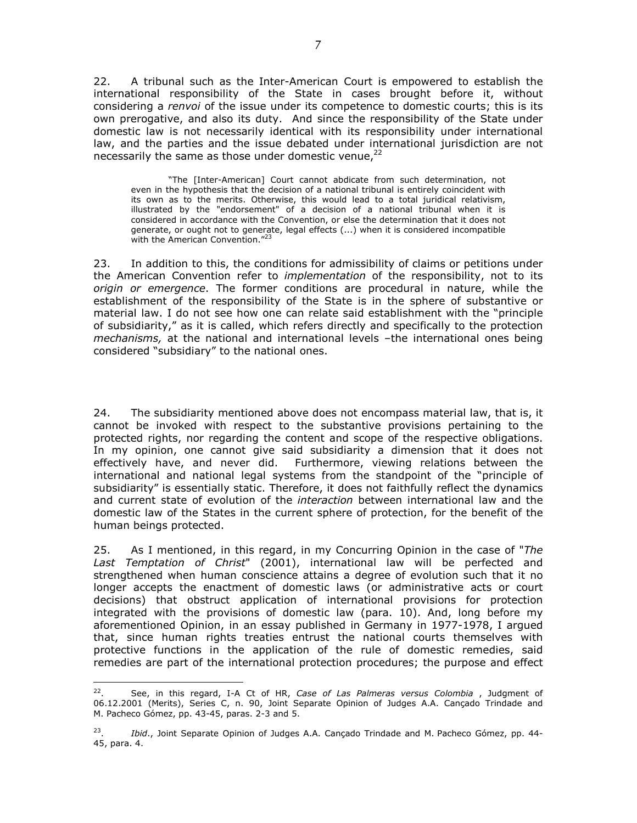22. A tribunal such as the Inter-American Court is empowered to establish the international responsibility of the State in cases brought before it, without considering a *renvoi* of the issue under its competence to domestic courts; this is its own prerogative, and also its duty. And since the responsibility of the State under domestic law is not necessarily identical with its responsibility under international law, and the parties and the issue debated under international jurisdiction are not necessarily the same as those under domestic venue, $^{22}$ 

 "The [Inter-American] Court cannot abdicate from such determination, not even in the hypothesis that the decision of a national tribunal is entirely coincident with its own as to the merits. Otherwise, this would lead to a total juridical relativism, illustrated by the "endorsement" of a decision of a national tribunal when it is considered in accordance with the Convention, or else the determination that it does not generate, or ought not to generate, legal effects (...) when it is considered incompatible with the American Convention."<sup>23</sup>

23. In addition to this, the conditions for admissibility of claims or petitions under the American Convention refer to *implementation* of the responsibility, not to its origin or emergence. The former conditions are procedural in nature, while the establishment of the responsibility of the State is in the sphere of substantive or material law. I do not see how one can relate said establishment with the "principle of subsidiarity," as it is called, which refers directly and specifically to the protection mechanisms, at the national and international levels -the international ones being considered "subsidiary" to the national ones.

24. The subsidiarity mentioned above does not encompass material law, that is, it cannot be invoked with respect to the substantive provisions pertaining to the protected rights, nor regarding the content and scope of the respective obligations. In my opinion, one cannot give said subsidiarity a dimension that it does not effectively have, and never did. Furthermore, viewing relations between the international and national legal systems from the standpoint of the "principle of subsidiarity" is essentially static. Therefore, it does not faithfully reflect the dynamics and current state of evolution of the *interaction* between international law and the domestic law of the States in the current sphere of protection, for the benefit of the human beings protected.

25. As I mentioned, in this regard, in my Concurring Opinion in the case of "The Last Temptation of Christ" (2001), international law will be perfected and strengthened when human conscience attains a degree of evolution such that it no longer accepts the enactment of domestic laws (or administrative acts or court decisions) that obstruct application of international provisions for protection integrated with the provisions of domestic law (para. 10). And, long before my aforementioned Opinion, in an essay published in Germany in 1977-1978, I argued that, since human rights treaties entrust the national courts themselves with protective functions in the application of the rule of domestic remedies, said remedies are part of the international protection procedures; the purpose and effect

<sup>&</sup>lt;sup>22</sup>. See, in this regard, I-A Ct of HR, Case of Las Palmeras versus Colombia, Judgment of 06.12.2001 (Merits), Series C, n. 90, Joint Separate Opinion of Judges A.A. Cançado Trindade and M. Pacheco Gómez, pp. 43-45, paras. 2-3 and 5.

<sup>23</sup> . Ibid., Joint Separate Opinion of Judges A.A. Cançado Trindade and M. Pacheco Gómez, pp. 44- 45, para. 4.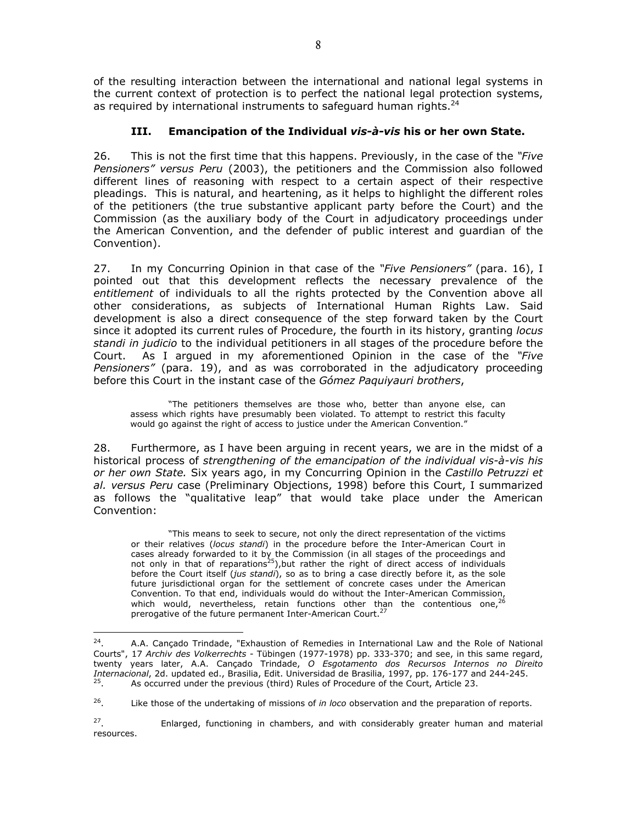of the resulting interaction between the international and national legal systems in the current context of protection is to perfect the national legal protection systems, as required by international instruments to safequard human rights. $^{24}$ 

# III. Emancipation of the Individual vis-à-vis his or her own State.

26. This is not the first time that this happens. Previously, in the case of the "Five" Pensioners" versus Peru (2003), the petitioners and the Commission also followed different lines of reasoning with respect to a certain aspect of their respective pleadings. This is natural, and heartening, as it helps to highlight the different roles of the petitioners (the true substantive applicant party before the Court) and the Commission (as the auxiliary body of the Court in adjudicatory proceedings under the American Convention, and the defender of public interest and guardian of the Convention).

27. In my Concurring Opinion in that case of the "Five Pensioners" (para. 16), I pointed out that this development reflects the necessary prevalence of the entitlement of individuals to all the rights protected by the Convention above all other considerations, as subjects of International Human Rights Law. Said development is also a direct consequence of the step forward taken by the Court since it adopted its current rules of Procedure, the fourth in its history, granting locus standi in judicio to the individual petitioners in all stages of the procedure before the Court. As I argued in my aforementioned Opinion in the case of the "Five Pensioners" (para. 19), and as was corroborated in the adjudicatory proceeding before this Court in the instant case of the Gómez Paquiyauri brothers,

 "The petitioners themselves are those who, better than anyone else, can assess which rights have presumably been violated. To attempt to restrict this faculty would go against the right of access to justice under the American Convention."

28. Furthermore, as I have been arguing in recent years, we are in the midst of a historical process of strengthening of the emancipation of the individual vis-à-vis his or her own State. Six years ago, in my Concurring Opinion in the Castillo Petruzzi et al. versus Peru case (Preliminary Objections, 1998) before this Court, I summarized as follows the "qualitative leap" that would take place under the American Convention:

 "This means to seek to secure, not only the direct representation of the victims or their relatives (locus standi) in the procedure before the Inter-American Court in cases already forwarded to it by the Commission (in all stages of the proceedings and not only in that of reparations<sup>25</sup>),but rather the right of direct access of individuals before the Court itself (jus standi), so as to bring a case directly before it, as the sole future jurisdictional organ for the settlement of concrete cases under the American Convention. To that end, individuals would do without the Inter-American Commission, which would, nevertheless, retain functions other than the contentious one, prerogative of the future permanent Inter-American Court.<sup>27</sup>

<sup>&</sup>lt;sup>24</sup>. A.A. Cançado Trindade, "Exhaustion of Remedies in International Law and the Role of National Courts", 17 Archiv des Volkerrechts - Tübingen (1977-1978) pp. 333-370; and see, in this same regard, twenty years later, A.A. Cançado Trindade, O Esgotamento dos Recursos Internos no Direito Internacional, 2d. updated ed., Brasilia, Edit. Universidad de Brasilia, 1997, pp. 176-177 and 244-245.  $^{25}$ . As occurred under the previous (third) Rules of Procedure of the Court, Article 23.

<sup>&</sup>lt;sup>26</sup>. Like those of the undertaking of missions of *in loco* observation and the preparation of reports.

 $27.$  Enlarged, functioning in chambers, and with considerably greater human and material resources.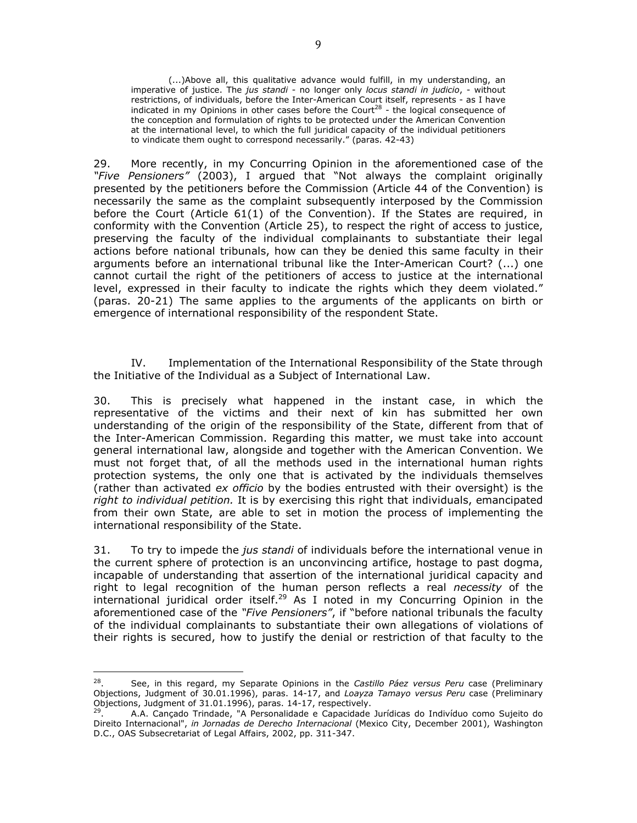(...)Above all, this qualitative advance would fulfill, in my understanding, an imperative of justice. The jus standi - no longer only locus standi in judicio, - without restrictions, of individuals, before the Inter-American Court itself, represents - as I have indicated in my Opinions in other cases before the Court<sup>28</sup> - the logical consequence of the conception and formulation of rights to be protected under the American Convention at the international level, to which the full juridical capacity of the individual petitioners to vindicate them ought to correspond necessarily." (paras. 42-43)

29. More recently, in my Concurring Opinion in the aforementioned case of the "Five Pensioners" (2003), I argued that "Not always the complaint originally presented by the petitioners before the Commission (Article 44 of the Convention) is necessarily the same as the complaint subsequently interposed by the Commission before the Court (Article 61(1) of the Convention). If the States are required, in conformity with the Convention (Article 25), to respect the right of access to justice, preserving the faculty of the individual complainants to substantiate their legal actions before national tribunals, how can they be denied this same faculty in their arguments before an international tribunal like the Inter-American Court? (...) one cannot curtail the right of the petitioners of access to justice at the international level, expressed in their faculty to indicate the rights which they deem violated." (paras. 20-21) The same applies to the arguments of the applicants on birth or emergence of international responsibility of the respondent State.

 IV. Implementation of the International Responsibility of the State through the Initiative of the Individual as a Subject of International Law.

30. This is precisely what happened in the instant case, in which the representative of the victims and their next of kin has submitted her own understanding of the origin of the responsibility of the State, different from that of the Inter-American Commission. Regarding this matter, we must take into account general international law, alongside and together with the American Convention. We must not forget that, of all the methods used in the international human rights protection systems, the only one that is activated by the individuals themselves (rather than activated ex officio by the bodies entrusted with their oversight) is the right to individual petition. It is by exercising this right that individuals, emancipated from their own State, are able to set in motion the process of implementing the international responsibility of the State.

31. To try to impede the *jus standi* of individuals before the international venue in the current sphere of protection is an unconvincing artifice, hostage to past dogma, incapable of understanding that assertion of the international juridical capacity and right to legal recognition of the human person reflects a real necessity of the international juridical order itself.<sup>29</sup> As I noted in my Concurring Opinion in the aforementioned case of the "Five Pensioners", if "before national tribunals the faculty of the individual complainants to substantiate their own allegations of violations of their rights is secured, how to justify the denial or restriction of that faculty to the

l.

 $28.$  See, in this regard, my Separate Opinions in the Castillo Páez versus Peru case (Preliminary Objections, Judgment of 30.01.1996), paras. 14-17, and Loayza Tamayo versus Peru case (Preliminary Objections, Judgment of 31.01.1996), paras. 14-17, respectively.

<sup>29</sup>. A.A. Cançado Trindade, "A Personalidade e Capacidade Jurídicas do Indivíduo como Sujeito do Direito Internacional", in Jornadas de Derecho Internacional (Mexico City, December 2001), Washington D.C., OAS Subsecretariat of Legal Affairs, 2002, pp. 311-347.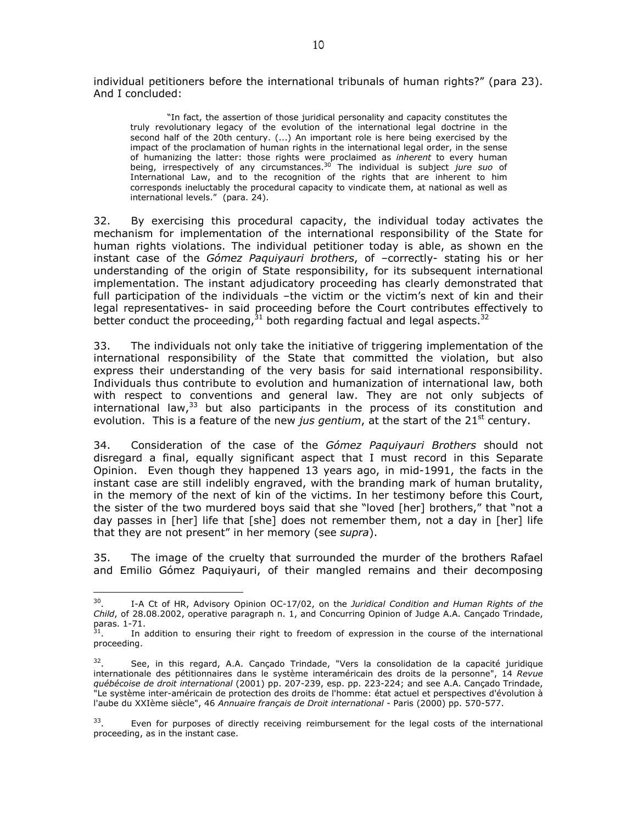individual petitioners before the international tribunals of human rights?" (para 23). And I concluded:

"In fact, the assertion of those juridical personality and capacity constitutes the truly revolutionary legacy of the evolution of the international legal doctrine in the second half of the 20th century. (...) An important role is here being exercised by the impact of the proclamation of human rights in the international legal order, in the sense of humanizing the latter: those rights were proclaimed as *inherent* to every human being, irrespectively of any circumstances.<sup>30</sup> The individual is subject *jure suo* of International Law, and to the recognition of the rights that are inherent to him corresponds ineluctably the procedural capacity to vindicate them, at national as well as international levels." (para. 24).

32. By exercising this procedural capacity, the individual today activates the mechanism for implementation of the international responsibility of the State for human rights violations. The individual petitioner today is able, as shown en the instant case of the Gómez Paquiyauri brothers, of -correctly- stating his or her understanding of the origin of State responsibility, for its subsequent international implementation. The instant adjudicatory proceeding has clearly demonstrated that full participation of the individuals –the victim or the victim's next of kin and their legal representatives- in said proceeding before the Court contributes effectively to better conduct the proceeding,  $31$  both regarding factual and legal aspects.  $32$ 

33. The individuals not only take the initiative of triggering implementation of the international responsibility of the State that committed the violation, but also express their understanding of the very basis for said international responsibility. Individuals thus contribute to evolution and humanization of international law, both with respect to conventions and general law. They are not only subjects of  $interhational$  law, $33$  but also participants in the process of its constitution and evolution. This is a feature of the new *jus gentium*, at the start of the  $21^{st}$  century.

34. Consideration of the case of the Gómez Paquiyauri Brothers should not disregard a final, equally significant aspect that I must record in this Separate Opinion. Even though they happened 13 years ago, in mid-1991, the facts in the instant case are still indelibly engraved, with the branding mark of human brutality, in the memory of the next of kin of the victims. In her testimony before this Court, the sister of the two murdered boys said that she "loved [her] brothers," that "not a day passes in [her] life that [she] does not remember them, not a day in [her] life that they are not present" in her memory (see supra).

35. The image of the cruelty that surrounded the murder of the brothers Rafael and Emilio Gómez Paquiyauri, of their mangled remains and their decomposing

<sup>&</sup>lt;sup>30</sup>. I-A Ct of HR, Advisory Opinion OC-17/02, on the Juridical Condition and Human Rights of the Child, of 28.08.2002, operative paragraph n. 1, and Concurring Opinion of Judge A.A. Cançado Trindade, paras.  $1-71$ .<br> $\frac{31}{2}$  In a

In addition to ensuring their right to freedom of expression in the course of the international proceeding.

<sup>&</sup>lt;sup>32</sup>. See, in this regard, A.A. Cançado Trindade, "Vers la consolidation de la capacité juridique internationale des pétitionnaires dans le système interaméricain des droits de la personne", 14 Revue québécoise de droit international (2001) pp. 207-239, esp. pp. 223-224; and see A.A. Cançado Trindade, "Le système inter-américain de protection des droits de l'homme: état actuel et perspectives d'évolution à l'aube du XXIème siècle", 46 Annuaire français de Droit international - Paris (2000) pp. 570-577.

 $33.$  Even for purposes of directly receiving reimbursement for the legal costs of the international proceeding, as in the instant case.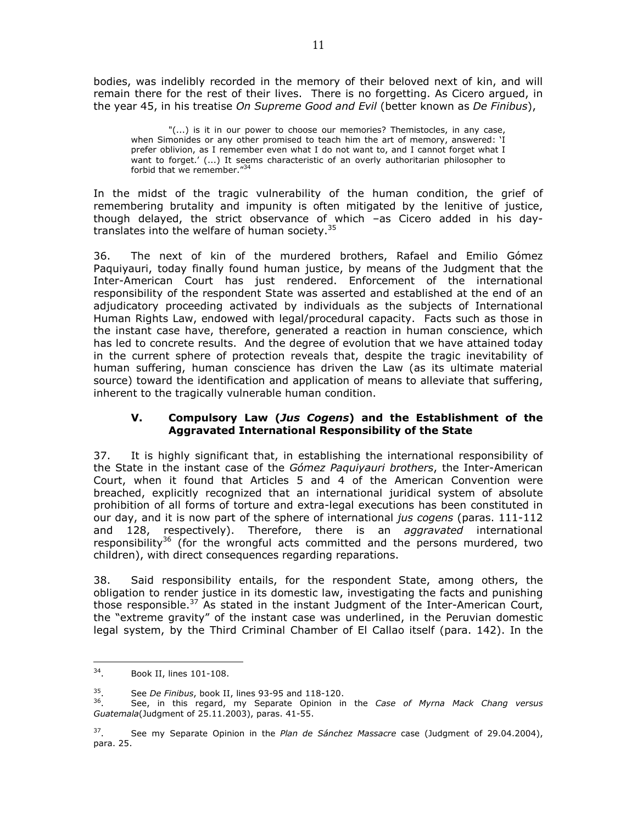bodies, was indelibly recorded in the memory of their beloved next of kin, and will remain there for the rest of their lives. There is no forgetting. As Cicero argued, in the year 45, in his treatise On Supreme Good and Evil (better known as De Finibus),

 "(...) is it in our power to choose our memories? Themistocles, in any case, when Simonides or any other promised to teach him the art of memory, answered: 'I prefer oblivion, as I remember even what I do not want to, and I cannot forget what I want to forget.' (...) It seems characteristic of an overly authoritarian philosopher to forbid that we remember."<sup>34</sup>

In the midst of the tragic vulnerability of the human condition, the grief of remembering brutality and impunity is often mitigated by the lenitive of justice, though delayed, the strict observance of which –as Cicero added in his daytranslates into the welfare of human societv.<sup>35</sup>

36. The next of kin of the murdered brothers, Rafael and Emilio Gómez Paquiyauri, today finally found human justice, by means of the Judgment that the Inter-American Court has just rendered. Enforcement of the international responsibility of the respondent State was asserted and established at the end of an adjudicatory proceeding activated by individuals as the subjects of International Human Rights Law, endowed with legal/procedural capacity. Facts such as those in the instant case have, therefore, generated a reaction in human conscience, which has led to concrete results. And the degree of evolution that we have attained today in the current sphere of protection reveals that, despite the tragic inevitability of human suffering, human conscience has driven the Law (as its ultimate material source) toward the identification and application of means to alleviate that suffering, inherent to the tragically vulnerable human condition.

## V. Compulsory Law (Jus Cogens) and the Establishment of the Aggravated International Responsibility of the State

37. It is highly significant that, in establishing the international responsibility of the State in the instant case of the Gómez Paquiyauri brothers, the Inter-American Court, when it found that Articles 5 and 4 of the American Convention were breached, explicitly recognized that an international juridical system of absolute prohibition of all forms of torture and extra-legal executions has been constituted in our day, and it is now part of the sphere of international *jus cogens* (paras. 111-112 and 128, respectively). Therefore, there is an aggravated international responsibility<sup>36</sup> (for the wrongful acts committed and the persons murdered, two children), with direct consequences regarding reparations.

38. Said responsibility entails, for the respondent State, among others, the obligation to render justice in its domestic law, investigating the facts and punishing those responsible.<sup>37</sup> As stated in the instant Judgment of the Inter-American Court, the "extreme gravity" of the instant case was underlined, in the Peruvian domestic legal system, by the Third Criminal Chamber of El Callao itself (para. 142). In the

<sup>34</sup>. Book II, lines 101-108.

 $35.$  See *De Finibus*, book II, lines 93-95 and 118-120.<br> $36$  See in this regard my Separate Opinion in

See, in this regard, my Separate Opinion in the Case of Myrna Mack Chang versus Guatemala(Judgment of 25.11.2003), paras. 41-55.

 $37.$  See my Separate Opinion in the Plan de Sánchez Massacre case (Judgment of 29.04.2004), para. 25.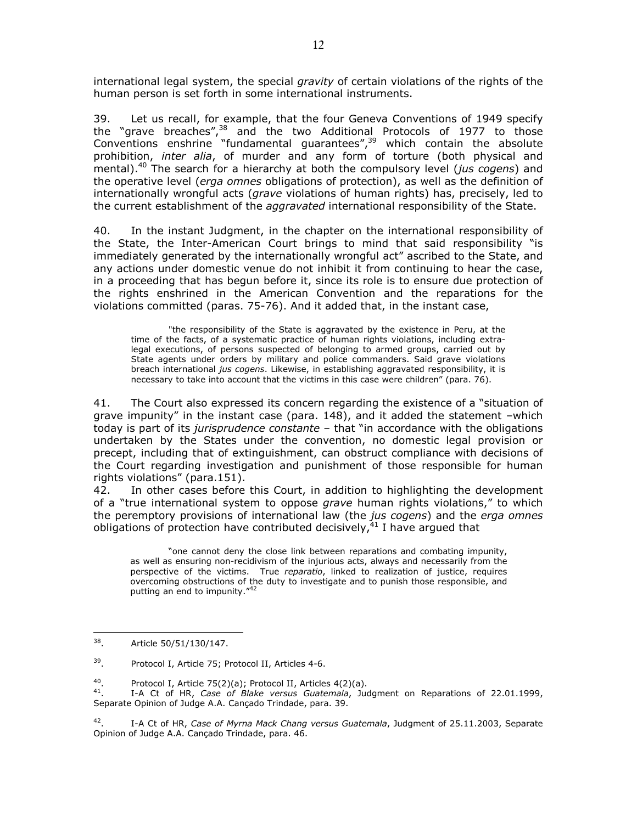international legal system, the special *gravity* of certain violations of the rights of the human person is set forth in some international instruments.

39. Let us recall, for example, that the four Geneva Conventions of 1949 specify the "grave breaches", $38$  and the two Additional Protocols of 1977 to those Conventions enshrine "fundamental guarantees",<sup>39</sup> which contain the absolute prohibition, *inter alia*, of murder and any form of torture (both physical and mental).<sup>40</sup> The search for a hierarchy at both the compulsory level (*jus cogens*) and the operative level (*erga omnes* obligations of protection), as well as the definition of internationally wrongful acts (*grave* violations of human rights) has, precisely, led to the current establishment of the *aggravated* international responsibility of the State.

40. In the instant Judgment, in the chapter on the international responsibility of the State, the Inter-American Court brings to mind that said responsibility "is immediately generated by the internationally wrongful act" ascribed to the State, and any actions under domestic venue do not inhibit it from continuing to hear the case, in a proceeding that has begun before it, since its role is to ensure due protection of the rights enshrined in the American Convention and the reparations for the violations committed (paras. 75-76). And it added that, in the instant case,

 "the responsibility of the State is aggravated by the existence in Peru, at the time of the facts, of a systematic practice of human rights violations, including extralegal executions, of persons suspected of belonging to armed groups, carried out by State agents under orders by military and police commanders. Said grave violations breach international jus cogens. Likewise, in establishing aggravated responsibility, it is necessary to take into account that the victims in this case were children" (para. 76).

41. The Court also expressed its concern regarding the existence of a "situation of grave impunity" in the instant case (para. 148), and it added the statement –which today is part of its jurisprudence constante - that "in accordance with the obligations undertaken by the States under the convention, no domestic legal provision or precept, including that of extinguishment, can obstruct compliance with decisions of the Court regarding investigation and punishment of those responsible for human rights violations" (para.151).

42. In other cases before this Court, in addition to highlighting the development of a "true international system to oppose grave human rights violations," to which the peremptory provisions of international law (the *jus cogens*) and the erga omnes obligations of protection have contributed decisively,  $41$  I have argued that

 "one cannot deny the close link between reparations and combating impunity, as well as ensuring non-recidivism of the injurious acts, always and necessarily from the perspective of the victims. True reparatio, linked to realization of justice, requires overcoming obstructions of the duty to investigate and to punish those responsible, and putting an end to impunity."<sup>42</sup>

<sup>38</sup>. Article 50/51/130/147.

<sup>39</sup>. Protocol I, Article 75; Protocol II, Articles 4-6.

<sup>&</sup>lt;sup>40</sup>. Protocol I, Article 75(2)(a); Protocol II, Articles 4(2)(a).<br><sup>41</sup>. I-A Ct of HR. Case of Blake versus Guatemala. Juc

I-A Ct of HR, Case of Blake versus Guatemala, Judgment on Reparations of 22.01.1999, Separate Opinion of Judge A.A. Cançado Trindade, para. 39.

 $^{42}$ . I-A Ct of HR, Case of Myrna Mack Chang versus Guatemala, Judgment of 25.11.2003, Separate Opinion of Judge A.A. Cançado Trindade, para. 46.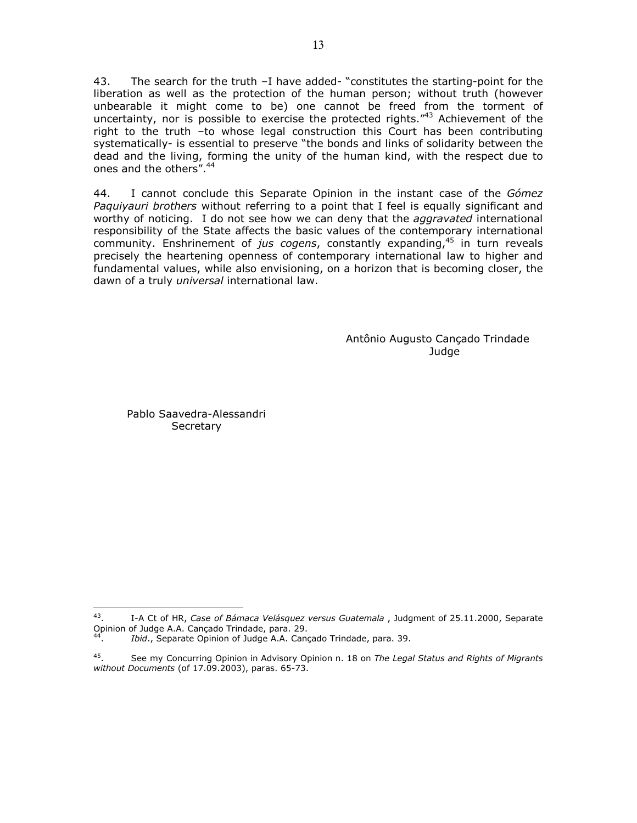43. The search for the truth –I have added- "constitutes the starting-point for the liberation as well as the protection of the human person; without truth (however unbearable it might come to be) one cannot be freed from the torment of uncertainty, nor is possible to exercise the protected rights. $143$  Achievement of the right to the truth –to whose legal construction this Court has been contributing systematically- is essential to preserve "the bonds and links of solidarity between the dead and the living, forming the unity of the human kind, with the respect due to ones and the others".<sup>44</sup>

44. I cannot conclude this Separate Opinion in the instant case of the Gómez Paquiyauri brothers without referring to a point that I feel is equally significant and worthy of noticing. I do not see how we can deny that the *aggravated* international responsibility of the State affects the basic values of the contemporary international community. Enshrinement of *jus cogens*, constantly expanding,  $45$  in turn reveals precisely the heartening openness of contemporary international law to higher and fundamental values, while also envisioning, on a horizon that is becoming closer, the dawn of a truly *universal* international law.

> Antônio Augusto Cançado Trindade Judge

Pablo Saavedra-Alessandri **Secretary** 

<sup>&</sup>lt;sup>43</sup>. I-A Ct of HR, Case of Bámaca Velásquez versus Guatemala, Judgment of 25.11.2000, Separate Opinion of Judge A.A. Cançado Trindade, para. 29.

<sup>44</sup> . Ibid., Separate Opinion of Judge A.A. Cançado Trindade, para. 39.

<sup>&</sup>lt;sup>45</sup>. See my Concurring Opinion in Advisory Opinion n. 18 on The Legal Status and Rights of Migrants without Documents (of 17.09.2003), paras. 65-73.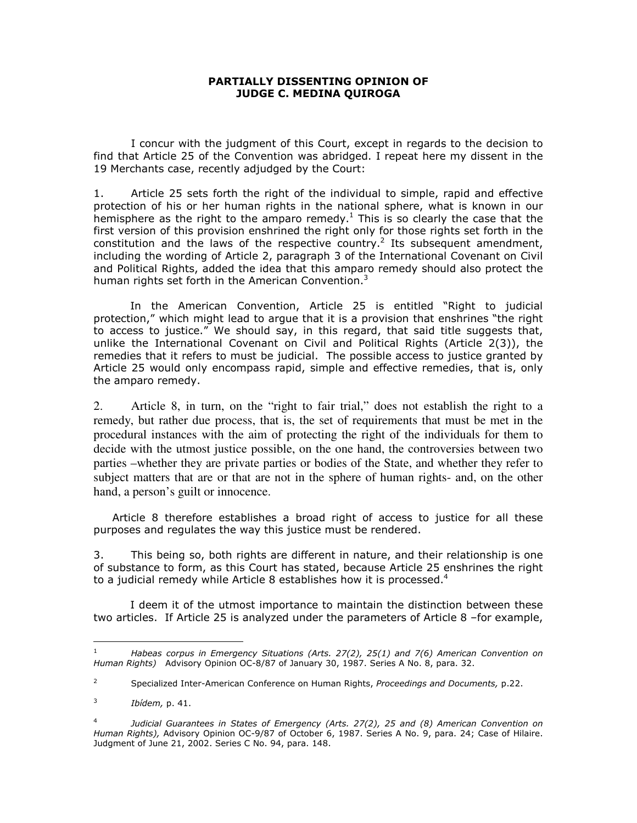### PARTIALLY DISSENTING OPINION OF JUDGE C. MEDINA QUIROGA

 I concur with the judgment of this Court, except in regards to the decision to find that Article 25 of the Convention was abridged. I repeat here my dissent in the 19 Merchants case, recently adjudged by the Court:

1. Article 25 sets forth the right of the individual to simple, rapid and effective protection of his or her human rights in the national sphere, what is known in our hemisphere as the right to the amparo remedy.<sup>1</sup> This is so clearly the case that the first version of this provision enshrined the right only for those rights set forth in the constitution and the laws of the respective country.<sup>2</sup> Its subsequent amendment, including the wording of Article 2, paragraph 3 of the International Covenant on Civil and Political Rights, added the idea that this amparo remedy should also protect the human rights set forth in the American Convention. $3$ 

In the American Convention, Article 25 is entitled "Right to judicial protection," which might lead to argue that it is a provision that enshrines "the right to access to justice." We should say, in this regard, that said title suggests that, unlike the International Covenant on Civil and Political Rights (Article 2(3)), the remedies that it refers to must be judicial. The possible access to justice granted by Article 25 would only encompass rapid, simple and effective remedies, that is, only the amparo remedy.

2. Article 8, in turn, on the "right to fair trial," does not establish the right to a remedy, but rather due process, that is, the set of requirements that must be met in the procedural instances with the aim of protecting the right of the individuals for them to decide with the utmost justice possible, on the one hand, the controversies between two parties –whether they are private parties or bodies of the State, and whether they refer to subject matters that are or that are not in the sphere of human rights- and, on the other hand, a person's guilt or innocence.

Article 8 therefore establishes a broad right of access to justice for all these purposes and regulates the way this justice must be rendered.

3. This being so, both rights are different in nature, and their relationship is one of substance to form, as this Court has stated, because Article 25 enshrines the right to a judicial remedy while Article 8 establishes how it is processed.<sup>4</sup>

I deem it of the utmost importance to maintain the distinction between these two articles. If Article 25 is analyzed under the parameters of Article 8 –for example,

<sup>1</sup> Habeas corpus in Emergency Situations (Arts. 27(2), 25(1) and 7(6) American Convention on Human Rights) Advisory Opinion OC-8/87 of January 30, 1987. Series A No. 8, para. 32.

<sup>2</sup> Specialized Inter-American Conference on Human Rights, Proceedings and Documents, p.22.

<sup>3</sup> Ibídem, p. 41.

<sup>4</sup> Judicial Guarantees in States of Emergency (Arts. 27(2), 25 and (8) American Convention on Human Rights), Advisory Opinion OC-9/87 of October 6, 1987. Series A No. 9, para. 24; Case of Hilaire. Judgment of June 21, 2002. Series C No. 94, para. 148.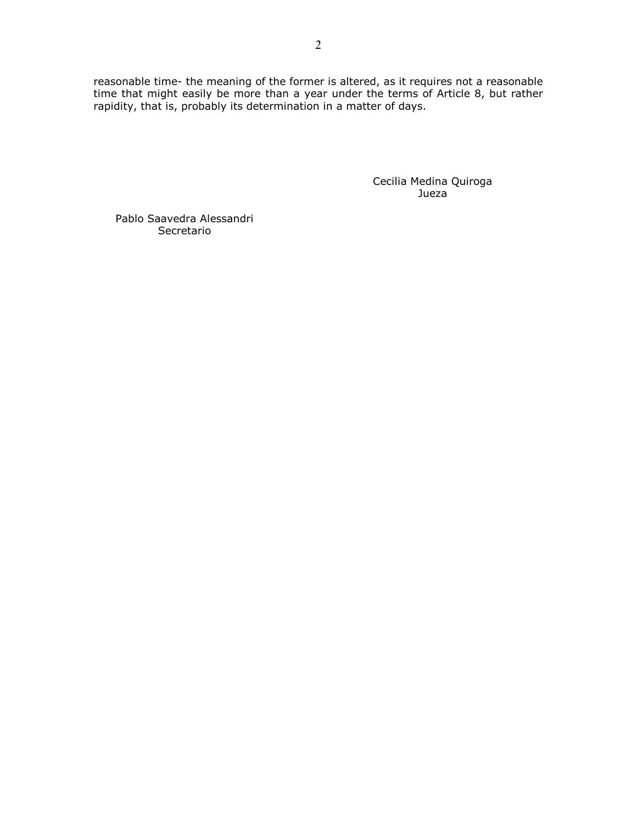reasonable time- the meaning of the former is altered, as it requires not a reasonable time that might easily be more than a year under the terms of Article 8, but rather rapidity, that is, probably its determination in a matter of days.

> Cecilia Medina Quiroga Jueza

Pablo Saavedra Alessandri Secretario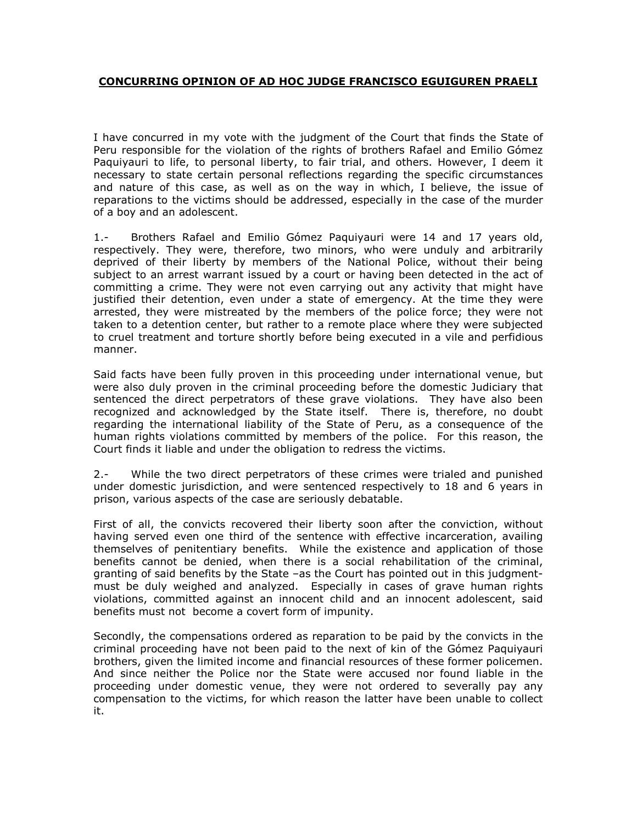## CONCURRING OPINION OF AD HOC JUDGE FRANCISCO EGUIGUREN PRAELI

I have concurred in my vote with the judgment of the Court that finds the State of Peru responsible for the violation of the rights of brothers Rafael and Emilio Gómez Paquiyauri to life, to personal liberty, to fair trial, and others. However, I deem it necessary to state certain personal reflections regarding the specific circumstances and nature of this case, as well as on the way in which, I believe, the issue of reparations to the victims should be addressed, especially in the case of the murder of a boy and an adolescent.

1.- Brothers Rafael and Emilio Gómez Paquiyauri were 14 and 17 years old, respectively. They were, therefore, two minors, who were unduly and arbitrarily deprived of their liberty by members of the National Police, without their being subject to an arrest warrant issued by a court or having been detected in the act of committing a crime. They were not even carrying out any activity that might have justified their detention, even under a state of emergency. At the time they were arrested, they were mistreated by the members of the police force; they were not taken to a detention center, but rather to a remote place where they were subjected to cruel treatment and torture shortly before being executed in a vile and perfidious manner.

Said facts have been fully proven in this proceeding under international venue, but were also duly proven in the criminal proceeding before the domestic Judiciary that sentenced the direct perpetrators of these grave violations. They have also been recognized and acknowledged by the State itself. There is, therefore, no doubt regarding the international liability of the State of Peru, as a consequence of the human rights violations committed by members of the police. For this reason, the Court finds it liable and under the obligation to redress the victims.

2.- While the two direct perpetrators of these crimes were trialed and punished under domestic jurisdiction, and were sentenced respectively to 18 and 6 years in prison, various aspects of the case are seriously debatable.

First of all, the convicts recovered their liberty soon after the conviction, without having served even one third of the sentence with effective incarceration, availing themselves of penitentiary benefits. While the existence and application of those benefits cannot be denied, when there is a social rehabilitation of the criminal, granting of said benefits by the State –as the Court has pointed out in this judgmentmust be duly weighed and analyzed. Especially in cases of grave human rights violations, committed against an innocent child and an innocent adolescent, said benefits must not become a covert form of impunity.

Secondly, the compensations ordered as reparation to be paid by the convicts in the criminal proceeding have not been paid to the next of kin of the Gómez Paquiyauri brothers, given the limited income and financial resources of these former policemen. And since neither the Police nor the State were accused nor found liable in the proceeding under domestic venue, they were not ordered to severally pay any compensation to the victims, for which reason the latter have been unable to collect it.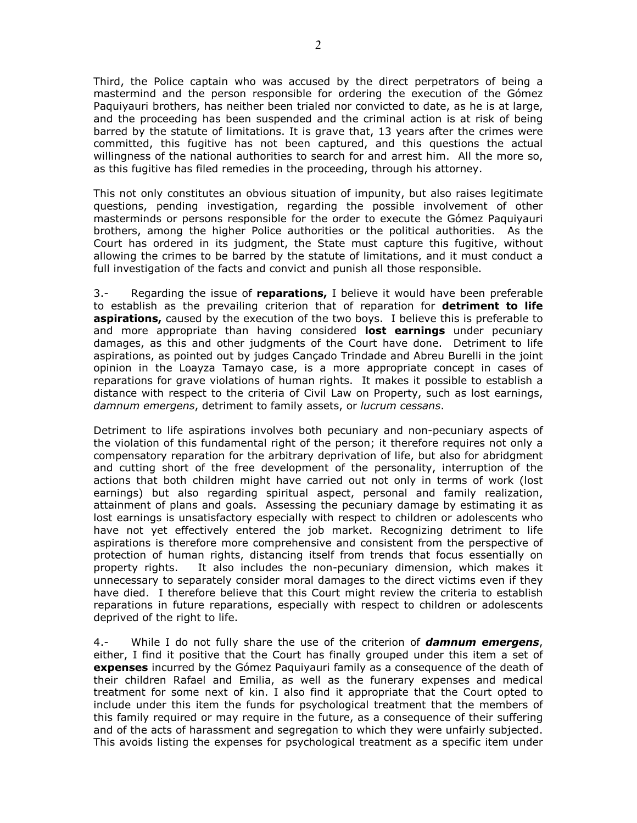Third, the Police captain who was accused by the direct perpetrators of being a mastermind and the person responsible for ordering the execution of the Gómez Paquiyauri brothers, has neither been trialed nor convicted to date, as he is at large, and the proceeding has been suspended and the criminal action is at risk of being barred by the statute of limitations. It is grave that, 13 years after the crimes were committed, this fugitive has not been captured, and this questions the actual willingness of the national authorities to search for and arrest him. All the more so, as this fugitive has filed remedies in the proceeding, through his attorney.

This not only constitutes an obvious situation of impunity, but also raises legitimate questions, pending investigation, regarding the possible involvement of other masterminds or persons responsible for the order to execute the Gómez Paquiyauri brothers, among the higher Police authorities or the political authorities. As the Court has ordered in its judgment, the State must capture this fugitive, without allowing the crimes to be barred by the statute of limitations, and it must conduct a full investigation of the facts and convict and punish all those responsible.

3.- Regarding the issue of reparations. I believe it would have been preferable to establish as the prevailing criterion that of reparation for **detriment to life aspirations,** caused by the execution of the two boys. I believe this is preferable to and more appropriate than having considered lost earnings under pecuniary damages, as this and other judgments of the Court have done. Detriment to life aspirations, as pointed out by judges Cançado Trindade and Abreu Burelli in the joint opinion in the Loayza Tamayo case, is a more appropriate concept in cases of reparations for grave violations of human rights. It makes it possible to establish a distance with respect to the criteria of Civil Law on Property, such as lost earnings, damnum emergens, detriment to family assets, or *lucrum cessans*.

Detriment to life aspirations involves both pecuniary and non-pecuniary aspects of the violation of this fundamental right of the person; it therefore requires not only a compensatory reparation for the arbitrary deprivation of life, but also for abridgment and cutting short of the free development of the personality, interruption of the actions that both children might have carried out not only in terms of work (lost earnings) but also regarding spiritual aspect, personal and family realization, attainment of plans and goals. Assessing the pecuniary damage by estimating it as lost earnings is unsatisfactory especially with respect to children or adolescents who have not yet effectively entered the job market. Recognizing detriment to life aspirations is therefore more comprehensive and consistent from the perspective of protection of human rights, distancing itself from trends that focus essentially on property rights. It also includes the non-pecuniary dimension, which makes it unnecessary to separately consider moral damages to the direct victims even if they have died. I therefore believe that this Court might review the criteria to establish reparations in future reparations, especially with respect to children or adolescents deprived of the right to life.

4.- While I do not fully share the use of the criterion of **damnum emergens**, either, I find it positive that the Court has finally grouped under this item a set of expenses incurred by the Gómez Paquiyauri family as a consequence of the death of their children Rafael and Emilia, as well as the funerary expenses and medical treatment for some next of kin. I also find it appropriate that the Court opted to include under this item the funds for psychological treatment that the members of this family required or may require in the future, as a consequence of their suffering and of the acts of harassment and segregation to which they were unfairly subjected. This avoids listing the expenses for psychological treatment as a specific item under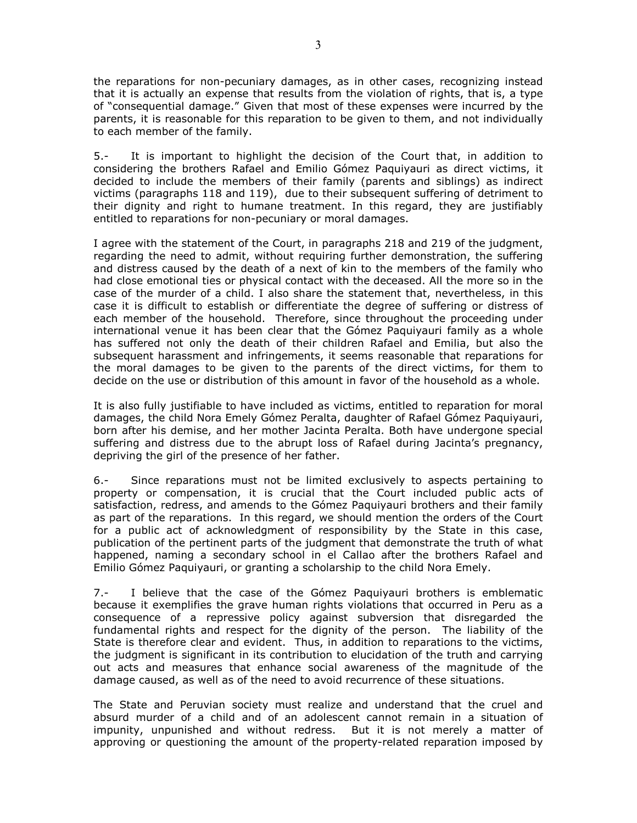the reparations for non-pecuniary damages, as in other cases, recognizing instead that it is actually an expense that results from the violation of rights, that is, a type of "consequential damage." Given that most of these expenses were incurred by the parents, it is reasonable for this reparation to be given to them, and not individually to each member of the family.

5.- It is important to highlight the decision of the Court that, in addition to considering the brothers Rafael and Emilio Gómez Paquiyauri as direct victims, it decided to include the members of their family (parents and siblings) as indirect victims (paragraphs 118 and 119), due to their subsequent suffering of detriment to their dignity and right to humane treatment. In this regard, they are justifiably entitled to reparations for non-pecuniary or moral damages.

I agree with the statement of the Court, in paragraphs 218 and 219 of the judgment, regarding the need to admit, without requiring further demonstration, the suffering and distress caused by the death of a next of kin to the members of the family who had close emotional ties or physical contact with the deceased. All the more so in the case of the murder of a child. I also share the statement that, nevertheless, in this case it is difficult to establish or differentiate the degree of suffering or distress of each member of the household. Therefore, since throughout the proceeding under international venue it has been clear that the Gómez Paquiyauri family as a whole has suffered not only the death of their children Rafael and Emilia, but also the subsequent harassment and infringements, it seems reasonable that reparations for the moral damages to be given to the parents of the direct victims, for them to decide on the use or distribution of this amount in favor of the household as a whole.

It is also fully justifiable to have included as victims, entitled to reparation for moral damages, the child Nora Emely Gómez Peralta, daughter of Rafael Gómez Paquiyauri, born after his demise, and her mother Jacinta Peralta. Both have undergone special suffering and distress due to the abrupt loss of Rafael during Jacinta's pregnancy, depriving the girl of the presence of her father.

6.- Since reparations must not be limited exclusively to aspects pertaining to property or compensation, it is crucial that the Court included public acts of satisfaction, redress, and amends to the Gómez Paquiyauri brothers and their family as part of the reparations. In this regard, we should mention the orders of the Court for a public act of acknowledgment of responsibility by the State in this case, publication of the pertinent parts of the judgment that demonstrate the truth of what happened, naming a secondary school in el Callao after the brothers Rafael and Emilio Gómez Paquiyauri, or granting a scholarship to the child Nora Emely.

7.- I believe that the case of the Gómez Paquiyauri brothers is emblematic because it exemplifies the grave human rights violations that occurred in Peru as a consequence of a repressive policy against subversion that disregarded the fundamental rights and respect for the dignity of the person. The liability of the State is therefore clear and evident. Thus, in addition to reparations to the victims, the judgment is significant in its contribution to elucidation of the truth and carrying out acts and measures that enhance social awareness of the magnitude of the damage caused, as well as of the need to avoid recurrence of these situations.

The State and Peruvian society must realize and understand that the cruel and absurd murder of a child and of an adolescent cannot remain in a situation of impunity, unpunished and without redress. But it is not merely a matter of approving or questioning the amount of the property-related reparation imposed by